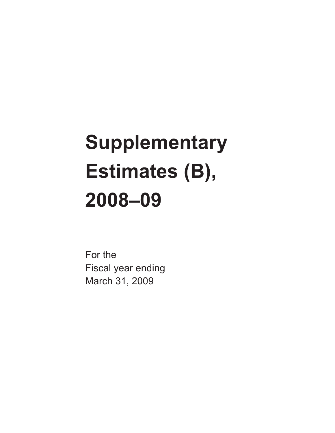# **Supplementary Estimates (B), 2008–09**

For the Fiscal year ending March 31, 2009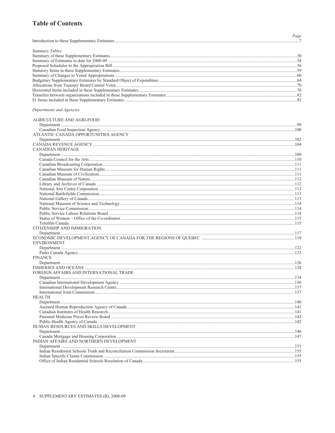## **Table of Contents**

| Summary Tables                          |  |
|-----------------------------------------|--|
|                                         |  |
|                                         |  |
|                                         |  |
|                                         |  |
|                                         |  |
|                                         |  |
|                                         |  |
|                                         |  |
|                                         |  |
| Departments and Agencies                |  |
| AGRICULTURE AND AGRI-FOOD               |  |
|                                         |  |
|                                         |  |
| ATLANTIC CANADA OPPORTUNITIES AGENCY    |  |
|                                         |  |
| <b>CANADIAN HERITAGE</b>                |  |
|                                         |  |
|                                         |  |
|                                         |  |
|                                         |  |
|                                         |  |
|                                         |  |
|                                         |  |
|                                         |  |
|                                         |  |
|                                         |  |
|                                         |  |
|                                         |  |
|                                         |  |
|                                         |  |
| CITIZENSHIP AND IMMIGRATION             |  |
|                                         |  |
| <b>ENVIRONMENT</b>                      |  |
|                                         |  |
|                                         |  |
| <b>FINANCE</b>                          |  |
|                                         |  |
|                                         |  |
| FOREIGN AFFAIRS AND INTERNATIONAL TRADE |  |
|                                         |  |
|                                         |  |
|                                         |  |
| <b>HEALTH</b>                           |  |
|                                         |  |
|                                         |  |
|                                         |  |
|                                         |  |
|                                         |  |
| HUMAN RESOURCES AND SKILLS DEVELOPMENT  |  |
|                                         |  |
| INDIAN AFFAIRS AND NORTHERN DEVELOPMENT |  |
|                                         |  |
|                                         |  |
|                                         |  |
|                                         |  |

Page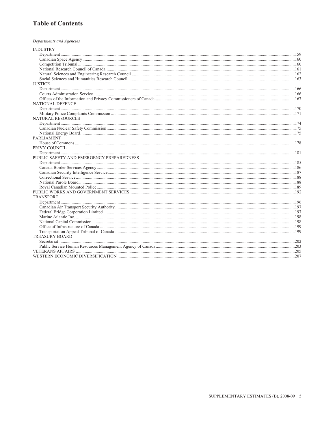## **Table of Contents**

Departments and Agencies

| <b>INDUSTRY</b>                          |  |
|------------------------------------------|--|
|                                          |  |
|                                          |  |
|                                          |  |
|                                          |  |
|                                          |  |
|                                          |  |
| <b>JUSTICE</b>                           |  |
|                                          |  |
|                                          |  |
|                                          |  |
| <b>NATIONAL DEFENCE</b>                  |  |
|                                          |  |
|                                          |  |
| <b>NATURAL RESOURCES</b>                 |  |
|                                          |  |
|                                          |  |
|                                          |  |
| PARLIAMENT                               |  |
|                                          |  |
| PRIVY COUNCIL                            |  |
|                                          |  |
| PUBLIC SAFETY AND EMERGENCY PREPAREDNESS |  |
|                                          |  |
|                                          |  |
|                                          |  |
|                                          |  |
|                                          |  |
|                                          |  |
|                                          |  |
| <b>TRANSPORT</b>                         |  |
|                                          |  |
|                                          |  |
|                                          |  |
|                                          |  |
|                                          |  |
|                                          |  |
| <b>TREASURY BOARD</b>                    |  |
|                                          |  |
|                                          |  |
|                                          |  |
|                                          |  |
|                                          |  |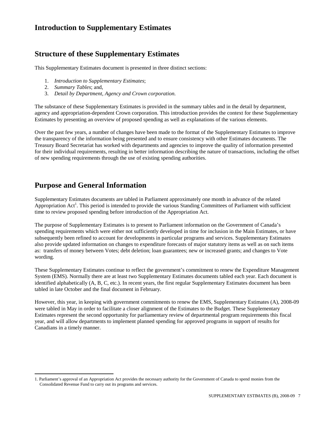## <span id="page-3-0"></span>**Structure of these Supplementary Estimates**

This Supplementary Estimates document is presented in three distinct sections:

- 1. *Introduction to Supplementary Estimates*;
- 2. *Summary Tables*; and,
- 3. *Detail by Department, Agency and Crown corporation.*

The substance of these Supplementary Estimates is provided in the summary tables and in the detail by department, agency and appropriation-dependent Crown corporation. This introduction provides the context for these Supplementary Estimates by presenting an overview of proposed spending as well as explanations of the various elements.

Over the past few years, a number of changes have been made to the format of the Supplementary Estimates to improve the transparency of the information being presented and to ensure consistency with other Estimates documents. The Treasury Board Secretariat has worked with departments and agencies to improve the quality of information presented for their individual requirements, resulting in better information describing the nature of transactions, including the offset of new spending requirements through the use of existing spending authorities.

## **Purpose and General Information**

 $\overline{a}$ 

Supplementary Estimates documents are tabled in Parliament approximately one month in advance of the related Appropriation Act<sup>1</sup>. This period is intended to provide the various Standing Committees of Parliament with sufficient time to review proposed spending before introduction of the Appropriation Act.

The purpose of Supplementary Estimates is to present to Parliament information on the Government of Canada's spending requirements which were either not sufficiently developed in time for inclusion in the Main Estimates, or have subsequently been refined to account for developments in particular programs and services. Supplementary Estimates also provide updated information on changes to expenditure forecasts of major statutory items as well as on such items as: transfers of money between Votes; debt deletion; loan guarantees; new or increased grants; and changes to Vote wording.

These Supplementary Estimates continue to reflect the government's commitment to renew the Expenditure Management System (EMS). Normally there are at least two Supplementary Estimates documents tabled each year. Each document is identified alphabetically (A, B, C, etc.). In recent years, the first regular Supplementary Estimates document has been tabled in late October and the final document in February.

However, this year, in keeping with government commitments to renew the EMS, Supplementary Estimates (A), 2008-09 were tabled in May in order to facilitate a closer alignment of the Estimates to the Budget. These Supplementary Estimates represent the second opportunity for parliamentary review of departmental program requirements this fiscal year, and will allow departments to implement planned spending for approved programs in support of results for Canadians in a timely manner.

<sup>1.</sup> Parliament's approval of an Appropriation Act provides the necessary authority for the Government of Canada to spend monies from the Consolidated Revenue Fund to carry out its programs and services.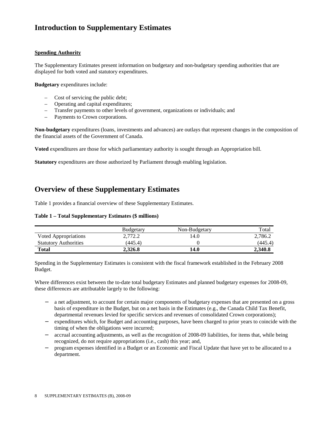#### **Spending Authority**

The Supplementary Estimates present information on budgetary and non-budgetary spending authorities that are displayed for both voted and statutory expenditures.

**Budgetary** expenditures include:

- Cost of servicing the public debt;
- Operating and capital expenditures;
- Transfer payments to other levels of government, organizations or individuals; and
- Payments to Crown corporations.

**Non-budgetary** expenditures (loans, investments and advances) are outlays that represent changes in the composition of the financial assets of the Government of Canada.

**Voted** expenditures are those for which parliamentary authority is sought through an Appropriation bill.

**Statutory** expenditures are those authorized by Parliament through enabling legislation.

## **Overview of these Supplementary Estimates**

Table 1 provides a financial overview of these Supplementary Estimates.

#### **Table 1 – Total Supplementary Estimates (\$ millions)**

|                              | <b>Budgetary</b> | Non-Budgetary | Total   |
|------------------------------|------------------|---------------|---------|
| <b>Voted Appropriations</b>  | 2.772.2          | 14.0          | 2,786.2 |
| <b>Statutory Authorities</b> | (445.4)          |               | (445.4) |
| <b>Total</b>                 | 2,326.8          | 14.0          | 2.340.8 |

Spending in the Supplementary Estimates is consistent with the fiscal framework established in the February 2008 Budget.

Where differences exist between the to-date total budgetary Estimates and planned budgetary expenses for 2008-09, these differences are attributable largely to the following:

- − a net adjustment, to account for certain major components of budgetary expenses that are presented on a gross basis of expenditure in the Budget, but on a net basis in the Estimates (e.g., the Canada Child Tax Benefit, departmental revenues levied for specific services and revenues of consolidated Crown corporations);
- expenditures which, for Budget and accounting purposes, have been charged to prior years to coincide with the timing of when the obligations were incurred;
- − accrual accounting adjustments, as well as the recognition of 2008-09 liabilities, for items that, while being recognized, do not require appropriations (i.e., cash) this year; and,
- − program expenses identified in a Budget or an Economic and Fiscal Update that have yet to be allocated to a department.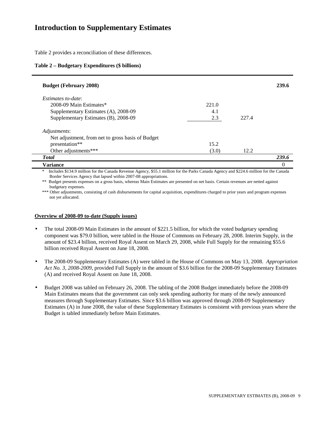Table 2 provides a reconciliation of these differences.

#### **Table 2 – Budgetary Expenditures (\$ billions)**

| <b>Budget (February 2008)</b>                     |       |       | 239.6 |
|---------------------------------------------------|-------|-------|-------|
|                                                   |       |       |       |
| Estimates to-date:                                |       |       |       |
| 2008-09 Main Estimates*                           | 221.0 |       |       |
| Supplementary Estimates (A), 2008-09              | 4.1   |       |       |
| Supplementary Estimates (B), 2008-09              | 2.3   | 227.4 |       |
| Adjustments:                                      |       |       |       |
| Net adjustment, from net to gross basis of Budget |       |       |       |
| presentation**                                    | 15.2  |       |       |
| Other adjustments***                              | (3.0) | 12.2  |       |
| <b>Total</b>                                      |       |       | 239.6 |
| <b>Variance</b>                                   |       |       | 0     |

\* Includes \$134.9 million for the Canada Revenue Agency, \$55.1 million for the Parks Canada Agency and \$224.6 million for the Canada Border Services Agency that lapsed within 2007-08 appropriations.

\*\* Budget presents expenses on a gross basis, whereas Main Estimates are presented on net basis. Certain revenues are netted against budgetary expenses.

\*\*\* Other adjustments, consisting of cash disbursements for capital acquisition, expenditures charged to prior years and program expenses not yet allocated.

#### **Overview of 2008-09 to-date (Supply issues)**

- The total 2008-09 Main Estimates in the amount of \$221.5 billion, for which the voted budgetary spending component was \$79.0 billion, were tabled in the House of Commons on February 28, 2008. Interim Supply, in the amount of \$23.4 billion, received Royal Assent on March 29, 2008, while Full Supply for the remaining \$55.6 billion received Royal Assent on June 18, 2008.
- The 2008-09 Supplementary Estimates (A) were tabled in the House of Commons on May 13, 2008. *Appropriation Act No. 3, 2008-2009,* provided Full Supply in the amount of \$3.6 billion for the 2008-09 Supplementary Estimates (A) and received Royal Assent on June 18, 2008.
- Budget 2008 was tabled on February 26, 2008. The tabling of the 2008 Budget immediately before the 2008-09 Main Estimates means that the government can only seek spending authority for many of the newly announced measures through Supplementary Estimates. Since \$3.6 billion was approved through 2008-09 Supplementary Estimates (A) in June 2008, the value of these Supplementary Estimates is consistent with previous years where the Budget is tabled immediately before Main Estimates.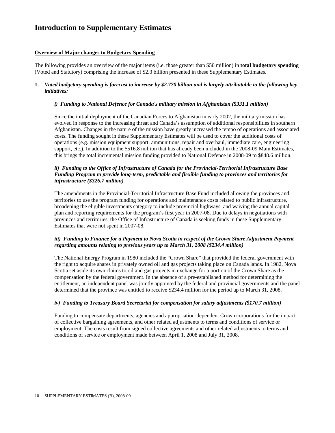#### **Overview of Major changes to Budgetary Spending**

The following provides an overview of the major items (i.e. those greater than \$50 million) in **total budgetary spending** (Voted and Statutory) comprising the increase of \$2.3 billion presented in these Supplementary Estimates.

#### **1.** *Voted budgetary spending is forecast to increase by \$2.770 billion and is largely attributable to the following key initiatives:*

#### *i) Funding to National Defence for Canada's military mission in Afghanistan (\$331.1 million)*

Since the initial deployment of the Canadian Forces to Afghanistan in early 2002, the military mission has evolved in response to the increasing threat and Canada's assumption of additional responsibilities in southern Afghanistan. Changes in the nature of the mission have greatly increased the tempo of operations and associated costs. The funding sought in these Supplementary Estimates will be used to cover the additional costs of operations (e.g. mission equipment support, ammunitions, repair and overhaul, immediate care, engineering support, etc.). In addition to the \$516.8 million that has already been included in the 2008-09 Main Estimates, this brings the total incremental mission funding provided to National Defence in 2008-09 to \$848.6 million.

#### *ii) Funding to the Office of Infrastructure of Canada for the Provincial-Territorial Infrastructure Base Funding Program to provide long-term, predictable and flexible funding to provinces and territories for infrastructure (\$326.7 million)*

The amendments in the Provincial-Territorial Infrastructure Base Fund included allowing the provinces and territories to use the program funding for operations and maintenance costs related to public infrastructure, broadening the eligible investments category to include provincial highways, and waiving the annual capital plan and reporting requirements for the program's first year in 2007-08. Due to delays in negotiations with provinces and territories, the Office of Infrastructure of Canada is seeking funds in these Supplementary Estimates that were not spent in 2007-08.

#### *iii) Funding to Finance for a Payment to Nova Scotia in respect of the Crown Share Adjustment Payment regarding amounts relating to previous years up to March 31, 2008 (\$234.4 million)*

The National Energy Program in 1980 included the "Crown Share" that provided the federal government with the right to acquire shares in privately owned oil and gas projects taking place on Canada lands. In 1982, Nova Scotia set aside its own claims to oil and gas projects in exchange for a portion of the Crown Share as the compensation by the federal government. In the absence of a pre-established method for determining the entitlement, an independent panel was jointly appointed by the federal and provincial governments and the panel determined that the province was entitled to receive \$234.4 million for the period up to March 31, 2008.

#### *iv) Funding to Treasury Board Secretariat for compensation for salary adjustments (\$170.7 million)*

Funding to compensate departments, agencies and appropriation-dependent Crown corporations for the impact of collective bargaining agreements, and other related adjustments to terms and conditions of service or employment. The costs result from signed collective agreements and other related adjustments to terms and conditions of service or employment made between April 1, 2008 and July 31, 2008.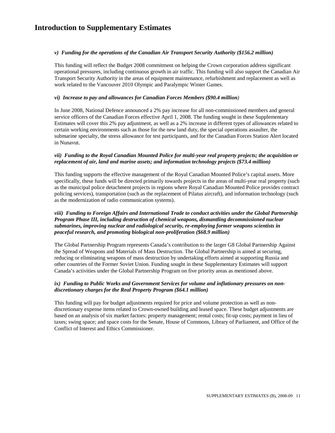#### *v) Funding for the operations of the Canadian Air Transport Security Authority (\$156.2 million)*

This funding will reflect the Budget 2008 commitment on helping the Crown corporation address significant operational pressures, including continuous growth in air traffic. This funding will also support the Canadian Air Transport Security Authority in the areas of equipment maintenance, refurbishment and replacement as well as work related to the Vancouver 2010 Olympic and Paralympic Winter Games.

#### *vi) Increase to pay and allowances for Canadian Forces Members (\$90.4 million)*

In June 2008, National Defence announced a 2% pay increase for all non-commissioned members and general service officers of the Canadian Forces effective April 1, 2008. The funding sought in these Supplementary Estimates will cover this 2% pay adjustment, as well as a 2% increase in different types of allowances related to certain working environments such as those for the new land duty, the special operations assaulter, the submarine specialty, the stress allowance for test participants, and for the Canadian Forces Station Alert located in Nunavut.

#### *vii) Funding to the Royal Canadian Mounted Police for multi-year real property projects; the acquisition or replacement of air, land and marine assets; and information technology projects (\$73.4 million)*

This funding supports the effective management of the Royal Canadian Mounted Police's capital assets. More specifically, these funds will be directed primarily towards projects in the areas of multi-year real property (such as the municipal police detachment projects in regions where Royal Canadian Mounted Police provides contract policing services), transportation (such as the replacement of Pilatus aircraft), and information technology (such as the modernization of radio communication systems).

#### *viii) Funding to Foreign Affairs and International Trade to conduct activities under the Global Partnership Program Phase III, including destruction of chemical weapons, dismantling decommissioned nuclear submarines, improving nuclear and radiological security, re-employing former weapons scientists in peaceful research, and promoting biological non-proliferation (\$68.9 million)*

The Global Partnership Program represents Canada's contribution to the larger G8 Global Partnership Against the Spread of Weapons and Materials of Mass Destruction. The Global Partnership is aimed at securing, reducing or eliminating weapons of mass destruction by undertaking efforts aimed at supporting Russia and other countries of the Former Soviet Union. Funding sought in these Supplementary Estimates will support Canada's activities under the Global Partnership Program on five priority areas as mentioned above.

#### *ix) Funding to Public Works and Government Services for volume and inflationary pressures on nondiscretionary charges for the Real Property Program (\$64.1 million)*

This funding will pay for budget adjustments required for price and volume protection as well as nondiscretionary expense items related to Crown-owned building and leased space. These budget adjustments are based on an analysis of six market factors: property management; rental costs; fit-up costs; payment in lieu of taxes; swing space; and space costs for the Senate, House of Commons, Library of Parliament, and Office of the Conflict of Interest and Ethics Commissioner.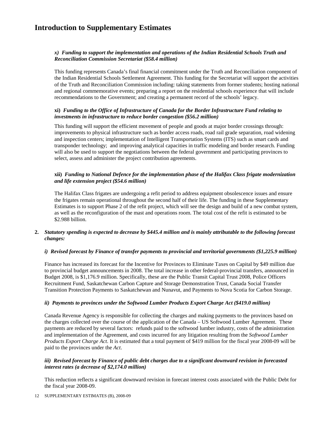#### *x) Funding to support the implementation and operations of the Indian Residential Schools Truth and Reconciliation Commission Secretariat (\$58.4 million)*

This funding represents Canada's final financial commitment under the Truth and Reconciliation component of the Indian Residential Schools Settlement Agreement. This funding for the Secretariat will support the activities of the Truth and Reconciliation Commission including: taking statements from former students; hosting national and regional commemorative events; preparing a report on the residential schools experience that will include recommendations to the Government; and creating a permanent record of the schools' legacy.

#### **xi)** *Funding to the Office of Infrastructure of Canada for the Border Infrastructure Fund relating to investments in infrastructure to reduce border congestion (\$56.2 million)*

This funding will support the efficient movement of people and goods at major border crossings through: improvements to physical infrastructure such as border access roads, road rail grade separation, road widening and inspection centers; implementation of Intelligent Transportation Systems (ITS) such as smart cards and transponder technology; and improving analytical capacities in traffic modeling and border research. Funding will also be used to support the negotiations between the federal government and participating provinces to select, assess and administer the project contribution agreements.

#### **xii)** *Funding to National Defence for the implementation phase of the Halifax Class frigate modernization and life extension project (\$54.6 million)*

The Halifax Class frigates are undergoing a refit period to address equipment obsolescence issues and ensure the frigates remain operational throughout the second half of their life. The funding in these Supplementary Estimates is to support Phase 2 of the refit project, which will see the design and build of a new combat system, as well as the reconfiguration of the mast and operations room. The total cost of the refit is estimated to be \$2.988 billion.

#### **2.** *Statutory spending is expected to decrease by \$445.4 million and is mainly attributable to the following forecast changes:*

#### *i) Revised forecast by Finance of transfer payments to provincial and territorial governments (\$1,225.9 million)*

Finance has increased its forecast for the Incentive for Provinces to Eliminate Taxes on Capital by \$49 million due to provincial budget announcements in 2008. The total increase in other federal-provincial transfers, announced in Budget 2008, is \$1,176.9 million. Specifically, these are the Public Transit Capital Trust 2008, Police Officers Recruitment Fund, Saskatchewan Carbon Capture and Storage Demonstration Trust, Canada Social Transfer Transition Protection Payments to Saskatchewan and Nunavut, and Payments to Nova Scotia for Carbon Storage.

#### *ii) Payments to provinces under the Softwood Lumber Products Export Charge Act (\$419.0 million)*

Canada Revenue Agency is responsible for collecting the charges and making payments to the provinces based on the charges collected over the course of the application of the Canada – US Softwood Lumber Agreement. These payments are reduced by several factors: refunds paid to the softwood lumber industry, costs of the administration and implementation of the Agreement, and costs incurred for any litigation resulting from the *Softwood Lumber Products Export Charge Act*. It is estimated that a total payment of \$419 million for the fiscal year 2008-09 will be paid to the provinces under the *Act*.

#### *iii) Revised forecast by Finance of public debt charges due to a significant downward revision in forecasted interest rates (a decrease of \$2,174.0 million)*

This reduction reflects a significant downward revision in forecast interest costs associated with the Public Debt for the fiscal year 2008-09.

#### 12 SUPPLEMENTARY ESTIMATES (B), 2008-09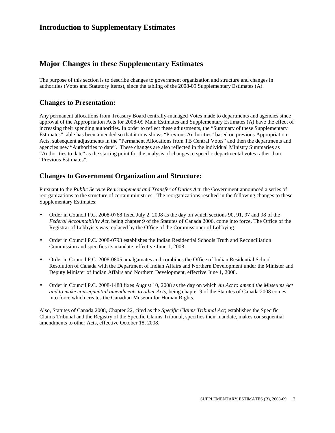## **Major Changes in these Supplementary Estimates**

The purpose of this section is to describe changes to government organization and structure and changes in authorities (Votes and Statutory items), since the tabling of the 2008-09 Supplementary Estimates (A).

#### **Changes to Presentation:**

Any permanent allocations from Treasury Board centrally-managed Votes made to departments and agencies since approval of the Appropriation Acts for 2008-09 Main Estimates and Supplementary Estimates (A) have the effect of increasing their spending authorities. In order to reflect these adjustments, the "Summary of these Supplementary Estimates" table has been amended so that it now shows "Previous Authorities" based on previous Appropriation Acts, subsequent adjustments in the "Permanent Allocations from TB Central Votes" and then the departments and agencies new "Authorities to date". These changes are also reflected in the individual Ministry Summaries as "Authorities to date" as the starting point for the analysis of changes to specific departmental votes rather than "Previous Estimates".

#### **Changes to Government Organization and Structure:**

Pursuant to the *Public Service Rearrangement and Transfer of Duties Act,* the Government announced a series of reorganizations to the structure of certain ministries. The reorganizations resulted in the following changes to these Supplementary Estimates:

- Order in Council P.C. 2008-0768 fixed July 2, 2008 as the day on which sections 90, 91, 97 and 98 of the *Federal Accountability Act*, being chapter 9 of the Statutes of Canada 2006, come into force. The Office of the Registrar of Lobbyists was replaced by the Office of the Commissioner of Lobbying.
- Order in Council P.C. 2008-0793 establishes the Indian Residential Schools Truth and Reconciliation Commission and specifies its mandate, effective June 1, 2008.
- Order in Council P.C. 2008-0805 amalgamates and combines the Office of Indian Residential School Resolution of Canada with the Department of Indian Affairs and Northern Development under the Minister and Deputy Minister of Indian Affairs and Northern Development, effective June 1, 2008.
- Order in Council P.C. 2008-1488 fixes August 10, 2008 as the day on which *An Act to amend the Museums Act and to make consequential amendments to other Acts*, being chapter 9 of the Statutes of Canada 2008 comes into force which creates the Canadian Museum for Human Rights.

Also, Statutes of Canada 2008, Chapter 22, cited as the *Specific Claims Tribunal Act*; establishes the Specific Claims Tribunal and the Registry of the Specific Claims Tribunal, specifies their mandate, makes consequential amendments to other Acts, effective October 18, 2008.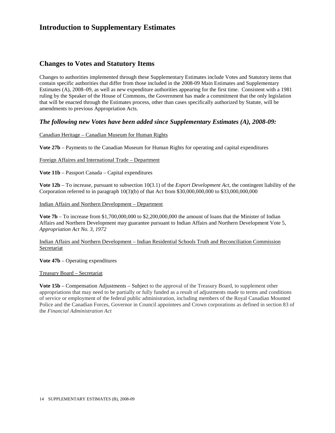### **Changes to Votes and Statutory Items**

Changes to authorities implemented through these Supplementary Estimates include Votes and Statutory items that contain specific authorities that differ from those included in the 2008-09 Main Estimates and Supplementary Estimates (A), 2008–09, as well as new expenditure authorities appearing for the first time. Consistent with a 1981 ruling by the Speaker of the House of Commons, the Government has made a commitment that the only legislation that will be enacted through the Estimates process, other than cases specifically authorized by Statute, will be amendments to previous Appropriation Acts.

#### *The following new Votes have been added since Supplementary Estimates (A), 2008-09:*

#### Canadian Heritage – Canadian Museum for Human Rights

**Vote 27b** – Payments to the Canadian Museum for Human Rights for operating and capital expenditures

#### Foreign Affaires and International Trade – Department

**Vote 11b** – Passport Canada – Capital expenditures

**Vote 12b** – To increase, pursuant to subsection 10(3.1) of the *Export Development Act*, the contingent liability of the Corporation referred to in paragraph 10(3)(b) of that Act from \$30,000,000,000 to \$33,000,000,000

#### Indian Affairs and Northern Development – Department

**Vote 7b** – To increase from \$1,700,000,000 to \$2,200,000,000 the amount of loans that the Minister of Indian Affairs and Northern Development may guarantee pursuant to Indian Affairs and Northern Development Vote 5, *Appropriation Act No. 3, 1972* 

#### Indian Affairs and Northern Development – Indian Residential Schools Truth and Reconciliation Commission Secretariat

**Vote 47b** – Operating expenditures

Treasury Board – Secretariat

**Vote 15b** – Compensation Adjustments – Subject to the approval of the Treasury Board, to supplement other appropriations that may need to be partially or fully funded as a result of adjustments made to terms and conditions of service or employment of the federal public administration, including members of the Royal Canadian Mounted Police and the Canadian Forces, Governor in Council appointees and Crown corporations as defined in section 83 of the *Financial Administration Act*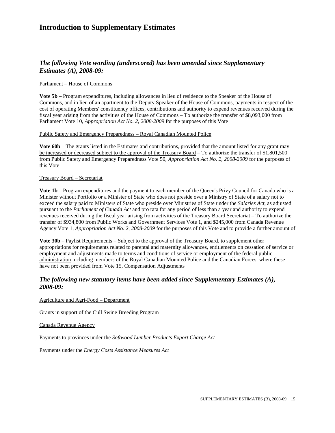#### *The following Vote wording (underscored) has been amended since Supplementary Estimates (A), 2008-09:*

#### Parliament – House of Commons

**Vote 5b** – Program expenditures, including allowances in lieu of residence to the Speaker of the House of Commons, and in lieu of an apartment to the Deputy Speaker of the House of Commons, payments in respect of the cost of operating Members' constituency offices, contributions and authority to expend revenues received during the fiscal year arising from the activities of the House of Commons – To authorize the transfer of \$8,093,000 from Parliament Vote 10, *Appropriation Act No. 2, 2008-2009* for the purposes of this Vote

#### Public Safety and Emergency Preparedness – Royal Canadian Mounted Police

**Vote 60b** – The grants listed in the Estimates and contributions, provided that the amount listed for any grant may be increased or decreased subject to the approval of the Treasury Board – To authorize the transfer of \$1,801,500 from Public Safety and Emergency Preparedness Vote 50, *Appropriation Act No. 2, 2008-2009* for the purposes of this Vote

#### Treasury Board – Secretariat

**Vote 1b** – Program expenditures and the payment to each member of the Queen's Privy Council for Canada who is a Minister without Portfolio or a Minister of State who does not preside over a Ministry of State of a salary not to exceed the salary paid to Ministers of State who preside over Ministries of State under the *Salaries Act*, as adjusted pursuant to the *Parliament of Canada Act* and pro rata for any period of less than a year and authority to expend revenues received during the fiscal year arising from activities of the Treasury Board Secretariat – To authorize the transfer of \$934,800 from Public Works and Government Services Vote 1, and \$245,000 from Canada Revenue Agency Vote 1, *Appropriation Act No. 2, 2008-2009* for the purposes of this Vote and to provide a further amount of

**Vote 30b** – Paylist Requirements – Subject to the approval of the Treasury Board, to supplement other appropriations for requirements related to parental and maternity allowances, entitlements on cessation of service or employment and adjustments made to terms and conditions of service or employment of the federal public administration including members of the Royal Canadian Mounted Police and the Canadian Forces, where these have not been provided from Vote 15, Compensation Adjustments

#### *The following new statutory items have been added since Supplementary Estimates (A), 2008-09:*

Agriculture and Agri-Food – Department

Grants in support of the Cull Swine Breeding Program

Canada Revenue Agency

Payments to provinces under the *Softwood Lumber Products Export Charge Act*

Payments under the *Energy Costs Assistance Measures Act*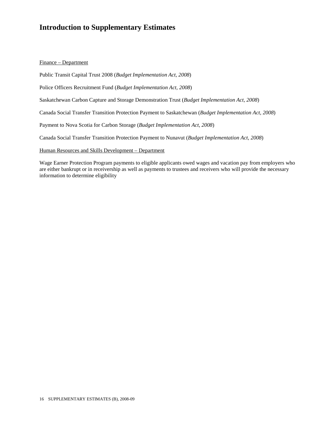Finance – Department

Public Transit Capital Trust 2008 (*Budget Implementation Act, 2008*)

Police Officers Recruitment Fund (*Budget Implementation Act, 2008*)

Saskatchewan Carbon Capture and Storage Demonstration Trust (*Budget Implementation Act, 2008*)

Canada Social Transfer Transition Protection Payment to Saskatchewan (*Budget Implementation Act, 2008*)

Payment to Nova Scotia for Carbon Storage (*Budget Implementation Act, 2008*)

Canada Social Transfer Transition Protection Payment to Nunavut (*Budget Implementation Act, 2008*)

Human Resources and Skills Development – Department

Wage Earner Protection Program payments to eligible applicants owed wages and vacation pay from employers who are either bankrupt or in receivership as well as payments to trustees and receivers who will provide the necessary information to determine eligibility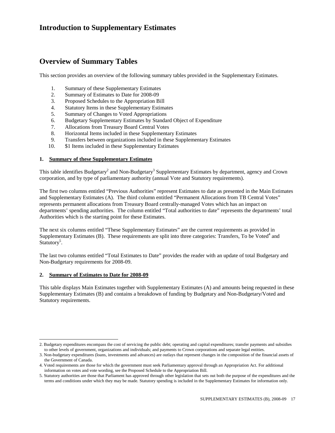## **Overview of Summary Tables**

This section provides an overview of the following summary tables provided in the Supplementary Estimates.

- 1. Summary of these Supplementary Estimates
- 2. Summary of Estimates to Date for 2008-09
- 3. Proposed Schedules to the Appropriation Bill
- 4. Statutory Items in these Supplementary Estimates
- 5. Summary of Changes to Voted Appropriations
- 6. Budgetary Supplementary Estimates by Standard Object of Expenditure
- 7. Allocations from Treasury Board Central Votes
- 8. Horizontal Items included in these Supplementary Estimates
- 9. Transfers between organizations included in these Supplementary Estimates
- 10. \$1 Items included in these Supplementary Estimates

#### **1. Summary of these Supplementary Estimates**

This table identifies Budgetary<sup>2</sup> and Non-Budgetary<sup>3</sup> Supplementary Estimates by department, agency and Crown corporation, and by type of parliamentary authority (annual Vote and Statutory requirements).

The first two columns entitled "Previous Authorities" represent Estimates to date as presented in the Main Estimates and Supplementary Estimates (A). The third column entitled "Permanent Allocations from TB Central Votes" represents permanent allocations from Treasury Board centrally-managed Votes which has an impact on departments' spending authorities. The column entitled "Total authorities to date" represents the departments' total Authorities which is the starting point for these Estimates.

The next six columns entitled "These Supplementary Estimates" are the current requirements as provided in Supplementary Estimates (B). These requirements are split into three categories: Transfers, To be Voted<sup>4</sup> and Statutory<sup>5</sup>.

The last two columns entitled "Total Estimates to Date" provides the reader with an update of total Budgetary and Non-Budgetary requirements for 2008-09.

#### **2. Summary of Estimates to Date for 2008-09**

 $\overline{a}$ 

This table displays Main Estimates together with Supplementary Estimates (A) and amounts being requested in these Supplementary Estimates (B) and contains a breakdown of funding by Budgetary and Non-Budgetary/Voted and Statutory requirements.

<sup>2.</sup> Budgetary expenditures encompass the cost of servicing the public debt; operating and capital expenditures; transfer payments and subsidies to other levels of government, organizations and individuals; and payments to Crown corporations and separate legal entities.

<sup>3.</sup> Non-budgetary expenditures (loans, investments and advances) are outlays that represent changes in the composition of the financial assets of the Government of Canada.

<sup>4.</sup> Voted requirements are those for which the government must seek Parliamentary approval through an Appropriation Act. For additional information on votes and vote wording, see the Proposed Schedule to the Appropriation Bill.

<sup>5.</sup> Statutory authorities are those that Parliament has approved through other legislation that sets out both the purpose of the expenditures and the terms and conditions under which they may be made. Statutory spending is included in the Supplementary Estimates for information only.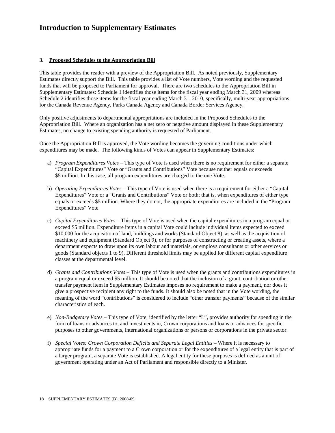#### **3. Proposed Schedules to the Appropriation Bill**

This table provides the reader with a preview of the Appropriation Bill. As noted previously, Supplementary Estimates directly support the Bill. This table provides a list of Vote numbers, Vote wording and the requested funds that will be proposed to Parliament for approval. There are two schedules to the Appropriation Bill in Supplementary Estimates: Schedule 1 identifies those items for the fiscal year ending March 31, 2009 whereas Schedule 2 identifies those items for the fiscal year ending March 31, 2010, specifically, multi-year appropriations for the Canada Revenue Agency, Parks Canada Agency and Canada Border Services Agency.

Only positive adjustments to departmental appropriations are included in the Proposed Schedules to the Appropriation Bill. Where an organization has a net zero or negative amount displayed in these Supplementary Estimates, no change to existing spending authority is requested of Parliament.

Once the Appropriation Bill is approved, the Vote wording becomes the governing conditions under which expenditures may be made. The following kinds of Votes can appear in Supplementary Estimates:

- a) *Program Expenditures Votes* This type of Vote is used when there is no requirement for either a separate "Capital Expenditures" Vote or "Grants and Contributions" Vote because neither equals or exceeds \$5 million. In this case, all program expenditures are charged to the one Vote.
- b) *Operating Expenditures Votes* This type of Vote is used when there is a requirement for either a "Capital Expenditures" Vote or a "Grants and Contributions" Vote or both; that is, when expenditures of either type equals or exceeds \$5 million. Where they do not, the appropriate expenditures are included in the "Program Expenditures" Vote.
- c) *Capital Expenditures Votes*  This type of Vote is used when the capital expenditures in a program equal or exceed \$5 million. Expenditure items in a capital Vote could include individual items expected to exceed \$10,000 for the acquisition of land, buildings and works (Standard Object 8), as well as the acquisition of machinery and equipment (Standard Object 9), or for purposes of constructing or creating assets, where a department expects to draw upon its own labour and materials, or employs consultants or other services or goods (Standard objects 1 to 9). Different threshold limits may be applied for different capital expenditure classes at the departmental level.
- d) *Grants and Contributions Votes* This type of Vote is used when the grants and contributions expenditures in a program equal or exceed \$5 million. It should be noted that the inclusion of a grant, contribution or other transfer payment item in Supplementary Estimates imposes no requirement to make a payment, nor does it give a prospective recipient any right to the funds. It should also be noted that in the Vote wording, the meaning of the word "contributions" is considered to include "other transfer payments" because of the similar characteristics of each.
- e) *Non-Budgetary Votes* This type of Vote, identified by the letter "L", provides authority for spending in the form of loans or advances to, and investments in, Crown corporations and loans or advances for specific purposes to other governments, international organizations or persons or corporations in the private sector.
- f) *Special Votes: Crown Corporation Deficits and Separate Legal Entities –* Where it is necessary to appropriate funds for a payment to a Crown corporation or for the expenditures of a legal entity that is part of a larger program, a separate Vote is established. A legal entity for these purposes is defined as a unit of government operating under an Act of Parliament and responsible directly to a Minister.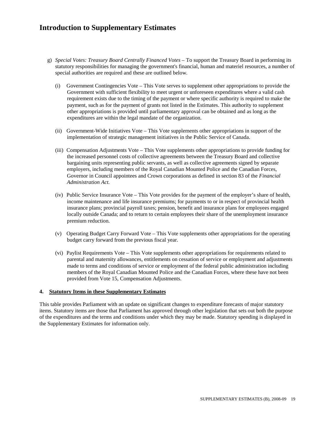- g) *Special Votes: Treasury Board Centrally Financed Votes* To support the Treasury Board in performing its statutory responsibilities for managing the government's financial, human and materiel resources, a number of special authorities are required and these are outlined below.
	- (i) Government Contingencies Vote This Vote serves to supplement other appropriations to provide the Government with sufficient flexibility to meet urgent or unforeseen expenditures where a valid cash requirement exists due to the timing of the payment or where specific authority is required to make the payment, such as for the payment of grants not listed in the Estimates. This authority to supplement other appropriations is provided until parliamentary approval can be obtained and as long as the expenditures are within the legal mandate of the organization.
	- (ii) Government-Wide Initiatives Vote This Vote supplements other appropriations in support of the implementation of strategic management initiatives in the Public Service of Canada.
	- (iii) Compensation Adjustments Vote This Vote supplements other appropriations to provide funding for the increased personnel costs of collective agreements between the Treasury Board and collective bargaining units representing public servants, as well as collective agreements signed by separate employers, including members of the Royal Canadian Mounted Police and the Canadian Forces, Governor in Council appointees and Crown corporations as defined in section 83 of the *Financial Administration Act.*
	- (iv) Public Service Insurance Vote This Vote provides for the payment of the employer's share of health, income maintenance and life insurance premiums; for payments to or in respect of provincial health insurance plans; provincial payroll taxes; pension, benefit and insurance plans for employees engaged locally outside Canada; and to return to certain employees their share of the unemployment insurance premium reduction.
	- (v) Operating Budget Carry Forward Vote This Vote supplements other appropriations for the operating budget carry forward from the previous fiscal year.
	- (vi) Paylist Requirements Vote This Vote supplements other appropriations for requirements related to parental and maternity allowances, entitlements on cessation of service or employment and adjustments made to terms and conditions of service or employment of the federal public administration including members of the Royal Canadian Mounted Police and the Canadian Forces, where these have not been provided from Vote 15, Compensation Adjustments.

#### **4. Statutory Items in these Supplementary Estimates**

This table provides Parliament with an update on significant changes to expenditure forecasts of major statutory items. Statutory items are those that Parliament has approved through other legislation that sets out both the purpose of the expenditures and the terms and conditions under which they may be made. Statutory spending is displayed in the Supplementary Estimates for information only.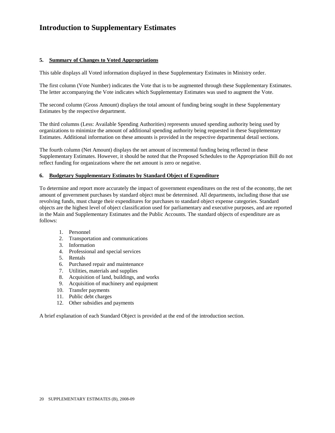#### **5. Summary of Changes to Voted Appropriations**

This table displays all Voted information displayed in these Supplementary Estimates in Ministry order.

The first column (Vote Number) indicates the Vote that is to be augmented through these Supplementary Estimates. The letter accompanying the Vote indicates which Supplementary Estimates was used to augment the Vote.

The second column (Gross Amount) displays the total amount of funding being sought in these Supplementary Estimates by the respective department.

The third columns (Less: Available Spending Authorities) represents unused spending authority being used by organizations to minimize the amount of additional spending authority being requested in these Supplementary Estimates. Additional information on these amounts is provided in the respective departmental detail sections.

The fourth column (Net Amount) displays the net amount of incremental funding being reflected in these Supplementary Estimates. However, it should be noted that the Proposed Schedules to the Appropriation Bill do not reflect funding for organizations where the net amount is zero or negative.

#### **6. Budgetary Supplementary Estimates by Standard Object of Expenditure**

To determine and report more accurately the impact of government expenditures on the rest of the economy, the net amount of government purchases by standard object must be determined. All departments, including those that use revolving funds, must charge their expenditures for purchases to standard object expense categories. Standard objects are the highest level of object classification used for parliamentary and executive purposes, and are reported in the Main and Supplementary Estimates and the Public Accounts. The standard objects of expenditure are as follows:

- 1. Personnel
- 2. Transportation and communications
- 3. Information
- 4. Professional and special services
- 5. Rentals
- 6. Purchased repair and maintenance
- 7. Utilities, materials and supplies
- 8. Acquisition of land, buildings, and works
- 9. Acquisition of machinery and equipment
- 10. Transfer payments
- 11. Public debt charges
- 12. Other subsidies and payments

A brief explanation of each Standard Object is provided at the end of the introduction section.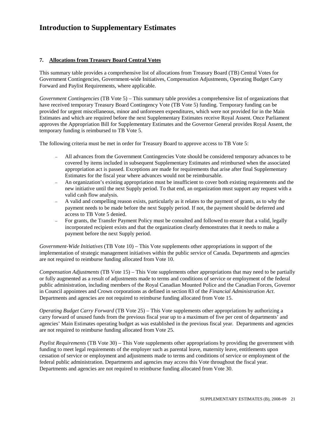#### **7. Allocations from Treasury Board Central Votes**

This summary table provides a comprehensive list of allocations from Treasury Board (TB) Central Votes for Government Contingencies, Government-wide Initiatives, Compensation Adjustments, Operating Budget Carry Forward and Paylist Requirements, where applicable.

*Government Contingencies* (TB Vote 5) – This summary table provides a comprehensive list of organizations that have received temporary Treasury Board Contingency Vote (TB Vote 5) funding. Temporary funding can be provided for urgent miscellaneous, minor and unforeseen expenditures, which were not provided for in the Main Estimates and which are required before the next Supplementary Estimates receive Royal Assent. Once Parliament approves the Appropriation Bill for Supplementary Estimates and the Governor General provides Royal Assent, the temporary funding is reimbursed to TB Vote 5.

The following criteria must be met in order for Treasury Board to approve access to TB Vote 5:

- All advances from the Government Contingencies Vote should be considered temporary advances to be covered by items included in subsequent Supplementary Estimates and reimbursed when the associated appropriation act is passed. Exceptions are made for requirements that arise after final Supplementary Estimates for the fiscal year where advances would not be reimbursable.
- An organization's existing appropriation must be insufficient to cover both existing requirements and the new initiative until the next Supply period. To that end, an organization must support any request with a valid cash flow analysis.
- A valid and compelling reason exists, particularly as it relates to the payment of grants, as to why the payment needs to be made before the next Supply period. If not, the payment should be deferred and access to TB Vote 5 denied.
- For grants, the Transfer Payment Policy must be consulted and followed to ensure that a valid, legally incorporated recipient exists and that the organization clearly demonstrates that it needs to make a payment before the next Supply period.

*Government-Wide Initiatives* (TB Vote 10) – This Vote supplements other appropriations in support of the implementation of strategic management initiatives within the public service of Canada. Departments and agencies are not required to reimburse funding allocated from Vote 10.

*Compensation Adjustments* (TB Vote 15) – This Vote supplements other appropriations that may need to be partially or fully augmented as a result of adjustments made to terms and conditions of service or employment of the federal public administration, including members of the Royal Canadian Mounted Police and the Canadian Forces, Governor in Council appointees and Crown corporations as defined in section 83 of the *Financial Administration Act*. Departments and agencies are not required to reimburse funding allocated from Vote 15.

*Operating Budget Carry Forward* (TB Vote 25) – This Vote supplements other appropriations by authorizing a carry forward of unused funds from the previous fiscal year up to a maximum of five per cent of departments' and agencies' Main Estimates operating budget as was established in the previous fiscal year. Departments and agencies are not required to reimburse funding allocated from Vote 25.

*Paylist Requirements* (TB Vote 30) – This Vote supplements other appropriations by providing the government with funding to meet legal requirements of the employer such as parental leave, maternity leave, entitlements upon cessation of service or employment and adjustments made to terms and conditions of service or employment of the federal public administration. Departments and agencies may access this Vote throughout the fiscal year. Departments and agencies are not required to reimburse funding allocated from Vote 30.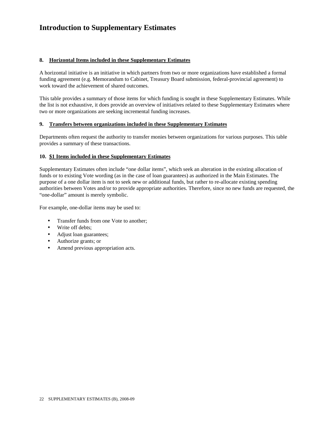#### **8. Horizontal Items included in these Supplementary Estimates**

A horizontal initiative is an initiative in which partners from two or more organizations have established a formal funding agreement (e.g. Memorandum to Cabinet, Treasury Board submission, federal-provincial agreement) to work toward the achievement of shared outcomes.

This table provides a summary of those items for which funding is sought in these Supplementary Estimates. While the list is not exhaustive, it does provide an overview of initiatives related to these Supplementary Estimates where two or more organizations are seeking incremental funding increases.

#### **9. Transfers between organizations included in these Supplementary Estimates**

Departments often request the authority to transfer monies between organizations for various purposes. This table provides a summary of these transactions.

#### **10. \$1 Items included in these Supplementary Estimates**

Supplementary Estimates often include "one dollar items", which seek an alteration in the existing allocation of funds or to existing Vote wording (as in the case of loan guarantees) as authorized in the Main Estimates. The purpose of a one dollar item is not to seek new or additional funds, but rather to re-allocate existing spending authorities between Votes and/or to provide appropriate authorities. Therefore, since no new funds are requested, the "one-dollar" amount is merely symbolic.

For example, one-dollar items may be used to:

- Transfer funds from one Vote to another:
- Write off debts;
- Adjust loan guarantees;
- Authorize grants; or
- Amend previous appropriation acts.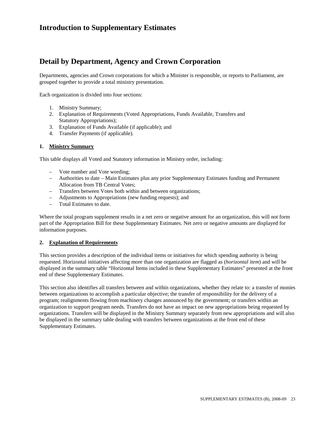## **Detail by Department, Agency and Crown Corporation**

Departments, agencies and Crown corporations for which a Minister is responsible, or reports to Parliament, are grouped together to provide a total ministry presentation.

Each organization is divided into four sections:

- 1. Ministry Summary;
- 2. Explanation of Requirements (Voted Appropriations, Funds Available, Transfers and Statutory Appropriations);
- 3. Explanation of Funds Available (if applicable); and
- 4. Transfer Payments (if applicable).

#### **1. Ministry Summary**

This table displays all Voted and Statutory information in Ministry order, including:

- Vote number and Vote wording;
- Authorities to date Main Estimates plus any prior Supplementary Estimates funding and Permanent Allocation from TB Central Votes;
- Transfers between Votes both within and between organizations;
- Adjustments to Appropriations (new funding requests); and
- Total Estimates to date.

Where the total program supplement results in a net zero or negative amount for an organization, this will not form part of the Appropriation Bill for these Supplementary Estimates. Net zero or negative amounts are displayed for information purposes.

#### **2. Explanation of Requirements**

This section provides a description of the individual items or initiatives for which spending authority is being requested. Horizontal initiatives affecting more than one organization are flagged as (*horizontal item*) and will be displayed in the summary table "Horizontal Items included in these Supplementary Estimates" presented at the front end of these Supplementary Estimates.

This section also identifies all transfers between and within organizations, whether they relate to: a transfer of monies between organizations to accomplish a particular objective; the transfer of responsibility for the delivery of a program; realignments flowing from machinery changes announced by the government; or transfers within an organization to support program needs. Transfers do not have an impact on new appropriations being requested by organizations. Transfers will be displayed in the Ministry Summary separately from new appropriations and will also be displayed in the summary table dealing with transfers between organizations at the front end of these Supplementary Estimates.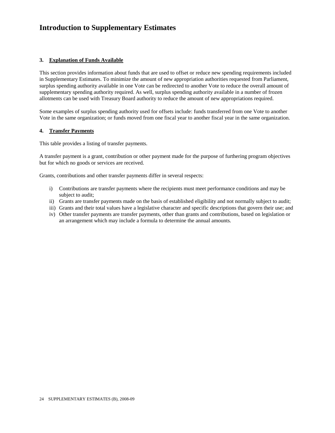#### **3. Explanation of Funds Available**

This section provides information about funds that are used to offset or reduce new spending requirements included in Supplementary Estimates. To minimize the amount of new appropriation authorities requested from Parliament, surplus spending authority available in one Vote can be redirected to another Vote to reduce the overall amount of supplementary spending authority required. As well, surplus spending authority available in a number of frozen allotments can be used with Treasury Board authority to reduce the amount of new appropriations required.

Some examples of surplus spending authority used for offsets include: funds transferred from one Vote to another Vote in the same organization; or funds moved from one fiscal year to another fiscal year in the same organization.

#### **4. Transfer Payments**

This table provides a listing of transfer payments.

A transfer payment is a grant, contribution or other payment made for the purpose of furthering program objectives but for which no goods or services are received.

Grants, contributions and other transfer payments differ in several respects:

- i) Contributions are transfer payments where the recipients must meet performance conditions and may be subject to audit;
- ii) Grants are transfer payments made on the basis of established eligibility and not normally subject to audit;
- iii) Grants and their total values have a legislative character and specific descriptions that govern their use; and
- iv) Other transfer payments are transfer payments, other than grants and contributions, based on legislation or an arrangement which may include a formula to determine the annual amounts.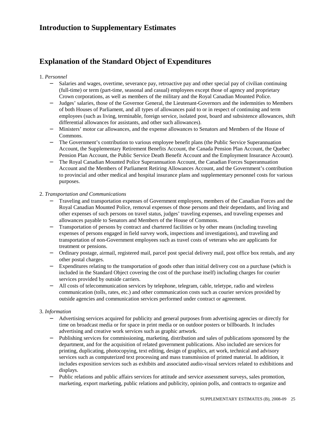## **Explanation of the Standard Object of Expenditures**

#### 1. *Personnel*

- Salaries and wages, overtime, severance pay, retroactive pay and other special pay of civilian continuing (full-time) or term (part-time, seasonal and casual) employees except those of agency and proprietary Crown corporations, as well as members of the military and the Royal Canadian Mounted Police.
- Judges' salaries, those of the Governor General, the Lieutenant-Governors and the indemnities to Members of both Houses of Parliament, and all types of allowances paid to or in respect of continuing and term employees (such as living, terminable, foreign service, isolated post, board and subsistence allowances, shift differential allowances for assistants, and other such allowances).
- − Ministers' motor car allowances, and the expense allowances to Senators and Members of the House of Commons.
- − The Government's contribution to various employee benefit plans (the Public Service Superannuation Account, the Supplementary Retirement Benefits Account, the Canada Pension Plan Account, the Quebec Pension Plan Account, the Public Service Death Benefit Account and the Employment Insurance Account).
- The Royal Canadian Mounted Police Superannuation Account, the Canadian Forces Superannuation Account and the Members of Parliament Retiring Allowances Account, and the Government's contribution to provincial and other medical and hospital insurance plans and supplementary personnel costs for various purposes.

#### 2. *Transportation and Communications*

- Traveling and transportation expenses of Government employees, members of the Canadian Forces and the Royal Canadian Mounted Police, removal expenses of those persons and their dependants, and living and other expenses of such persons on travel status, judges' traveling expenses, and traveling expenses and allowances payable to Senators and Members of the House of Commons.
- Transportation of persons by contract and chartered facilities or by other means (including traveling expenses of persons engaged in field survey work, inspections and investigations), and traveling and transportation of non-Government employees such as travel costs of veterans who are applicants for treatment or pensions.
- − Ordinary postage, airmail, registered mail, parcel post special delivery mail, post office box rentals, and any other postal charges.
- − Expenditures relating to the transportation of goods other than initial delivery cost on a purchase (which is included in the Standard Object covering the cost of the purchase itself) including charges for courier services provided by outside carriers.
- − All costs of telecommunication services by telephone, telegram, cable, teletype, radio and wireless communication (tolls, rates, etc.) and other communication costs such as courier services provided by outside agencies and communication services performed under contract or agreement.

#### 3. *Information*

- − Advertising services acquired for publicity and general purposes from advertising agencies or directly for time on broadcast media or for space in print media or on outdoor posters or billboards. It includes advertising and creative work services such as graphic artwork.
- − Publishing services for commissioning, marketing, distribution and sales of publications sponsored by the department, and for the acquisition of related government publications. Also included are services for printing, duplicating, photocopying, text editing, design of graphics, art work, technical and advisory services such as computerized text processing and mass transmission of printed material. In addition, it includes exposition services such as exhibits and associated audio-visual services related to exhibitions and displays.
- Public relations and public affairs services for attitude and service assessment surveys, sales promotion, marketing, export marketing, public relations and publicity, opinion polls, and contracts to organize and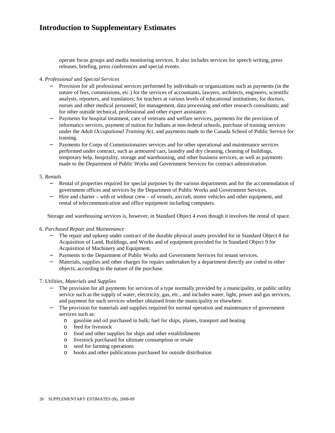operate focus groups and media monitoring services. It also includes services for speech writing, press releases, briefing, press conferences and special events.

#### 4. *Professional and Special Services*

- Provision for all professional services performed by individuals or organizations such as payments (in the nature of fees, commissions, etc.) for the services of accountants, lawyers, architects, engineers, scientific analysts, reporters, and translators; for teachers at various levels of educational institutions; for doctors, nurses and other medical personnel; for management, data processing and other research consultants; and for other outside technical, professional and other expert assistance.
- Payments for hospital treatment, care of veterans and welfare services, payments for the provision of informatics services, payment of tuition for Indians at non-federal schools, purchase of training services under the *Adult Occupational Training Act*, and payments made to the Canada School of Public Service for training.
- Payments for Corps of Commissionaires services and for other operational and maintenance services performed under contract, such as armoured cars, laundry and dry cleaning, cleaning of buildings, temporary help, hospitality, storage and warehousing, and other business services, as well as payments made to the Department of Public Works and Government Services for contract administration.

#### 5. *Rentals*

- Rental of properties required for special purposes by the various departments and for the accommodation of government offices and services by the Department of Public Works and Government Services.
- − Hire and charter with or without crew of vessels, aircraft, motor vehicles and other equipment, and rental of telecommunication and office equipment including computers.

Storage and warehousing services is, however, in Standard Object 4 even though it involves the rental of space.

#### 6. *Purchased Repair and Maintenance*

- The repair and upkeep under contract of the durable physical assets provided for in Standard Object 8 for Acquisition of Land, Buildings, and Works and of equipment provided for in Standard Object 9 for Acquisition of Machinery and Equipment.
- − Payments to the Department of Public Works and Government Services for tenant services.
- Materials, supplies and other charges for repairs undertaken by a department directly are coded to other objects, according to the nature of the purchase.

#### 7. *Utilities, Materials and Supplies*

- The provision for all payments for services of a type normally provided by a municipality, or public utility service such as the supply of water, electricity, gas, etc., and includes water, light, power and gas services, and payment for such services whether obtained from the municipality or elsewhere.
- − The provision for materials and supplies required for normal operation and maintenance of government services such as:
	- o gasoline and oil purchased in bulk; fuel for ships, planes, transport and heating
	- o feed for livestock
	- o food and other supplies for ships and other establishments
	- o livestock purchased for ultimate consumption or resale
	- o seed for farming operations
	- o books and other publications purchased for outside distribution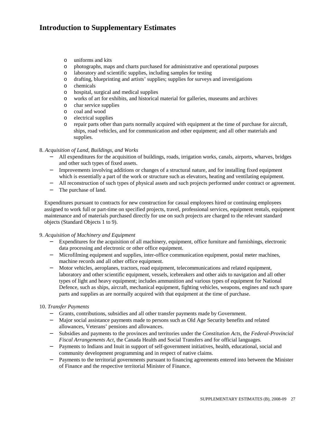- o uniforms and kits
- o photographs, maps and charts purchased for administrative and operational purposes
- o laboratory and scientific supplies, including samples for testing
- o drafting, blueprinting and artists' supplies; supplies for surveys and investigations
- o chemicals
- o hospital, surgical and medical supplies
- o works of art for exhibits, and historical material for galleries, museums and archives
- o char service supplies
- o coal and wood
- o electrical supplies
- o repair parts other than parts normally acquired with equipment at the time of purchase for aircraft, ships, road vehicles, and for communication and other equipment; and all other materials and supplies.

#### 8. *Acquisition of Land, Buildings, and Works*

- − All expenditures for the acquisition of buildings, roads, irrigation works, canals, airports, wharves, bridges and other such types of fixed assets.
- − Improvements involving additions or changes of a structural nature, and for installing fixed equipment which is essentially a part of the work or structure such as elevators, heating and ventilating equipment.
- − All reconstruction of such types of physical assets and such projects performed under contract or agreement.
- − The purchase of land.

Expenditures pursuant to contracts for new construction for casual employees hired or continuing employees assigned to work full or part-time on specified projects, travel, professional services, equipment rentals, equipment maintenance and of materials purchased directly for use on such projects are charged to the relevant standard objects (Standard Objects 1 to 9).

#### 9. *Acquisition of Machinery and Equipment*

- Expenditures for the acquisition of all machinery, equipment, office furniture and furnishings, electronic data processing and electronic or other office equipment.
- − Microfilming equipment and supplies, inter-office communication equipment, postal meter machines, machine records and all other office equipment.
- − Motor vehicles, aeroplanes, tractors, road equipment, telecommunications and related equipment, laboratory and other scientific equipment, vessels, icebreakers and other aids to navigation and all other types of light and heavy equipment; includes ammunition and various types of equipment for National Defence, such as ships, aircraft, mechanical equipment, fighting vehicles, weapons, engines and such spare parts and supplies as are normally acquired with that equipment at the time of purchase.

#### 10. *Transfer Payments*

- − Grants, contributions, subsidies and all other transfer payments made by Government.
- − Major social assistance payments made to persons such as Old Age Security benefits and related allowances, Veterans' pensions and allowances.
- − Subsidies and payments to the provinces and territories under the *Constitution Acts*, the *Federal-Provincial Fiscal Arrangements Act*, the Canada Health and Social Transfers and for official languages.
- − Payments to Indians and Inuit in support of self-government initiatives, health, educational, social and community development programming and in respect of native claims.
- Payments to the territorial governments pursuant to financing agreements entered into between the Minister of Finance and the respective territorial Minister of Finance.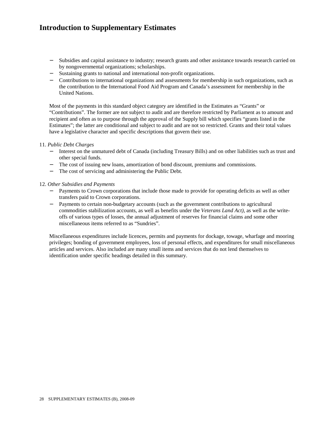- Subsidies and capital assistance to industry; research grants and other assistance towards research carried on by nongovernmental organizations; scholarships.
- − Sustaining grants to national and international non-profit organizations.
- − Contributions to international organizations and assessments for membership in such organizations, such as the contribution to the International Food Aid Program and Canada's assessment for membership in the United Nations.

Most of the payments in this standard object category are identified in the Estimates as "Grants" or "Contributions". The former are not subject to audit and are therefore restricted by Parliament as to amount and recipient and often as to purpose through the approval of the Supply bill which specifies "grants listed in the Estimates"; the latter are conditional and subject to audit and are not so restricted. Grants and their total values have a legislative character and specific descriptions that govern their use.

#### 11. *Public Debt Charges*

- − Interest on the unmatured debt of Canada (including Treasury Bills) and on other liabilities such as trust and other special funds.
- − The cost of issuing new loans, amortization of bond discount, premiums and commissions.
- − The cost of servicing and administering the Public Debt.

#### 12. *Other Subsidies and Payments*

- − Payments to Crown corporations that include those made to provide for operating deficits as well as other transfers paid to Crown corporations.
- − Payments to certain non-budgetary accounts (such as the government contributions to agricultural commodities stabilization accounts, as well as benefits under the *Veterans Land Act),* as well as the writeoffs of various types of losses, the annual adjustment of reserves for financial claims and some other miscellaneous items referred to as "Sundries".

Miscellaneous expenditures include licences, permits and payments for dockage, towage, wharfage and mooring privileges; bonding of government employees, loss of personal effects, and expenditures for small miscellaneous articles and services. Also included are many small items and services that do not lend themselves to identification under specific headings detailed in this summary.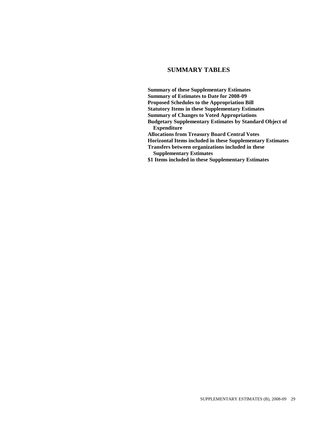#### **SUMMARY TABLES**

**Summary of these Supplementary Estimates Summary of Estimates to Date for 2008-09 Proposed Schedules to the Appropriation Bill Statutory Items in these Supplementary Estimates Summary of Changes to Voted Appropriations Budgetary Supplementary Estimates by Standard Object of Expenditure Allocations from Treasury Board Central Votes Horizontal Items included in these Supplementary Estimates Transfers between organizations included in these Supplementary Estimates \$1 Items included in these Supplementary Estimates**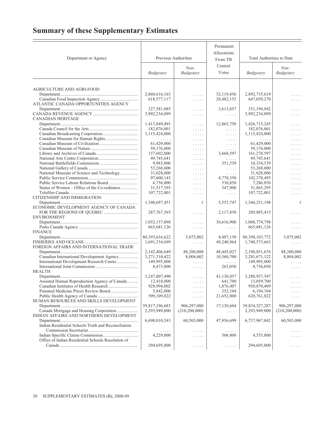# <span id="page-26-0"></span>**Summary of these Supplementary Estimates**

| Department or Agency                                |                              | Previous Authorities                   | Permanent<br>Allocations<br>From TB                   | Total Authorities to Date    |                     |
|-----------------------------------------------------|------------------------------|----------------------------------------|-------------------------------------------------------|------------------------------|---------------------|
|                                                     | Budgetary                    | $Non-$<br>Budgetary                    | Central<br>Votes                                      | Budgetary                    | $Non-$<br>Budgetary |
|                                                     |                              |                                        |                                                       |                              |                     |
| AGRICULTURE AND AGRI-FOOD                           | 2,860,616,163                |                                        | 32,119,456                                            | 2,892,735,619                |                     |
|                                                     | 618, 577, 117                | .<br>.                                 | 28,482,153                                            | 647,059,270                  | $\cdots$            |
| ATLANTIC CANADA OPPORTUNITIES AGENCY                |                              |                                        |                                                       |                              |                     |
|                                                     | 327,581,085                  | .                                      | 3,613,857                                             | 331,194,942                  | .                   |
|                                                     | 3,992,234,099                | .                                      | .                                                     | 3,992,234,099                | .                   |
| <b>CANADIAN HERITAGE</b>                            |                              |                                        |                                                       |                              |                     |
|                                                     | 1,413,849,495<br>182,076,001 | .                                      | 12,865,750<br>.                                       | 1,426,715,245<br>182,076,001 | .<br>.              |
|                                                     | 1,115,424,000                | .<br>.                                 | .                                                     | 1,115,424,000                | .                   |
|                                                     | 1.1.1.1                      | .                                      | .                                                     | $\ldots$                     | .                   |
|                                                     | 61,429,000                   | .                                      | .                                                     | 61,429,000                   | .                   |
|                                                     | 59,176,000                   | .                                      | .                                                     | 59,176,000                   | .                   |
|                                                     | 157,602,000                  | .                                      | 3,668,597                                             | 161,270,597                  | .                   |
|                                                     | 49,745,641                   | .                                      | $\mathbb{Z}^2$ . The same                             | 49,745,641                   | .                   |
|                                                     | 9,983,000<br>53,268,000      | .                                      | 351,539<br>$\mathbb{Z}^2$ . The set of $\mathbb{Z}^2$ | 10,334,539<br>53,268,000     | .<br>.              |
| National Museum of Science and Technology           | 31,028,000                   | .<br>.                                 | .                                                     | 31,028,000                   | .                   |
|                                                     | 97,600,145                   | .                                      | 4,770,350                                             | 102,370,495                  | .                   |
|                                                     | 6,756,000                    | .                                      | 530,850                                               | 7,286,850                    | .                   |
| Status of Women – Office of the Co-ordinator        | 31,517,395                   | .                                      | 347,900                                               | 31,865,295                   | .                   |
|                                                     | 107,722,001                  | .                                      | .                                                     | 107,722,001                  | .                   |
| CITIZENSHIP AND IMMIGRATION                         |                              |                                        |                                                       |                              |                     |
| ECONOMIC DEVELOPMENT AGENCY OF CANADA               | 1,340,697,451                | 1                                      | 5,553,747                                             | 1,346,251,198                | 1                   |
|                                                     | 287, 767, 565                | .                                      | 2,117,850                                             | 289,885,415                  | .                   |
| <b>ENVIRONMENT</b>                                  |                              |                                        |                                                       |                              |                     |
|                                                     | 1,032,157,898                | .                                      | 36,616,900                                            | 1,068,774,798                | .                   |
|                                                     | 665, 681, 126                | .                                      | .                                                     | 665, 681, 126                | .                   |
| <b>FINANCE</b>                                      |                              |                                        |                                                       |                              |                     |
|                                                     | 80,393,616,622               | 3,075,002                              | 4,487,150                                             | 80,398,103,772               | 3,075,002           |
| FOREIGN AFFAIRS AND INTERNATIONAL TRADE             | 1,691,334,699                | .                                      | 49,240,964                                            | 1,740,575,663                | .                   |
|                                                     | 2,142,406,649                | 88,200,000                             | 48,445,027                                            | 2,190,851,676                | 88,200,000          |
| Canadian International Development Agency           | 3,271,310,422                | 8,004,002                              | 10,360,700                                            | 3,281,671,122                | 8,004,002           |
| International Development Research Centre           | 149,995,000                  | $\mathbb{R}^n$ . In the $\mathbb{R}^n$ | .                                                     | 149,995,000                  | .                   |
|                                                     | 8,473,000                    | .                                      | 263,050                                               | 8,736,050                    | .                   |
| <b>HEALTH</b>                                       |                              |                                        |                                                       |                              |                     |
|                                                     | 3,247,807,490                | .                                      | 41,130,057                                            | 3,288,937,547<br>13,059,700  | .                   |
| Assisted Human Reproduction Agency of Canada        | 12,418,000<br>928,994,002    | .                                      | 641,700<br>1,876,407                                  | 930,870,409                  | .                   |
|                                                     | 5,842,000                    | .<br>.                                 | 352,104                                               | 6,194,104                    | .<br>.              |
|                                                     | 599,109,822                  | .                                      | 21,652,000                                            | 620,761,822                  | .                   |
| HUMAN RESOURCES AND SKILLS DEVELOPMENT              |                              |                                        |                                                       |                              |                     |
|                                                     | 39,817,196,683               | 906,297,000                            | 17,130,604                                            | 39,834,327,287               | 906,297,000         |
| Canada Mortgage and Housing Corporation             | 2,293,949,000                | (210, 200, 000)                        | .                                                     | 2,293,949,000                | (210, 200, 000)     |
| INDIAN AFFAIRS AND NORTHERN DEVELOPMENT             | 6,690,010,343                | 60,503,000                             | 47,956,699                                            | 6,737,967,042                | 60,503,000          |
| Indian Residential Schools Truth and Reconciliation |                              |                                        |                                                       |                              |                     |
|                                                     | .                            | .                                      | .                                                     | .                            |                     |
|                                                     | 4,229,000                    | .                                      | 306,800                                               | 4,535,800                    | .                   |
| Office of Indian Residential Schools Resolution of  |                              |                                        |                                                       |                              |                     |
|                                                     | 294,695,000                  | .                                      | $\ldots$                                              | 294,695,000                  | .                   |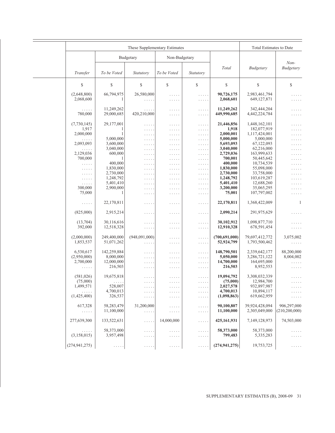| These Supplementary Estimates                    |                             |                                    |                                                   |                                    |                           | Total Estimates to Date        |                                                        |
|--------------------------------------------------|-----------------------------|------------------------------------|---------------------------------------------------|------------------------------------|---------------------------|--------------------------------|--------------------------------------------------------|
|                                                  |                             | Budgetary                          | Non-Budgetary                                     |                                    |                           |                                |                                                        |
| Transfer                                         | To be Voted                 | Statutory                          | To be Voted                                       | Statutory                          | Total                     | Budgetary                      | Non-<br>Budgetary                                      |
| \$                                               | \$                          | \$                                 | \$                                                | \$                                 | \$                        | \$                             | \$                                                     |
| (2,648,800)                                      | 66,794,975                  | 26,580,000                         | .                                                 | .                                  | 90,726,175                | 2,983,461,794                  | .                                                      |
| 2,068,600                                        | 1                           | $\cdots$                           | .                                                 | .                                  | 2,068,601                 | 649,127,871                    | .                                                      |
| .<br>780,000                                     | 11,249,262<br>29,000,685    | .<br>420,210,000                   | .<br>.                                            | $\ldots$<br>$\alpha$ is a second . | 11,249,262<br>449,990,685 | 342,444,204<br>4,442,224,784   | .<br>.                                                 |
| (7,730,145)                                      | 29,177,001                  | $\ldots$                           | .                                                 | .                                  | 21,446,856                | 1,448,162,101                  | .                                                      |
| 1,917<br>2,000,000                               | 1                           | .                                  | .                                                 | $\dots$                            | 1,918<br>2,000,001        | 182,077,919<br>1,117,424,001   | $\ldots$                                               |
| .                                                | 5,000,000                   | .<br>.                             | .<br>.                                            | .<br>.                             | 5,000,000                 | 5,000,000                      | .<br>.                                                 |
| 2,093,093                                        | 3,600,000                   | .                                  | .                                                 | .                                  | 5,693,093                 | 67,122,093                     | .                                                      |
| .                                                | 3,040,000                   | .                                  | .                                                 | $\alpha$ is a second .             | 3,040,000                 | 62,216,000                     | .                                                      |
| 2,129,036                                        | 600,000                     | .                                  | .                                                 | $\alpha$ is a second .             | 2,729,036                 | 163,999,633                    | .                                                      |
| 700,000                                          | -1                          | .                                  | .                                                 | .                                  | 700,001                   | 50,445,642                     | .                                                      |
| $\alpha$ is a second                             | 400,000<br>1,830,000        | .                                  | .                                                 | .                                  | 400,000                   | 10,734,539<br>55,098,000       | .                                                      |
| $\alpha$ is a second<br>.                        | 2,730,000                   | .<br>.                             | .<br>.                                            | .<br>.                             | 1,830,000<br>2,730,000    | 33,758,000                     | .<br>.                                                 |
| $\ldots$                                         | 1,248,792                   | .                                  | .                                                 | .                                  | 1,248,792                 | 103,619,287                    | .                                                      |
| .                                                | 5,401,410                   | .                                  | .                                                 | .                                  | 5,401,410                 | 12,688,260                     | .                                                      |
| 300,000                                          | 2,900,000                   | .                                  | .                                                 | .                                  | 3,200,000                 | 35,065,295                     | .                                                      |
| 75,000                                           | -1                          | .                                  | .                                                 | .                                  | 75,001                    | 107,797,002                    | .                                                      |
| $\ldots$                                         | 22,170,811                  | .                                  | .                                                 | .                                  | 22,170,811                | 1,368,422,009                  | $\mathbf{1}$                                           |
| (825,000)                                        | 2,915,214                   | .                                  | .                                                 | $\ldots$                           | 2,090,214                 | 291,975,629                    | .                                                      |
| (13,704)                                         | 30,116,616                  | .                                  | .                                                 | .                                  | 30,102,912                | 1,098,877,710                  | .                                                      |
| 392,000                                          | 12,518,328                  | .                                  | .                                                 | $\ldots$                           | 12,910,328                | 678,591,454                    | .                                                      |
| (2,000,000)                                      | 249,400,000                 | (948,091,000)                      | .                                                 | $\ldots$                           | (700, 691, 000)           | 79,697,412,772                 | 3,075,002                                              |
| 1,853,537                                        | 51,071,262                  | .                                  | .                                                 | $\alpha$ is a second .             | 52,924,799                | 1,793,500,462                  | .                                                      |
|                                                  |                             |                                    |                                                   |                                    |                           |                                |                                                        |
| 6,530,617<br>(2,950,000)                         | 142,259,884<br>8,000,000    | .                                  | .                                                 | $\alpha$ is a second .             | 148,790,501<br>5,050,000  | 2,339,642,177<br>3,286,721,122 | 88,200,000<br>8,004,002                                |
| 2,700,000                                        | 12,000,000                  | .<br>.                             | .<br>.                                            | $\ldots$<br>$\alpha$ is a second . | 14,700,000                | 164,695,000                    | .                                                      |
| $\mathbb{Z}^2$ , $\mathbb{Z}^2$ , $\mathbb{Z}^2$ | 216,503                     | .                                  | .                                                 | $\ldots$                           | 216,503                   | 8,952,553                      | $\ldots$                                               |
|                                                  |                             |                                    |                                                   |                                    |                           |                                |                                                        |
| (581, 026)                                       | 19,675,818                  | .                                  | .                                                 | $\alpha$ is a second               | 19,094,792                | 3,308,032,339                  | .                                                      |
| (75,000)                                         | $\cdots$                    | $\ldots$                           | $\ldots$                                          | $\ldots$                           | (75,000)                  | 12,984,700                     | $\epsilon$ is a set of                                 |
| 1,499,571                                        | 528,007<br>4,700,013        | $\sim$ $\sim$ $\sim$ $\sim$ $\sim$ | $\sim$ $\sim$ $\sim$ $\sim$ $\sim$                | $\ldots$                           | 2,027,578<br>4,700,013    | 932,897,987<br>10,894,117      | $\ldots$                                               |
| .<br>(1,425,400)                                 | 326,537                     | .<br>.                             | $\cdots\cdots\cdots$<br>$\cdots\cdots$            | $\ldots$<br>$\ldots$               | (1,098,863)               | 619,662,959                    | $\epsilon$ , $\epsilon$ , $\epsilon$ , $\epsilon$<br>. |
| 617,328                                          | 58,283,479                  | 31,200,000                         |                                                   | $\ldots$                           | 90,100,807                | 39,924,428,094                 | 906,297,000                                            |
| $\mathbb{Z}^2$ . $\mathbb{Z}^2$ , $\mathbb{Z}^2$ | 11,100,000                  | .                                  | .<br>$\ldots$                                     | $\ldots$                           | 11,100,000                | 2,305,049,000                  | (210, 200, 000)                                        |
| 277,639,300                                      | 133,522,631                 | $\ldots$                           | 14,000,000                                        | $\alpha$ is a second .             | 425,161,931               | 7,149,128,973                  | 74,503,000                                             |
|                                                  |                             |                                    |                                                   |                                    |                           |                                |                                                        |
| .<br>(3,158,015)                                 | 58,373,000<br>3,957,498     | .<br>.                             | .<br>.                                            | .<br>.                             | 58,373,000<br>799,483     | 58,373,000<br>5,335,283        | .<br>.                                                 |
| (274, 941, 275)                                  | $\sim$ $\sim$ $\sim$ $\sim$ | .                                  | $\epsilon$ , $\epsilon$ , $\epsilon$ , $\epsilon$ | $\cdots$                           | (274, 941, 275)           | 19,753,725                     | $\epsilon$ , $\epsilon$ , $\epsilon$ , $\epsilon$      |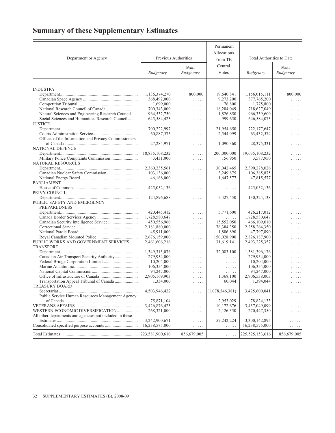# **Summary of these Supplementary Estimates**

| Department or Agency                                     | Previous Authorities |                                            | Permanent<br>Allocations<br>From TB    | Total Authorities to Date |                     |
|----------------------------------------------------------|----------------------|--------------------------------------------|----------------------------------------|---------------------------|---------------------|
|                                                          | Budgetary            | $Non-$<br>Budgetary                        | Central<br>Votes                       | Budgetary                 | $Non-$<br>Budgetary |
|                                                          |                      |                                            |                                        |                           |                     |
| <b>INDUSTRY</b>                                          |                      |                                            |                                        |                           |                     |
|                                                          | 1,136,374,270        | 800,000                                    | 19,640,841                             | 1,156,015,111             | 800,000             |
|                                                          | 368,492,000          | $\cdots$                                   | 9,273,200                              | 377,765,200               | .                   |
|                                                          | 1,699,000            | $\cdots$                                   | 76,800                                 | 1,775,800                 | .                   |
|                                                          | 700,343,000          | $\mathbb{Z}^2$ . In the $\mathbb{Z}^2$     | 18,284,049                             | 718,627,049               | .                   |
| Natural Sciences and Engineering Research Council        | 964,532,750          | .                                          | 1,826,850                              | 966,359,600               | .                   |
| Social Sciences and Humanities Research Council          | 645,584,423          | .                                          | 999,650                                | 646,584,073               | .                   |
| <b>JUSTICE</b>                                           |                      |                                            |                                        |                           |                     |
|                                                          | 700,222,997          | .                                          | 21,954,650                             | 722, 177, 647             | .                   |
| Offices of the Information and Privacy Commissioners     | 60,887,575           | .                                          | 2,544,999                              | 63, 432, 574              | .                   |
|                                                          |                      |                                            |                                        |                           |                     |
| NATIONAL DEFENCE                                         | 27,284,971           | .                                          | 1,090,360                              | 28, 375, 331              | .                   |
|                                                          | 18,835,108,232       |                                            | 200,000,000                            | 19,035,108,232            |                     |
|                                                          | 3,431,000            | .                                          | 156,950                                | 3,587,950                 | .                   |
| <b>NATURAL RESOURCES</b>                                 |                      | .                                          |                                        |                           |                     |
|                                                          | 2,360,235,561        | .                                          | 30,042,465                             | 2,390,278,026             | .                   |
|                                                          | 103,136,000          | .                                          | 3,249,875                              | 106, 385, 875             |                     |
|                                                          | 46,168,000           | .                                          | 1,647,577                              | 47,815,577                |                     |
| <b>PARLIAMENT</b>                                        |                      |                                            |                                        |                           |                     |
|                                                          | 425,052,136          | .                                          | .                                      | 425,052,136               | .                   |
| PRIVY COUNCIL                                            |                      |                                            |                                        |                           |                     |
|                                                          | 124,896,688          | .                                          | 5,427,450                              | 130, 324, 138             | .                   |
| PUBLIC SAFETY AND EMERGENCY                              |                      |                                            |                                        |                           |                     |
| <b>PREPAREDNESS</b>                                      |                      |                                            |                                        |                           |                     |
|                                                          | 420, 445, 412        | .                                          | 5,771,600                              | 426,217,012               | .                   |
|                                                          | 1,728,580,647        | .                                          | 1.1.1.1                                | 1,728,580,647             | .                   |
|                                                          | 450,556,960          | .                                          | 15,552,050                             | 466,109,010               | .                   |
|                                                          | 2,181,880,000        | $\mathbb{Z}^2$ . The set of $\mathbb{Z}^2$ | 76,384,350                             | 2,258,264,350             | .                   |
|                                                          | 45,911,000           | .                                          | 1,886,890                              | 47,797,890                | .                   |
|                                                          | 2,676,159,000        | .                                          | 150,028,900                            | 2,826,187,900             | .                   |
| PUBLIC WORKS AND GOVERNMENT SERVICES                     | 2,461,606,216        | .                                          | 31,619,141                             | 2,493,225,357             | .                   |
| <b>TRANSPORT</b>                                         |                      |                                            |                                        |                           |                     |
|                                                          | 1,349,313,076        | .                                          | 32,083,100                             | 1,381,396,176             | .                   |
| Canadian Air Transport Security Authority                | 279,954,000          | .                                          | $\mathbb{R}^n$ . In the $\mathbb{R}^n$ | 279,954,000               |                     |
|                                                          | 10,204,000           | .                                          | .                                      | 10,204,000                | .                   |
|                                                          | 106,354,000          | .                                          | $\mathbb{R}^n$ . In the $\mathbb{R}^n$ | 106,354,000               | .                   |
|                                                          | 94,247,000           | .                                          | .                                      | 94,247,000                | $\cdots$            |
|                                                          | 2,905,169,903        | .                                          | 1,368,100                              | 2,906,538,003             | .                   |
| Transportation Appeal Tribunal of Canada                 | 1,334,000            | .                                          | 60,044                                 | 1,394,044                 | .                   |
| TREASURY BOARD                                           |                      |                                            |                                        |                           |                     |
|                                                          | 4,503,946,422        | .                                          | (1,078,346,381)                        | 3,425,600,041             | $\cdots$            |
| Public Service Human Resources Management Agency         |                      |                                            |                                        |                           |                     |
|                                                          | 75,871,104           | .                                          | 2,953,029                              | 78,824,133                |                     |
|                                                          | 3,426,876,423        | .                                          | 10,172,676                             | 3,437,049,099             |                     |
| WESTERN ECONOMIC DIVERSIFICATION                         | 268, 321, 000        | .                                          | 2,126,350                              | 270,447,350               |                     |
| All other departments and agencies not included in these |                      |                                            |                                        |                           |                     |
|                                                          | 3,242,900,671        | .                                          | 57,242,224                             | 3,300,142,895             | .                   |
|                                                          | 16,238,575,000       | .                                          | .                                      | 16,238,575,000            | .                   |
|                                                          | 223,581,900,610      | 856,679,005                                | $\cdots$                               | 225, 525, 153, 616        | 856,679,005         |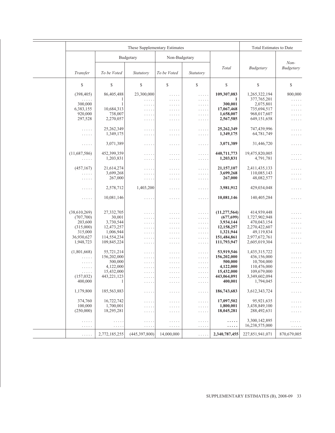| These Supplementary Estimates                                            |                                                            |                      |                      |                                         |                         | Total Estimates to Date    |                     |
|--------------------------------------------------------------------------|------------------------------------------------------------|----------------------|----------------------|-----------------------------------------|-------------------------|----------------------------|---------------------|
|                                                                          |                                                            | Budgetary            | Non-Budgetary        |                                         |                         |                            |                     |
| Transfer                                                                 | To be Voted                                                | Statutory            | To be Voted          | Statutory                               | Total                   | Budgetary                  | $Non-$<br>Budgetary |
| \$                                                                       | \$                                                         | \$                   | \$                   | \$                                      | \$                      | \$                         | \$                  |
| (398, 405)                                                               | 86,405,488                                                 | 23,300,000           | .                    | .                                       | 109,307,083             | 1,265,322,194              | 800,000             |
| .                                                                        | 1                                                          | .                    | .                    | .                                       | 1                       | 377, 765, 201              | .                   |
| 300,000                                                                  |                                                            | .                    | .                    | .                                       | 300,001                 | 2,075,801                  | .                   |
| 6,383,155<br>920,000                                                     | 10,684,313<br>738,007                                      | $\ldots$             | .                    | .                                       | 17,067,468<br>1,658,007 | 735,694,517<br>968,017,607 | .                   |
| 297,528                                                                  | 2,270,057                                                  | $\ldots$             | 1.1.1.1              | .                                       | 2,567,585               | 649,151,658                | .                   |
|                                                                          |                                                            | $\ldots$             | .                    | .                                       |                         |                            | .                   |
|                                                                          | 25,262,349                                                 | $\ldots$ .           |                      | .                                       | 25,262,349              | 747,439,996                | .                   |
| .<br>.                                                                   | 1,349,175                                                  | .                    | .<br>.               | .                                       | 1,349,175               | 64,781,749                 | .                   |
|                                                                          |                                                            |                      |                      |                                         |                         |                            |                     |
| .                                                                        | 3,071,389                                                  | $\cdots\cdots\cdots$ | .                    | $\cdots$                                | 3,071,389               | 31,446,720                 | .                   |
| (11,687,586)                                                             | 452,399,359                                                |                      |                      |                                         | 440,711,773             | 19,475,820,005             |                     |
|                                                                          | 1,203,831                                                  | $\cdots$             | .                    | .                                       | 1,203,831               | 4,791,781                  | .                   |
| .                                                                        |                                                            | .                    | .                    | .                                       |                         |                            | .                   |
| (457, 167)                                                               | 21,614,274                                                 | $\sim$ $\sim$ $\sim$ | .                    | .                                       | 21,157,107              | 2,411,435,133              | .                   |
| .                                                                        | 3,699,268                                                  | $\cdots$             | .                    | .                                       | 3,699,268               | 110,085,143                | .                   |
|                                                                          | 267,000                                                    | .                    | .                    | .                                       | 267,000                 | 48,082,577                 | .                   |
| .                                                                        |                                                            |                      |                      |                                         |                         |                            |                     |
| .                                                                        | 2,578,712                                                  | 1,403,200            | .                    | .                                       | 3,981,912               | 429,034,048                | .                   |
| .                                                                        | 10,081,146                                                 | $\cdots$             | .                    | .                                       | 10,081,146              | 140,405,284                | .                   |
| (38,610,269)                                                             | 27,332,705                                                 |                      |                      |                                         | (11, 277, 564)          | 414,939,448                |                     |
| (707,700)                                                                | 30,001                                                     | $\ldots$             | .                    | .                                       | (677, 699)              | 1,727,902,948              | .                   |
| 203,600                                                                  | 3,730,544                                                  | $\ldots$             | .                    | .                                       | 3,934,144               | 470,043,154                | .                   |
| (315,000)                                                                | 12,473,257                                                 | .                    | .                    | .                                       | 12,158,257              | 2,270,422,607              | .                   |
| 315,000                                                                  | 1,006,944                                                  | $\sim$ $\sim$ $\sim$ | .                    | .                                       | 1,321,944               | 49,119,834                 | .                   |
| 36,930,627                                                               | 114,554,234                                                | $\cdots$             | .                    | .<br>.                                  | 151,484,861             | 2,977,672,761              | .                   |
| 1,948,723                                                                | 109,845,224                                                | .<br>.               | .<br>.               | .                                       | 111,793,947             | 2,605,019,304              | .<br>.              |
|                                                                          |                                                            |                      |                      |                                         |                         |                            |                     |
| (1,801,668)                                                              | 55,721,214                                                 | .                    | .                    | .                                       | 53,919,546              | 1,435,315,722              | .                   |
| .                                                                        | 156,202,000                                                | $\ldots$             | .                    | .                                       | 156,202,000             | 436,156,000                |                     |
| .                                                                        | 500,000                                                    | .                    | .                    | .                                       | 500,000                 | 10,704,000                 | .                   |
| .                                                                        | 4,122,000                                                  | $\ldots$             | $\dots$              | .                                       | 4,122,000               | 110,476,000                | .                   |
| .                                                                        | 15,432,000                                                 | .                    | .                    | .                                       | 15,432,000              | 109,679,000                | .                   |
| (157, 032)                                                               | 443,221,123                                                | .                    | .                    | .                                       | 443,064,091             | 3,349,602,094              | .                   |
| 400,000                                                                  | 1                                                          | .                    | .                    | .                                       | 400,001                 | 1,794,045                  | .                   |
| 1,179,800                                                                | 185,563,883                                                | .                    | $\cdots\cdots\cdots$ | .                                       | 186,743,683             | 3,612,343,724              | .                   |
| 374,760                                                                  | 16,722,742                                                 |                      |                      |                                         | 17,097,502              | 95,921,635                 |                     |
| 100,000                                                                  | 1,700,001                                                  | .                    | $\cdots\cdots\cdots$ | .                                       | 1,800,001               | 3,438,849,100              | .                   |
| (250,000)                                                                | 18,295,281                                                 | $\ldots$             | $\cdots\cdots\cdots$ | .                                       | 18,045,281              | 288,492,631                | $\cdots$            |
|                                                                          |                                                            | .                    | .                    | .                                       |                         |                            | .                   |
|                                                                          |                                                            |                      |                      |                                         | .                       | 3,300,142,895              | .                   |
| $\sim$ $\sim$ $\sim$ $\sim$ $\sim$<br>$\sim$ $\sim$ $\sim$ $\sim$ $\sim$ | $\cdots\cdots\cdots$<br>$\sim$ $\sim$ $\sim$ $\sim$ $\sim$ | .<br>.               | $\cdots$<br>.        | $\sim$ $\sim$ $\sim$ $\sim$ $\sim$<br>. | .                       | 16,238,575,000             | .                   |
|                                                                          |                                                            |                      |                      |                                         |                         |                            |                     |
| $\ldots$                                                                 | 2,772,185,255                                              | (445, 397, 800)      | 14,000,000           | $\ldots$ .                              | 2,340,787,455           | 227,851,941,071            | 870,679,005         |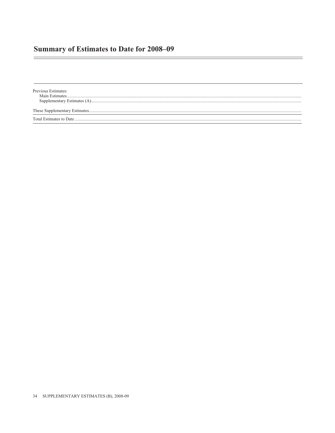## <span id="page-30-0"></span>**Summary of Estimates to Date for 2008-09**

Previous Estimates: 

 $\equiv$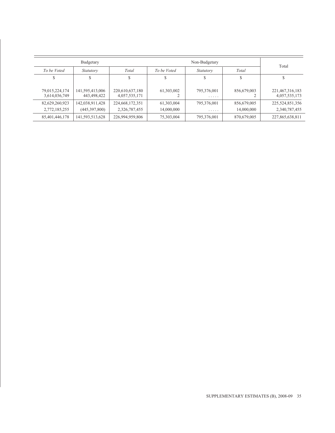|                                 | Budgetary                      | Non-Budgetary                    |             |                  |             |                                  |
|---------------------------------|--------------------------------|----------------------------------|-------------|------------------|-------------|----------------------------------|
| To be Voted                     | Statutory                      | Total                            | To be Voted | Statutory        | Total       | Total                            |
|                                 |                                | \$                               | \$          |                  |             | кB                               |
| 79,015,224,174<br>3,614,036,749 | 141,595,413,006<br>443,498,422 | 220,610,637,180<br>4,057,535,171 | 61,303,002  | 795,376,001<br>. | 856,679,003 | 221,467,316,183<br>4,057,535,173 |
| 82,629,260,923                  | 142,038,911,428                | 224,668,172,351                  | 61,303,004  | 795,376,001      | 856,679,005 | 225, 524, 851, 356               |
| 2,772,185,255                   | (445,397,800)                  | 2,326,787,455                    | 14,000,000  | .                | 14,000,000  | 2,340,787,455                    |
| 85,401,446,178                  | 141,593,513,628                | 226,994,959,806                  | 75,303,004  | 795,376,001      | 870,679,005 | 227,865,638,811                  |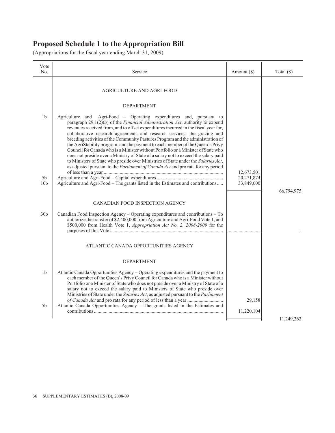<span id="page-32-0"></span>

| Vote<br>No.                             | Service                                                                                                                                                                                                                                                                                                                                                                                                                                                                                                                                                                                                                                                                                                                                                                                                                                                                                                                                                    | Amount $(\$)$                          | Total $(\$)$ |
|-----------------------------------------|------------------------------------------------------------------------------------------------------------------------------------------------------------------------------------------------------------------------------------------------------------------------------------------------------------------------------------------------------------------------------------------------------------------------------------------------------------------------------------------------------------------------------------------------------------------------------------------------------------------------------------------------------------------------------------------------------------------------------------------------------------------------------------------------------------------------------------------------------------------------------------------------------------------------------------------------------------|----------------------------------------|--------------|
|                                         | <b>AGRICULTURE AND AGRI-FOOD</b>                                                                                                                                                                                                                                                                                                                                                                                                                                                                                                                                                                                                                                                                                                                                                                                                                                                                                                                           |                                        |              |
|                                         | <b>DEPARTMENT</b>                                                                                                                                                                                                                                                                                                                                                                                                                                                                                                                                                                                                                                                                                                                                                                                                                                                                                                                                          |                                        |              |
| 1 <sub>b</sub><br>5b<br>10 <sub>b</sub> | Agri-Food - Operating expenditures and, pursuant to<br>Agriculture and<br>paragraph $29.1(2)(a)$ of the <i>Financial Administration Act</i> , authority to expend<br>revenues received from, and to offset expenditures incurred in the fiscal year for,<br>collaborative research agreements and research services, the grazing and<br>breeding activities of the Community Pastures Program and the administration of<br>the AgriStability program; and the payment to each member of the Queen's Privy<br>Council for Canada who is a Minister without Portfolio or a Minister of State who<br>does not preside over a Ministry of State of a salary not to exceed the salary paid<br>to Ministers of State who preside over Ministries of State under the Salaries Act,<br>as adjusted pursuant to the <i>Parliament of Canada Act</i> and pro rata for any period<br>Agriculture and Agri-Food – The grants listed in the Estimates and contributions | 12,673,501<br>20,271,874<br>33,849,600 | 66,794,975   |
|                                         | CANADIAN FOOD INSPECTION AGENCY                                                                                                                                                                                                                                                                                                                                                                                                                                                                                                                                                                                                                                                                                                                                                                                                                                                                                                                            |                                        |              |
| 30 <sub>b</sub>                         | Canadian Food Inspection Agency – Operating expenditures and contributions – To<br>authorize the transfer of \$2,400,000 from Agriculture and Agri-Food Vote 1, and<br>\$500,000 from Health Vote 1, Appropriation Act No. 2, 2008-2009 for the                                                                                                                                                                                                                                                                                                                                                                                                                                                                                                                                                                                                                                                                                                            |                                        | $\mathbf{1}$ |
|                                         | ATLANTIC CANADA OPPORTUNITIES AGENCY                                                                                                                                                                                                                                                                                                                                                                                                                                                                                                                                                                                                                                                                                                                                                                                                                                                                                                                       |                                        |              |
|                                         | <b>DEPARTMENT</b>                                                                                                                                                                                                                                                                                                                                                                                                                                                                                                                                                                                                                                                                                                                                                                                                                                                                                                                                          |                                        |              |
| 1 <sub>b</sub>                          | Atlantic Canada Opportunities Agency – Operating expenditures and the payment to<br>each member of the Queen's Privy Council for Canada who is a Minister without<br>Portfolio or a Minister of State who does not preside over a Ministry of State of a<br>salary not to exceed the salary paid to Ministers of State who preside over<br>Ministries of State under the Salaries Act, as adjusted pursuant to the Parliament                                                                                                                                                                                                                                                                                                                                                                                                                                                                                                                              |                                        |              |
| 5 <sub>b</sub>                          | Atlantic Canada Opportunities Agency - The grants listed in the Estimates and                                                                                                                                                                                                                                                                                                                                                                                                                                                                                                                                                                                                                                                                                                                                                                                                                                                                              | 29,158                                 |              |
|                                         |                                                                                                                                                                                                                                                                                                                                                                                                                                                                                                                                                                                                                                                                                                                                                                                                                                                                                                                                                            | 11,220,104                             | 11,249,262   |
|                                         |                                                                                                                                                                                                                                                                                                                                                                                                                                                                                                                                                                                                                                                                                                                                                                                                                                                                                                                                                            |                                        |              |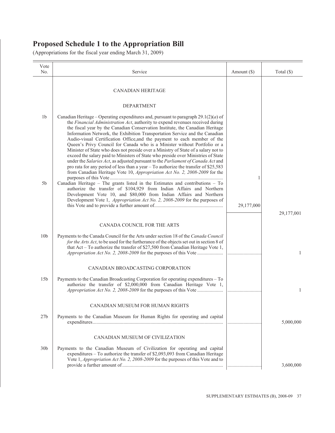| Vote<br>No.     | Service                                                                                                                                                                                                                                                                                                                                                                                                                                                                                                                                                                                                                                                                                                                                                         | Amount $(\$)$ | Total $(\$)$ |
|-----------------|-----------------------------------------------------------------------------------------------------------------------------------------------------------------------------------------------------------------------------------------------------------------------------------------------------------------------------------------------------------------------------------------------------------------------------------------------------------------------------------------------------------------------------------------------------------------------------------------------------------------------------------------------------------------------------------------------------------------------------------------------------------------|---------------|--------------|
|                 | <b>CANADIAN HERITAGE</b>                                                                                                                                                                                                                                                                                                                                                                                                                                                                                                                                                                                                                                                                                                                                        |               |              |
|                 | <b>DEPARTMENT</b>                                                                                                                                                                                                                                                                                                                                                                                                                                                                                                                                                                                                                                                                                                                                               |               |              |
| 1 <sub>b</sub>  | Canadian Heritage – Operating expenditures and, pursuant to paragraph $29.1(2)(a)$ of<br>the Financial Administration Act, authority to expend revenues received during<br>the fiscal year by the Canadian Conservation Institute, the Canadian Heritage<br>Information Network, the Exhibition Transportation Service and the Canadian<br>Audio-visual Certification Office, and the payment to each member of the<br>Queen's Privy Council for Canada who is a Minister without Portfolio or a<br>Minister of State who does not preside over a Ministry of State of a salary not to<br>exceed the salary paid to Ministers of State who preside over Ministries of State<br>under the Salaries Act, as adjusted pursuant to the Parliament of Canada Act and |               |              |
| 5 <sub>b</sub>  | pro rata for any period of less than a year - To authorize the transfer of \$25,583<br>from Canadian Heritage Vote 10, Appropriation Act No. 2, 2008-2009 for the<br>Canadian Heritage $-$ The grants listed in the Estimates and contributions $-$ To<br>authorize the transfer of \$104,929 from Indian Affairs and Northern                                                                                                                                                                                                                                                                                                                                                                                                                                  | 1             |              |
|                 | Development Vote 10, and \$80,000 from Indian Affairs and Northern<br>Development Vote 1, Appropriation Act No. 2, 2008-2009 for the purposes of                                                                                                                                                                                                                                                                                                                                                                                                                                                                                                                                                                                                                | 29,177,000    | 29,177,001   |
|                 | CANADA COUNCIL FOR THE ARTS                                                                                                                                                                                                                                                                                                                                                                                                                                                                                                                                                                                                                                                                                                                                     |               |              |
| 10 <sub>b</sub> | Payments to the Canada Council for the Arts under section 18 of the Canada Council<br>for the Arts Act, to be used for the furtherance of the objects set out in section 8 of<br>that $Act - To$ authorize the transfer of \$27,500 from Canadian Heritage Vote 1,<br>Appropriation Act No. 2, 2008-2009 for the purposes of this Vote                                                                                                                                                                                                                                                                                                                                                                                                                          |               | 1            |
|                 | CANADIAN BROADCASTING CORPORATION                                                                                                                                                                                                                                                                                                                                                                                                                                                                                                                                                                                                                                                                                                                               |               |              |
| 15 <sub>b</sub> | Payments to the Canadian Broadcasting Corporation for operating expenditures - To<br>authorize the transfer of \$2,000,000 from Canadian Heritage Vote 1,                                                                                                                                                                                                                                                                                                                                                                                                                                                                                                                                                                                                       |               | 1            |
|                 | CANADIAN MUSEUM FOR HUMAN RIGHTS                                                                                                                                                                                                                                                                                                                                                                                                                                                                                                                                                                                                                                                                                                                                |               |              |
| 27 <sub>b</sub> | Payments to the Canadian Museum for Human Rights for operating and capital                                                                                                                                                                                                                                                                                                                                                                                                                                                                                                                                                                                                                                                                                      |               | 5,000,000    |
|                 | CANADIAN MUSEUM OF CIVILIZATION                                                                                                                                                                                                                                                                                                                                                                                                                                                                                                                                                                                                                                                                                                                                 |               |              |
| 30 <sub>b</sub> | Payments to the Canadian Museum of Civilization for operating and capital<br>expenditures – To authorize the transfer of \$2,093,093 from Canadian Heritage<br>Vote 1, <i>Appropriation Act No. 2, 2008-2009</i> for the purposes of this Vote and to                                                                                                                                                                                                                                                                                                                                                                                                                                                                                                           |               | 3,600,000    |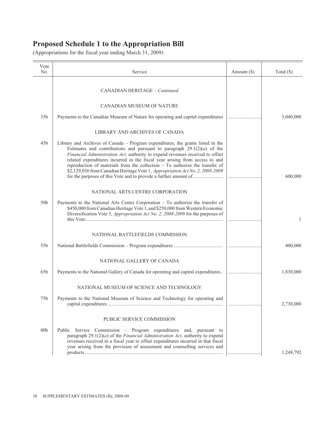| Vote<br>No.     | Service                                                                                                                                                                                                                                                                                                                                                                                                                                                                                       | Amount $(\$)$ | Total $(\$)$ |
|-----------------|-----------------------------------------------------------------------------------------------------------------------------------------------------------------------------------------------------------------------------------------------------------------------------------------------------------------------------------------------------------------------------------------------------------------------------------------------------------------------------------------------|---------------|--------------|
|                 | <b>CANADIAN HERITAGE - Continued</b>                                                                                                                                                                                                                                                                                                                                                                                                                                                          |               |              |
|                 | CANADIAN MUSEUM OF NATURE                                                                                                                                                                                                                                                                                                                                                                                                                                                                     |               |              |
| 35 <sub>b</sub> | Payments to the Canadian Museum of Nature for operating and capital expenditures                                                                                                                                                                                                                                                                                                                                                                                                              |               | 3,040,000    |
|                 | LIBRARY AND ARCHIVES OF CANADA                                                                                                                                                                                                                                                                                                                                                                                                                                                                |               |              |
| 45 <sub>b</sub> | Library and Archives of Canada - Program expenditures, the grants listed in the<br>Estimates and contributions and pursuant to paragraph $29.1(2)(a)$ of the<br>Financial Administration Act, authority to expend revenues received to offset<br>related expenditures incurred in the fiscal year arising from access to and<br>reproduction of materials from the collection - To authorize the transfer of<br>\$2,129,036 from Canadian Heritage Vote 1, Appropriation Act No. 2, 2008-2009 |               | 600,000      |
|                 | NATIONAL ARTS CENTRE CORPORATION                                                                                                                                                                                                                                                                                                                                                                                                                                                              |               |              |
| 50b             | Payments to the National Arts Centre Corporation - To authorize the transfer of<br>\$450,000 from Canadian Heritage Vote 1, and \$250,000 from Western Economic<br>Diversification Vote 5, Appropriation Act No. 2, 2008-2009 for the purposes of                                                                                                                                                                                                                                             |               | $\mathbf{1}$ |
|                 | NATIONAL BATTLEFIELDS COMMISSION                                                                                                                                                                                                                                                                                                                                                                                                                                                              |               |              |
| 55b             |                                                                                                                                                                                                                                                                                                                                                                                                                                                                                               |               | 400,000      |
|                 | NATIONAL GALLERY OF CANADA                                                                                                                                                                                                                                                                                                                                                                                                                                                                    |               |              |
| 65b             | Payments to the National Gallery of Canada for operating and capital expenditures.                                                                                                                                                                                                                                                                                                                                                                                                            |               | 1,830,000    |
|                 | NATIONAL MUSEUM OF SCIENCE AND TECHNOLOGY                                                                                                                                                                                                                                                                                                                                                                                                                                                     |               |              |
| 75b             | Payments to the National Museum of Science and Technology for operating and                                                                                                                                                                                                                                                                                                                                                                                                                   |               | 2,730,000    |
|                 | PUBLIC SERVICE COMMISSION                                                                                                                                                                                                                                                                                                                                                                                                                                                                     |               |              |
| 80b             | Public Service Commission - Program expenditures and, pursuant to<br>paragraph $29.1(2)(a)$ of the <i>Financial Administration Act</i> , authority to expend<br>revenues received in a fiscal year to offset expenditures incurred in that fiscal<br>year arising from the provision of assessment and counselling services and                                                                                                                                                               |               | 1,248,792    |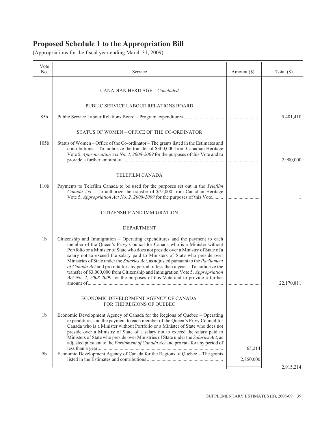| Vote             |                                                                                                                                                                                                                                                                                                                                                                                                                                                                                                                                                                                                                                                                             |               |            |
|------------------|-----------------------------------------------------------------------------------------------------------------------------------------------------------------------------------------------------------------------------------------------------------------------------------------------------------------------------------------------------------------------------------------------------------------------------------------------------------------------------------------------------------------------------------------------------------------------------------------------------------------------------------------------------------------------------|---------------|------------|
| No.              | Service                                                                                                                                                                                                                                                                                                                                                                                                                                                                                                                                                                                                                                                                     | Amount $(\$)$ | Total (\$) |
|                  | CANADIAN HERITAGE - Concluded                                                                                                                                                                                                                                                                                                                                                                                                                                                                                                                                                                                                                                               |               |            |
|                  | PUBLIC SERVICE LABOUR RELATIONS BOARD                                                                                                                                                                                                                                                                                                                                                                                                                                                                                                                                                                                                                                       |               |            |
| 85b              |                                                                                                                                                                                                                                                                                                                                                                                                                                                                                                                                                                                                                                                                             |               | 5,401,410  |
|                  | STATUS OF WOMEN - OFFICE OF THE CO-ORDINATOR                                                                                                                                                                                                                                                                                                                                                                                                                                                                                                                                                                                                                                |               |            |
| 105 <sub>b</sub> | Status of Women – Office of the Co-ordinator – The grants listed in the Estimates and<br>contributions - To authorize the transfer of \$300,000 from Canadian Heritage<br>Vote 5, <i>Appropriation Act No. 2, 2008-2009</i> for the purposes of this Vote and to                                                                                                                                                                                                                                                                                                                                                                                                            |               | 2,900,000  |
|                  | <b>TELEFILM CANADA</b>                                                                                                                                                                                                                                                                                                                                                                                                                                                                                                                                                                                                                                                      |               |            |
| 110b             | Payments to Telefilm Canada to be used for the purposes set out in the Telefilm<br>Canada $Act$ – To authorize the transfer of \$75,000 from Canadian Heritage<br>Vote 5, Appropriation Act No. 2, 2008-2009 for the purposes of this Vote                                                                                                                                                                                                                                                                                                                                                                                                                                  |               | 1          |
|                  | <b>CITIZENSHIP AND IMMIGRATION</b>                                                                                                                                                                                                                                                                                                                                                                                                                                                                                                                                                                                                                                          |               |            |
|                  | <b>DEPARTMENT</b>                                                                                                                                                                                                                                                                                                                                                                                                                                                                                                                                                                                                                                                           |               |            |
| 1 <sub>b</sub>   | Citizenship and Immigration - Operating expenditures and the payment to each<br>member of the Queen's Privy Council for Canada who is a Minister without<br>Portfolio or a Minister of State who does not preside over a Ministry of State of a<br>salary not to exceed the salary paid to Ministers of State who preside over<br>Ministries of State under the Salaries Act, as adjusted pursuant to the Parliament<br>of Canada Act and pro rata for any period of less than a year $-$ To authorize the<br>transfer of \$3,000,000 from Citizenship and Immigration Vote 5, Appropriation<br>Act No. 2, 2008-2009 for the purposes of this Vote and to provide a further |               | 22,170,811 |
|                  | ECONOMIC DEVELOPMENT AGENCY OF CANADA<br>FOR THE REGIONS OF QUEBEC                                                                                                                                                                                                                                                                                                                                                                                                                                                                                                                                                                                                          |               |            |
| 1 <sub>b</sub>   | Economic Development Agency of Canada for the Regions of Quebec – Operating<br>expenditures and the payment to each member of the Queen's Privy Council for<br>Canada who is a Minister without Portfolio or a Minister of State who does not<br>preside over a Ministry of State of a salary not to exceed the salary paid to<br>Ministers of State who preside over Ministries of State under the Salaries Act, as<br>adjusted pursuant to the <i>Parliament of Canada Act</i> and pro rata for any period of                                                                                                                                                             |               |            |
|                  |                                                                                                                                                                                                                                                                                                                                                                                                                                                                                                                                                                                                                                                                             | 65,214        |            |
| 5 <sub>b</sub>   | Economic Development Agency of Canada for the Regions of Quebec - The grants                                                                                                                                                                                                                                                                                                                                                                                                                                                                                                                                                                                                | 2,850,000     |            |
|                  |                                                                                                                                                                                                                                                                                                                                                                                                                                                                                                                                                                                                                                                                             |               | 2,915,214  |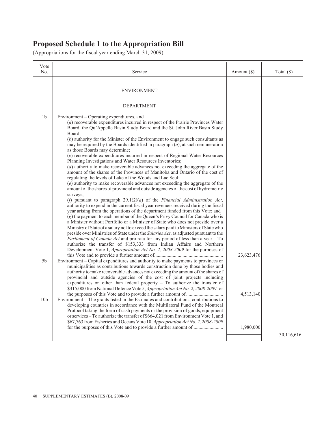| Vote<br>No.                      | Service                                                                                                                                                                                                                                                                                                                                                                                                                                                                                                                                                                                                                                                                                                                                                                                                                                                                                                                                                                                                                                                                                                                                                                                                                                                                                                                                                                                                                                                                                                                                                                                                                                                                                                                                                                                                                                                                                                                                                        | Amount $(\$)$ | Total (\$) |
|----------------------------------|----------------------------------------------------------------------------------------------------------------------------------------------------------------------------------------------------------------------------------------------------------------------------------------------------------------------------------------------------------------------------------------------------------------------------------------------------------------------------------------------------------------------------------------------------------------------------------------------------------------------------------------------------------------------------------------------------------------------------------------------------------------------------------------------------------------------------------------------------------------------------------------------------------------------------------------------------------------------------------------------------------------------------------------------------------------------------------------------------------------------------------------------------------------------------------------------------------------------------------------------------------------------------------------------------------------------------------------------------------------------------------------------------------------------------------------------------------------------------------------------------------------------------------------------------------------------------------------------------------------------------------------------------------------------------------------------------------------------------------------------------------------------------------------------------------------------------------------------------------------------------------------------------------------------------------------------------------------|---------------|------------|
|                                  | <b>ENVIRONMENT</b>                                                                                                                                                                                                                                                                                                                                                                                                                                                                                                                                                                                                                                                                                                                                                                                                                                                                                                                                                                                                                                                                                                                                                                                                                                                                                                                                                                                                                                                                                                                                                                                                                                                                                                                                                                                                                                                                                                                                             |               |            |
|                                  | <b>DEPARTMENT</b>                                                                                                                                                                                                                                                                                                                                                                                                                                                                                                                                                                                                                                                                                                                                                                                                                                                                                                                                                                                                                                                                                                                                                                                                                                                                                                                                                                                                                                                                                                                                                                                                                                                                                                                                                                                                                                                                                                                                              |               |            |
| 1 <sub>b</sub><br>5 <sub>b</sub> | Environment – Operating expenditures, and<br>(a) recoverable expenditures incurred in respect of the Prairie Provinces Water<br>Board, the Qu'Appelle Basin Study Board and the St. John River Basin Study<br>Board:<br>$(b)$ authority for the Minister of the Environment to engage such consultants as<br>may be required by the Boards identified in paragraph $(a)$ , at such remuneration<br>as those Boards may determine;<br>(c) recoverable expenditures incurred in respect of Regional Water Resources<br>Planning Investigations and Water Resources Inventories;<br>$(d)$ authority to make recoverable advances not exceeding the aggregate of the<br>amount of the shares of the Provinces of Manitoba and Ontario of the cost of<br>regulating the levels of Lake of the Woods and Lac Seul;<br>(e) authority to make recoverable advances not exceeding the aggregate of the<br>amount of the shares of provincial and outside agencies of the cost of hydrometric<br>surveys;<br>(f) pursuant to paragraph $29.1(2)(a)$ of the <i>Financial Administration Act</i> ,<br>authority to expend in the current fiscal year revenues received during the fiscal<br>year arising from the operations of the department funded from this Vote; and<br>$(g)$ the payment to each member of the Queen's Privy Council for Canada who is<br>a Minister without Portfolio or a Minister of State who does not preside over a<br>Ministry of State of a salary not to exceed the salary paid to Ministers of State who<br>preside over Ministries of State under the Salaries Act, as adjusted pursuant to the<br><i>Parliament of Canada Act</i> and pro rata for any period of less than a year – To<br>authorize the transfer of \$153,333 from Indian Affairs and Northern<br>Development Vote 1, <i>Appropriation Act No. 2, 2008-2009</i> for the purposes of<br>Environment – Capital expenditures and authority to make payments to provinces or | 23,623,476    |            |
|                                  | municipalities as contributions towards construction done by those bodies and<br>authority to make recoverable advances not exceeding the amount of the shares of<br>provincial and outside agencies of the cost of joint projects including<br>expenditures on other than federal property $-$ To authorize the transfer of<br>\$315,000 from National Defence Vote 5, Appropriation Act No. 2, 2008-2009 for                                                                                                                                                                                                                                                                                                                                                                                                                                                                                                                                                                                                                                                                                                                                                                                                                                                                                                                                                                                                                                                                                                                                                                                                                                                                                                                                                                                                                                                                                                                                                 |               |            |
| 10 <sub>b</sub>                  | Environment - The grants listed in the Estimates and contributions, contributions to<br>developing countries in accordance with the Multilateral Fund of the Montreal<br>Protocol taking the form of cash payments or the provision of goods, equipment<br>or services – To authorize the transfer of \$664,021 from Environment Vote 1, and<br>\$67,763 from Fisheries and Oceans Vote 10, <i>Appropriation Act No. 2, 2008-2009</i>                                                                                                                                                                                                                                                                                                                                                                                                                                                                                                                                                                                                                                                                                                                                                                                                                                                                                                                                                                                                                                                                                                                                                                                                                                                                                                                                                                                                                                                                                                                          | 4,513,140     |            |
|                                  |                                                                                                                                                                                                                                                                                                                                                                                                                                                                                                                                                                                                                                                                                                                                                                                                                                                                                                                                                                                                                                                                                                                                                                                                                                                                                                                                                                                                                                                                                                                                                                                                                                                                                                                                                                                                                                                                                                                                                                | 1,980,000     | 30,116,616 |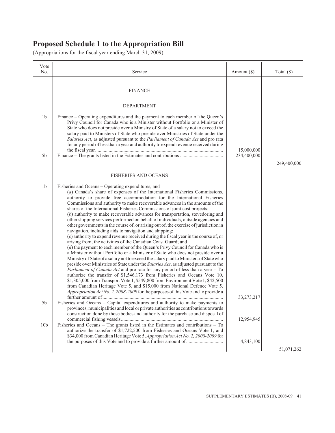| Vote<br>No.     | Service                                                                                                                                                                                                                                                                                                                                                                                                                                                                                                                                                                                                                                                                                                                                                                                                                                                                                                                                                                                                                                                                                                                                                                                                                                                                                                                                                                                                                                                                                                                                                                                                                                      | Amount $(\$)$ | Total $(\$)$ |
|-----------------|----------------------------------------------------------------------------------------------------------------------------------------------------------------------------------------------------------------------------------------------------------------------------------------------------------------------------------------------------------------------------------------------------------------------------------------------------------------------------------------------------------------------------------------------------------------------------------------------------------------------------------------------------------------------------------------------------------------------------------------------------------------------------------------------------------------------------------------------------------------------------------------------------------------------------------------------------------------------------------------------------------------------------------------------------------------------------------------------------------------------------------------------------------------------------------------------------------------------------------------------------------------------------------------------------------------------------------------------------------------------------------------------------------------------------------------------------------------------------------------------------------------------------------------------------------------------------------------------------------------------------------------------|---------------|--------------|
|                 | <b>FINANCE</b>                                                                                                                                                                                                                                                                                                                                                                                                                                                                                                                                                                                                                                                                                                                                                                                                                                                                                                                                                                                                                                                                                                                                                                                                                                                                                                                                                                                                                                                                                                                                                                                                                               |               |              |
|                 | DEPARTMENT                                                                                                                                                                                                                                                                                                                                                                                                                                                                                                                                                                                                                                                                                                                                                                                                                                                                                                                                                                                                                                                                                                                                                                                                                                                                                                                                                                                                                                                                                                                                                                                                                                   |               |              |
| 1 <sub>b</sub>  | Finance – Operating expenditures and the payment to each member of the Queen's<br>Privy Council for Canada who is a Minister without Portfolio or a Minister of<br>State who does not preside over a Ministry of State of a salary not to exceed the<br>salary paid to Ministers of State who preside over Ministries of State under the<br>Salaries Act, as adjusted pursuant to the Parliament of Canada Act and pro rata<br>for any period of less than a year and authority to expend revenue received during                                                                                                                                                                                                                                                                                                                                                                                                                                                                                                                                                                                                                                                                                                                                                                                                                                                                                                                                                                                                                                                                                                                            | 15,000,000    |              |
| 5b              |                                                                                                                                                                                                                                                                                                                                                                                                                                                                                                                                                                                                                                                                                                                                                                                                                                                                                                                                                                                                                                                                                                                                                                                                                                                                                                                                                                                                                                                                                                                                                                                                                                              | 234,400,000   | 249,400,000  |
|                 | FISHERIES AND OCEANS                                                                                                                                                                                                                                                                                                                                                                                                                                                                                                                                                                                                                                                                                                                                                                                                                                                                                                                                                                                                                                                                                                                                                                                                                                                                                                                                                                                                                                                                                                                                                                                                                         |               |              |
| 1 <sub>b</sub>  | Fisheries and Oceans – Operating expenditures, and<br>(a) Canada's share of expenses of the International Fisheries Commissions,<br>authority to provide free accommodation for the International Fisheries<br>Commissions and authority to make recoverable advances in the amounts of the<br>shares of the International Fisheries Commissions of joint cost projects;<br>(b) authority to make recoverable advances for transportation, stevedoring and<br>other shipping services performed on behalf of individuals, outside agencies and<br>other governments in the course of, or arising out of, the exercise of jurisdiction in<br>navigation, including aids to navigation and shipping;<br>$(c)$ authority to expend revenue received during the fiscal year in the course of, or<br>arising from, the activities of the Canadian Coast Guard; and<br>$(d)$ the payment to each member of the Queen's Privy Council for Canada who is<br>a Minister without Portfolio or a Minister of State who does not preside over a<br>Ministry of State of a salary not to exceed the salary paid to Ministers of State who<br>preside over Ministries of State under the Salaries Act, as adjusted pursuant to the<br><i>Parliament of Canada Act</i> and pro rata for any period of less than a year – To<br>authorize the transfer of \$1,546,173 from Fisheries and Oceans Vote 10,<br>\$1,305,000 from Transport Vote 1, \$549,800 from Environment Vote 1, \$42,500<br>from Canadian Heritage Vote 5, and \$15,000 from National Defence Vote 5,<br>Appropriation Act No. 2, 2008-2009 for the purposes of this Vote and to provide a | 33,273,217    |              |
| 5b              | Fisheries and Oceans - Capital expenditures and authority to make payments to<br>provinces, municipalities and local or private authorities as contributions towards<br>construction done by those bodies and authority for the purchase and disposal of                                                                                                                                                                                                                                                                                                                                                                                                                                                                                                                                                                                                                                                                                                                                                                                                                                                                                                                                                                                                                                                                                                                                                                                                                                                                                                                                                                                     |               |              |
| 10 <sub>b</sub> | Fisheries and Oceans - The grants listed in the Estimates and contributions - To<br>authorize the transfer of \$1,722,500 from Fisheries and Oceans Vote 1, and                                                                                                                                                                                                                                                                                                                                                                                                                                                                                                                                                                                                                                                                                                                                                                                                                                                                                                                                                                                                                                                                                                                                                                                                                                                                                                                                                                                                                                                                              | 12,954,945    |              |
|                 | \$34,000 from Canadian Heritage Vote 5, Appropriation Act No. 2, 2008-2009 for                                                                                                                                                                                                                                                                                                                                                                                                                                                                                                                                                                                                                                                                                                                                                                                                                                                                                                                                                                                                                                                                                                                                                                                                                                                                                                                                                                                                                                                                                                                                                               | 4,843,100     | 51,071,262   |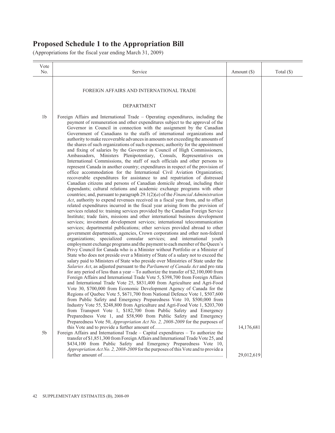| Vote<br>No.    | Service                                                                                                                                                                                                                                                                                                                                                                                                                                                                                                                                                                                                                                                                                                                                                                                                                                                                                                                                                                                                                                                                                                                                                                                                                                                                                                                                                                                                                                                                                                                                                                                                                                                                                                                                                                                                                                                                                                                                                                                                                                                                                                                                                                                                                                                                                                                                                                                                                                                                                                                                                                                                                                                                                                                                                                                                           | Amount $(\$)$ | Total $(\$)$ |
|----------------|-------------------------------------------------------------------------------------------------------------------------------------------------------------------------------------------------------------------------------------------------------------------------------------------------------------------------------------------------------------------------------------------------------------------------------------------------------------------------------------------------------------------------------------------------------------------------------------------------------------------------------------------------------------------------------------------------------------------------------------------------------------------------------------------------------------------------------------------------------------------------------------------------------------------------------------------------------------------------------------------------------------------------------------------------------------------------------------------------------------------------------------------------------------------------------------------------------------------------------------------------------------------------------------------------------------------------------------------------------------------------------------------------------------------------------------------------------------------------------------------------------------------------------------------------------------------------------------------------------------------------------------------------------------------------------------------------------------------------------------------------------------------------------------------------------------------------------------------------------------------------------------------------------------------------------------------------------------------------------------------------------------------------------------------------------------------------------------------------------------------------------------------------------------------------------------------------------------------------------------------------------------------------------------------------------------------------------------------------------------------------------------------------------------------------------------------------------------------------------------------------------------------------------------------------------------------------------------------------------------------------------------------------------------------------------------------------------------------------------------------------------------------------------------------------------------------|---------------|--------------|
|                | FOREIGN AFFAIRS AND INTERNATIONAL TRADE                                                                                                                                                                                                                                                                                                                                                                                                                                                                                                                                                                                                                                                                                                                                                                                                                                                                                                                                                                                                                                                                                                                                                                                                                                                                                                                                                                                                                                                                                                                                                                                                                                                                                                                                                                                                                                                                                                                                                                                                                                                                                                                                                                                                                                                                                                                                                                                                                                                                                                                                                                                                                                                                                                                                                                           |               |              |
|                | <b>DEPARTMENT</b>                                                                                                                                                                                                                                                                                                                                                                                                                                                                                                                                                                                                                                                                                                                                                                                                                                                                                                                                                                                                                                                                                                                                                                                                                                                                                                                                                                                                                                                                                                                                                                                                                                                                                                                                                                                                                                                                                                                                                                                                                                                                                                                                                                                                                                                                                                                                                                                                                                                                                                                                                                                                                                                                                                                                                                                                 |               |              |
| 1 <sub>b</sub> | Foreign Affairs and International Trade – Operating expenditures, including the<br>payment of remuneration and other expenditures subject to the approval of the<br>Governor in Council in connection with the assignment by the Canadian<br>Government of Canadians to the staffs of international organizations and<br>authority to make recoverable advances in amounts not exceeding the amounts of<br>the shares of such organizations of such expenses; authority for the appointment<br>and fixing of salaries by the Governor in Council of High Commissioners,<br>Ambassadors, Ministers Plenipotentiary, Consuls, Representatives on<br>International Commissions, the staff of such officials and other persons to<br>represent Canada in another country; expenditures in respect of the provision of<br>office accommodation for the International Civil Aviation Organization;<br>recoverable expenditures for assistance to and repatriation of distressed<br>Canadian citizens and persons of Canadian domicile abroad, including their<br>dependants; cultural relations and academic exchange programs with other<br>countries; and, pursuant to paragraph $29.1(2)(a)$ of the <i>Financial Administration</i><br>Act, authority to expend revenues received in a fiscal year from, and to offset<br>related expenditures incurred in the fiscal year arising from the provision of<br>services related to: training services provided by the Canadian Foreign Service<br>Institute; trade fairs, missions and other international business development<br>services; investment development services; international telecommunication<br>services; departmental publications; other services provided abroad to other<br>government departments, agencies, Crown corporations and other non-federal<br>organizations; specialized consular services; and international youth<br>employment exchange programs and the payment to each member of the Queen's<br>Privy Council for Canada who is a Minister without Portfolio or a Minister of<br>State who does not preside over a Ministry of State of a salary not to exceed the<br>salary paid to Ministers of State who preside over Ministries of State under the<br>Salaries Act, as adjusted pursuant to the Parliament of Canada Act and pro rata<br>for any period of less than a year $-$ To authorize the transfer of \$2,100,000 from<br>Foreign Affairs and International Trade Vote 5, \$398,700 from Foreign Affairs<br>and International Trade Vote 25, \$831,400 from Agriculture and Agri-Food<br>Vote 30, \$700,000 from Economic Development Agency of Canada for the<br>Regions of Quebec Vote 5, \$671,700 from National Defence Vote 1, \$507,600<br>from Public Safety and Emergency Preparedness Vote 10, \$500,000 from |               |              |
|                | Industry Vote 55, \$248,800 from Agriculture and Agri-Food Vote 1, \$203,700<br>from Transport Vote 1, \$182,700 from Public Safety and Emergency<br>Preparedness Vote 1, and \$58,900 from Public Safety and Emergency<br>Preparedness Vote 50, Appropriation Act No. 2, 2008-2009 for the purposes of                                                                                                                                                                                                                                                                                                                                                                                                                                                                                                                                                                                                                                                                                                                                                                                                                                                                                                                                                                                                                                                                                                                                                                                                                                                                                                                                                                                                                                                                                                                                                                                                                                                                                                                                                                                                                                                                                                                                                                                                                                                                                                                                                                                                                                                                                                                                                                                                                                                                                                           |               |              |
| 5b             | Foreign Affairs and International Trade – Capital expenditures – To authorize the<br>transfer of \$1,851,300 from Foreign Affairs and International Trade Vote 25, and<br>\$434,100 from Public Safety and Emergency Preparedness Vote 10,                                                                                                                                                                                                                                                                                                                                                                                                                                                                                                                                                                                                                                                                                                                                                                                                                                                                                                                                                                                                                                                                                                                                                                                                                                                                                                                                                                                                                                                                                                                                                                                                                                                                                                                                                                                                                                                                                                                                                                                                                                                                                                                                                                                                                                                                                                                                                                                                                                                                                                                                                                        | 14,176,681    |              |
|                | Appropriation Act No. 2, 2008-2009 for the purposes of this Vote and to provide a                                                                                                                                                                                                                                                                                                                                                                                                                                                                                                                                                                                                                                                                                                                                                                                                                                                                                                                                                                                                                                                                                                                                                                                                                                                                                                                                                                                                                                                                                                                                                                                                                                                                                                                                                                                                                                                                                                                                                                                                                                                                                                                                                                                                                                                                                                                                                                                                                                                                                                                                                                                                                                                                                                                                 | 29,012,619    |              |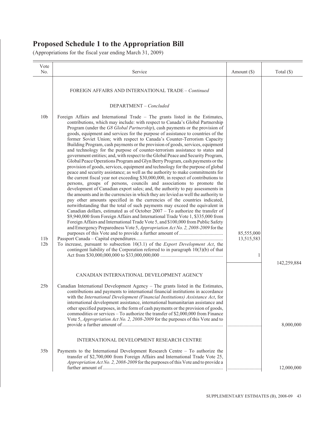| Vote<br>No.                                           | Service                                                                                                                                                                                                                                                                                                                                                                                                                                                                                                                                                                                                                                                                                                                                                                                                                                                                                                                                                                                                                                                                                                                                                                                                                                                                                                                                                                                                                                                                                                                                                                                                                                                                                                                                                                                                                                                                                                                                                             | Amount $(\$)$            | Total $(\$)$ |
|-------------------------------------------------------|---------------------------------------------------------------------------------------------------------------------------------------------------------------------------------------------------------------------------------------------------------------------------------------------------------------------------------------------------------------------------------------------------------------------------------------------------------------------------------------------------------------------------------------------------------------------------------------------------------------------------------------------------------------------------------------------------------------------------------------------------------------------------------------------------------------------------------------------------------------------------------------------------------------------------------------------------------------------------------------------------------------------------------------------------------------------------------------------------------------------------------------------------------------------------------------------------------------------------------------------------------------------------------------------------------------------------------------------------------------------------------------------------------------------------------------------------------------------------------------------------------------------------------------------------------------------------------------------------------------------------------------------------------------------------------------------------------------------------------------------------------------------------------------------------------------------------------------------------------------------------------------------------------------------------------------------------------------------|--------------------------|--------------|
|                                                       | FOREIGN AFFAIRS AND INTERNATIONAL TRADE - Continued                                                                                                                                                                                                                                                                                                                                                                                                                                                                                                                                                                                                                                                                                                                                                                                                                                                                                                                                                                                                                                                                                                                                                                                                                                                                                                                                                                                                                                                                                                                                                                                                                                                                                                                                                                                                                                                                                                                 |                          |              |
|                                                       | DEPARTMENT - Concluded                                                                                                                                                                                                                                                                                                                                                                                                                                                                                                                                                                                                                                                                                                                                                                                                                                                                                                                                                                                                                                                                                                                                                                                                                                                                                                                                                                                                                                                                                                                                                                                                                                                                                                                                                                                                                                                                                                                                              |                          |              |
| 10 <sub>b</sub><br>11 <sub>b</sub><br>12 <sub>b</sub> | Foreign Affairs and International Trade - The grants listed in the Estimates,<br>contributions, which may include: with respect to Canada's Global Partnership<br>Program (under the G8 Global Partnership), cash payments or the provision of<br>goods, equipment and services for the purpose of assistance to countries of the<br>former Soviet Union; with respect to Canada's Counter-Terrorism Capacity<br>Building Program, cash payments or the provision of goods, services, equipment<br>and technology for the purpose of counter-terrorism assistance to states and<br>government entities; and, with respect to the Global Peace and Security Program,<br>Global Peace Operations Program and Glyn Berry Program, cash payments or the<br>provision of goods, services, equipment and technology for the purpose of global<br>peace and security assistance; as well as the authority to make commitments for<br>the current fiscal year not exceeding \$30,000,000, in respect of contributions to<br>persons, groups of persons, councils and associations to promote the<br>development of Canadian export sales; and, the authority to pay assessments in<br>the amounts and in the currencies in which they are levied as well the authority to<br>pay other amounts specified in the currencies of the countries indicated,<br>notwithstanding that the total of such payments may exceed the equivalent in<br>Canadian dollars, estimated as of October $2007 - To$ authorize the transfer of<br>\$9,940,000 from Foreign Affairs and International Trade Vote 1, \$335,000 from<br>Foreign Affairs and International Trade Vote 5, and \$100,000 from Public Safety<br>and Emergency Preparedness Vote 5, <i>Appropriation Act No. 2, 2008-2009</i> for the<br>To increase, pursuant to subsection $10(3.1)$ of the <i>Export Development Act</i> , the<br>contingent liability of the Corporation referred to in paragraph $10(3)(b)$ of that | 85,555,000<br>13,515,583 |              |
|                                                       |                                                                                                                                                                                                                                                                                                                                                                                                                                                                                                                                                                                                                                                                                                                                                                                                                                                                                                                                                                                                                                                                                                                                                                                                                                                                                                                                                                                                                                                                                                                                                                                                                                                                                                                                                                                                                                                                                                                                                                     | 1                        | 142,259,884  |
|                                                       | CANADIAN INTERNATIONAL DEVELOPMENT AGENCY                                                                                                                                                                                                                                                                                                                                                                                                                                                                                                                                                                                                                                                                                                                                                                                                                                                                                                                                                                                                                                                                                                                                                                                                                                                                                                                                                                                                                                                                                                                                                                                                                                                                                                                                                                                                                                                                                                                           |                          |              |
| 25 <sub>b</sub>                                       | Canadian International Development Agency - The grants listed in the Estimates,<br>contributions and payments to international financial institutions in accordance<br>with the International Development (Financial Institutions) Assistance Act, for<br>international development assistance, international humanitarian assistance and<br>other specified purposes, in the form of cash payments or the provision of goods,<br>commodities or services - To authorize the transfer of \$2,000,000 from Finance<br>Vote 5, <i>Appropriation Act No. 2, 2008-2009</i> for the purposes of this Vote and to                                                                                                                                                                                                                                                                                                                                                                                                                                                                                                                                                                                                                                                                                                                                                                                                                                                                                                                                                                                                                                                                                                                                                                                                                                                                                                                                                         |                          | 8,000,000    |
|                                                       | INTERNATIONAL DEVELOPMENT RESEARCH CENTRE                                                                                                                                                                                                                                                                                                                                                                                                                                                                                                                                                                                                                                                                                                                                                                                                                                                                                                                                                                                                                                                                                                                                                                                                                                                                                                                                                                                                                                                                                                                                                                                                                                                                                                                                                                                                                                                                                                                           |                          |              |
| 35 <sub>b</sub>                                       | Payments to the International Development Research Centre $-$ To authorize the<br>transfer of \$2,700,000 from Foreign Affairs and International Trade Vote 25,<br>Appropriation Act No. 2, 2008-2009 for the purposes of this Vote and to provide a                                                                                                                                                                                                                                                                                                                                                                                                                                                                                                                                                                                                                                                                                                                                                                                                                                                                                                                                                                                                                                                                                                                                                                                                                                                                                                                                                                                                                                                                                                                                                                                                                                                                                                                |                          |              |
|                                                       |                                                                                                                                                                                                                                                                                                                                                                                                                                                                                                                                                                                                                                                                                                                                                                                                                                                                                                                                                                                                                                                                                                                                                                                                                                                                                                                                                                                                                                                                                                                                                                                                                                                                                                                                                                                                                                                                                                                                                                     |                          | 12,000,000   |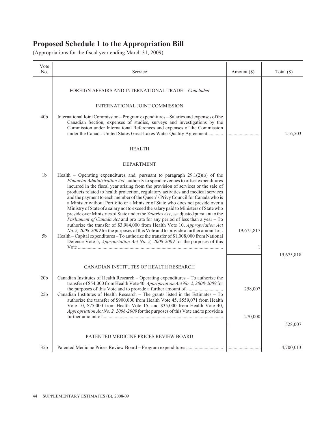| Vote<br>No.     | Service                                                                                                                                                                                                                                                                                                                                                                                                                                                                                                                                                                                                   | Amount $(\$)$   | Total $(\$)$ |
|-----------------|-----------------------------------------------------------------------------------------------------------------------------------------------------------------------------------------------------------------------------------------------------------------------------------------------------------------------------------------------------------------------------------------------------------------------------------------------------------------------------------------------------------------------------------------------------------------------------------------------------------|-----------------|--------------|
|                 | FOREIGN AFFAIRS AND INTERNATIONAL TRADE - Concluded                                                                                                                                                                                                                                                                                                                                                                                                                                                                                                                                                       |                 |              |
|                 | INTERNATIONAL JOINT COMMISSION                                                                                                                                                                                                                                                                                                                                                                                                                                                                                                                                                                            |                 |              |
| 40 <sub>b</sub> | International Joint Commission - Program expenditures - Salaries and expenses of the<br>Canadian Section, expenses of studies, surveys and investigations by the<br>Commission under International References and expenses of the Commission<br>under the Canada-United States Great Lakes Water Quality Agreement                                                                                                                                                                                                                                                                                        |                 | 216,503      |
|                 | <b>HEALTH</b>                                                                                                                                                                                                                                                                                                                                                                                                                                                                                                                                                                                             |                 |              |
|                 | <b>DEPARTMENT</b>                                                                                                                                                                                                                                                                                                                                                                                                                                                                                                                                                                                         |                 |              |
| 1 <sub>b</sub>  | Health – Operating expenditures and, pursuant to paragraph $29.1(2)(a)$ of the<br>Financial Administration Act, authority to spend revenues to offset expenditures<br>incurred in the fiscal year arising from the provision of services or the sale of<br>products related to health protection, regulatory activities and medical services<br>and the payment to each member of the Queen's Privy Council for Canada who is<br>a Minister without Portfolio or a Minister of State who does not preside over a<br>Ministry of State of a salary not to exceed the salary paid to Ministers of State who |                 |              |
| 5b              | preside over Ministries of State under the Salaries Act, as adjusted pursuant to the<br>Parliament of Canada Act and pro rata for any period of less than a year - To<br>authorize the transfer of \$3,984,000 from Health Vote 10, Appropriation Act<br>No. 2, 2008-2009 for the purposes of this Vote and to provide a further amount of.<br>Health - Capital expenditures - To authorize the transfer of \$1,008,000 from National<br>Defence Vote 5, <i>Appropriation Act No. 2, 2008-2009</i> for the purposes of this                                                                               | 19,675,817<br>1 | 19,675,818   |
|                 | CANADIAN INSTITUTES OF HEALTH RESEARCH                                                                                                                                                                                                                                                                                                                                                                                                                                                                                                                                                                    |                 |              |
| 20 <sub>b</sub> | Canadian Institutes of Health Research – Operating expenditures – To authorize the<br>transfer of \$54,000 from Health Vote 40, Appropriation Act No. 2, 2008-2009 for                                                                                                                                                                                                                                                                                                                                                                                                                                    | 258,007         |              |
| 25 <sub>b</sub> | Canadian Institutes of Health Research - The grants listed in the Estimates - To<br>authorize the transfer of \$900,000 from Health Vote 45, \$559,071 from Health<br>Vote 10, \$75,000 from Health Vote 15, and \$35,000 from Health Vote 40,<br>Appropriation Act No. 2, 2008-2009 for the purposes of this Vote and to provide a                                                                                                                                                                                                                                                                       |                 |              |
|                 |                                                                                                                                                                                                                                                                                                                                                                                                                                                                                                                                                                                                           | 270,000         | 528,007      |
|                 | PATENTED MEDICINE PRICES REVIEW BOARD                                                                                                                                                                                                                                                                                                                                                                                                                                                                                                                                                                     |                 |              |
| 35 <sub>b</sub> |                                                                                                                                                                                                                                                                                                                                                                                                                                                                                                                                                                                                           |                 | 4,700,013    |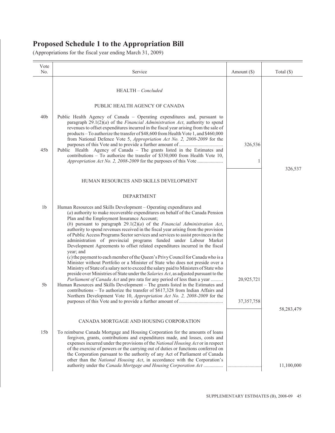| Vote<br>No.                        | Service                                                                                                                                                                                                                                                                                                                                                                                                                                                                                                                                                                                                                                                                                                               | Amount $(\$)$              | Total $(\$)$ |
|------------------------------------|-----------------------------------------------------------------------------------------------------------------------------------------------------------------------------------------------------------------------------------------------------------------------------------------------------------------------------------------------------------------------------------------------------------------------------------------------------------------------------------------------------------------------------------------------------------------------------------------------------------------------------------------------------------------------------------------------------------------------|----------------------------|--------------|
| 40 <sub>b</sub><br>45 <sub>b</sub> | HEALTH - Concluded<br>PUBLIC HEALTH AGENCY OF CANADA<br>Public Health Agency of Canada – Operating expenditures and, pursuant to<br>paragraph $29.1(2)(a)$ of the <i>Financial Administration Act</i> , authority to spend<br>revenues to offset expenditures incurred in the fiscal year arising from the sale of<br>products – To authorize the transfer of \$48,600 from Health Vote 1, and \$460,000<br>from National Defence Vote 5, Appropriation Act No. 2, 2008-2009 for the<br>Public Health Agency of Canada – The grants listed in the Estimates and<br>contributions - To authorize the transfer of \$330,000 from Health Vote 10,                                                                        | 326,536<br>1               |              |
|                                    | HUMAN RESOURCES AND SKILLS DEVELOPMENT<br><b>DEPARTMENT</b>                                                                                                                                                                                                                                                                                                                                                                                                                                                                                                                                                                                                                                                           |                            | 326,537      |
| 1 <sub>b</sub>                     | Human Resources and Skills Development – Operating expenditures and<br>$(a)$ authority to make recoverable expenditures on behalf of the Canada Pension<br>Plan and the Employment Insurance Account;<br>(b) pursuant to paragraph $29.1(2)(a)$ of the Financial Administration Act,<br>authority to spend revenues received in the fiscal year arising from the provision<br>of Public Access Programs Sector services and services to assist provinces in the<br>administration of provincial programs funded under Labour Market<br>Development Agreements to offset related expenditures incurred in the fiscal<br>year; and<br>$(c)$ the payment to each member of the Queen's Privy Council for Canada who is a |                            |              |
| 5b                                 | Minister without Portfolio or a Minister of State who does not preside over a<br>Ministry of State of a salary not to exceed the salary paid to Ministers of State who<br>preside over Ministries of State under the Salaries Act, as adjusted pursuant to the<br>Parliament of Canada Act and pro rata for any period of less than a year<br>Human Resources and Skills Development – The grants listed in the Estimates and<br>contributions - To authorize the transfer of \$617,328 from Indian Affairs and<br>Northern Development Vote 10, Appropriation Act No. 2, 2008-2009 for the                                                                                                                           | 20,925,721<br>37, 357, 758 | 58,283,479   |
|                                    | CANADA MORTGAGE AND HOUSING CORPORATION                                                                                                                                                                                                                                                                                                                                                                                                                                                                                                                                                                                                                                                                               |                            |              |
| 15 <sub>b</sub>                    | To reimburse Canada Mortgage and Housing Corporation for the amounts of loans<br>forgiven, grants, contributions and expenditures made, and losses, costs and<br>expenses incurred under the provisions of the National Housing Act or in respect<br>of the exercise of powers or the carrying out of duties or functions conferred on<br>the Corporation pursuant to the authority of any Act of Parliament of Canada<br>other than the National Housing Act, in accordance with the Corporation's<br>authority under the Canada Mortgage and Housing Corporation Act                                                                                                                                                |                            | 11,100,000   |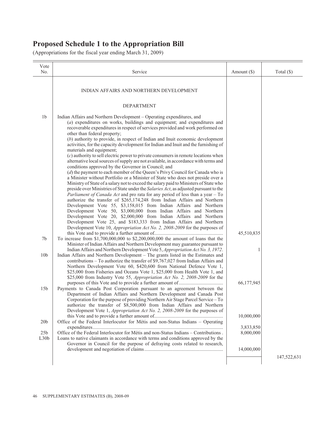| Vote<br>No.                         | Service                                                                                                                                                                                                                                                                                                                                                                                                                                                                                                                                                                                                                                                                                                                                                                                                                                                                                                                                                                                                                                                                                                                                                                                                                                                                                                                                                                                                                                                                                                                        | Amount $(\$)$          | Total $(\$)$ |
|-------------------------------------|--------------------------------------------------------------------------------------------------------------------------------------------------------------------------------------------------------------------------------------------------------------------------------------------------------------------------------------------------------------------------------------------------------------------------------------------------------------------------------------------------------------------------------------------------------------------------------------------------------------------------------------------------------------------------------------------------------------------------------------------------------------------------------------------------------------------------------------------------------------------------------------------------------------------------------------------------------------------------------------------------------------------------------------------------------------------------------------------------------------------------------------------------------------------------------------------------------------------------------------------------------------------------------------------------------------------------------------------------------------------------------------------------------------------------------------------------------------------------------------------------------------------------------|------------------------|--------------|
|                                     | INDIAN AFFAIRS AND NORTHERN DEVELOPMENT                                                                                                                                                                                                                                                                                                                                                                                                                                                                                                                                                                                                                                                                                                                                                                                                                                                                                                                                                                                                                                                                                                                                                                                                                                                                                                                                                                                                                                                                                        |                        |              |
|                                     | DEPARTMENT                                                                                                                                                                                                                                                                                                                                                                                                                                                                                                                                                                                                                                                                                                                                                                                                                                                                                                                                                                                                                                                                                                                                                                                                                                                                                                                                                                                                                                                                                                                     |                        |              |
| 1 <sub>b</sub>                      | Indian Affairs and Northern Development – Operating expenditures, and<br>(a) expenditures on works, buildings and equipment; and expenditures and<br>recoverable expenditures in respect of services provided and work performed on<br>other than federal property;<br>$(b)$ authority to provide, in respect of Indian and Inuit economic development<br>activities, for the capacity development for Indian and Inuit and the furnishing of<br>materials and equipment;<br>$(c)$ authority to sell electric power to private consumers in remote locations when<br>alternative local sources of supply are not available, in accordance with terms and<br>conditions approved by the Governor in Council; and<br>(d) the payment to each member of the Queen's Privy Council for Canada who is<br>a Minister without Portfolio or a Minister of State who does not preside over a<br>Ministry of State of a salary not to exceed the salary paid to Ministers of State who<br>preside over Ministries of State under the Salaries Act, as adjusted pursuant to the<br><i>Parliament of Canada Act</i> and pro rata for any period of less than a year – To<br>authorize the transfer of \$265,174,248 from Indian Affairs and Northern<br>Development Vote 55, \$3,158,015 from Indian Affairs and Northern<br>Development Vote 50, \$3,000,000 from Indian Affairs and Northern<br>Development Vote 20, \$2,000,000 from Indian Affairs and Northern<br>Development Vote 25, and \$183,333 from Indian Affairs and Northern |                        |              |
| 7b                                  | Development Vote 10, Appropriation Act No. 2, 2008-2009 for the purposes of<br>To increase from \$1,700,000,000 to \$2,200,000,000 the amount of loans that the<br>Minister of Indian Affairs and Northern Development may guarantee pursuant to                                                                                                                                                                                                                                                                                                                                                                                                                                                                                                                                                                                                                                                                                                                                                                                                                                                                                                                                                                                                                                                                                                                                                                                                                                                                               | 45,510,835             |              |
| 10 <sub>b</sub>                     | Indian Affairs and Northern Development Vote 5, Appropriation Act No. 3, 1972.<br>Indian Affairs and Northern Development – The grants listed in the Estimates and<br>contributions – To authorize the transfer of $$9,767,027$ from Indian Affairs and<br>Northern Development Vote 60, \$420,600 from National Defence Vote 1,<br>\$25,000 from Fisheries and Oceans Vote 1, \$25,000 from Health Vote 1, and<br>\$25,000 from Industry Vote 55, Appropriation Act No. 2, 2008-2009 for the                                                                                                                                                                                                                                                                                                                                                                                                                                                                                                                                                                                                                                                                                                                                                                                                                                                                                                                                                                                                                                  | 1                      |              |
| 15 <sub>b</sub>                     | Payments to Canada Post Corporation pursuant to an agreement between the<br>Department of Indian Affairs and Northern Development and Canada Post<br>Corporation for the purpose of providing Northern Air Stage Parcel Service - To<br>authorize the transfer of \$8,500,000 from Indian Affairs and Northern<br>Development Vote 1, <i>Appropriation Act No. 2, 2008-2009</i> for the purposes of                                                                                                                                                                                                                                                                                                                                                                                                                                                                                                                                                                                                                                                                                                                                                                                                                                                                                                                                                                                                                                                                                                                            | 66,177,945             |              |
| 20 <sub>b</sub>                     | Office of the Federal Interlocutor for Métis and non-Status Indians - Operating                                                                                                                                                                                                                                                                                                                                                                                                                                                                                                                                                                                                                                                                                                                                                                                                                                                                                                                                                                                                                                                                                                                                                                                                                                                                                                                                                                                                                                                | 10,000,000             |              |
| 25 <sub>b</sub><br>L30 <sub>b</sub> | Office of the Federal Interlocutor for Métis and non-Status Indians – Contributions.<br>Loans to native claimants in accordance with terms and conditions approved by the<br>Governor in Council for the purpose of defraying costs related to research,                                                                                                                                                                                                                                                                                                                                                                                                                                                                                                                                                                                                                                                                                                                                                                                                                                                                                                                                                                                                                                                                                                                                                                                                                                                                       | 3,833,850<br>8,000,000 |              |
|                                     |                                                                                                                                                                                                                                                                                                                                                                                                                                                                                                                                                                                                                                                                                                                                                                                                                                                                                                                                                                                                                                                                                                                                                                                                                                                                                                                                                                                                                                                                                                                                | 14,000,000             | 147,522,631  |
|                                     |                                                                                                                                                                                                                                                                                                                                                                                                                                                                                                                                                                                                                                                                                                                                                                                                                                                                                                                                                                                                                                                                                                                                                                                                                                                                                                                                                                                                                                                                                                                                |                        |              |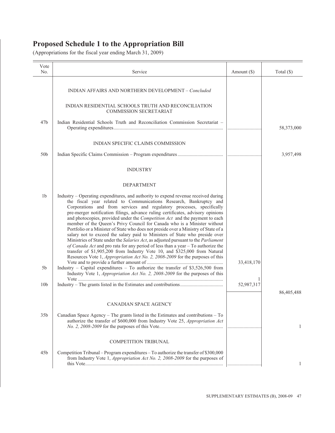| Vote<br>No.                      | Service                                                                                                                                                                                                                                                                                                                                                                                                                                                                                                                                                                                                                                                                                                                                                                                                                                                                                                                                                                                                                                                                                                                                                                    | Amount $(\$)$   | Total $(\$)$ |
|----------------------------------|----------------------------------------------------------------------------------------------------------------------------------------------------------------------------------------------------------------------------------------------------------------------------------------------------------------------------------------------------------------------------------------------------------------------------------------------------------------------------------------------------------------------------------------------------------------------------------------------------------------------------------------------------------------------------------------------------------------------------------------------------------------------------------------------------------------------------------------------------------------------------------------------------------------------------------------------------------------------------------------------------------------------------------------------------------------------------------------------------------------------------------------------------------------------------|-----------------|--------------|
|                                  | <b>INDIAN AFFAIRS AND NORTHERN DEVELOPMENT – Concluded</b>                                                                                                                                                                                                                                                                                                                                                                                                                                                                                                                                                                                                                                                                                                                                                                                                                                                                                                                                                                                                                                                                                                                 |                 |              |
|                                  | INDIAN RESIDENTIAL SCHOOLS TRUTH AND RECONCILIATION<br>COMMISSION SECRETARIAT                                                                                                                                                                                                                                                                                                                                                                                                                                                                                                                                                                                                                                                                                                                                                                                                                                                                                                                                                                                                                                                                                              |                 |              |
| 47 <sub>b</sub>                  | Indian Residential Schools Truth and Reconciliation Commission Secretariat -                                                                                                                                                                                                                                                                                                                                                                                                                                                                                                                                                                                                                                                                                                                                                                                                                                                                                                                                                                                                                                                                                               |                 | 58, 373, 000 |
|                                  | INDIAN SPECIFIC CLAIMS COMMISSION                                                                                                                                                                                                                                                                                                                                                                                                                                                                                                                                                                                                                                                                                                                                                                                                                                                                                                                                                                                                                                                                                                                                          |                 |              |
| 50 <sub>b</sub>                  |                                                                                                                                                                                                                                                                                                                                                                                                                                                                                                                                                                                                                                                                                                                                                                                                                                                                                                                                                                                                                                                                                                                                                                            |                 | 3,957,498    |
|                                  | <b>INDUSTRY</b>                                                                                                                                                                                                                                                                                                                                                                                                                                                                                                                                                                                                                                                                                                                                                                                                                                                                                                                                                                                                                                                                                                                                                            |                 |              |
|                                  | <b>DEPARTMENT</b>                                                                                                                                                                                                                                                                                                                                                                                                                                                                                                                                                                                                                                                                                                                                                                                                                                                                                                                                                                                                                                                                                                                                                          |                 |              |
| 1 <sub>b</sub><br>5 <sub>b</sub> | Industry – Operating expenditures, and authority to expend revenue received during<br>the fiscal year related to Communications Research, Bankruptcy and<br>Corporations and from services and regulatory processes, specifically<br>pre-merger notification filings, advance ruling certificates, advisory opinions<br>and photocopies, provided under the Competition Act and the payment to each<br>member of the Queen's Privy Council for Canada who is a Minister without<br>Portfolio or a Minister of State who does not preside over a Ministry of State of a<br>salary not to exceed the salary paid to Ministers of State who preside over<br>Ministries of State under the Salaries Act, as adjusted pursuant to the Parliament<br>of Canada Act and pro rata for any period of less than a year $-$ To authorize the<br>transfer of \$1,905,200 from Industry Vote 10, and \$325,000 from Natural<br>Resources Vote 1, Appropriation Act No. 2, 2008-2009 for the purposes of this<br>Industry – Capital expenditures – To authorize the transfer of $$3,526,500$ from<br>Industry Vote 1, <i>Appropriation Act No. 2, 2008-2009</i> for the purposes of this | 33,418,170      |              |
| 10 <sub>b</sub>                  |                                                                                                                                                                                                                                                                                                                                                                                                                                                                                                                                                                                                                                                                                                                                                                                                                                                                                                                                                                                                                                                                                                                                                                            | 1<br>52,987,317 |              |
|                                  | CANADIAN SPACE AGENCY                                                                                                                                                                                                                                                                                                                                                                                                                                                                                                                                                                                                                                                                                                                                                                                                                                                                                                                                                                                                                                                                                                                                                      |                 | 86,405,488   |
| 35 <sub>b</sub>                  | Canadian Space Agency – The grants listed in the Estimates and contributions – To<br>authorize the transfer of \$600,000 from Industry Vote 25, Appropriation Act                                                                                                                                                                                                                                                                                                                                                                                                                                                                                                                                                                                                                                                                                                                                                                                                                                                                                                                                                                                                          |                 | 1            |
|                                  | <b>COMPETITION TRIBUNAL</b>                                                                                                                                                                                                                                                                                                                                                                                                                                                                                                                                                                                                                                                                                                                                                                                                                                                                                                                                                                                                                                                                                                                                                |                 |              |
| 45 <sub>b</sub>                  | Competition Tribunal – Program expenditures – To authorize the transfer of \$300,000<br>from Industry Vote 1, Appropriation Act No. 2, 2008-2009 for the purposes of                                                                                                                                                                                                                                                                                                                                                                                                                                                                                                                                                                                                                                                                                                                                                                                                                                                                                                                                                                                                       |                 | 1            |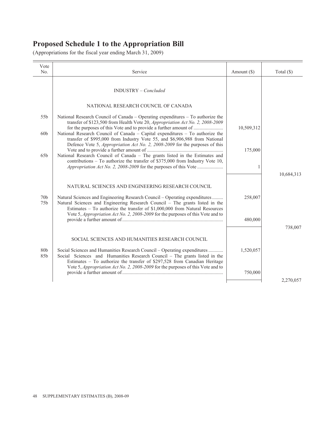| Vote<br>No.                        | Service                                                                                                                                                                                                                                                                                                                        | Amount (\$) | Total $(\$)$ |
|------------------------------------|--------------------------------------------------------------------------------------------------------------------------------------------------------------------------------------------------------------------------------------------------------------------------------------------------------------------------------|-------------|--------------|
|                                    | INDUSTRY - Concluded                                                                                                                                                                                                                                                                                                           |             |              |
|                                    | NATIONAL RESEARCH COUNCIL OF CANADA                                                                                                                                                                                                                                                                                            |             |              |
| 55 <sub>b</sub>                    | National Research Council of Canada – Operating expenditures – To authorize the<br>transfer of \$123,500 from Health Vote 20, <i>Appropriation Act No. 2, 2008-2009</i>                                                                                                                                                        | 10,509,312  |              |
| 60 <sub>b</sub>                    | National Research Council of Canada - Capital expenditures - To authorize the<br>transfer of \$995,000 from Industry Vote 55, and \$6,906,988 from National<br>Defence Vote 5, Appropriation Act No. 2, 2008-2009 for the purposes of this                                                                                     | 175,000     |              |
| 65 <sub>b</sub>                    | National Research Council of Canada - The grants listed in the Estimates and<br>contributions - To authorize the transfer of \$375,000 from Industry Vote 10,                                                                                                                                                                  | 1           |              |
|                                    |                                                                                                                                                                                                                                                                                                                                |             | 10,684,313   |
|                                    | NATURAL SCIENCES AND ENGINEERING RESEARCH COUNCIL                                                                                                                                                                                                                                                                              |             |              |
| 70 <sub>b</sub><br>75 <sub>b</sub> | Natural Sciences and Engineering Research Council – Operating expenditures<br>Natural Sciences and Engineering Research Council - The grants listed in the<br>Estimates $-$ To authorize the transfer of \$1,000,000 from Natural Resources<br>Vote 5, Appropriation Act No. 2, 2008-2009 for the purposes of this Vote and to | 258,007     |              |
|                                    |                                                                                                                                                                                                                                                                                                                                | 480,000     |              |
|                                    |                                                                                                                                                                                                                                                                                                                                |             | 738,007      |
|                                    | SOCIAL SCIENCES AND HUMANITIES RESEARCH COUNCIL                                                                                                                                                                                                                                                                                |             |              |
| 80 <sub>b</sub><br>85b             | Social Sciences and Humanities Research Council – Operating expenditures<br>Social Sciences and Humanities Research Council - The grants listed in the<br>Estimates - To authorize the transfer of \$297,528 from Canadian Heritage                                                                                            | 1,520,057   |              |
|                                    | Vote 5, Appropriation Act No. 2, 2008-2009 for the purposes of this Vote and to                                                                                                                                                                                                                                                | 750,000     |              |
|                                    |                                                                                                                                                                                                                                                                                                                                |             | 2,270,057    |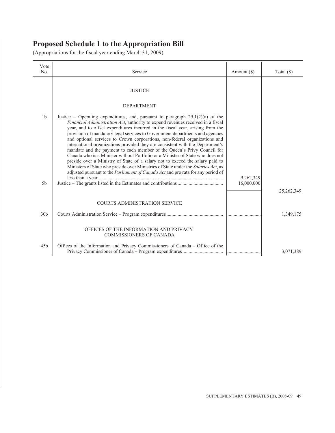| Vote<br>No.                      | Service                                                                                                                                                                                                                                                                                                                                                                                                                                                                                                                                                                                                                                                                                                                                                                                                                                                                                                                       | Amount $(\$)$           | Total $(\$)$ |
|----------------------------------|-------------------------------------------------------------------------------------------------------------------------------------------------------------------------------------------------------------------------------------------------------------------------------------------------------------------------------------------------------------------------------------------------------------------------------------------------------------------------------------------------------------------------------------------------------------------------------------------------------------------------------------------------------------------------------------------------------------------------------------------------------------------------------------------------------------------------------------------------------------------------------------------------------------------------------|-------------------------|--------------|
|                                  | <b>JUSTICE</b>                                                                                                                                                                                                                                                                                                                                                                                                                                                                                                                                                                                                                                                                                                                                                                                                                                                                                                                |                         |              |
|                                  | <b>DEPARTMENT</b>                                                                                                                                                                                                                                                                                                                                                                                                                                                                                                                                                                                                                                                                                                                                                                                                                                                                                                             |                         |              |
| 1 <sub>b</sub><br>5 <sub>b</sub> | Justice – Operating expenditures, and, pursuant to paragraph $29.1(2)(a)$ of the<br>Financial Administration Act, authority to expend revenues received in a fiscal<br>year, and to offset expenditures incurred in the fiscal year, arising from the<br>provision of mandatory legal services to Government departments and agencies<br>and optional services to Crown corporations, non-federal organizations and<br>international organizations provided they are consistent with the Department's<br>mandate and the payment to each member of the Queen's Privy Council for<br>Canada who is a Minister without Portfolio or a Minister of State who does not<br>preside over a Ministry of State of a salary not to exceed the salary paid to<br>Ministers of State who preside over Ministries of State under the Salaries Act, as<br>adjusted pursuant to the Parliament of Canada Act and pro rata for any period of | 9,262,349<br>16,000,000 |              |
|                                  |                                                                                                                                                                                                                                                                                                                                                                                                                                                                                                                                                                                                                                                                                                                                                                                                                                                                                                                               |                         | 25, 262, 349 |
|                                  | <b>COURTS ADMINISTRATION SERVICE</b>                                                                                                                                                                                                                                                                                                                                                                                                                                                                                                                                                                                                                                                                                                                                                                                                                                                                                          |                         |              |
| 30 <sub>b</sub>                  |                                                                                                                                                                                                                                                                                                                                                                                                                                                                                                                                                                                                                                                                                                                                                                                                                                                                                                                               |                         | 1,349,175    |
|                                  | OFFICES OF THE INFORMATION AND PRIVACY<br><b>COMMISSIONERS OF CANADA</b>                                                                                                                                                                                                                                                                                                                                                                                                                                                                                                                                                                                                                                                                                                                                                                                                                                                      |                         |              |
| 45 <sub>b</sub>                  | Offices of the Information and Privacy Commissioners of Canada - Office of the                                                                                                                                                                                                                                                                                                                                                                                                                                                                                                                                                                                                                                                                                                                                                                                                                                                |                         | 3,071,389    |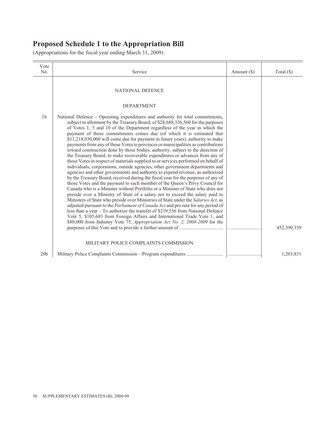| Vote<br>No.     | Service                                                                                                                                                                                                                                                                                                                                                                                                                                                                                                                                                                                                                                                                                                                                                                                                                                                                                                                                                                                                                                                                                                                                                                                                                                                                                                                                                                                                                                                                                                                                                                                                                                                                                     | Amount (\$) | Total $(\$)$ |
|-----------------|---------------------------------------------------------------------------------------------------------------------------------------------------------------------------------------------------------------------------------------------------------------------------------------------------------------------------------------------------------------------------------------------------------------------------------------------------------------------------------------------------------------------------------------------------------------------------------------------------------------------------------------------------------------------------------------------------------------------------------------------------------------------------------------------------------------------------------------------------------------------------------------------------------------------------------------------------------------------------------------------------------------------------------------------------------------------------------------------------------------------------------------------------------------------------------------------------------------------------------------------------------------------------------------------------------------------------------------------------------------------------------------------------------------------------------------------------------------------------------------------------------------------------------------------------------------------------------------------------------------------------------------------------------------------------------------------|-------------|--------------|
|                 | <b>NATIONAL DEFENCE</b>                                                                                                                                                                                                                                                                                                                                                                                                                                                                                                                                                                                                                                                                                                                                                                                                                                                                                                                                                                                                                                                                                                                                                                                                                                                                                                                                                                                                                                                                                                                                                                                                                                                                     |             |              |
|                 | <b>DEPARTMENT</b>                                                                                                                                                                                                                                                                                                                                                                                                                                                                                                                                                                                                                                                                                                                                                                                                                                                                                                                                                                                                                                                                                                                                                                                                                                                                                                                                                                                                                                                                                                                                                                                                                                                                           |             |              |
| 1 <sub>b</sub>  | National Defence – Operating expenditures and authority for total commitments,<br>subject to allotment by the Treasury Board, of \$28,688,336,560 for the purposes<br>of Votes 1, 5 and 10 of the Department regardless of the year in which the<br>payment of those commitments comes due (of which it is estimated that<br>\$11,218,030,000 will come due for payment in future years), authority to make<br>payments from any of those Votes to provinces or municipalities as contributions<br>toward construction done by those bodies, authority, subject to the direction of<br>the Treasury Board, to make recoverable expenditures or advances from any of<br>those Votes in respect of materials supplied to or services performed on behalf of<br>individuals, corporations, outside agencies, other government departments and<br>agencies and other governments and authority to expend revenue, as authorized<br>by the Treasury Board, received during the fiscal year for the purposes of any of<br>those Votes and the payment to each member of the Queen's Privy Council for<br>Canada who is a Minister without Portfolio or a Minister of State who does not<br>preside over a Ministry of State of a salary not to exceed the salary paid to<br>Ministers of State who preside over Ministries of State under the Salaries Act, as<br>adjusted pursuant to the Parliament of Canada Act and pro rata for any period of<br>less than a year - To authorize the transfer of \$219,556 from National Defence<br>Vote 5, \$105,683 from Foreign Affairs and International Trade Vote 1, and<br>\$80,000 from Industry Vote 75, Appropriation Act No. 2, 2008-2009 for the |             | 452,399,359  |
|                 | MILITARY POLICE COMPLAINTS COMMISSION                                                                                                                                                                                                                                                                                                                                                                                                                                                                                                                                                                                                                                                                                                                                                                                                                                                                                                                                                                                                                                                                                                                                                                                                                                                                                                                                                                                                                                                                                                                                                                                                                                                       |             |              |
| 20 <sub>b</sub> |                                                                                                                                                                                                                                                                                                                                                                                                                                                                                                                                                                                                                                                                                                                                                                                                                                                                                                                                                                                                                                                                                                                                                                                                                                                                                                                                                                                                                                                                                                                                                                                                                                                                                             |             | 1,203,831    |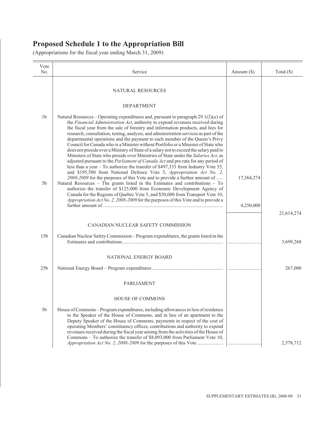| Vote<br>No.     | Service                                                                                                                                                                                                                                                                                                                                                                                                                                                                                                                                                                                                                                                                                                                                                                                             | Amount $(\$)$           | Total $(\$)$ |
|-----------------|-----------------------------------------------------------------------------------------------------------------------------------------------------------------------------------------------------------------------------------------------------------------------------------------------------------------------------------------------------------------------------------------------------------------------------------------------------------------------------------------------------------------------------------------------------------------------------------------------------------------------------------------------------------------------------------------------------------------------------------------------------------------------------------------------------|-------------------------|--------------|
|                 | NATURAL RESOURCES                                                                                                                                                                                                                                                                                                                                                                                                                                                                                                                                                                                                                                                                                                                                                                                   |                         |              |
|                 | <b>DEPARTMENT</b>                                                                                                                                                                                                                                                                                                                                                                                                                                                                                                                                                                                                                                                                                                                                                                                   |                         |              |
| 1 <sub>b</sub>  | Natural Resources – Operating expenditures and, pursuant to paragraph $29.1(2)(a)$ of<br>the Financial Administration Act, authority to expend revenues received during<br>the fiscal year from the sale of forestry and information products, and fees for<br>research, consultation, testing, analysis, and administration services as part of the<br>departmental operations and the payment to each member of the Queen's Privy<br>Council for Canada who is a Minister without Portfolio or a Minister of State who<br>does not preside over a Ministry of State of a salary not to exceed the salary paid to<br>Ministers of State who preside over Ministries of State under the Salaries Act, as<br>adjusted pursuant to the <i>Parliament of Canada Act</i> and pro rata for any period of |                         |              |
| 5b              | less than a year - To authorize the transfer of \$497,333 from Industry Vote 55,<br>and \$195,500 from National Defence Vote 5, Appropriation Act No. 2,<br>2008-2009 for the purposes of this Vote and to provide a further amount of<br>Natural Resources – The grants listed in the Estimates and contributions – To<br>authorize the transfer of \$125,000 from Economic Development Agency of<br>Canada for the Regions of Quebec Vote 5, and \$50,000 from Transport Vote 10,<br><i>Appropriation Act No. 2, 2008-2009</i> for the purposes of this Vote and to provide a                                                                                                                                                                                                                     | 17,364,274<br>4,250,000 |              |
|                 |                                                                                                                                                                                                                                                                                                                                                                                                                                                                                                                                                                                                                                                                                                                                                                                                     |                         | 21,614,274   |
|                 | CANADIAN NUCLEAR SAFETY COMMISSION                                                                                                                                                                                                                                                                                                                                                                                                                                                                                                                                                                                                                                                                                                                                                                  |                         |              |
| 15 <sub>b</sub> | Canadian Nuclear Safety Commission – Program expenditures, the grants listed in the                                                                                                                                                                                                                                                                                                                                                                                                                                                                                                                                                                                                                                                                                                                 |                         | 3,699,268    |
|                 | NATIONAL ENERGY BOARD                                                                                                                                                                                                                                                                                                                                                                                                                                                                                                                                                                                                                                                                                                                                                                               |                         |              |
| 25 <sub>b</sub> |                                                                                                                                                                                                                                                                                                                                                                                                                                                                                                                                                                                                                                                                                                                                                                                                     |                         | 267,000      |
|                 | <b>PARLIAMENT</b>                                                                                                                                                                                                                                                                                                                                                                                                                                                                                                                                                                                                                                                                                                                                                                                   |                         |              |
|                 | <b>HOUSE OF COMMONS</b>                                                                                                                                                                                                                                                                                                                                                                                                                                                                                                                                                                                                                                                                                                                                                                             |                         |              |
| 5 <sub>b</sub>  | House of Commons – Program expenditures, including allowances in lieu of residence<br>to the Speaker of the House of Commons, and in lieu of an apartment to the<br>Deputy Speaker of the House of Commons, payments in respect of the cost of<br>operating Members' constituency offices, contributions and authority to expend<br>revenues received during the fiscal year arising from the activities of the House of<br>Commons $-$ To authorize the transfer of \$8,093,000 from Parliament Vote 10,<br>Appropriation Act No. 2, 2008-2009 for the purposes of this Vote                                                                                                                                                                                                                       |                         | 2,578,712    |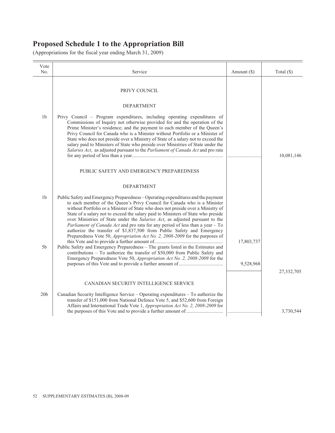| Vote<br>No.     | Service                                                                                                                                                                                                                                                                                                                                                                                                                                                                                                                                                                           | Amount $(\$)$ | Total $(\$)$ |
|-----------------|-----------------------------------------------------------------------------------------------------------------------------------------------------------------------------------------------------------------------------------------------------------------------------------------------------------------------------------------------------------------------------------------------------------------------------------------------------------------------------------------------------------------------------------------------------------------------------------|---------------|--------------|
|                 | PRIVY COUNCIL                                                                                                                                                                                                                                                                                                                                                                                                                                                                                                                                                                     |               |              |
|                 | <b>DEPARTMENT</b>                                                                                                                                                                                                                                                                                                                                                                                                                                                                                                                                                                 |               |              |
| 1b              | Privy Council – Program expenditures, including operating expenditures of<br>Commissions of Inquiry not otherwise provided for and the operation of the<br>Prime Minister's residence; and the payment to each member of the Queen's<br>Privy Council for Canada who is a Minister without Portfolio or a Minister of<br>State who does not preside over a Ministry of State of a salary not to exceed the<br>salary paid to Ministers of State who preside over Ministries of State under the<br>Salaries Act, as adjusted pursuant to the Parliament of Canada Act and pro rata |               | 10,081,146   |
|                 | PUBLIC SAFETY AND EMERGENCY PREPAREDNESS                                                                                                                                                                                                                                                                                                                                                                                                                                                                                                                                          |               |              |
|                 | <b>DEPARTMENT</b>                                                                                                                                                                                                                                                                                                                                                                                                                                                                                                                                                                 |               |              |
| 1 <sub>b</sub>  | Public Safety and Emergency Preparedness - Operating expenditures and the payment<br>to each member of the Queen's Privy Council for Canada who is a Minister<br>without Portfolio or a Minister of State who does not preside over a Ministry of<br>State of a salary not to exceed the salary paid to Ministers of State who preside<br>over Ministries of State under the Salaries Act, as adjusted pursuant to the<br>Parliament of Canada Act and pro rata for any period of less than a year - To<br>authorize the transfer of \$1,837,500 from Public Safety and Emergency |               |              |
| 5b              | Preparedness Vote 50, Appropriation Act No. 2, 2008-2009 for the purposes of<br>Public Safety and Emergency Preparedness - The grants listed in the Estimates and<br>contributions - To authorize the transfer of \$50,000 from Public Safety and<br>Emergency Preparedness Vote 50, Appropriation Act No. 2, 2008-2009 for the                                                                                                                                                                                                                                                   | 17,803,737    |              |
|                 |                                                                                                                                                                                                                                                                                                                                                                                                                                                                                                                                                                                   | 9,528,968     | 27,332,705   |
|                 | CANADIAN SECURITY INTELLIGENCE SERVICE                                                                                                                                                                                                                                                                                                                                                                                                                                                                                                                                            |               |              |
| 20 <sub>b</sub> | Canadian Security Intelligence Service – Operating expenditures – To authorize the<br>transfer of \$151,000 from National Defence Vote 5, and \$52,600 from Foreign<br>Affairs and International Trade Vote 1, Appropriation Act No. 2, 2008-2009 for                                                                                                                                                                                                                                                                                                                             |               |              |
|                 |                                                                                                                                                                                                                                                                                                                                                                                                                                                                                                                                                                                   |               | 3,730,544    |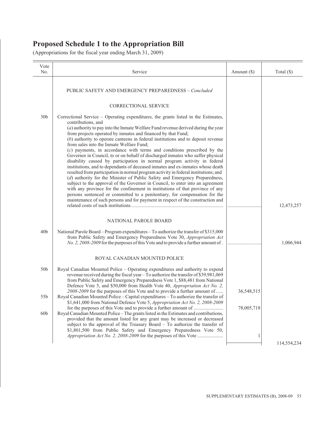| Vote<br>No.     | Service                                                                                                                                                                                                                                                                                                                                                                                                                                                                                                                                                                                                                                                                                                                                                                                                                                                                                                                                                                                                                                                                                                                                                                                                                                 | Amount $(\$)$              | Total $(\$)$ |
|-----------------|-----------------------------------------------------------------------------------------------------------------------------------------------------------------------------------------------------------------------------------------------------------------------------------------------------------------------------------------------------------------------------------------------------------------------------------------------------------------------------------------------------------------------------------------------------------------------------------------------------------------------------------------------------------------------------------------------------------------------------------------------------------------------------------------------------------------------------------------------------------------------------------------------------------------------------------------------------------------------------------------------------------------------------------------------------------------------------------------------------------------------------------------------------------------------------------------------------------------------------------------|----------------------------|--------------|
|                 | <b>PUBLIC SAFETY AND EMERGENCY PREPAREDNESS - Concluded</b>                                                                                                                                                                                                                                                                                                                                                                                                                                                                                                                                                                                                                                                                                                                                                                                                                                                                                                                                                                                                                                                                                                                                                                             |                            |              |
|                 | <b>CORRECTIONAL SERVICE</b>                                                                                                                                                                                                                                                                                                                                                                                                                                                                                                                                                                                                                                                                                                                                                                                                                                                                                                                                                                                                                                                                                                                                                                                                             |                            |              |
| 30 <sub>b</sub> | Correctional Service – Operating expenditures, the grants listed in the Estimates,<br>contributions, and<br>$(a)$ authority to pay into the Inmate Welfare Fund revenue derived during the year<br>from projects operated by inmates and financed by that Fund;<br>$(b)$ authority to operate canteens in federal institutions and to deposit revenue<br>from sales into the Inmate Welfare Fund:<br>$(c)$ payments, in accordance with terms and conditions prescribed by the<br>Governor in Council, to or on behalf of discharged inmates who suffer physical<br>disability caused by participation in normal program activity in federal<br>institutions, and to dependants of deceased inmates and ex-inmates whose death<br>resulted from participation in normal program activity in federal institutions; and<br>(d) authority for the Minister of Public Safety and Emergency Preparedness,<br>subject to the approval of the Governor in Council, to enter into an agreement<br>with any province for the confinement in institutions of that province of any<br>persons sentenced or committed to a penitentiary, for compensation for the<br>maintenance of such persons and for payment in respect of the construction and |                            | 12,473,257   |
|                 | NATIONAL PAROLE BOARD                                                                                                                                                                                                                                                                                                                                                                                                                                                                                                                                                                                                                                                                                                                                                                                                                                                                                                                                                                                                                                                                                                                                                                                                                   |                            |              |
| 40 <sub>b</sub> | National Parole Board – Program expenditures – To authorize the transfer of \$315,000<br>from Public Safety and Emergency Preparedness Vote 30, Appropriation Act<br>No. 2, 2008-2009 for the purposes of this Vote and to provide a further amount of.                                                                                                                                                                                                                                                                                                                                                                                                                                                                                                                                                                                                                                                                                                                                                                                                                                                                                                                                                                                 |                            | 1.006.944    |
|                 | ROYAL CANADIAN MOUNTED POLICE                                                                                                                                                                                                                                                                                                                                                                                                                                                                                                                                                                                                                                                                                                                                                                                                                                                                                                                                                                                                                                                                                                                                                                                                           |                            |              |
| 50 <sub>b</sub> | Royal Canadian Mounted Police – Operating expenditures and authority to expend<br>revenue received during the fiscal year – To authorize the transfer of \$39,981,069<br>from Public Safety and Emergency Preparedness Vote 1, \$88,481 from National<br>Defence Vote 5, and \$50,000 from Health Vote 40, Appropriation Act No. 2,<br>2008-2009 for the purposes of this Vote and to provide a further amount of                                                                                                                                                                                                                                                                                                                                                                                                                                                                                                                                                                                                                                                                                                                                                                                                                       | 36,548,515                 |              |
| 55b             | Royal Canadian Mounted Police – Capital expenditures – To authorize the transfer of<br>\$1,641,000 from National Defence Vote 5, Appropriation Act No. 2, 2008-2009                                                                                                                                                                                                                                                                                                                                                                                                                                                                                                                                                                                                                                                                                                                                                                                                                                                                                                                                                                                                                                                                     |                            |              |
| 60 <sub>b</sub> | Royal Canadian Mounted Police - The grants listed in the Estimates and contributions,<br>provided that the amount listed for any grant may be increased or decreased<br>subject to the approval of the Treasury Board - To authorize the transfer of<br>\$1,801,500 from Public Safety and Emergency Preparedness Vote 50,<br>Appropriation Act No. 2, 2008-2009 for the purposes of this Vote                                                                                                                                                                                                                                                                                                                                                                                                                                                                                                                                                                                                                                                                                                                                                                                                                                          | 78,005,718<br>$\mathbf{1}$ |              |
|                 |                                                                                                                                                                                                                                                                                                                                                                                                                                                                                                                                                                                                                                                                                                                                                                                                                                                                                                                                                                                                                                                                                                                                                                                                                                         |                            | 114,554,234  |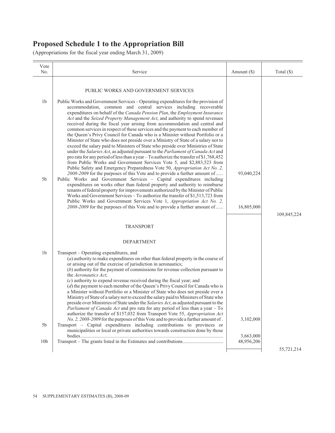| Vote<br>No.                             | Service                                                                                                                                                                                                                                                                                                                                                                                                                                                                                                                                                                                                                                                                                                                                                                                                                                                                                                                                                                                                                                                                                                                                                                                                                                                                                                                                                                                                                                                                                                                                                                                                                                                                                            | Amount $(\$)$                        | Total $(\$)$ |
|-----------------------------------------|----------------------------------------------------------------------------------------------------------------------------------------------------------------------------------------------------------------------------------------------------------------------------------------------------------------------------------------------------------------------------------------------------------------------------------------------------------------------------------------------------------------------------------------------------------------------------------------------------------------------------------------------------------------------------------------------------------------------------------------------------------------------------------------------------------------------------------------------------------------------------------------------------------------------------------------------------------------------------------------------------------------------------------------------------------------------------------------------------------------------------------------------------------------------------------------------------------------------------------------------------------------------------------------------------------------------------------------------------------------------------------------------------------------------------------------------------------------------------------------------------------------------------------------------------------------------------------------------------------------------------------------------------------------------------------------------------|--------------------------------------|--------------|
| 1b<br>5b                                | PUBLIC WORKS AND GOVERNMENT SERVICES<br>Public Works and Government Services - Operating expenditures for the provision of<br>accommodation, common and central services including recoverable<br>expenditures on behalf of the Canada Pension Plan, the Employment Insurance<br>Act and the Seized Property Management Act, and authority to spend revenues<br>received during the fiscal year arising from accommodation and central and<br>common services in respect of these services and the payment to each member of<br>the Queen's Privy Council for Canada who is a Minister without Portfolio or a<br>Minister of State who does not preside over a Ministry of State of a salary not to<br>exceed the salary paid to Ministers of State who preside over Ministries of State<br>under the Salaries Act, as adjusted pursuant to the Parliament of Canada Act and<br>pro rata for any period of less than a year - To authorize the transfer of \$1,768,452<br>from Public Works and Government Services Vote 5, and \$2,883,523 from<br>Public Safety and Emergency Preparedness Vote 50, Appropriation Act No. 2,<br>2008-2009 for the purposes of this Vote and to provide a further amount of<br>Public Works and Government Services – Capital expenditures including<br>expenditures on works other than federal property and authority to reimburse<br>tenants of federal property for improvements authorized by the Minister of Public<br>Works and Government Services - To authorize the transfer of \$1,513,723 from<br>Public Works and Government Services Vote 1, Appropriation Act No. 2,<br>2008-2009 for the purposes of this Vote and to provide a further amount of | 93,040,224<br>16,805,000             | 109,845,224  |
|                                         | <b>TRANSPORT</b><br>DEPARTMENT                                                                                                                                                                                                                                                                                                                                                                                                                                                                                                                                                                                                                                                                                                                                                                                                                                                                                                                                                                                                                                                                                                                                                                                                                                                                                                                                                                                                                                                                                                                                                                                                                                                                     |                                      |              |
| 1 <sub>b</sub><br>5b<br>10 <sub>b</sub> | Transport – Operating expenditures, and<br>$(a)$ authority to make expenditures on other than federal property in the course of<br>or arising out of the exercise of jurisdiction in aeronautics;<br>$(b)$ authority for the payment of commissions for revenue collection pursuant to<br>the Aeronautics Act;<br>$(c)$ authority to expend revenue received during the fiscal year; and<br>$(d)$ the payment to each member of the Queen's Privy Council for Canada who is<br>a Minister without Portfolio or a Minister of State who does not preside over a<br>Ministry of State of a salary not to exceed the salary paid to Ministers of State who<br>preside over Ministries of State under the Salaries Act, as adjusted pursuant to the<br>Parliament of Canada Act and pro rata for any period of less than a year - To<br>authorize the transfer of \$157,032 from Transport Vote 55, Appropriation Act<br>No. 2, 2008-2009 for the purposes of this Vote and to provide a further amount of.<br>Transport - Capital expenditures including contributions to provinces or<br>municipalities or local or private authorities towards construction done by those                                                                                                                                                                                                                                                                                                                                                                                                                                                                                                                           | 3,102,008<br>3,663,000<br>48,956,206 |              |
|                                         |                                                                                                                                                                                                                                                                                                                                                                                                                                                                                                                                                                                                                                                                                                                                                                                                                                                                                                                                                                                                                                                                                                                                                                                                                                                                                                                                                                                                                                                                                                                                                                                                                                                                                                    |                                      | 55,721,214   |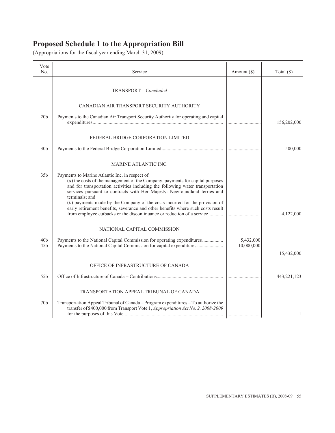| Vote<br>No.     | Service                                                                                                                                                                                                                                                                                                                                                                                                                                                                                                                                                          | Amount (\$)             | Total (\$)  |
|-----------------|------------------------------------------------------------------------------------------------------------------------------------------------------------------------------------------------------------------------------------------------------------------------------------------------------------------------------------------------------------------------------------------------------------------------------------------------------------------------------------------------------------------------------------------------------------------|-------------------------|-------------|
|                 | TRANSPORT - Concluded                                                                                                                                                                                                                                                                                                                                                                                                                                                                                                                                            |                         |             |
|                 | CANADIAN AIR TRANSPORT SECURITY AUTHORITY                                                                                                                                                                                                                                                                                                                                                                                                                                                                                                                        |                         |             |
| 20 <sub>b</sub> | Payments to the Canadian Air Transport Security Authority for operating and capital                                                                                                                                                                                                                                                                                                                                                                                                                                                                              |                         | 156,202,000 |
|                 | FEDERAL BRIDGE CORPORATION LIMITED                                                                                                                                                                                                                                                                                                                                                                                                                                                                                                                               |                         |             |
| 30 <sub>b</sub> |                                                                                                                                                                                                                                                                                                                                                                                                                                                                                                                                                                  |                         | 500,000     |
|                 | MARINE ATLANTIC INC.                                                                                                                                                                                                                                                                                                                                                                                                                                                                                                                                             |                         |             |
| 35 <sub>b</sub> | Payments to Marine Atlantic Inc. in respect of<br>$(a)$ the costs of the management of the Company, payments for capital purposes<br>and for transportation activities including the following water transportation<br>services pursuant to contracts with Her Majesty: Newfoundland ferries and<br>terminals; and<br>$(b)$ payments made by the Company of the costs incurred for the provision of<br>early retirement benefits, severance and other benefits where such costs result<br>from employee cutbacks or the discontinuance or reduction of a service |                         | 4,122,000   |
|                 | NATIONAL CAPITAL COMMISSION                                                                                                                                                                                                                                                                                                                                                                                                                                                                                                                                      |                         |             |
| 40b<br>45b      | Payments to the National Capital Commission for operating expenditures<br>Payments to the National Capital Commission for capital expenditures                                                                                                                                                                                                                                                                                                                                                                                                                   | 5,432,000<br>10,000,000 | 15,432,000  |
|                 | OFFICE OF INFRASTRUCTURE OF CANADA                                                                                                                                                                                                                                                                                                                                                                                                                                                                                                                               |                         |             |
| 55b             |                                                                                                                                                                                                                                                                                                                                                                                                                                                                                                                                                                  |                         | 443,221,123 |
|                 | TRANSPORTATION APPEAL TRIBUNAL OF CANADA                                                                                                                                                                                                                                                                                                                                                                                                                                                                                                                         |                         |             |
| 70 <sub>b</sub> | Transportation Appeal Tribunal of Canada - Program expenditures - To authorize the<br>transfer of \$400,000 from Transport Vote 1, Appropriation Act No. 2, 2008-2009                                                                                                                                                                                                                                                                                                                                                                                            |                         | 1           |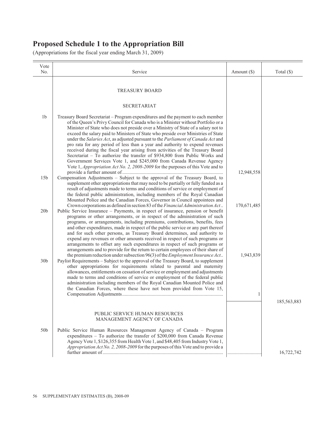| Vote<br>No.     | Service                                                                                                                                                                                                                                                                                                                                                                                                                                                                                                                                                                                                                                                                                                                                                                                                                                       | Amount $(\$)$  | Total $(\$)$ |
|-----------------|-----------------------------------------------------------------------------------------------------------------------------------------------------------------------------------------------------------------------------------------------------------------------------------------------------------------------------------------------------------------------------------------------------------------------------------------------------------------------------------------------------------------------------------------------------------------------------------------------------------------------------------------------------------------------------------------------------------------------------------------------------------------------------------------------------------------------------------------------|----------------|--------------|
|                 | <b>TREASURY BOARD</b>                                                                                                                                                                                                                                                                                                                                                                                                                                                                                                                                                                                                                                                                                                                                                                                                                         |                |              |
|                 | <b>SECRETARIAT</b>                                                                                                                                                                                                                                                                                                                                                                                                                                                                                                                                                                                                                                                                                                                                                                                                                            |                |              |
| 1 <sub>b</sub>  | Treasury Board Secretariat – Program expenditures and the payment to each member<br>of the Queen's Privy Council for Canada who is a Minister without Portfolio or a<br>Minister of State who does not preside over a Ministry of State of a salary not to<br>exceed the salary paid to Ministers of State who preside over Ministries of State<br>under the Salaries Act, as adjusted pursuant to the Parliament of Canada Act and<br>pro rata for any period of less than a year and authority to expend revenues<br>received during the fiscal year arising from activities of the Treasury Board<br>Secretariat - To authorize the transfer of \$934,800 from Public Works and<br>Government Services Vote 1, and \$245,000 from Canada Revenue Agency<br>Vote 1, Appropriation Act No. 2, 2008-2009 for the purposes of this Vote and to |                |              |
| 15 <sub>b</sub> | Compensation Adjustments - Subject to the approval of the Treasury Board, to<br>supplement other appropriations that may need to be partially or fully funded as a<br>result of adjustments made to terms and conditions of service or employment of<br>the federal public administration, including members of the Royal Canadian<br>Mounted Police and the Canadian Forces, Governor in Council appointees and                                                                                                                                                                                                                                                                                                                                                                                                                              | 12,948,558     |              |
| 20 <sub>b</sub> | Crown corporations as defined in section 83 of the Financial Administration Act<br>Public Service Insurance - Payments, in respect of insurance, pension or benefit<br>programs or other arrangements, or in respect of the administration of such<br>programs, or arrangements, including premiums, contributions, benefits, fees<br>and other expenditures, made in respect of the public service or any part thereof<br>and for such other persons, as Treasury Board determines, and authority to<br>expend any revenues or other amounts received in respect of such programs or<br>arrangements to offset any such expenditures in respect of such programs or<br>arrangements and to provide for the return to certain employees of their share of                                                                                     | 170,671,485    |              |
| 30 <sub>b</sub> | the premium reduction under subsection 96(3) of the <i>Employment Insurance Act</i><br>Paylist Requirements – Subject to the approval of the Treasury Board, to supplement<br>other appropriations for requirements related to parental and maternity<br>allowances, entitlements on cessation of service or employment and adjustments<br>made to terms and conditions of service or employment of the federal public<br>administration including members of the Royal Canadian Mounted Police and<br>the Canadian Forces, where these have not been provided from Vote 15,                                                                                                                                                                                                                                                                  | 1,943,839<br>1 | 185,563,883  |
|                 | PUBLIC SERVICE HUMAN RESOURCES                                                                                                                                                                                                                                                                                                                                                                                                                                                                                                                                                                                                                                                                                                                                                                                                                |                |              |
|                 | MANAGEMENT AGENCY OF CANADA                                                                                                                                                                                                                                                                                                                                                                                                                                                                                                                                                                                                                                                                                                                                                                                                                   |                |              |
| 50 <sub>b</sub> | Public Service Human Resources Management Agency of Canada – Program<br>expenditures - To authorize the transfer of \$200,000 from Canada Revenue<br>Agency Vote 1, \$126,355 from Health Vote 1, and \$48,405 from Industry Vote 1,<br>Appropriation Act No. 2, 2008-2009 for the purposes of this Vote and to provide a                                                                                                                                                                                                                                                                                                                                                                                                                                                                                                                     |                | 16,722,742   |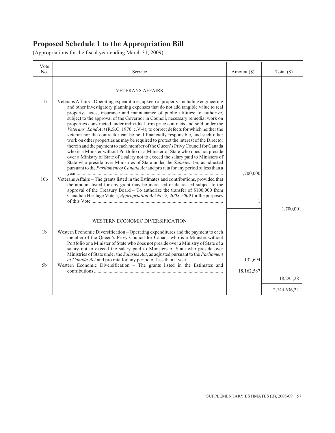| Vote<br>No.                       | Service                                                                                                                                                                                                                                                                                                                                                                                                                                                                                                                                                                                                                                                                                                                                                                                                                                                                                                                                                                                                                                                                                                                                                                                                                                                                                                                                                                                                                                                                                                       | Amount $(\$)$         | Total $(\$)$  |  |
|-----------------------------------|---------------------------------------------------------------------------------------------------------------------------------------------------------------------------------------------------------------------------------------------------------------------------------------------------------------------------------------------------------------------------------------------------------------------------------------------------------------------------------------------------------------------------------------------------------------------------------------------------------------------------------------------------------------------------------------------------------------------------------------------------------------------------------------------------------------------------------------------------------------------------------------------------------------------------------------------------------------------------------------------------------------------------------------------------------------------------------------------------------------------------------------------------------------------------------------------------------------------------------------------------------------------------------------------------------------------------------------------------------------------------------------------------------------------------------------------------------------------------------------------------------------|-----------------------|---------------|--|
| 1 <sub>b</sub><br>10 <sub>b</sub> | <b>VETERANS AFFAIRS</b><br>Veterans Affairs – Operating expenditures, upkeep of property, including engineering<br>and other investigatory planning expenses that do not add tangible value to real<br>property, taxes, insurance and maintenance of public utilities; to authorize,<br>subject to the approval of the Governor in Council, necessary remedial work on<br>properties constructed under individual firm price contracts and sold under the<br>Veterans' Land Act (R.S.C. 1970, c.V-4), to correct defects for which neither the<br>veteran nor the contractor can be held financially responsible, and such other<br>work on other properties as may be required to protect the interest of the Director<br>therein and the payment to each member of the Queen's Privy Council for Canada<br>who is a Minister without Portfolio or a Minister of State who does not preside<br>over a Ministry of State of a salary not to exceed the salary paid to Ministers of<br>State who preside over Ministries of State under the Salaries Act, as adjusted<br>pursuant to the <i>Parliament of Canada Act</i> and pro rata for any period of less than a<br>Veterans Affairs - The grants listed in the Estimates and contributions, provided that<br>the amount listed for any grant may be increased or decreased subject to the<br>approval of the Treasury Board - To authorize the transfer of \$100,000 from<br>Canadian Heritage Vote 5, Appropriation Act No. 2, 2008-2009 for the purposes | 1,700,000<br>1        | 1,700,001     |  |
| 1b<br>5b                          | WESTERN ECONOMIC DIVERSIFICATION<br>Western Economic Diversification - Operating expenditures and the payment to each<br>member of the Queen's Privy Council for Canada who is a Minister without<br>Portfolio or a Minister of State who does not preside over a Ministry of State of a<br>salary not to exceed the salary paid to Ministers of State who preside over<br>Ministries of State under the Salaries Act, as adjusted pursuant to the Parliament<br>Western Economic Diversification – The grants listed in the Estimates and                                                                                                                                                                                                                                                                                                                                                                                                                                                                                                                                                                                                                                                                                                                                                                                                                                                                                                                                                                    | 132,694<br>18,162,587 | 18,295,281    |  |
|                                   |                                                                                                                                                                                                                                                                                                                                                                                                                                                                                                                                                                                                                                                                                                                                                                                                                                                                                                                                                                                                                                                                                                                                                                                                                                                                                                                                                                                                                                                                                                               |                       | 2,744,636,241 |  |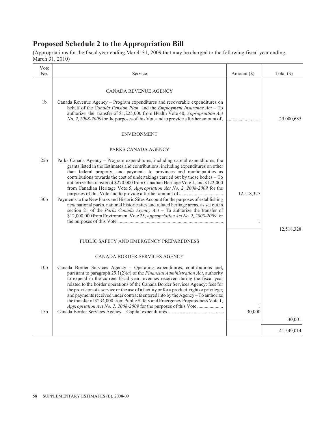(Appropriations for the fiscal year ending March 31, 2009 that may be charged to the following fiscal year ending March 31, 2010)

| Vote<br>No.                        | Service                                                                                                                                                                                                                                                                                                                                                                                                                                                                                                                                                                                                                                                                                                                                                                                                                                             | Amount (\$)     | Total $(\$)$ |
|------------------------------------|-----------------------------------------------------------------------------------------------------------------------------------------------------------------------------------------------------------------------------------------------------------------------------------------------------------------------------------------------------------------------------------------------------------------------------------------------------------------------------------------------------------------------------------------------------------------------------------------------------------------------------------------------------------------------------------------------------------------------------------------------------------------------------------------------------------------------------------------------------|-----------------|--------------|
| 1 <sub>b</sub>                     | <b>CANADA REVENUE AGENCY</b><br>Canada Revenue Agency – Program expenditures and recoverable expenditures on<br>behalf of the Canada Pension Plan and the Employment Insurance $Act - To$<br>authorize the transfer of \$1,225,000 from Health Vote 40, Appropriation Act<br>No. 2, 2008-2009 for the purposes of this Vote and to provide a further amount of.<br><b>ENVIRONMENT</b><br>PARKS CANADA AGENCY                                                                                                                                                                                                                                                                                                                                                                                                                                        |                 | 29,000,685   |
| 25 <sub>b</sub><br>30 <sub>b</sub> | Parks Canada Agency – Program expenditures, including capital expenditures, the<br>grants listed in the Estimates and contributions, including expenditures on other<br>than federal property, and payments to provinces and municipalities as<br>contributions towards the cost of undertakings carried out by those bodies - To<br>authorize the transfer of \$270,000 from Canadian Heritage Vote 1, and \$122,000<br>from Canadian Heritage Vote 5, Appropriation Act No. 2, 2008-2009 for the<br>Payments to the New Parks and Historic Sites Account for the purposes of establishing<br>new national parks, national historic sites and related heritage areas, as set out in<br>section 21 of the Parks Canada Agency $Act$ – To authorize the transfer of<br>\$12,000,000 from Environment Vote 25, Appropriation Act No. 2, 2008-2009 for | 12,518,327<br>1 | 12,518,328   |
|                                    | PUBLIC SAFETY AND EMERGENCY PREPAREDNESS<br>CANADA BORDER SERVICES AGENCY                                                                                                                                                                                                                                                                                                                                                                                                                                                                                                                                                                                                                                                                                                                                                                           |                 |              |
| 10 <sub>b</sub><br>15 <sub>b</sub> | Canada Border Services Agency - Operating expenditures, contributions and,<br>pursuant to paragraph $29.1(2)(a)$ of the <i>Financial Administration Act</i> , authority<br>to expend in the current fiscal year revenues received during the fiscal year<br>related to the border operations of the Canada Border Services Agency: fees for<br>the provision of a service or the use of a facility or for a product, right or privilege;<br>and payments received under contracts entered into by the Agency - To authorize<br>the transfer of \$234,000 from Public Safety and Emergency Preparedness Vote 1,<br>Appropriation Act No. 2, 2008-2009 for the purposes of this Vote                                                                                                                                                                  | 1<br>30,000     |              |
|                                    |                                                                                                                                                                                                                                                                                                                                                                                                                                                                                                                                                                                                                                                                                                                                                                                                                                                     |                 | 30,001       |
|                                    |                                                                                                                                                                                                                                                                                                                                                                                                                                                                                                                                                                                                                                                                                                                                                                                                                                                     |                 | 41,549,014   |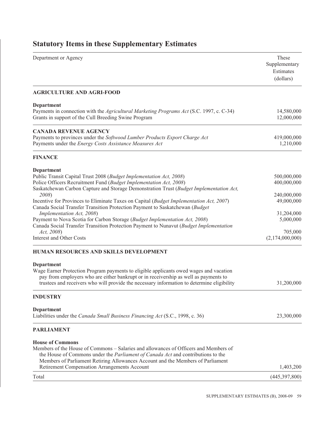# **Statutory Items in these Supplementary Estimates**

| Department or Agency                                                                                                                                                                                                                                                                                                                          | These<br>Supplementary<br>Estimates<br>(dollars) |
|-----------------------------------------------------------------------------------------------------------------------------------------------------------------------------------------------------------------------------------------------------------------------------------------------------------------------------------------------|--------------------------------------------------|
| <b>AGRICULTURE AND AGRI-FOOD</b>                                                                                                                                                                                                                                                                                                              |                                                  |
| <b>Department</b><br>Payments in connection with the Agricultural Marketing Programs Act (S.C. 1997, c. C-34)<br>Grants in support of the Cull Breeding Swine Program                                                                                                                                                                         | 14,580,000<br>12,000,000                         |
| <b>CANADA REVENUE AGENCY</b><br>Payments to provinces under the Softwood Lumber Products Export Charge Act<br>Payments under the <i>Energy Costs Assistance Measures Act</i>                                                                                                                                                                  | 419,000,000<br>1,210,000                         |
| <b>FINANCE</b>                                                                                                                                                                                                                                                                                                                                |                                                  |
| <b>Department</b><br>Public Transit Capital Trust 2008 (Budget Implementation Act, 2008)<br>Police Officers Recruitment Fund (Budget Implementation Act, 2008)<br>Saskatchewan Carbon Capture and Storage Demonstration Trust (Budget Implementation Act,<br>2008)                                                                            | 500,000,000<br>400,000,000<br>240,000,000        |
| Incentive for Provinces to Eliminate Taxes on Capital (Budget Implementation Act, 2007)<br>Canada Social Transfer Transition Protection Payment to Saskatchewan (Budget<br>Implementation Act, 2008)<br>Payment to Nova Scotia for Carbon Storage (Budget Implementation Act, 2008)                                                           | 49,000,000<br>31,204,000<br>5,000,000            |
| Canada Social Transfer Transition Protection Payment to Nunavut (Budget Implementation<br>Act, 2008)<br><b>Interest and Other Costs</b>                                                                                                                                                                                                       | 705,000<br>(2,174,000,000)                       |
| HUMAN RESOURCES AND SKILLS DEVELOPMENT                                                                                                                                                                                                                                                                                                        |                                                  |
| <b>Department</b><br>Wage Earner Protection Program payments to eligible applicants owed wages and vacation<br>pay from employers who are either bankrupt or in receivership as well as payments to<br>trustees and receivers who will provide the necessary information to determine eligibility                                             | 31,200,000                                       |
| <b>INDUSTRY</b>                                                                                                                                                                                                                                                                                                                               |                                                  |
| <b>Department</b><br>Liabilities under the Canada Small Business Financing Act (S.C., 1998, c. 36)                                                                                                                                                                                                                                            | 23,300,000                                       |
| <b>PARLIAMENT</b>                                                                                                                                                                                                                                                                                                                             |                                                  |
| <b>House of Commons</b><br>Members of the House of Commons – Salaries and allowances of Officers and Members of<br>the House of Commons under the <i>Parliament of Canada Act</i> and contributions to the<br>Members of Parliament Retiring Allowances Account and the Members of Parliament<br>Retirement Compensation Arrangements Account | 1,403,200                                        |
| Total                                                                                                                                                                                                                                                                                                                                         | (445,397,800)                                    |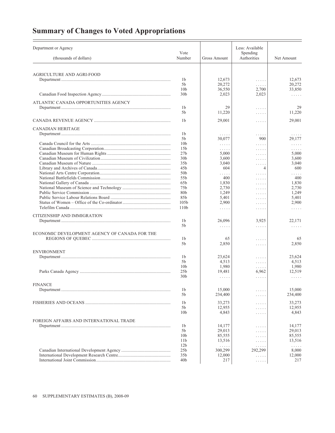# **Summary of Changes to Voted Appropriations**

| Department or Agency                          | Vote                               |                                | Less: Available<br>Spending               |                                        |
|-----------------------------------------------|------------------------------------|--------------------------------|-------------------------------------------|----------------------------------------|
| (thousands of dollars)                        | Number                             | Gross Amount                   | Authorities                               | Net Amount                             |
| <b>AGRICULTURE AND AGRI-FOOD</b>              |                                    |                                |                                           |                                        |
|                                               | 1 <sub>b</sub>                     | 12,673                         | $\ldots$                                  | 12,673                                 |
|                                               | 5b                                 | 20,272                         | $\sim$ $\sim$ $\sim$ $\sim$ $\sim$        | 20,272                                 |
|                                               | 10 <sub>b</sub>                    | 36,550                         | 2,700                                     | 33,850                                 |
|                                               | 30 <sub>b</sub>                    | 2,023                          | 2,023                                     | .                                      |
| ATLANTIC CANADA OPPORTUNITIES AGENCY          |                                    |                                |                                           |                                        |
|                                               | 1 <sub>b</sub>                     | 29                             | $\alpha$ , $\alpha$ , $\alpha$            | 29                                     |
|                                               | 5b                                 | 11,220                         | $\alpha$ , $\alpha$ , $\alpha$            | 11,220                                 |
|                                               | 1 <sub>b</sub>                     | 29,001                         | $\ldots$                                  | 29,001                                 |
| <b>CANADIAN HERITAGE</b>                      |                                    |                                |                                           |                                        |
|                                               | 1 <sub>b</sub>                     | 1.1.1.1                        | $\cdots$                                  | .                                      |
|                                               | 5b                                 | 30,077                         | 900                                       | 29,177                                 |
|                                               | 10 <sub>b</sub>                    | $\alpha$ , $\alpha$ , $\alpha$ | $\alpha$ , $\alpha$ , $\alpha$            | $\mathbb{Z}^2$ . In the $\mathbb{Z}^2$ |
|                                               | 15 <sub>b</sub>                    | $\alpha$ , $\alpha$ , $\alpha$ | $\alpha$ , $\alpha$ , $\alpha$            | .                                      |
|                                               | 27 <sub>b</sub>                    | 5,000                          | $\alpha$ , $\alpha$ , $\alpha$            | 5,000                                  |
|                                               | 30 <sub>b</sub>                    | 3,600                          | 1.1.1.1                                   | 3,600                                  |
|                                               | 35 <sub>b</sub><br>45 <sub>b</sub> | 3,040                          | $\cdots$<br>$\overline{4}$                | 3,040<br>600                           |
|                                               | 50 <sub>b</sub>                    | 604                            |                                           |                                        |
|                                               | 55b                                | .<br>400                       | $\ldots$<br>$\ldots$                      | .<br>400                               |
|                                               | 65 <sub>b</sub>                    | 1,830                          | $\alpha$ , $\alpha$ , $\alpha$            | 1,830                                  |
|                                               | 75 <sub>b</sub>                    | 2,730                          | $\alpha$ , $\alpha$ , $\alpha$            | 2,730                                  |
|                                               | 80 <sub>b</sub>                    | 1,249                          | $\alpha$ , $\alpha$ , $\alpha$            | 1,249                                  |
|                                               | 85b                                | 5,401                          | $\alpha$ , $\alpha$ , $\alpha$ , $\alpha$ | 5,401                                  |
|                                               | 105 <sub>b</sub>                   | 2,900                          | $\cdots$                                  | 2,900                                  |
|                                               | 110 <sub>b</sub>                   | $\ldots$                       | $\ldots$                                  | .                                      |
| CITIZENSHIP AND IMMIGRATION                   |                                    |                                |                                           |                                        |
|                                               | 1 <sub>b</sub>                     | 26,096                         | 3,925                                     | 22,171                                 |
|                                               | 5b                                 | $\alpha$ , $\alpha$ , $\alpha$ | .                                         | .                                      |
| ECONOMIC DEVELOPMENT AGENCY OF CANADA FOR THE |                                    |                                |                                           |                                        |
|                                               | 1 <sub>b</sub>                     | 65                             | $\cdots$                                  | 65                                     |
|                                               | 5b                                 | 2,850                          | $\ldots$                                  | 2,850                                  |
| <b>ENVIRONMENT</b>                            |                                    |                                |                                           |                                        |
|                                               | 1 <sub>b</sub>                     | 23,624                         | $\ldots$                                  | 23,624                                 |
|                                               | 5b                                 | 4,513                          | $\mathbb{Z}^2$ . In the $\mathbb{Z}^2$    | 4,513                                  |
|                                               | 10 <sub>b</sub>                    | 1,980                          | $\ldots$                                  | 1,980                                  |
|                                               | 25 <sub>b</sub><br>30 <sub>b</sub> | 19,481                         | 6,962                                     | 12,519<br>.                            |
|                                               |                                    | $\ldots$                       | $\ldots$                                  |                                        |
| <b>FINANCE</b>                                |                                    |                                |                                           |                                        |
|                                               | 1b<br>5b                           | 15,000<br>234,400              | $\cdots$                                  | 15,000<br>234,400                      |
|                                               |                                    |                                | .                                         |                                        |
|                                               | 1 <sub>b</sub>                     | 33,273                         | $\cdots$                                  | 33,273                                 |
|                                               | 5b                                 | 12,955                         | .                                         | 12,955                                 |
|                                               | 10 <sub>b</sub>                    | 4,843                          | $\ldots$                                  | 4,843                                  |
| FOREIGN AFFAIRS AND INTERNATIONAL TRADE       |                                    |                                |                                           |                                        |
|                                               | 1b                                 | 14,177                         | .                                         | 14,177                                 |
|                                               | 5b                                 | 29,013                         | .                                         | 29,013                                 |
|                                               | 10 <sub>b</sub>                    | 85,555                         | $\mathbb{Z}^2$ . In the $\mathbb{Z}^2$    | 85,555                                 |
|                                               | 11 <sub>b</sub><br>12 <sub>b</sub> | 13,516                         | $\alpha$ is a second .                    | 13,516                                 |
|                                               | 25 <sub>b</sub>                    | $\ldots$<br>300,299            | .<br>292,299                              | .<br>8,000                             |
|                                               | 35 <sub>b</sub>                    | 12,000                         | $\cdots$                                  | 12,000                                 |
|                                               | 40 <sub>b</sub>                    | 217                            | .                                         | 217                                    |
|                                               |                                    |                                |                                           |                                        |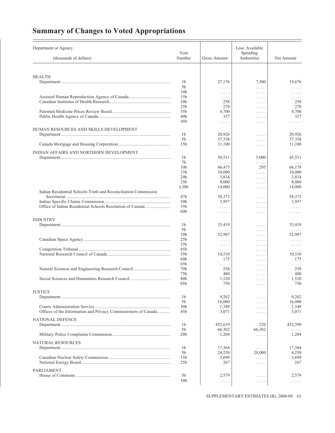# **Summary of Changes to Voted Appropriations**

| <b>HEALTH</b>                                                  |                                    |                                               |                                                                          |                                                                   |
|----------------------------------------------------------------|------------------------------------|-----------------------------------------------|--------------------------------------------------------------------------|-------------------------------------------------------------------|
|                                                                |                                    |                                               |                                                                          |                                                                   |
|                                                                |                                    |                                               |                                                                          |                                                                   |
|                                                                | 1 <sub>b</sub>                     | 27,176                                        | 7,500                                                                    | 19,676                                                            |
|                                                                | 5b                                 | .                                             | $\ldots$                                                                 | .                                                                 |
|                                                                | 10 <sub>b</sub>                    | $\mathbb{R}^n$ . In the $\mathbb{R}^n$        | $\mathbb{Z}^2$ . In the $\mathbb{Z}^2$                                   | .                                                                 |
|                                                                | 15 <sub>b</sub><br>20 <sub>b</sub> | $\mathbb{R}^n$ . In the $\mathbb{R}^n$<br>258 | $\alpha$ , $\alpha$ , $\alpha$                                           | .<br>258                                                          |
|                                                                | 25 <sub>b</sub>                    | 270                                           | $\mathbb{Z}^2$ . In the $\mathbb{Z}^2$<br>$\alpha$ , $\alpha$ , $\alpha$ | 270                                                               |
|                                                                | 35 <sub>b</sub>                    | 4,700                                         | $\mathbb{R}^n$ . In the $\mathbb{R}^n$                                   | 4,700                                                             |
|                                                                | 40 <sub>b</sub>                    | 327                                           | $\alpha$ , $\alpha$ , $\alpha$                                           | 327                                                               |
|                                                                | 45b                                | 1.1.1.1                                       | $\alpha$ , $\alpha$ , $\alpha$                                           | .                                                                 |
| HUMAN RESOURCES AND SKILLS DEVELOPMENT                         |                                    |                                               |                                                                          |                                                                   |
|                                                                | 1b                                 | 20,926                                        | $\ldots$                                                                 | 20,926                                                            |
|                                                                | 5b                                 | 37,358                                        | .                                                                        | 37,358                                                            |
|                                                                | 15b                                | 11,100                                        | $\alpha$ , $\alpha$ , $\alpha$                                           | 11,100                                                            |
| INDIAN AFFAIRS AND NORTHERN DEVELOPMENT                        |                                    |                                               |                                                                          |                                                                   |
|                                                                | 1 <sub>b</sub>                     | 50,511                                        | 5,000                                                                    | 45,511                                                            |
|                                                                | 7b                                 | .                                             | .                                                                        |                                                                   |
|                                                                | 10 <sub>b</sub>                    | 66,473                                        | 295                                                                      | 66,178                                                            |
|                                                                | 15 <sub>b</sub>                    | 10,000                                        | .                                                                        | 10,000                                                            |
|                                                                | 20 <sub>b</sub><br>25 <sub>b</sub> | 3,834                                         | $\mathbb{R}^n$ . In the $\mathbb{R}^n$                                   | 3,834                                                             |
|                                                                | L30 <sub>b</sub>                   | 8,000<br>14,000                               | $\alpha$ , $\alpha$ , $\alpha$<br>$\alpha$ , $\alpha$ , $\alpha$         | 8,000<br>14,000                                                   |
| Indian Residential Schools Truth and Reconciliation Commission |                                    |                                               |                                                                          |                                                                   |
|                                                                | 47b                                | 58,373                                        | $\ldots$                                                                 | 58,373                                                            |
|                                                                | 50 <sub>b</sub>                    | 3,957                                         | $\ldots$                                                                 | 3,957                                                             |
| Office of Indian Residential Schools Resolution of Canada      | 55b                                | $\ldots$                                      | $\mathbb{Z}^2$ . In the $\mathbb{Z}^2$                                   | .                                                                 |
|                                                                | 60 <sub>b</sub>                    | 1.1.1.1                                       | .                                                                        | .                                                                 |
| <b>INDUSTRY</b>                                                |                                    |                                               |                                                                          |                                                                   |
|                                                                | 1 <sub>b</sub>                     | 33,419                                        | $\ldots$                                                                 | 33,419                                                            |
|                                                                | 5b<br>10 <sub>b</sub>              | $\alpha$ , $\alpha$ , $\alpha$                | $\mathbb{Z}^2$ . In the $\mathbb{Z}^2$                                   | .<br>52,987                                                       |
|                                                                | 25 <sub>b</sub>                    | 52,987<br>$\alpha$ , $\alpha$ , $\alpha$      | $\alpha$ , $\alpha$ , $\alpha$<br>$\mathbb{Z}^2$ . In the $\mathbb{Z}^2$ | $\mathbb{Z}^2$ . $\mathbb{Z}^2$ , $\mathbb{Z}^2$ , $\mathbb{Z}^2$ |
|                                                                | 35 <sub>b</sub>                    | $\alpha$ , $\alpha$ , $\alpha$                | $\alpha$ , $\alpha$ , $\alpha$                                           | $\mathbb{Z}^2$ . $\mathbb{Z}^2$ , $\mathbb{Z}^2$ , $\mathbb{Z}^2$ |
|                                                                | 45b                                | $\mathbb{R}^n$ . In the $\mathbb{R}^n$        | $\mathbb{Z}^2$ . In the $\mathbb{Z}^2$                                   | $\mathbb{Z}^2$ . $\mathbb{Z}^2$ , $\mathbb{Z}^2$ , $\mathbb{Z}^2$ |
|                                                                | 55b                                | 10,510                                        | $\alpha$ , $\alpha$ , $\alpha$                                           | 10,510                                                            |
|                                                                | 60 <sub>b</sub>                    | 175                                           | $\mathbb{Z}^2$ . In the $\mathbb{Z}^2$                                   | 175                                                               |
|                                                                | 65 <sub>b</sub><br>70 <sub>b</sub> | .                                             | $\alpha$ , $\alpha$ , $\alpha$                                           | .                                                                 |
|                                                                | 75b                                | 258<br>480                                    | $\mathbb{Z}^2$ . In the $\mathbb{Z}^2$<br>$\alpha$ , $\alpha$ , $\alpha$ | 258<br>480                                                        |
|                                                                | 80 <sub>b</sub>                    | 1,520                                         | $\mathbb{Z}^2$ . In the $\mathbb{Z}^2$                                   | 1,520                                                             |
|                                                                | 85b                                | 750                                           | 1.1.1.1                                                                  | 750                                                               |
| <b>JUSTICE</b>                                                 |                                    |                                               |                                                                          |                                                                   |
|                                                                | 1b                                 | 9,262                                         | .                                                                        | 9,262                                                             |
|                                                                | 5b                                 | 16,000                                        | 1.1.1                                                                    | 16,000                                                            |
|                                                                | 30 <sub>b</sub>                    | 1,349                                         | .                                                                        | 1,349                                                             |
| Offices of the Information and Privacy Commissioners of Canada | 45b                                | 3,071                                         | .                                                                        | 3,071                                                             |
| NATIONAL DEFENCE                                               |                                    |                                               |                                                                          |                                                                   |
|                                                                | 1b                                 | 452,619                                       | 220                                                                      | 452,399                                                           |
|                                                                | 5b                                 | 66,302                                        | 66,302                                                                   |                                                                   |
|                                                                | 20 <sub>b</sub>                    | 1,204                                         | $\ldots$                                                                 | 1,204                                                             |
| NATURAL RESOURCES                                              |                                    |                                               |                                                                          |                                                                   |
|                                                                | 1b                                 | 17,364                                        | .                                                                        | 17,364                                                            |
|                                                                | 5b                                 | 24,250                                        | 20,000                                                                   | 4,250                                                             |
|                                                                | 15b                                | 3,699                                         | .                                                                        | 3,699                                                             |
|                                                                | 25 <sub>b</sub>                    | 267                                           | $\ldots$                                                                 | 267                                                               |
| PARLIAMENT                                                     |                                    |                                               |                                                                          |                                                                   |
|                                                                | 5b                                 | 2,579                                         | .                                                                        | 2,579                                                             |
|                                                                | 10 <sub>b</sub>                    | .                                             | .                                                                        | .                                                                 |

SUPPLEMENTARY ESTIMATES (B), 2008-09 61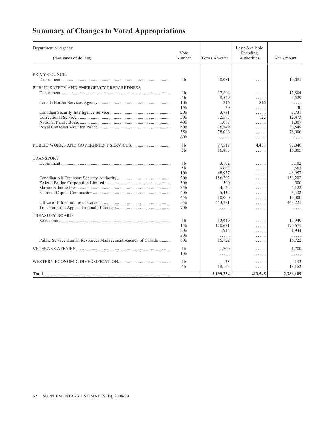# **Summary of Changes to Voted Appropriations**

| Department or Agency                                       |                                    |                                                  | Less: Available                                                  |                                        |
|------------------------------------------------------------|------------------------------------|--------------------------------------------------|------------------------------------------------------------------|----------------------------------------|
| (thousands of dollars)                                     | Vote<br>Number                     | <b>Gross Amount</b>                              | Spending<br>Authorities                                          | Net Amount                             |
| PRIVY COUNCIL                                              |                                    |                                                  |                                                                  |                                        |
|                                                            | 1b                                 | 10,081                                           | .                                                                | 10,081                                 |
| PUBLIC SAFETY AND EMERGENCY PREPAREDNESS                   |                                    |                                                  |                                                                  |                                        |
|                                                            | 1 <sub>b</sub>                     | 17,804                                           | .                                                                | 17,804                                 |
|                                                            | 5 <sub>b</sub>                     | 9,529                                            | $\ldots$                                                         | 9,529                                  |
|                                                            | 10 <sub>b</sub>                    | 816                                              | 816                                                              | .                                      |
|                                                            | 15 <sub>b</sub>                    | 30                                               | .                                                                | 30                                     |
|                                                            | 20 <sub>b</sub>                    | 3,731                                            | .                                                                | 3,731                                  |
|                                                            | 30 <sub>b</sub><br>40 <sub>b</sub> | 12,595<br>1.007                                  | 122                                                              | 12.473<br>1.007                        |
|                                                            | 50 <sub>b</sub>                    | 36,549                                           | .                                                                | 36,549                                 |
|                                                            | 55b                                | 78,006                                           | .                                                                | 78,006                                 |
|                                                            | 60 <sub>b</sub>                    | $\mathbb{Z}^2$ , $\mathbb{Z}^2$ , $\mathbb{Z}^2$ | $\mathbb{R}^n$ . In the $\mathbb{R}^n$<br>$\alpha$ is a second . | $\ldots$                               |
|                                                            |                                    |                                                  |                                                                  |                                        |
|                                                            | 1 <sub>b</sub>                     | 97,517                                           | 4,477                                                            | 93,040                                 |
|                                                            | 5 <sub>b</sub>                     | 16,805                                           | .                                                                | 16,805                                 |
| <b>TRANSPORT</b>                                           |                                    |                                                  |                                                                  |                                        |
|                                                            | 1 <sub>b</sub>                     | 3,102                                            | $\alpha$ , $\alpha$ , $\alpha$ , $\alpha$                        | 3,102                                  |
|                                                            | 5 <sub>b</sub>                     | 3,663                                            | .                                                                | 3.663                                  |
|                                                            | 10 <sub>b</sub>                    | 48,957                                           | .                                                                | 48,957                                 |
|                                                            | 20 <sub>b</sub>                    | 156,202                                          | 1.1.1.1                                                          | 156,202                                |
|                                                            | 30 <sub>b</sub>                    | 500                                              | 1.1.1.1                                                          | 500                                    |
|                                                            | 35 <sub>b</sub>                    | 4.122                                            | .                                                                | 4.122                                  |
|                                                            | 40 <sub>b</sub>                    | 5,432                                            | $\mathbb{R}^n$ . In the $\mathbb{R}^n$                           | 5,432                                  |
|                                                            | 45 <sub>b</sub>                    | 10,000                                           | .                                                                | 10,000                                 |
|                                                            | 55b                                | 443,221                                          | .                                                                | 443,221                                |
|                                                            | 70 <sub>b</sub>                    | $\mathbb{R}^n$ . In the $\mathbb{R}^n$           | $\alpha$ , $\alpha$ , $\alpha$ , $\alpha$                        | $\mathbb{R}^n$ . In the $\mathbb{R}^n$ |
| <b>TREASURY BOARD</b>                                      |                                    |                                                  |                                                                  |                                        |
|                                                            | 1 <sub>b</sub>                     | 12,949                                           | .                                                                | 12.949                                 |
|                                                            | 15 <sub>b</sub>                    | 170,671                                          | .                                                                | 170,671                                |
|                                                            | 20 <sub>b</sub>                    | 1,944                                            | .                                                                | 1,944                                  |
|                                                            | 30 <sub>b</sub>                    | .                                                | .                                                                | .                                      |
| Public Service Human Resources Management Agency of Canada | 50 <sub>b</sub>                    | 16,722                                           | .                                                                | 16,722                                 |
|                                                            | 1 <sub>b</sub>                     | 1.700                                            | 1.1.1.1                                                          | 1.700                                  |
|                                                            | 10 <sub>b</sub>                    | $\alpha$ , $\alpha$ , $\alpha$                   | $\alpha$ , $\alpha$ , $\alpha$ , $\alpha$                        | .                                      |
|                                                            | 1 <sub>b</sub>                     | 133                                              | $\mathbb{R}^n$ . In the $\mathbb{R}^n$                           | 133                                    |
|                                                            | 5b                                 | 18,162                                           | $\alpha$ , $\alpha$ , $\alpha$ , $\alpha$                        | 18,162                                 |
|                                                            |                                    | 3,199,734                                        | 413,545                                                          | 2,786,189                              |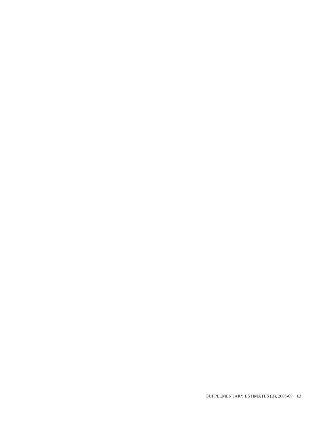SUPPLEMENTARY ESTIMATES (B), 2008-09 63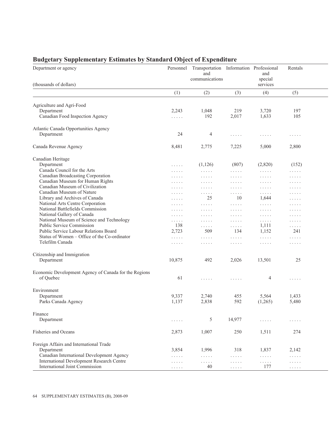| Department or agency                                  | Personnel | Transportation Information Professional<br>and<br>communications |                                    | and<br>special                                     | Rentals       |  |
|-------------------------------------------------------|-----------|------------------------------------------------------------------|------------------------------------|----------------------------------------------------|---------------|--|
| (thousands of dollars)                                |           |                                                                  |                                    | services                                           |               |  |
|                                                       | (1)       | (2)                                                              | (3)                                | (4)                                                | (5)           |  |
| Agriculture and Agri-Food                             |           |                                                                  |                                    |                                                    |               |  |
| Department                                            | 2,243     | 1,048                                                            | 219                                | 3,720                                              | 197           |  |
| Canadian Food Inspection Agency                       | .         | 192                                                              | 2,017                              | 1,633                                              | 105           |  |
| Atlantic Canada Opportunities Agency                  |           |                                                                  |                                    |                                                    |               |  |
| Department                                            | 24        | 4                                                                | $\ldots$                           | $\cdots\cdots\cdots$                               | .             |  |
| Canada Revenue Agency                                 | 8,481     | 2,775                                                            | 7,225                              | 5,000                                              | 2,800         |  |
|                                                       |           |                                                                  |                                    |                                                    |               |  |
| Canadian Heritage<br>Department                       |           | (1,126)                                                          | (807)                              | (2,820)                                            | (152)         |  |
| Canada Council for the Arts                           | .         |                                                                  |                                    |                                                    |               |  |
| Canadian Broadcasting Corporation                     | .         | $\sim$ $\sim$ $\sim$ $\sim$ $\sim$                               | $\ldots$                           | $\mathbb{Z}^n$ . In the $\mathbb{Z}^n$             | $\ldots$      |  |
| Canadian Museum for Human Rights                      | .<br>.    | $\sim$ $\sim$ $\sim$ $\sim$ $\sim$<br>$\cdots$                   | .<br>$\cdots$                      | $\ldots$<br>$\cdots$                               | $\cdots$<br>. |  |
| Canadian Museum of Civilization                       | .         | $\cdots\cdots\cdots$                                             | $\ldots$                           | $\mathbb{Z}^n$ . In the $\mathbb{Z}^n$             | .             |  |
| Canadian Museum of Nature                             | .         | $\ldots$                                                         | $\ldots$                           | $\mathbb{Z}^n$ . The set of $\mathbb{Z}^n$         | .             |  |
| Library and Archives of Canada                        | .         | 25                                                               | 10                                 | 1,644                                              | .             |  |
| National Arts Centre Corporation                      | .         | $\ldots$                                                         | $\ldots$                           | $\ldots$                                           | .             |  |
| National Battlefields Commission                      | .         | $\cdots$                                                         | .                                  | $\cdots$                                           | 1.1.1.1       |  |
| National Gallery of Canada                            | .         | $\cdots$                                                         | $\cdots$                           | $\ldots$                                           | .             |  |
| National Museum of Science and Technology             | .         | .                                                                | $\ldots$                           | $\mathbb{Z}^n$ . In the $\mathbb{Z}^n$             | 1.1.1.1       |  |
| <b>Public Service Commission</b>                      | 138       | $\sim$ $\sim$ $\sim$ $\sim$ $\sim$                               | $\ldots$                           | 1,111                                              | .             |  |
| Public Service Labour Relations Board                 | 2,723     | 509                                                              | 134                                | 1,152                                              | 241           |  |
| Status of Women - Office of the Co-ordinator          | .         | $\ldots$                                                         | $\sim$ $\sim$ $\sim$ $\sim$ $\sim$ | $\ldots$                                           | 1.1.1.1       |  |
| Telefilm Canada                                       | .         | $\cdots\cdots\cdots$                                             | $\cdots$                           | $\ldots$                                           | .             |  |
| Citizenship and Immigration                           |           |                                                                  |                                    |                                                    |               |  |
| Department                                            | 10,875    | 492                                                              | 2,026                              | 13,501                                             | 25            |  |
| Economic Development Agency of Canada for the Regions |           |                                                                  |                                    |                                                    |               |  |
| of Quebec                                             | 61        | $\ldots$                                                         | $\cdots$                           | 4                                                  | $\cdots$      |  |
| Environment                                           |           |                                                                  |                                    |                                                    |               |  |
| Department                                            | 9,337     | 2,740                                                            | 455                                | 5,564                                              | 1,433         |  |
| Parks Canada Agency                                   | 1,137     | 2,838                                                            | 592                                | (1,265)                                            | 5,480         |  |
| Finance                                               |           |                                                                  |                                    |                                                    |               |  |
| Department                                            | .         | 5                                                                | 14,977                             | .                                                  | .             |  |
| Fisheries and Oceans                                  | 2,873     | 1,007                                                            | 250                                | 1,511                                              | 274           |  |
| Foreign Affairs and International Trade               |           |                                                                  |                                    |                                                    |               |  |
| Department                                            | 3,854     | 1,996                                                            | 318                                | 1,837                                              | 2,142         |  |
| Canadian International Development Agency             | .         | .                                                                | $\ldots$                           | $\mathbb{Z}^n$ . $\mathbb{Z}^n$ , $\mathbb{Z}^n$ , | $\cdots$      |  |
| <b>International Development Research Centre</b>      | .         | $\sim$ $\sim$ $\sim$ $\sim$ $\sim$                               | $\cdots$                           | $\mathbb{Z}^2$ . $\mathbb{Z}^2$ , $\mathbb{Z}^2$   | .             |  |
| International Joint Commission                        | .         | 40                                                               | $\ldots$                           | 177                                                | .             |  |

#### **Budgetary Supplementary Estimates by Standard Object of Expenditure**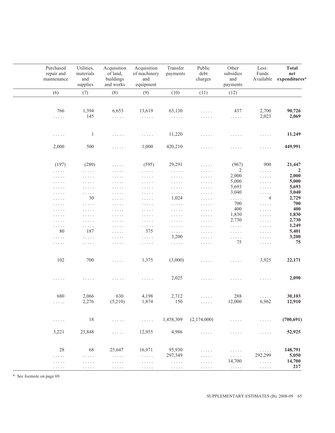| Purchased<br>repair and<br>maintenance                     | Utilities,<br>materials<br>and<br>supplies                 | Acquisition<br>of land,<br>buildings<br>and works                                                                                                                                                                        | Acquisition<br>of machinery<br>and<br>equipment  | Transfer<br>payments                             | Public<br>debt<br>charges                  | Other<br>subsidies<br>and<br>payments | Less:<br>Funds<br>Available                | <b>Total</b><br>net<br>expenditures* |
|------------------------------------------------------------|------------------------------------------------------------|--------------------------------------------------------------------------------------------------------------------------------------------------------------------------------------------------------------------------|--------------------------------------------------|--------------------------------------------------|--------------------------------------------|---------------------------------------|--------------------------------------------|--------------------------------------|
| (6)                                                        | (7)                                                        | (8)                                                                                                                                                                                                                      | (9)                                              | (10)                                             | (11)                                       | (12)                                  |                                            |                                      |
|                                                            |                                                            |                                                                                                                                                                                                                          |                                                  |                                                  |                                            |                                       |                                            |                                      |
|                                                            |                                                            |                                                                                                                                                                                                                          |                                                  |                                                  |                                            |                                       |                                            |                                      |
| 766                                                        | 1,394<br>145                                               | 6,653                                                                                                                                                                                                                    | 13,619                                           | 63,130                                           | $\ldots$                                   | 437                                   | 2,700<br>2,023                             | 90,726<br>2,069                      |
| $\alpha$ , $\alpha$ , $\alpha$                             |                                                            | $\mathbb{R}^2$ . $\mathbb{R}^2$ , $\mathbb{R}^2$                                                                                                                                                                         | $\mathbb{Z}^2$ . $\mathbb{Z}^2$ , $\mathbb{Z}^2$ | $\mathbb{Z}^2$ . $\mathbb{Z}^2$ , $\mathbb{Z}^2$ | $\ldots$                                   | $\ldots$                              |                                            |                                      |
| $\ldots$                                                   | $\mathbf{1}$                                               | $\sim$ $\sim$ $\sim$ $\sim$ $\sim$                                                                                                                                                                                       | $\mathbb{Z}^2$ . The set of $\mathbb{Z}^2$       | 11,220                                           | $\sim$ $\sim$ $\sim$ $\sim$ $\sim$         | $\cdots$                              | $\sim$ $\sim$ $\sim$ $\sim$ $\sim$         | 11,249                               |
| 2,000                                                      | 500                                                        | $\cdots$                                                                                                                                                                                                                 | 1,000                                            | 420,210                                          | .                                          | .                                     | $\sim$ $\sim$ $\sim$ $\sim$ $\sim$         | 449,991                              |
| (197)                                                      | (280)                                                      |                                                                                                                                                                                                                          | (595)                                            | 29,291                                           |                                            | (967)                                 | 900                                        | 21,447                               |
| $\sim$ $\sim$ $\sim$ $\sim$ $\sim$                         | $\sim$ $\sim$ $\sim$ $\sim$ $\sim$                         | $\sim$ $\sim$ $\sim$ $\sim$ $\sim$<br>$\cdots$                                                                                                                                                                           | $\sim$ $\sim$ $\sim$ $\sim$ $\sim$               | $\sim$ $\sim$ $\sim$ $\sim$ $\sim$               | $\ldots$<br>$\cdots$                       | 2                                     | $\ldots$                                   | 2                                    |
| $\sim$ $\sim$ $\sim$ $\sim$ $\sim$                         | $\ldots$                                                   | $\ldots$                                                                                                                                                                                                                 | $\ldots$                                         | $\ldots$                                         | $\mathbb{Z}^2$ . In the $\mathbb{Z}^2$     | 2,000                                 | $\sim$ $\sim$ $\sim$ $\sim$ $\sim$         | 2,000                                |
| $\sim$ $\sim$ $\sim$ $\sim$ $\sim$                         | $\sim$ $\sim$ $\sim$ $\sim$ $\sim$                         | $\sim$ $\sim$ $\sim$ $\sim$ $\sim$                                                                                                                                                                                       | $\sim$ $\sim$ $\sim$ $\sim$ $\sim$               | $\sim$ $\sim$ $\sim$ $\sim$ $\sim$               | $\sim$ $\sim$ $\sim$ $\sim$ $\sim$         | 5,000                                 | $\sim$ $\sim$ $\sim$ $\sim$ $\sim$         | 5,000                                |
| $\sim$ $\sim$ $\sim$ $\sim$ $\sim$                         | $\sim$ $\sim$ $\sim$ $\sim$ $\sim$                         | $\sim$ $\sim$ $\sim$ $\sim$ $\sim$                                                                                                                                                                                       | $\sim$ $\sim$ $\sim$ $\sim$ $\sim$               | $\sim$ $\sim$ $\sim$ $\sim$ $\sim$               | $\ldots$                                   | 5,693                                 | $\ldots$                                   | 5,693                                |
| $\sim$ $\sim$ $\sim$ $\sim$ $\sim$                         | $\sim$ $\sim$ $\sim$ $\sim$ $\sim$                         | $\sim$ $\sim$ $\sim$ $\sim$ $\sim$                                                                                                                                                                                       | $\ldots$                                         | $\sim$ $\sim$ $\sim$ $\sim$ $\sim$               | $\ldots$                                   | 3,040                                 | $\ldots$                                   | 3,040                                |
| $\cdots$                                                   | 30                                                         | $\ldots$                                                                                                                                                                                                                 | $\ldots$                                         | 1,024                                            | $\ldots$                                   | $\ldots$                              | 4                                          | 2,729                                |
| $\sim$ $\sim$ $\sim$ $\sim$ $\sim$                         | $\sim$ $\sim$ $\sim$ $\sim$ $\sim$                         | $\sim$ $\sim$ $\sim$ $\sim$ $\sim$                                                                                                                                                                                       | $\cdots$                                         | $\sim$ $\sim$ $\sim$ $\sim$ $\sim$               | $\sim$ $\sim$ $\sim$ $\sim$ $\sim$         | 700                                   | $\mathbb{Z}^2$ . The set of $\mathbb{Z}^2$ | 700                                  |
| $\sim$ $\sim$ $\sim$ $\sim$ $\sim$                         | $\sim$ $\sim$ $\sim$ $\sim$ $\sim$                         | $\sim$ $\sim$ $\sim$ $\sim$ $\sim$                                                                                                                                                                                       | $\ldots$                                         | $\sim$ $\sim$ $\sim$ $\sim$ $\sim$               | $\sim$ $\sim$ $\sim$ $\sim$ $\sim$         | 400                                   | $\sim$ $\sim$ $\sim$ $\sim$ $\sim$         | 400                                  |
| $\sim$ $\sim$ $\sim$ $\sim$ $\sim$                         | $\sim$ $\sim$ $\sim$ $\sim$ $\sim$                         | $\sim$ $\sim$ $\sim$ $\sim$ $\sim$                                                                                                                                                                                       | $\cdots$                                         | $\sim$ $\sim$ $\sim$ $\sim$ $\sim$               | $\sim$ $\sim$ $\sim$ $\sim$ $\sim$         | 1,830                                 | $\ldots$                                   | 1,830                                |
| $\ldots$                                                   | $\mathbb{Z}^n$ . The set of $\mathbb{Z}^n$                 | $\cdots$                                                                                                                                                                                                                 | $\mathbb{Z}^n$ . The set of $\mathbb{Z}^n$       | $\ldots$                                         | $\mathbb{Z}^n$ . The set of $\mathbb{Z}^n$ | 2,730                                 | $\sim$ $\sim$ $\sim$ $\sim$ $\sim$         | 2,730                                |
| $\ldots$                                                   | $\ldots$                                                   | $\sim$ $\sim$ $\sim$ $\sim$ $\sim$                                                                                                                                                                                       | $\sim$ $\sim$ $\sim$ $\sim$ $\sim$               | $\sim$ $\sim$ $\sim$ $\sim$ $\sim$               | $\sim$ $\sim$ $\sim$ $\sim$ $\sim$         | $\sim$ $\sim$ $\sim$ $\sim$ $\sim$    | $\sim$ $\sim$ $\sim$ $\sim$ $\sim$         | 1,249                                |
| 80                                                         | 187                                                        | $\sim$ $\sim$ $\sim$ $\sim$ $\sim$                                                                                                                                                                                       | 375                                              | $\ldots$                                         | $\ldots$                                   | $\ldots$                              | $\sim$ $\sim$ $\sim$ $\sim$ $\sim$         | 5,401                                |
| $\sim$ $\sim$ $\sim$ $\sim$ $\sim$                         | $\sim$ $\sim$ $\sim$ $\sim$ $\sim$                         | $\ldots$                                                                                                                                                                                                                 | $\ldots$                                         | 3,200                                            | $\cdots$                                   | $\cdots$                              | $\ldots$                                   | 3,200                                |
| $\ldots$                                                   | $\sim$ $\sim$ $\sim$ $\sim$ $\sim$                         | $\cdots$                                                                                                                                                                                                                 | $\sim$ $\sim$ $\sim$ $\sim$ $\sim$               | $\ldots$                                         | $\ldots$                                   | 75                                    | $\sim$ $\sim$ $\sim$ $\sim$ $\sim$         | 75                                   |
| 102                                                        | 700                                                        | $\ldots$                                                                                                                                                                                                                 | 1,375                                            | (3,000)                                          | $\sim$ $\sim$ $\sim$ $\sim$ $\sim$         | 1.1.1.1                               | 3,925                                      | 22,171                               |
| .                                                          |                                                            |                                                                                                                                                                                                                          | .                                                | 2,025                                            | .                                          | $\cdots$                              | .                                          | 2,090                                |
| 680                                                        | 2,066                                                      | 630                                                                                                                                                                                                                      | 4,198                                            | 2,712                                            | .                                          | 288                                   | $\sim$ $\sim$ $\sim$ $\sim$ $\sim$         | 30,103                               |
| $\alpha$ , $\alpha$ , $\alpha$                             | 2,276                                                      | (5,210)                                                                                                                                                                                                                  | 1,874                                            | 150                                              | $\ldots$                                   | 12,000                                | 6,962                                      | 12,910                               |
| $\ldots$                                                   | 18                                                         | $\frac{1}{2} \left( \frac{1}{2} \left( \frac{1}{2} \left( \frac{1}{2} \left( \frac{1}{2} \right) \right) \right) + \frac{1}{2} \left( \frac{1}{2} \left( \frac{1}{2} \left( \frac{1}{2} \right) \right) \right) \right)$ | $\mathbb{Z}^2$ . The set of $\mathbb{Z}^2$       | 1,458,309                                        | (2,174,000)                                | .                                     | 1.1.1.1                                    | (700, 691)                           |
| 3,221                                                      | 25,848                                                     | $\ldots$                                                                                                                                                                                                                 | 12,955                                           | 4,986                                            | $\sim$ $\sim$ $\sim$ $\sim$ $\sim$         | .                                     | $\ldots$                                   | 52,925                               |
| 28                                                         | 68                                                         | 25,647                                                                                                                                                                                                                   | 16,971                                           | 95,930                                           |                                            |                                       |                                            | 148,791                              |
|                                                            |                                                            | $\sim$ $\sim$ $\sim$ $\sim$ $\sim$                                                                                                                                                                                       | $\sim$ $\sim$ $\sim$ $\sim$ $\sim$               | 297,349                                          | .<br>.                                     | .<br>$\ldots$                         | $\alpha$ , $\alpha$ , $\alpha$<br>292,299  | 5,050                                |
| $\cdots\cdots\cdots$<br>$\sim$ $\sim$ $\sim$ $\sim$ $\sim$ | $\cdots\cdots\cdots$<br>$\sim$ $\sim$ $\sim$ $\sim$ $\sim$ | $\sim$ $\sim$ $\sim$ $\sim$ $\sim$                                                                                                                                                                                       | $\sim$ $\sim$ $\sim$ $\sim$ $\sim$               | $\sim$ $\sim$ $\sim$ $\sim$ $\sim$               | $\cdots$                                   | 14,700                                | $\sim$ $\sim$ $\sim$ $\sim$ $\sim$         | 14,700                               |
| $\sim$ $\sim$ $\sim$ $\sim$ $\sim$                         | $\sim$ $\sim$ $\sim$ $\sim$ $\sim$                         | $\sim$ $\sim$ $\sim$ $\sim$ $\sim$                                                                                                                                                                                       | $\sim$ $\sim$ $\sim$ $\sim$ $\sim$               | $\sim$ $\sim$ $\sim$ $\sim$ $\sim$               | $\sim$ $\sim$ $\sim$ $\sim$ $\sim$         | $\sim$ $\sim$ $\sim$ $\sim$ $\sim$    | $\sim$ $\sim$ $\sim$ $\sim$ $\sim$         | 217                                  |

\* See footnote on page 69.

SUPPLEMENTARY ESTIMATES (B), 2008-09 65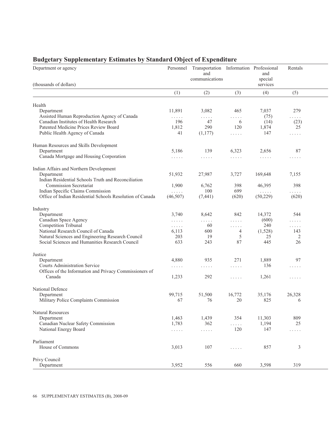| Department or agency                                                                            | Personnel    | Transportation Information Professional<br>and<br>communications |                                    | and<br>special                     | Rentals                            |  |
|-------------------------------------------------------------------------------------------------|--------------|------------------------------------------------------------------|------------------------------------|------------------------------------|------------------------------------|--|
| (thousands of dollars)                                                                          |              |                                                                  |                                    | services                           |                                    |  |
|                                                                                                 | (1)          | (2)                                                              | (3)                                | (4)                                | (5)                                |  |
| Health                                                                                          |              |                                                                  |                                    |                                    |                                    |  |
| Department                                                                                      | 11,891       | 3,082                                                            | 465                                | 7,037                              | 279                                |  |
| Assisted Human Reproduction Agency of Canada                                                    | $\ldots$     | $\sim$ $\sim$ $\sim$ $\sim$ $\sim$                               | $\sim$ $\sim$ $\sim$ $\sim$ $\sim$ | (75)                               | .                                  |  |
| Canadian Institutes of Health Research                                                          | 196          | 47                                                               | 6                                  | (14)                               | (23)                               |  |
| Patented Medicine Prices Review Board                                                           | 1,812        | 290                                                              | 120                                | 1,874                              | 25                                 |  |
| Public Health Agency of Canada                                                                  | 41           | (1,177)                                                          | $\sim$ $\sim$ $\sim$ $\sim$ $\sim$ | 147                                | .                                  |  |
| Human Resources and Skills Development                                                          |              |                                                                  |                                    |                                    |                                    |  |
| Department                                                                                      | 5,186        | 139                                                              | 6,323                              | 2,656                              | 87                                 |  |
| Canada Mortgage and Housing Corporation                                                         | .            | $\ldots$                                                         | .                                  | $\sim$ $\sim$ $\sim$ $\sim$ $\sim$ | .                                  |  |
| Indian Affairs and Northern Development                                                         |              |                                                                  |                                    |                                    |                                    |  |
| Department                                                                                      | 51,932       | 27,987                                                           | 3,727                              | 169,648                            | 7,155                              |  |
| Indian Residential Schools Truth and Reconciliation                                             |              |                                                                  |                                    |                                    |                                    |  |
| <b>Commission Secretariat</b>                                                                   | 1,900        | 6,762                                                            | 398                                | 46,395                             | 398                                |  |
| Indian Specific Claims Commission                                                               | .            | 100                                                              | 699                                | $\ldots$                           | .                                  |  |
| Office of Indian Residential Schools Resolution of Canada                                       | (46,507)     | (7, 441)                                                         | (620)                              | (50, 229)                          | (620)                              |  |
| Industry                                                                                        |              |                                                                  |                                    |                                    |                                    |  |
| Department                                                                                      | 3,740        | 8,642                                                            | 842                                | 14,372                             | 544                                |  |
| Canadian Space Agency                                                                           | .            | .                                                                | 1.1.1.1                            | (600)                              | .                                  |  |
| Competition Tribunal                                                                            | .            | 60                                                               | $\cdots$                           | 240                                | .                                  |  |
| National Research Council of Canada<br>Natural Sciences and Engineering Research Council        | 6,113<br>203 | 600<br>19                                                        | 4<br>5                             | (1,528)<br>25                      | 143<br>$\overline{2}$              |  |
| Social Sciences and Humanities Research Council                                                 | 633          | 243                                                              | 87                                 | 445                                | 26                                 |  |
|                                                                                                 |              |                                                                  |                                    |                                    |                                    |  |
| Justice                                                                                         |              |                                                                  |                                    |                                    |                                    |  |
| Department                                                                                      | 4,880        | 935                                                              | 271                                | 1,889                              | 97                                 |  |
| <b>Courts Administration Service</b><br>Offices of the Information and Privacy Commissioners of | .            | $\mathbb{Z}^2$ . $\mathbb{Z}^2$ , $\mathbb{Z}^2$                 | 1.1.1.1                            | 136                                | .                                  |  |
| Canada                                                                                          | 1,233        | 292                                                              | $\cdots$                           | 1,261                              | 1.1.1.1                            |  |
|                                                                                                 |              |                                                                  |                                    |                                    |                                    |  |
| National Defence                                                                                |              |                                                                  |                                    |                                    |                                    |  |
| Department<br>Military Police Complaints Commission                                             | 99,715<br>67 | 51,500<br>76                                                     | 16,772<br>20                       | 35,176<br>825                      | 26,328<br>6                        |  |
|                                                                                                 |              |                                                                  |                                    |                                    |                                    |  |
| Natural Resources                                                                               |              |                                                                  |                                    |                                    |                                    |  |
| Department                                                                                      | 1,463        | 1,439                                                            | 354                                | 11,303                             | 809                                |  |
| Canadian Nuclear Safety Commission                                                              | 1,783        | 362                                                              | $\ldots$                           | 1,194                              | 25                                 |  |
| National Energy Board                                                                           | .            | $\alpha$ , $\alpha$ , $\alpha$                                   | 120                                | 147                                | $\sim$ $\sim$ $\sim$ $\sim$ $\sim$ |  |
| Parliament                                                                                      |              |                                                                  |                                    |                                    |                                    |  |
| House of Commons                                                                                | 3,013        | 107                                                              | .                                  | 857                                | 3                                  |  |
| Privy Council                                                                                   |              |                                                                  |                                    |                                    |                                    |  |
| Department                                                                                      | 3,952        | 556                                                              | 660                                | 3,598                              | 319                                |  |

#### **Budgetary Supplementary Estimates by Standard Object of Expenditure**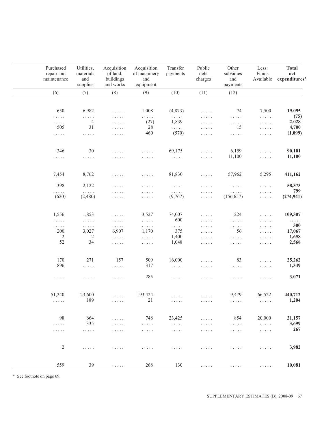| Purchased<br>repair and<br>maintenance  | Utilities,<br>materials<br>and<br>supplies | Acquisition<br>of land,<br>buildings<br>and works | Acquisition<br>of machinery<br>and<br>equipment | Transfer<br>payments                                                     | Public<br>debt<br>charges                        | Other<br>subsidies<br>and<br>payments            | Less:<br>Funds<br>Available                                              | <b>Total</b><br>net<br>expenditures* |
|-----------------------------------------|--------------------------------------------|---------------------------------------------------|-------------------------------------------------|--------------------------------------------------------------------------|--------------------------------------------------|--------------------------------------------------|--------------------------------------------------------------------------|--------------------------------------|
| (6)                                     | (7)                                        | (8)                                               | (9)                                             | (10)                                                                     | (11)                                             | (12)                                             |                                                                          |                                      |
|                                         |                                            |                                                   |                                                 |                                                                          |                                                  |                                                  |                                                                          |                                      |
| 650                                     | 6,982                                      | .                                                 | 1,008                                           | (4,873)                                                                  | .                                                | 74                                               | 7,500                                                                    | 19,095                               |
| .                                       | .                                          | $\cdots$                                          | $\ldots$                                        | $\ldots$                                                                 | $\sim$ $\sim$ $\sim$ $\sim$ $\sim$               | $\ldots$                                         | $\mathbb{Z}^2$ , $\mathbb{Z}^2$ , $\mathbb{Z}^2$                         | (75)                                 |
| .                                       | $\overline{4}$                             | $\sim$ $\sim$ $\sim$ $\sim$                       | (27)                                            | 1,839                                                                    | $\sim$ $\sim$ $\sim$ $\sim$ $\sim$               | $\sim$ $\sim$ $\sim$ $\sim$                      | $\alpha$ , $\alpha$ , $\alpha$                                           | 2,028                                |
| 505                                     | 31                                         | .                                                 | 28                                              | .                                                                        | $\sim$ $\sim$ $\sim$ $\sim$ $\sim$               | 15                                               | $\alpha$ is a set of                                                     | 4,700                                |
| .                                       | $\dots$                                    | .                                                 | 460                                             | (570)                                                                    | .                                                | .                                                | $\mathbb{Z}^2$ , $\mathbb{Z}^2$ , $\mathbb{Z}^2$                         | (1,099)                              |
|                                         |                                            |                                                   |                                                 |                                                                          |                                                  |                                                  |                                                                          |                                      |
| 346                                     | 30                                         | .                                                 | $\ldots$                                        | 69,175                                                                   | .                                                | 6,159                                            | $\ldots$                                                                 | 90,101                               |
| .                                       | .                                          | $\cdots$                                          | $\sim$ $\sim$ $\sim$ $\sim$ $\sim$              | $\alpha$ , $\beta$ , $\alpha$                                            | $\mathbb{Z}^2$ . $\mathbb{Z}^2$ , $\mathbb{Z}^2$ | 11,100                                           | $\ldots$                                                                 | 11,100                               |
|                                         |                                            |                                                   |                                                 |                                                                          |                                                  |                                                  |                                                                          |                                      |
| 7,454                                   | 8,762                                      | $\cdots$                                          | $\cdots$                                        | 81,830                                                                   | .                                                | 57,962                                           | 5,295                                                                    | 411,162                              |
| 398                                     | 2,122                                      | .                                                 | .                                               | $\sim$ $\sim$ $\sim$ $\sim$ $\sim$                                       | 1.1.1.1                                          | $\sim$ $\sim$ $\sim$ $\sim$ $\sim$               | $\mathbb{Z}^2$ . The set of $\mathbb{Z}^2$                               | 58,373                               |
| .                                       | $\alpha$ , $\alpha$ , $\alpha$             | .                                                 | $\alpha$ , $\alpha$ , $\alpha$                  | $\sim$ $\sim$ $\sim$ $\sim$ $\sim$                                       | .                                                | $\alpha$ is a set of                             | $\ldots$                                                                 | 799                                  |
| (620)                                   | (2,480)                                    | .                                                 | $\ldots$                                        | (9,767)                                                                  | $\sim$ $\sim$ $\sim$ $\sim$                      | (156, 657)                                       | $\mathbb{Z}^2$ . $\mathbb{Z}^2$ , $\mathbb{Z}^2$                         | (274, 941)                           |
|                                         |                                            |                                                   |                                                 |                                                                          |                                                  |                                                  |                                                                          |                                      |
| 1,556                                   | 1,853                                      | .                                                 | 3,527                                           | 74,007                                                                   | $\ldots$                                         | 224                                              | $\ldots$                                                                 | 109,307                              |
| .                                       | .                                          | .                                                 | .                                               | 600                                                                      | $\sim$ $\sim$ $\sim$ $\sim$ $\sim$               | .                                                | $\cdots$                                                                 | .                                    |
| .                                       | .                                          | .                                                 | $\ldots$                                        | $\ldots$                                                                 | $\sim$ $\sim$ $\sim$ $\sim$ $\sim$               | $\mathbb{Z}^2$ . $\mathbb{Z}^2$ , $\mathbb{Z}^2$ | $\ldots$                                                                 | 300                                  |
| 200                                     | 3,027                                      | 6,907                                             | 1,170                                           | 375                                                                      | $\ldots$                                         | 56                                               | $\ldots$                                                                 | 17,067                               |
| 2                                       | 2                                          | .                                                 | .                                               | 1,400                                                                    | $\sim$ $\sim$ $\sim$ $\sim$ $\sim$               | .                                                | $\sim$ $\sim$ $\sim$ $\sim$                                              | 1,658                                |
| 52                                      | 34                                         | .                                                 | .                                               | 1,048                                                                    | $\sim$ $\sim$ $\sim$ $\sim$ $\sim$               | .                                                | .                                                                        | 2,568                                |
|                                         |                                            |                                                   |                                                 |                                                                          |                                                  |                                                  |                                                                          |                                      |
| 170                                     | 271                                        | 157                                               | 509                                             | 16,000                                                                   | .                                                | 83                                               | .                                                                        | 25,262                               |
| 896                                     | $\ldots$                                   | .                                                 | 317                                             | $\ldots$                                                                 | .                                                | .                                                | $\ldots$                                                                 | 1,349                                |
| .                                       | .                                          | .                                                 | 285                                             | .                                                                        | .                                                | .                                                | $\ldots$                                                                 | 3,071                                |
|                                         |                                            |                                                   |                                                 |                                                                          |                                                  |                                                  |                                                                          |                                      |
| 51,240                                  | 23,600                                     | .                                                 | 193,424                                         | .                                                                        | 1.1.1.1                                          | 9,479                                            | 66,522                                                                   | 440,712                              |
| $\ldots$                                | 189                                        | $\ldots$                                          | 21                                              | $\sim$ $\sim$ $\sim$ $\sim$ $\sim$                                       | $\sim$ $\sim$ $\sim$ $\sim$ $\sim$               | $\ldots$                                         | $\alpha$ , $\alpha$ , $\alpha$                                           | 1,204                                |
| 98                                      | 664                                        |                                                   | 748                                             | 23,425                                                                   |                                                  | 854                                              | 20,000                                                                   | 21,157                               |
|                                         | 335                                        | .                                                 |                                                 |                                                                          | .                                                |                                                  |                                                                          | 3,699                                |
| .<br>$\sim$ $\sim$ $\sim$ $\sim$ $\sim$ | $\sim$ $\sim$ $\sim$ $\sim$ $\sim$         | .<br>.                                            | .<br>$\sim$ $\sim$ $\sim$ $\sim$ $\sim$         | $\sim$ $\sim$ $\sim$ $\sim$ $\sim$<br>$\sim$ $\sim$ $\sim$ $\sim$ $\sim$ | .<br>.                                           | .<br>.                                           | $\sim$ $\sim$ $\sim$ $\sim$ $\sim$<br>$\sim$ $\sim$ $\sim$ $\sim$ $\sim$ | 267                                  |
|                                         |                                            |                                                   |                                                 |                                                                          |                                                  |                                                  |                                                                          |                                      |
| $\overline{c}$                          | .                                          | .                                                 | .                                               | .                                                                        | .                                                | .                                                | .                                                                        | 3,982                                |
|                                         |                                            |                                                   |                                                 |                                                                          |                                                  |                                                  |                                                                          |                                      |
| 559                                     | 39                                         | $\ldots$                                          | 268                                             | 130                                                                      | $\mathbb{Z}^2$ . In the $\mathbb{Z}^2$           | .                                                | $\ldots$                                                                 | 10,081                               |

\* See footnote on page 69.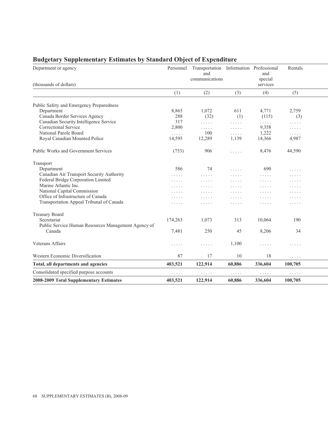| Department or agency<br>(thousands of dollars)      | Personnel | Transportation Information Professional<br>and<br>communications |          | and<br>special<br>services         | Rentals                            |  |
|-----------------------------------------------------|-----------|------------------------------------------------------------------|----------|------------------------------------|------------------------------------|--|
|                                                     |           |                                                                  |          |                                    |                                    |  |
|                                                     | (1)       | (2)                                                              | (3)      | (4)                                | (5)                                |  |
| Public Safety and Emergency Preparedness            |           |                                                                  |          |                                    |                                    |  |
| Department                                          | 8,865     | 1,072                                                            | 611      | 4,771                              | 2,759                              |  |
| Canada Border Services Agency                       | 288       | (32)                                                             | (1)      | (115)                              | (3)                                |  |
| Canadian Security Intelligence Service              | 317       | 1.1.1.1                                                          | .        | $\sim$ $\sim$ $\sim$ $\sim$ $\sim$ | $\cdots$                           |  |
| Correctional Service                                | 2,800     | 1.1.1.1                                                          | $\ldots$ | 9,358                              | 1.1.1.1                            |  |
| National Parole Board                               | .         | 100                                                              | .        | 1,222                              | .                                  |  |
| Royal Canadian Mounted Police                       | 14,595    | 12,289                                                           | 1,139    | 14,366                             | 4,987                              |  |
| <b>Public Works and Government Services</b>         | (753)     | 906                                                              | 1.1.1.1  | 8,476                              | 44,590                             |  |
| Transport                                           |           |                                                                  |          |                                    |                                    |  |
| Department                                          | 586       | 74                                                               | $\cdots$ | 690                                | $\cdots$                           |  |
| Canadian Air Transport Security Authority           | .         | $\cdots$                                                         | $\cdots$ | $\cdots$                           | .                                  |  |
| Federal Bridge Corporation Limited                  | .         | .                                                                | $\cdots$ | .                                  | $\cdots$                           |  |
| Marine Atlantic Inc.                                | .         | .                                                                | $\cdots$ | $\sim$ $\sim$ $\sim$ $\sim$ $\sim$ | $\cdots$                           |  |
| National Capital Commission                         | .         | .                                                                | $\cdots$ | .                                  | $\sim$ $\sim$ $\sim$ $\sim$ $\sim$ |  |
| Office of Infrastructure of Canada                  | .         | .                                                                | $\cdots$ | $\cdots$                           | $\cdots$                           |  |
| Transportation Appeal Tribunal of Canada            | .         | .                                                                | $\cdots$ | $\cdots$                           | $\cdots$                           |  |
| <b>Treasury Board</b>                               |           |                                                                  |          |                                    |                                    |  |
| Secretariat                                         | 174,263   | 1,073                                                            | 313      | 10,064                             | 190                                |  |
| Public Service Human Resources Management Agency of |           |                                                                  |          |                                    |                                    |  |
| Canada                                              | 7,481     | 250                                                              | 45       | 8,206                              | 34                                 |  |
| Veterans Affairs                                    | .         | .                                                                | 1,100    | $\cdots$                           | .                                  |  |
| Western Economic Diversification                    | 87        | 17                                                               | 10       | 18                                 | 1.1.1.1                            |  |
| Total, all departments and agencies                 | 403,521   | 122,914                                                          | 60,886   | 336,604                            | 100,705                            |  |
| Consolidated specified purpose accounts             | $\cdots$  | $\cdots$                                                         | $\cdots$ | $\cdots\cdots\cdots$               | $\cdots$                           |  |
| 2008-2009 Total Supplementary Estimates             | 403,521   | 122,914                                                          | 60.886   | 336,604                            | 100,705                            |  |

#### **Budgetary Supplementary Estimates by Standard Object of Expenditure**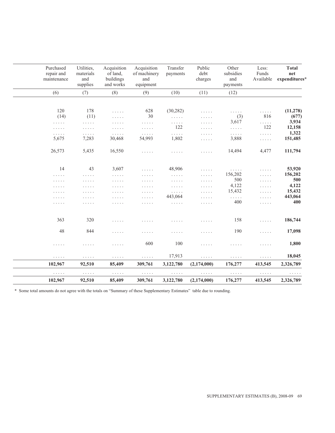| Purchased<br>repair and<br>maintenance | Utilities,<br>materials<br>and<br>supplies | Acquisition<br>of land.<br>buildings<br>and works | Acquisition<br>of machinery<br>and<br>equipment | Transfer<br>payments                                                     | Public<br>debt<br>charges                                                                                                                                                                                                | Other<br>subsidies<br>and<br>payments | Less:<br>Funds<br>Available         | <b>Total</b><br>net<br>expenditures* |
|----------------------------------------|--------------------------------------------|---------------------------------------------------|-------------------------------------------------|--------------------------------------------------------------------------|--------------------------------------------------------------------------------------------------------------------------------------------------------------------------------------------------------------------------|---------------------------------------|-------------------------------------|--------------------------------------|
| (6)                                    | (7)                                        | (8)                                               | (9)                                             | (10)                                                                     | (11)                                                                                                                                                                                                                     | (12)                                  |                                     |                                      |
|                                        |                                            |                                                   |                                                 |                                                                          |                                                                                                                                                                                                                          |                                       |                                     |                                      |
| 120                                    | 178                                        | .                                                 | 628                                             | (30, 282)                                                                | .                                                                                                                                                                                                                        | .                                     | .                                   | (11, 278)                            |
| (14)                                   | (11)                                       | .                                                 | 30                                              | .                                                                        | .                                                                                                                                                                                                                        | (3)                                   | 816                                 | (677)                                |
| .                                      | .                                          | .                                                 | .                                               | .                                                                        | .                                                                                                                                                                                                                        | 3,617                                 | .                                   | 3,934                                |
| .                                      | .                                          | .                                                 | .                                               | 122                                                                      | .                                                                                                                                                                                                                        | .                                     | 122                                 | 12,158                               |
| 1.1.1.1                                | 1.1.1.1                                    | .                                                 | 1.1.1.1                                         | .                                                                        | .                                                                                                                                                                                                                        | .                                     | .                                   | 1,322                                |
| 5,675                                  | 7,283                                      | 30,468                                            | 54,993                                          | 1,802                                                                    | $\frac{1}{2} \left( \frac{1}{2} \left( \frac{1}{2} \left( \frac{1}{2} \left( \frac{1}{2} \right) \right) \right) + \frac{1}{2} \left( \frac{1}{2} \left( \frac{1}{2} \left( \frac{1}{2} \right) \right) \right) \right)$ | 3,888                                 | .                                   | 151,485                              |
| 26,573                                 | 5,435                                      | 16,550                                            | .                                               | .                                                                        | .                                                                                                                                                                                                                        | 14,494                                | 4,477                               | 111,794                              |
| 14                                     | 43                                         | 3,607                                             |                                                 | 48,906                                                                   |                                                                                                                                                                                                                          |                                       |                                     | 53,920                               |
|                                        |                                            |                                                   | .                                               |                                                                          | .                                                                                                                                                                                                                        | .<br>156,202                          | .                                   | 156,202                              |
| .                                      | $\cdots$                                   | .                                                 | .                                               | $\sim$ $\sim$ $\sim$ $\sim$ $\sim$                                       | $\ldots$                                                                                                                                                                                                                 | 500                                   | $\ldots$                            | 500                                  |
| .                                      | .                                          | .                                                 | .                                               | $\sim$ $\sim$ $\sim$ $\sim$ $\sim$<br>$\sim$ $\sim$ $\sim$ $\sim$ $\sim$ | $\ldots$                                                                                                                                                                                                                 | 4,122                                 | .<br>$\ldots$                       | 4,122                                |
| .                                      | .                                          | .                                                 | .                                               | .                                                                        | .                                                                                                                                                                                                                        | 15,432                                | $\ldots$                            | 15,432                               |
| .                                      | .                                          | .                                                 | .                                               | 443,064                                                                  | .                                                                                                                                                                                                                        | .                                     |                                     | 443,064                              |
| .<br>.                                 | .<br>.                                     | .<br>.                                            | .<br>.                                          | $\ldots$                                                                 | .<br>.                                                                                                                                                                                                                   | 400                                   | $\alpha$ , $\alpha$ , $\alpha$<br>. | 400                                  |
|                                        |                                            |                                                   |                                                 |                                                                          |                                                                                                                                                                                                                          |                                       |                                     |                                      |
| 363                                    | 320                                        | .                                                 | .                                               | .                                                                        | .                                                                                                                                                                                                                        | 158                                   | 1.1.1.1                             | 186,744                              |
| 48                                     | 844                                        | .                                                 | .                                               | .                                                                        | .                                                                                                                                                                                                                        | 190                                   | .                                   | 17,098                               |
| .                                      | .                                          | .                                                 | 600                                             | 100                                                                      | .                                                                                                                                                                                                                        | .                                     | .                                   | 1,800                                |
| .                                      | $\cdots\cdots\cdots$                       | .                                                 | .                                               | 17,913                                                                   | $\sim$ $\sim$ $\sim$ $\sim$ $\sim$                                                                                                                                                                                       | .                                     | $\sim$ $\sim$ $\sim$ $\sim$ $\sim$  | 18,045                               |
| 102,967                                | 92,510                                     | 85,409                                            | 309,761                                         | 3,122,780                                                                | (2,174,000)                                                                                                                                                                                                              | 176,277                               | 413,545                             | 2,326,789                            |
| $\sim$ $\sim$ $\sim$ $\sim$ $\sim$     | $\cdots$                                   | .                                                 | .                                               | .                                                                        | $\sim$ $\sim$ $\sim$ $\sim$ $\sim$                                                                                                                                                                                       | .                                     | .                                   | $\sim$ $\sim$ $\sim$ $\sim$ $\sim$   |
| 102,967                                | 92,510                                     | 85,409                                            | 309,761                                         | 3,122,780                                                                | (2,174,000)                                                                                                                                                                                                              | 176,277                               | 413,545                             | 2,326,789                            |

\* Some total amounts do not agree with the totals on "Summary of these Supplementary Estimates" table due to rounding.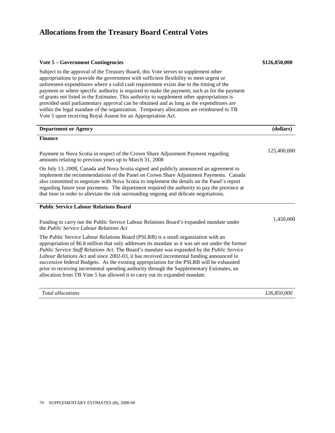| <b>Vote 5 – Government Contingencies</b>                                                                                                                                                                                                                                                                                                                                                                                                                                                                                                                                                                                                                                                                                        | \$126,850,000 |
|---------------------------------------------------------------------------------------------------------------------------------------------------------------------------------------------------------------------------------------------------------------------------------------------------------------------------------------------------------------------------------------------------------------------------------------------------------------------------------------------------------------------------------------------------------------------------------------------------------------------------------------------------------------------------------------------------------------------------------|---------------|
| Subject to the approval of the Treasury Board, this Vote serves to supplement other<br>appropriations to provide the government with sufficient flexibility to meet urgent or<br>unforeseen expenditures where a valid cash requirement exists due to the timing of the<br>payment or where specific authority is required to make the payment, such as for the payment<br>of grants not listed in the Estimates. This authority to supplement other appropriations is<br>provided until parliamentary approval can be obtained and as long as the expenditures are<br>within the legal mandate of the organization. Temporary allocations are reimbursed to TB<br>Vote 5 upon receiving Royal Assent for an Appropriation Act. |               |
| <b>Department or Agency</b>                                                                                                                                                                                                                                                                                                                                                                                                                                                                                                                                                                                                                                                                                                     | (dollars)     |
| <b>Finance</b>                                                                                                                                                                                                                                                                                                                                                                                                                                                                                                                                                                                                                                                                                                                  |               |
| Payment to Nova Scotia in respect of the Crown Share Adjustment Payment regarding<br>amounts relating to previous years up to March 31, 2008                                                                                                                                                                                                                                                                                                                                                                                                                                                                                                                                                                                    | 125,400,000   |
| On July 13, 2008, Canada and Nova Scotia signed and publicly announced an agreement to<br>implement the recommendations of the Panel on Crown Share Adjustment Payments. Canada<br>also committed to negotiate with Nova Scotia to implement the details on the Panel's report<br>regarding future year payments. The department required the authority to pay the province at<br>that time in order to alleviate the risk surrounding ongoing and delicate negotiations.                                                                                                                                                                                                                                                       |               |
| <b>Public Service Labour Relations Board</b>                                                                                                                                                                                                                                                                                                                                                                                                                                                                                                                                                                                                                                                                                    |               |
| Funding to carry out the Public Service Labour Relations Board's expanded mandate under<br>the Public Service Labour Relations Act                                                                                                                                                                                                                                                                                                                                                                                                                                                                                                                                                                                              | 1,450,000     |
| The Public Service Labour Relations Board (PSLRB) is a small organization with an<br>appropriation of \$6.8 million that only addresses its mandate as it was set out under the former<br>Public Service Staff Relations Act. The Board's mandate was expanded by the Public Service<br>Labour Relations Act and since 2002-03, it has received incremental funding announced in<br>successive federal Budgets. As the existing appropriation for the PSLRB will be exhausted<br>prior to receiving incremental spending authority through the Supplementary Estimates, an<br>allocation from TB Vote 5 has allowed it to carry out its expanded mandate.                                                                       |               |
| Total allocations                                                                                                                                                                                                                                                                                                                                                                                                                                                                                                                                                                                                                                                                                                               | 126,850,000   |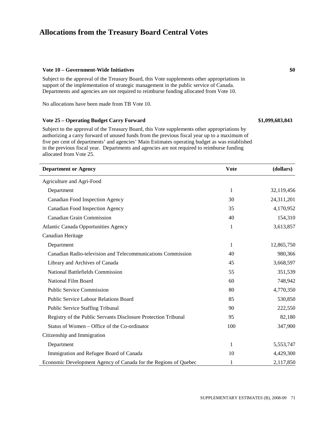#### **Vote 10 – Government-Wide Initiatives \$0**

Subject to the approval of the Treasury Board, this Vote supplements other appropriations in support of the implementation of strategic management in the public service of Canada. Departments and agencies are not required to reimburse funding allocated from Vote 10.

No allocations have been made from TB Vote 10.

#### **Vote 25 – Operating Budget Carry Forward \$1,099,683,843**

Subject to the approval of the Treasury Board, this Vote supplements other appropriations by authorizing a carry forward of unused funds from the previous fiscal year up to a maximum of five per cent of departments' and agencies' Main Estimates operating budget as was established in the previous fiscal year. Departments and agencies are not required to reimburse funding allocated from Vote 25.

| <b>Department or Agency</b>                                     | <b>Vote</b> | (dollars)  |
|-----------------------------------------------------------------|-------------|------------|
| Agriculture and Agri-Food                                       |             |            |
| Department                                                      | 1           | 32,119,456 |
| Canadian Food Inspection Agency                                 | 30          | 24,311,201 |
| Canadian Food Inspection Agency                                 | 35          | 4,170,952  |
| <b>Canadian Grain Commission</b>                                | 40          | 154,310    |
| <b>Atlantic Canada Opportunities Agency</b>                     | 1           | 3,613,857  |
| Canadian Heritage                                               |             |            |
| Department                                                      | 1           | 12,865,750 |
| Canadian Radio-television and Telecommunications Commission     | 40          | 980,366    |
| Library and Archives of Canada                                  | 45          | 3,668,597  |
| National Battlefields Commission                                | 55          | 351,539    |
| National Film Board                                             | 60          | 748,942    |
| <b>Public Service Commission</b>                                | 80          | 4,770,350  |
| <b>Public Service Labour Relations Board</b>                    | 85          | 530,850    |
| Public Service Staffing Tribunal                                | 90          | 222,550    |
| Registry of the Public Servants Disclosure Protection Tribunal  | 95          | 82,180     |
| Status of Women – Office of the Co-ordinator                    | 100         | 347,900    |
| Citizenship and Immigration                                     |             |            |
| Department                                                      | 1           | 5,553,747  |
| Immigration and Refugee Board of Canada                         | 10          | 4,429,300  |
| Economic Development Agency of Canada for the Regions of Quebec | 1           | 2,117,850  |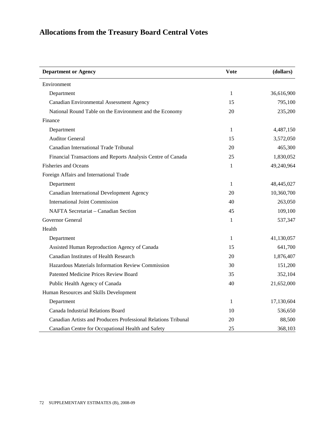| <b>Department or Agency</b>                                    | <b>Vote</b>  | (dollars)  |
|----------------------------------------------------------------|--------------|------------|
| Environment                                                    |              |            |
| Department                                                     | $\mathbf{1}$ | 36,616,900 |
| Canadian Environmental Assessment Agency                       | 15           | 795,100    |
| National Round Table on the Environment and the Economy        | 20           | 235,200    |
| Finance                                                        |              |            |
| Department                                                     | 1            | 4,487,150  |
| <b>Auditor General</b>                                         | 15           | 3,572,050  |
| Canadian International Trade Tribunal                          | 20           | 465,300    |
| Financial Transactions and Reports Analysis Centre of Canada   | 25           | 1,830,052  |
| <b>Fisheries and Oceans</b>                                    | 1            | 49,240,964 |
| Foreign Affairs and International Trade                        |              |            |
| Department                                                     | 1            | 48,445,027 |
| Canadian International Development Agency                      | 20           | 10,360,700 |
| <b>International Joint Commission</b>                          | 40           | 263,050    |
| NAFTA Secretariat – Canadian Section                           | 45           | 109,100    |
| Governor General                                               | 1            | 537,347    |
| Health                                                         |              |            |
| Department                                                     | 1            | 41,130,057 |
| Assisted Human Reproduction Agency of Canada                   | 15           | 641,700    |
| Canadian Institutes of Health Research                         | 20           | 1,876,407  |
| Hazardous Materials Information Review Commission              | 30           | 151,200    |
| Patented Medicine Prices Review Board                          | 35           | 352,104    |
| Public Health Agency of Canada                                 | 40           | 21,652,000 |
| Human Resources and Skills Development                         |              |            |
| Department                                                     | $\mathbf{1}$ | 17,130,604 |
| Canada Industrial Relations Board                              | 10           | 536,650    |
| Canadian Artists and Producers Professional Relations Tribunal | 20           | 88,500     |
| Canadian Centre for Occupational Health and Safety             | 25           | 368,103    |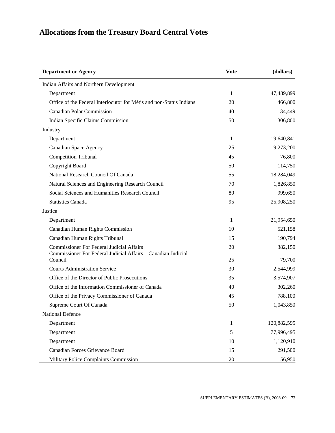| <b>Department or Agency</b>                                                                                       | <b>Vote</b>  | (dollars)   |
|-------------------------------------------------------------------------------------------------------------------|--------------|-------------|
| Indian Affairs and Northern Development                                                                           |              |             |
| Department                                                                                                        | 1            | 47,489,899  |
| Office of the Federal Interlocutor for Métis and non-Status Indians                                               | 20           | 466,800     |
| <b>Canadian Polar Commission</b>                                                                                  | 40           | 34,449      |
| Indian Specific Claims Commission                                                                                 | 50           | 306,800     |
| Industry                                                                                                          |              |             |
| Department                                                                                                        | 1            | 19,640,841  |
| <b>Canadian Space Agency</b>                                                                                      | 25           | 9,273,200   |
| <b>Competition Tribunal</b>                                                                                       | 45           | 76,800      |
| Copyright Board                                                                                                   | 50           | 114,750     |
| National Research Council Of Canada                                                                               | 55           | 18,284,049  |
| Natural Sciences and Engineering Research Council                                                                 | 70           | 1,826,850   |
| Social Sciences and Humanities Research Council                                                                   | 80           | 999,650     |
| <b>Statistics Canada</b>                                                                                          | 95           | 25,908,250  |
| Justice                                                                                                           |              |             |
| Department                                                                                                        | 1            | 21,954,650  |
| Canadian Human Rights Commission                                                                                  | 10           | 521,158     |
| Canadian Human Rights Tribunal                                                                                    | 15           | 190,794     |
| <b>Commissioner For Federal Judicial Affairs</b><br>Commissioner For Federal Judicial Affairs - Canadian Judicial | 20           | 382,150     |
| Council                                                                                                           | 25           | 79,700      |
| <b>Courts Administration Service</b>                                                                              | 30           | 2,544,999   |
| Office of the Director of Public Prosecutions                                                                     | 35           | 3,574,907   |
| Office of the Information Commissioner of Canada                                                                  | 40           | 302,260     |
| Office of the Privacy Commissioner of Canada                                                                      | 45           | 788,100     |
| Supreme Court Of Canada                                                                                           | 50           | 1,043,850   |
| <b>National Defence</b>                                                                                           |              |             |
| Department                                                                                                        | $\mathbf{1}$ | 120,882,595 |
| Department                                                                                                        | 5            | 77,996,495  |
| Department                                                                                                        | 10           | 1,120,910   |
| Canadian Forces Grievance Board                                                                                   | 15           | 291,500     |
| Military Police Complaints Commission                                                                             | $20\,$       | 156,950     |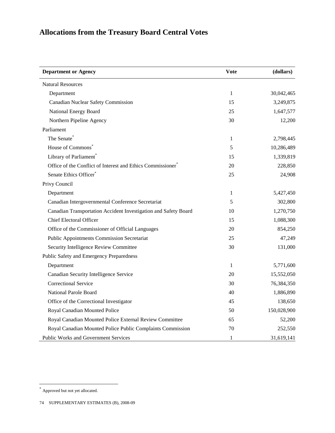| <b>Department or Agency</b>                                             | Vote         | (dollars)   |
|-------------------------------------------------------------------------|--------------|-------------|
| <b>Natural Resources</b>                                                |              |             |
| Department                                                              | $\mathbf{1}$ | 30,042,465  |
| Canadian Nuclear Safety Commission                                      | 15           | 3,249,875   |
| National Energy Board                                                   | 25           | 1,647,577   |
| Northern Pipeline Agency                                                | 30           | 12,200      |
| Parliament                                                              |              |             |
| The Senate*                                                             | 1            | 2,798,445   |
| House of Commons*                                                       | 5            | 10,286,489  |
| Library of Parliament*                                                  | 15           | 1,339,819   |
| Office of the Conflict of Interest and Ethics Commissioner <sup>®</sup> | 20           | 228,850     |
| Senate Ethics Officer <sup>*</sup>                                      | 25           | 24,908      |
| Privy Council                                                           |              |             |
| Department                                                              | 1            | 5,427,450   |
| Canadian Intergovernmental Conference Secretariat                       | 5            | 302,800     |
| Canadian Transportation Accident Investigation and Safety Board         | 10           | 1,270,750   |
| <b>Chief Electoral Officer</b>                                          | 15           | 1,088,300   |
| Office of the Commissioner of Official Languages                        | 20           | 854,250     |
| <b>Public Appointments Commission Secretariat</b>                       | 25           | 47,249      |
| Security Intelligence Review Committee                                  | 30           | 131,000     |
| Public Safety and Emergency Preparedness                                |              |             |
| Department                                                              | 1            | 5,771,600   |
| Canadian Security Intelligence Service                                  | 20           | 15,552,050  |
| <b>Correctional Service</b>                                             | 30           | 76,384,350  |
| National Parole Board                                                   | 40           | 1,886,890   |
| Office of the Correctional Investigator                                 | 45           | 138,650     |
| Royal Canadian Mounted Police                                           | 50           | 150,028,900 |
| Royal Canadian Mounted Police External Review Committee                 | 65           | 52,200      |
| Royal Canadian Mounted Police Public Complaints Commission              | 70           | 252,550     |
| <b>Public Works and Government Services</b>                             | 1            | 31,619,141  |

 $\overline{a}$ 

<sup>\*</sup> Approved but not yet allocated.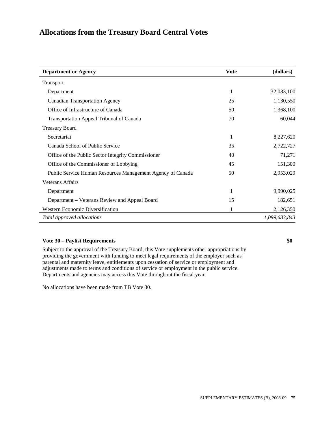| <b>Department or Agency</b>                                | <b>Vote</b> | (dollars)     |
|------------------------------------------------------------|-------------|---------------|
| Transport                                                  |             |               |
| Department                                                 | 1           | 32,083,100    |
| <b>Canadian Transportation Agency</b>                      | 25          | 1,130,550     |
| Office of Infrastructure of Canada                         | 50          | 1,368,100     |
| Transportation Appeal Tribunal of Canada                   | 70          | 60,044        |
| <b>Treasury Board</b>                                      |             |               |
| Secretariat                                                | 1           | 8,227,620     |
| Canada School of Public Service                            | 35          | 2,722,727     |
| Office of the Public Sector Integrity Commissioner         | 40          | 71,271        |
| Office of the Commissioner of Lobbying                     | 45          | 151,300       |
| Public Service Human Resources Management Agency of Canada | 50          | 2,953,029     |
| <b>Veterans Affairs</b>                                    |             |               |
| Department                                                 | 1           | 9,990,025     |
| Department - Veterans Review and Appeal Board              | 15          | 182,651       |
| <b>Western Economic Diversification</b>                    |             | 2,126,350     |
| Total approved allocations                                 |             | 1,099,683,843 |

#### **Vote 30 – Paylist Requirements \$0**

Subject to the approval of the Treasury Board, this Vote supplements other appropriations by providing the government with funding to meet legal requirements of the employer such as parental and maternity leave, entitlements upon cessation of service or employment and adjustments made to terms and conditions of service or employment in the public service. Departments and agencies may access this Vote throughout the fiscal year.

No allocations have been made from TB Vote 30.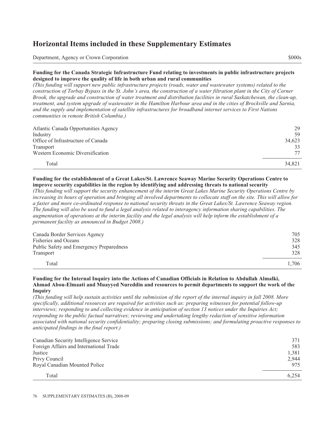Department, Agency or Crown Corporation \$000s

### **Funding for the Canada Strategic Infrastructure Fund relating to investments in public infrastructure projects designed to improve the quality of life in both urban and rural communities**

*(This funding will support new public infrastructure projects (roads, water and wastewater systems) related to the construction of Torbay Bypass in the St. John's area, the construction of a water filtration plant in the City of Corner Brook, the upgrade and construction of water treatment and distribution facilities in rural Saskatchewan, the clean-up, treatment, and system upgrade of wastewater in the Hamilton Harbour area and in the cities of Brockville and Sarnia, and the supply and implementation of satellite infrastructures for broadband internet services to First Nations communities in remote British Columbia.)*

| Atlantic Canada Opportunities Agency<br>Industry | 29<br>59 |
|--------------------------------------------------|----------|
| Office of Infrastructure of Canada               | 34.623   |
| Transport                                        | 33       |
| Western Economic Diversification                 | 77       |
| Total                                            | 34.821   |

### **Funding for the establishment of a Great Lakes/St. Lawrence Seaway Marine Security Operations Centre to improve security capabilities in the region by identifying and addressing threats to national security**

*(This funding will support the security enhancement of the interim Great Lakes Marine Security Operations Centre by increasing its hours of operation and bringing all involved departments to collocate staff on the site. This will allow for a faster and more co-ordinated response to national security threats in the Great Lakes/St. Lawrence Seaway region. The funding will also be used to fund a legal analysis related to interagency information sharing capabilities. The augmentation of operations at the interim facility and the legal analysis will help inform the establishment of a permanent facility as announced in Budget 2008.)*

| Canada Border Services Agency            | 705   |
|------------------------------------------|-------|
| <b>Fisheries and Oceans</b>              | 328   |
| Public Safety and Emergency Preparedness | 345   |
| Transport                                | 328   |
| Total                                    | 1.706 |

### **Funding for the Internal Inquiry into the Actions of Canadian Officials in Relation to Abdullah Almalki, Ahmad Abou-Elmaati and Muayyed Nureddin and resources to permit departments to support the work of the Inquiry**

*(This funding will help sustain activities until the submission of the report of the internal inquiry in fall 2008. More specifically, additional resources are required for activities such as: preparing witnesses for potential follow-up interviews; responding to and collecting evidence in anticipation of section 13 notices under the Inquiries Act; responding to the public factual narratives; reviewing and undertaking lengthy redaction of sensitive information associated with national security confidentiality; preparing closing submissions; and formulating proactive responses to anticipated findings in the final report.)*

| Canadian Security Intelligence Service  | 371   |
|-----------------------------------------|-------|
| Foreign Affairs and International Trade | 583   |
| Justice                                 | 1,381 |
| Privy Council                           | 2.944 |
| Royal Canadian Mounted Police           | 975   |
| Total                                   | 6.254 |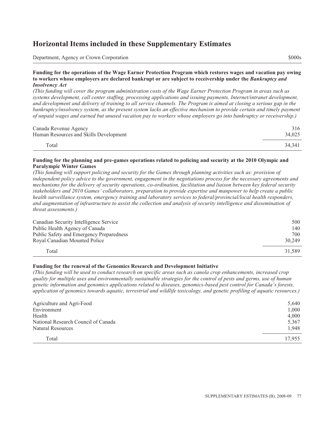Department, Agency or Crown Corporation \$000s

### **Funding for the operations of the Wage Earner Protection Program which restores wages and vacation pay owing to workers whose employers are declared bankrupt or are subject to receivership under the** *Bankruptcy and Insolvency Act*

*(This funding will cover the program administration costs of the Wage Earner Protection Program in areas such as systems development, call center staffing, processing applications and issuing payments, Internet/intranet development, and development and delivery of training to all service channels. The Program is aimed at closing a serious gap in the bankruptcy/insolvency system, as the present system lacks an effective mechanism to provide certain and timely payment of unpaid wages and earned but unused vacation pay to workers whose employers go into bankruptcy or receivership.)*

| Canada Revenue Agency                  | 316    |
|----------------------------------------|--------|
| Human Resources and Skills Development | 34,025 |
| Total                                  | 34.341 |

### **Funding for the planning and pre-games operations related to policing and security at the 2010 Olympic and Paralympic Winter Games**

*(This funding will support policing and security for the Games through planning activities such as: provision of independent policy advice to the government, engagement in the negotiations process for the necessary agreements and mechanisms for the delivery of security operations, co-ordination, facilitation and liaison between key federal security stakeholders and 2010 Games' collaborators, preparation to provide expertise and manpower to help create a public health surveillance system, emergency training and laboratory services to federal/provincial/local health responders, and augmentation of infrastructure to assist the collection and analysis of security intelligence and dissemination of threat assessments.)*

| Canadian Security Intelligence Service   | 500    |
|------------------------------------------|--------|
| Public Health Agency of Canada           | 140    |
| Public Safety and Emergency Preparedness | 700    |
| Royal Canadian Mounted Police            | 30.249 |
| Total                                    | 31.589 |

### **Funding for the renewal of the Genomics Research and Development Initiative**

*(This funding will be used to conduct research on specific areas such as canola crop enhancements, increased crop quality for multiple uses and environmentally sustainable strategies for the control of pests and germs, use of human genetic information and genomics applications related to diseases, genomics-based pest control for Canada's forests, application of genomics towards aquatic, terrestrial and wildlife toxicology, and genetic profiling of aquatic resources.)*

| Agriculture and Agri-Food           | 5,640  |
|-------------------------------------|--------|
| Environment                         | 1,000  |
| Health                              | 4,000  |
| National Research Council of Canada | 5,367  |
| <b>Natural Resources</b>            | 1.948  |
| Total                               | 17.955 |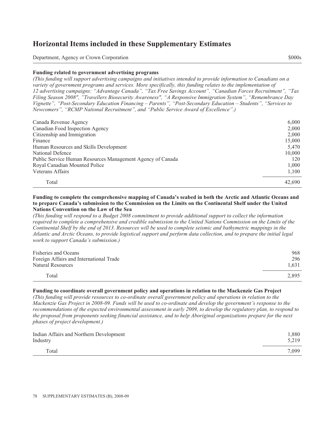Department, Agency or Crown Corporation \$000s

### **Funding related to government advertising programs**

*(This funding will support advertising campaigns and initiatives intended to provide information to Canadians on a variety of government programs and services. More specifically, this funding relates to the implementation of 12 advertising campaigns: "Advantage Canada", "Tax Free Savings Account", "Canadian Forces Recruitment", "Tax Filing Season 2008", "Travellers Biosecurity Awareness", "A Responsive Immigration System", "Remembrance Day Vignette", "Post-Secondary Education Financing – Parents", "Post-Secondary Education – Students", "Services to Newcomers", "RCMP National Recruitment", and "Public Service Award of Excellence".)*

| Canada Revenue Agency                                      | 6,000  |
|------------------------------------------------------------|--------|
| Canadian Food Inspection Agency                            | 2.000  |
| Citizenship and Immigration                                | 2.000  |
| Finance                                                    | 15,000 |
| Human Resources and Skills Development                     | 5,470  |
| National Defence                                           | 10,000 |
| Public Service Human Resources Management Agency of Canada | 120    |
| Royal Canadian Mounted Police                              | 1,000  |
| Veterans Affairs                                           | 1.100  |
| Total                                                      | 42,690 |

### **Funding to complete the comprehensive mapping of Canada's seabed in both the Arctic and Atlantic Oceans and to prepare Canada's submission to the Commission on the Limits on the Continental Shelf under the United Nations Convention on the Law of the Sea**

*(This funding will respond to a Budget 2008 commitment to provide additional support to collect the information required to complete a comprehensive and credible submission to the United Nations Commission on the Limits of the Continental Shelf by the end of 2013. Resources will be used to complete seismic and bathymetric mappings in the Atlantic and Arctic Oceans, to provide logistical support and perform data collection, and to prepare the initial legal work to support Canada's submission.)*

| <b>Fisheries and Oceans</b>             | 968   |
|-----------------------------------------|-------|
| Foreign Affairs and International Trade | 296   |
| <b>Natural Resources</b>                | 1.631 |
| Total                                   | 2.895 |

### **Funding to coordinate overall government policy and operations in relation to the Mackenzie Gas Project**

*(This funding will provide resources to co-ordinate overall government policy and operations in relation to the Mackenzie Gas Project in 2008-09. Funds will be used to co-ordinate and develop the government's response to the recommendations of the expected environmental assessment in early 2009, to develop the regulatory plan, to respond to the proposal from proponents seeking financial assistance, and to help Aboriginal organizations prepare for the next phases of project development.)*

| Indian Affairs and Northern Development | 1.880 |
|-----------------------------------------|-------|
| Industry                                | 5.219 |
| Total                                   | 7.099 |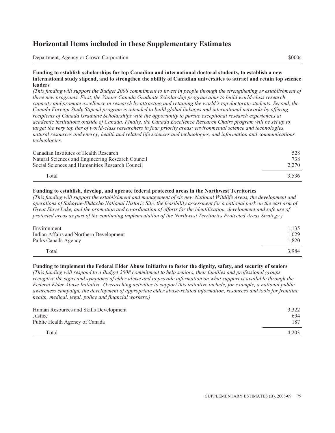Department, Agency or Crown Corporation \$000s

### **Funding to establish scholarships for top Canadian and international doctoral students, to establish a new international study stipend, and to strengthen the ability of Canadian universities to attract and retain top science leaders**

*(This funding will support the Budget 2008 commitment to invest in people through the strengthening or establishment of three new programs. First, the Vanier Canada Graduate Scholarship program aims to build world-class research capacity and promote excellence in research by attracting and retaining the world's top doctorate students. Second, the Canada Foreign Study Stipend program is intended to build global linkages and international networks by offering recipients of Canada Graduate Scholarships with the opportunity to pursue exceptional research experiences at academic institutions outside of Canada. Finally, the Canada Excellence Research Chairs program will be set up to target the very top tier of world-class researchers in four priority areas: environmental science and technologies, natural resources and energy, health and related life sciences and technologies, and information and communications technologies.*

| Canadian Institutes of Health Research<br>Natural Sciences and Engineering Research Council | 528<br>738 |
|---------------------------------------------------------------------------------------------|------------|
| Social Sciences and Humanities Research Council                                             | 2.270      |
| Total                                                                                       | 3.536      |

### **Funding to establish, develop, and operate federal protected areas in the Northwest Territories**

*(This funding will support the establishment and management of six new National Wildlife Areas, the development and operations of Sahoyue-Ehdacho National Historic Site, the feasibility assessment for a national park on the east arm of Great Slave Lake, and the promotion and co-ordination of efforts for the identification, development and safe use of protected areas as part of the continuing implementation of the Northwest Territories Protected Areas Strategy.)*

| Environment                             | 1.135 |
|-----------------------------------------|-------|
| Indian Affairs and Northern Development | 1.029 |
| Parks Canada Agency                     | 1.820 |
| Total                                   | 3.984 |

### **Funding to implement the Federal Elder Abuse Initiative to foster the dignity, safety, and security of seniors**

*(This funding will respond to a Budget 2008 commitment to help seniors, their families and professional groups recognize the signs and symptoms of elder abuse and to provide information on what support is available through the Federal Elder Abuse Initiative. Overarching activities to support this initiative include, for example, a national public awareness campaign, the development of appropriate elder abuse-related information, resources and tools for frontline health, medical, legal, police and financial workers.)*

| Human Resources and Skills Development | 3.322 |
|----------------------------------------|-------|
| Justice                                | 694   |
| Public Health Agency of Canada         | 187   |
| Total                                  | 4.203 |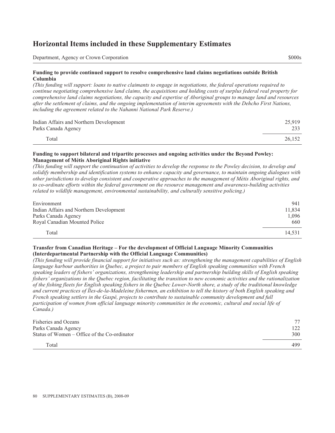Department, Agency or Crown Corporation \$000s

### **Funding to provide continued support to resolve comprehensive land claims negotiations outside British Columbia**

*(This funding will support: loans to native claimants to engage in negotiations, the federal operations required to continue negotiating comprehensive land claims, the acquisitions and holding costs of surplus federal real property for comprehensive land claims negotiations, the capacity and expertise of Aboriginal groups to manage land and resources after the settlement of claims, and the ongoing implementation of interim agreements with the Dehcho First Nations, including the agreement related to the Nahanni National Park Reserve.)*

| Indian Affairs and Northern Development | 25,919 |
|-----------------------------------------|--------|
| Parks Canada Agency                     | 233    |
| Total                                   | 26,152 |

### **Funding to support bilateral and tripartite processes and ongoing activities under the Beyond Powley: Management of Métis Aboriginal Rights initiative**

*(This funding will support the continuation of activities to develop the response to the Powley decision, to develop and solidify membership and identification systems to enhance capacity and governance, to maintain ongoing dialogues with other jurisdictions to develop consistent and cooperative approaches to the management of Métis Aboriginal rights, and to co-ordinate efforts within the federal government on the resource management and awareness-building activities related to wildlife management, environmental sustainability, and culturally sensitive policing.)*

| Environment                             | 941    |
|-----------------------------------------|--------|
| Indian Affairs and Northern Development | 11.834 |
| Parks Canada Agency                     | 1.096  |
| Royal Canadian Mounted Police           | 660    |
| Total                                   | 14.531 |

### **Transfer from Canadian Heritage – For the development of Official Language Minority Communities (Interdepartmental Partnership with the Official Language Communities)**

*(This funding will provide financial support for initiatives such as: strengthening the management capabilities of English language harbour authorities in Quebec, a project to pair members of English speaking communities with French speaking leaders of fishers' organizations, strengthening leadership and partnership building skills of English speaking fishers' organizations in the Quebec region, facilitating the transition to new economic activities and the rationalization of the fishing fleets for English speaking fishers in the Quebec Lower-North shore, a study of the traditional knowledge and current practices of Îles-de-la-Madeleine fishermen, an exhibition to tell the history of both English speaking and French speaking settlers in the Gaspé, projects to contribute to sustainable community development and full participation of women from official language minority communities in the economic, cultural and social life of Canada.)*

Fisheries and Oceans 77 Parks Canada Agency 122 Status of Women – Office of the Co-ordinator 300 Total 499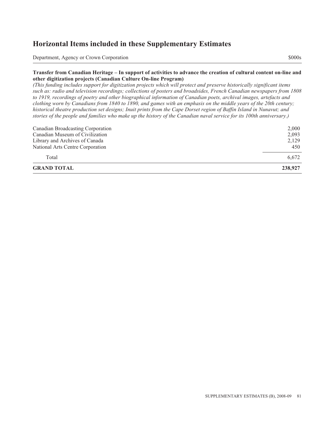Department, Agency or Crown Corporation \$000s

### **Transfer from Canadian Heritage – In support of activities to advance the creation of cultural content on-line and other digitization projects (Canadian Culture On-line Program)**

*(This funding includes support for digitization projects which will protect and preserve historically significant items such as: radio and television recordings; collections of posters and broadsides, French Canadian newspapers from 1808 to 1919, recordings of poetry and other biographical information of Canadian poets, archival images, artefacts and clothing worn by Canadians from 1840 to 1890, and games with an emphasis on the middle years of the 20th century; historical theatre production set designs; Inuit prints from the Cape Dorset region of Baffin Island in Nunavut; and stories of the people and families who make up the history of the Canadian naval service for its 100th anniversary.)*

| Canadian Broadcasting Corporation | 2,000   |
|-----------------------------------|---------|
| Canadian Museum of Civilization   | 2,093   |
| Library and Archives of Canada    | 2,129   |
| National Arts Centre Corporation  | 450     |
| Total                             | 6.672   |
| <b>GRAND TOTAL</b>                | 238,927 |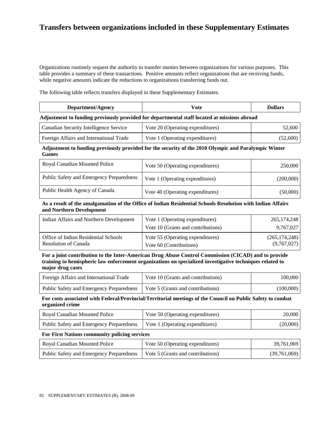Organizations routinely request the authority to transfer monies between organizations for various purposes. This table provides a summary of these transactions. Positive amounts reflect organizations that are receiving funds, while negative amounts indicate the reductions to organizations transferring funds out.

The following table reflects transfers displayed in these Supplementary Estimates.

|  | Department/Agency | √ote | nars |
|--|-------------------|------|------|
|--|-------------------|------|------|

### **Adjustment to funding previously provided for departmental staff located at missions abroad**

| Canadian Security Intelligence Service         | Vote 20 (Operating expenditures) | 52,600   |
|------------------------------------------------|----------------------------------|----------|
| <b>Foreign Affairs and International Trade</b> | Vote 1 (Operating expenditures)  | (52,600) |

### **Adjustment to funding previously provided for the security of the 2010 Olympic and Paralympic Winter Games**

| Royal Canadian Mounted Police            | Vote 50 (Operating expenditures) | 250,000   |
|------------------------------------------|----------------------------------|-----------|
| Public Safety and Emergency Preparedness | Vote 1 (Operating expenditures)  | (200,000) |
| Public Health Agency of Canada           | Vote 40 (Operating expenditures) | (50,000)  |

### **As a result of the amalgamation of the Office of Indian Residential Schools Resolution with Indian Affairs and Northern Development**

| Indian Affairs and Northern Development | Vote 1 (Operating expenditures)<br>Vote 10 (Grants and contributions) | 265, 174, 248<br>9,767,027 |
|-----------------------------------------|-----------------------------------------------------------------------|----------------------------|
| Office of Indian Residential Schools    | Vote 55 (Operating expenditures)                                      | (265, 174, 248)            |
| <b>Resolution of Canada</b>             | Vote 60 (Contributions)                                               | (9,767,027)                |

**For a joint contribution to the Inter-American Drug Abuse Control Commission (CICAD) and to provide training to hemispheric law enforcement organizations on specialized investigative techniques related to major drug cases**

| Foreign Affairs and International Trade         | Vote 10 (Grants and contributions) | 100.000   |
|-------------------------------------------------|------------------------------------|-----------|
| <b>Public Safety and Emergency Preparedness</b> | Vote 5 (Grants and contributions)  | (100,000) |

**For costs associated with Federal/Provincial/Territorial meetings of the Council on Public Safety to combat organized crime**

| Royal Canadian Mounted Police            | Vote 50 (Operating expenditures) | 20,000   |
|------------------------------------------|----------------------------------|----------|
| Public Safety and Emergency Preparedness | Vote 1 (Operating expenditures)  | (20,000) |

### **For First Nations community policing services**

| Royal Canadian Mounted Police            | Vote 50 (Operating expenditures)  | 39.761.069   |
|------------------------------------------|-----------------------------------|--------------|
| Public Safety and Emergency Preparedness | Vote 5 (Grants and contributions) | (39,761,069) |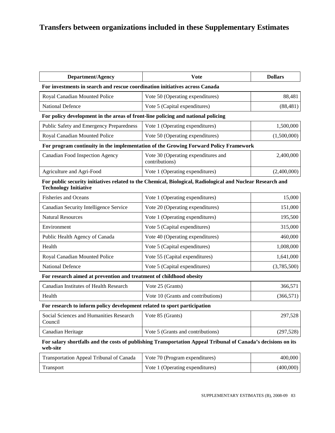| <b>Department/Agency</b>                                                         | Vote                                                                                                          | <b>Dollars</b> |
|----------------------------------------------------------------------------------|---------------------------------------------------------------------------------------------------------------|----------------|
| For investments in search and rescue coordination initiatives across Canada      |                                                                                                               |                |
| Royal Canadian Mounted Police                                                    | Vote 50 (Operating expenditures)                                                                              | 88,481         |
| <b>National Defence</b>                                                          | Vote 5 (Capital expenditures)                                                                                 | (88, 481)      |
| For policy development in the areas of front-line policing and national policing |                                                                                                               |                |
| Public Safety and Emergency Preparedness                                         | Vote 1 (Operating expenditures)                                                                               | 1,500,000      |
| Royal Canadian Mounted Police                                                    | Vote 50 (Operating expenditures)                                                                              | (1,500,000)    |
|                                                                                  | For program continuity in the implementation of the Growing Forward Policy Framework                          |                |
| <b>Canadian Food Inspection Agency</b>                                           | Vote 30 (Operating expenditures and<br>contributions)                                                         | 2,400,000      |
| Agriculture and Agri-Food                                                        | Vote 1 (Operating expenditures)                                                                               | (2,400,000)    |
| <b>Technology Initiative</b>                                                     | For public security initiatives related to the Chemical, Biological, Radiological and Nuclear Research and    |                |
| <b>Fisheries and Oceans</b>                                                      | Vote 1 (Operating expenditures)                                                                               | 15,000         |
| Canadian Security Intelligence Service                                           | Vote 20 (Operating expenditures)                                                                              | 151,000        |
| <b>Natural Resources</b>                                                         | Vote 1 (Operating expenditures)                                                                               | 195,500        |
| Environment                                                                      | Vote 5 (Capital expenditures)                                                                                 | 315,000        |
| Public Health Agency of Canada                                                   | Vote 40 (Operating expenditures)                                                                              | 460,000        |
| Health                                                                           | Vote 5 (Capital expenditures)                                                                                 | 1,008,000      |
| Royal Canadian Mounted Police                                                    | Vote 55 (Capital expenditures)                                                                                | 1,641,000      |
| <b>National Defence</b>                                                          | Vote 5 (Capital expenditures)                                                                                 | (3,785,500)    |
| For research aimed at prevention and treatment of childhood obesity              |                                                                                                               |                |
| Canadian Institutes of Health Research                                           | Vote 25 (Grants)                                                                                              | 366,571        |
| Health                                                                           | Vote 10 (Grants and contributions)                                                                            | (366, 571)     |
| For research to inform policy development related to sport participation         |                                                                                                               |                |
| Social Sciences and Humanities Research<br>Council                               | Vote 85 (Grants)                                                                                              | 297,528        |
| Canadian Heritage                                                                | Vote 5 (Grants and contributions)                                                                             | (297, 528)     |
| web-site                                                                         | For salary shortfalls and the costs of publishing Transportation Appeal Tribunal of Canada's decisions on its |                |
| Transportation Appeal Tribunal of Canada                                         | Vote 70 (Program expenditures)                                                                                | 400,000        |

| Transportation Appeal Tribunal of Canada | Vote 70 (Program expenditures)  | 400,000   |
|------------------------------------------|---------------------------------|-----------|
| <b>Transport</b>                         | Vote 1 (Operating expenditures) | (400,000) |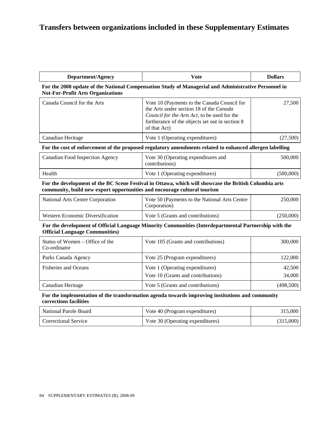| Department/Agency | -<br>′ote | 10110 BC |
|-------------------|-----------|----------|
|-------------------|-----------|----------|

### **For the 2008 update of the National Compensation Study of Managerial and Administrative Personnel in Not-For-Profit Arts Organizations**

| Canada Council for the Arts | Vote 10 (Payments to the Canada Council for<br>the Arts under section 18 of the Canada<br>Council for the Arts Act, to be used for the<br>furtherance of the objects set out in section 8<br>of that Act) | 27,500   |
|-----------------------------|-----------------------------------------------------------------------------------------------------------------------------------------------------------------------------------------------------------|----------|
| Canadian Heritage           | Vote 1 (Operating expenditures)                                                                                                                                                                           | (27,500) |

### **For the cost of enforcement of the proposed regulatory amendments related to enhanced allergen labelling**

| Canadian Food Inspection Agency | Vote 30 (Operating expenditures and<br>contributions) | 500,000   |
|---------------------------------|-------------------------------------------------------|-----------|
| Health                          | Vote 1 (Operating expenditures)                       | (500,000) |

### **For the development of the BC Scene Festival in Ottawa, which will showcase the British Columbia arts community, build new export opportunities and encourage cultural tourism**

| National Arts Centre Corporation        | Vote 50 (Payments to the National Arts Centre<br>Corporation) | 250,000   |
|-----------------------------------------|---------------------------------------------------------------|-----------|
| <b>Western Economic Diversification</b> | Vote 5 (Grants and contributions)                             | (250,000) |

### **For the development of Official Language Minority Communities (Interdepartmental Partnership with the Official Language Communities)**

| Status of Women – Office of the<br>Co-ordinator | Vote 105 (Grants and contributions)                                   | 300,000          |
|-------------------------------------------------|-----------------------------------------------------------------------|------------------|
| Parks Canada Agency                             | Vote 25 (Program expenditures)                                        | 122,000          |
| <b>Fisheries and Oceans</b>                     | Vote 1 (Operating expenditures)<br>Vote 10 (Grants and contributions) | 42,500<br>34,000 |
| Canadian Heritage                               | Vote 5 (Grants and contributions)                                     | (498,500)        |

### **For the implementation of the transformation agenda towards improving institutions and community corrections facilities**

| National Parole Board | Vote 40 (Program expenditures)   | 315,000   |
|-----------------------|----------------------------------|-----------|
| Correctional Service  | Vote 30 (Operating expenditures) | (315,000) |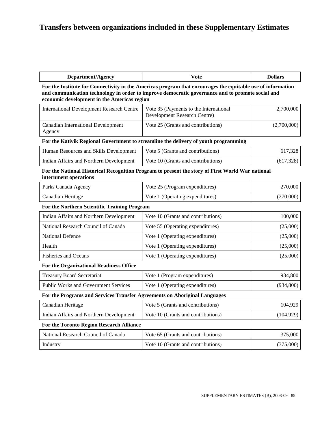| Department/Agency | 'ote | <b>Dollars</b> |
|-------------------|------|----------------|
|                   |      |                |

**For the Institute for Connectivity in the Americas program that encourages the equitable use of information and communication technology in order to improve democratic governance and to promote social and economic development in the Americas region**

| <b>International Development Research Centre</b> | Vote 35 (Payments to the International<br>Development Research Centre) | 2,700,000   |
|--------------------------------------------------|------------------------------------------------------------------------|-------------|
| Canadian International Development<br>Agency     | Vote 25 (Grants and contributions)                                     | (2,700,000) |

### **For the Kativik Regional Government to streamline the delivery of youth programming**

| Human Resources and Skills Development  | Vote 5 (Grants and contributions)  | 617.328   |
|-----------------------------------------|------------------------------------|-----------|
| Indian Affairs and Northern Development | Vote 10 (Grants and contributions) | (617,328) |

### **For the National Historical Recognition Program to present the story of First World War national internment operations**

| Parks Canada Agency | Vote 25 (Program expenditures)  | 270,000   |
|---------------------|---------------------------------|-----------|
| Canadian Heritage   | Vote 1 (Operating expenditures) | (270,000) |

### **For the Northern Scientific Training Program**

| Indian Affairs and Northern Development | Vote 10 (Grants and contributions) | 100,000  |
|-----------------------------------------|------------------------------------|----------|
| National Research Council of Canada     | Vote 55 (Operating expenditures)   | (25,000) |
| <b>National Defence</b>                 | Vote 1 (Operating expenditures)    | (25,000) |
| Health                                  | Vote 1 (Operating expenditures)    | (25,000) |
| <b>Fisheries and Oceans</b>             | Vote 1 (Operating expenditures)    | (25,000) |
| For the Organizational Deadings Office  |                                    |          |

## **For the Organizational Readiness Office**

| <b>Treasury Board Secretariat</b>           | Vote 1 (Program expenditures)   | 934,800   |
|---------------------------------------------|---------------------------------|-----------|
| <b>Public Works and Government Services</b> | Vote 1 (Operating expenditures) | (934,800) |

### **For the Programs and Services Transfer Agreements on Aboriginal Languages**

| Canadian Heritage                       | Vote 5 (Grants and contributions)  | 104,929   |
|-----------------------------------------|------------------------------------|-----------|
| Indian Affairs and Northern Development | Vote 10 (Grants and contributions) | (104,929) |

### **For the Toronto Region Research Alliance**

| National Research Council of Canada | Vote 65 (Grants and contributions) | 375,000   |
|-------------------------------------|------------------------------------|-----------|
| Industry                            | Vote 10 (Grants and contributions) | (375,000) |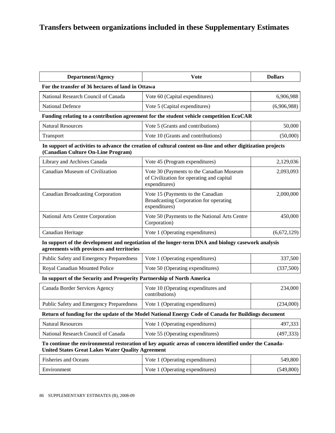| Department/Agency                                 | Vote                                                                                    | <b>Dollars</b> |
|---------------------------------------------------|-----------------------------------------------------------------------------------------|----------------|
| For the transfer of 36 hectares of land in Ottawa |                                                                                         |                |
| National Research Council of Canada               | Vote 60 (Capital expenditures)                                                          | 6,906,988      |
| <b>National Defence</b>                           | Vote 5 (Capital expenditures)                                                           | (6,906,988)    |
|                                                   | Funding relating to a contribution agreement for the student vehicle competition EcoCAR |                |
| <b>Natural Resources</b>                          | Vote 5 (Grants and contributions)                                                       | 50,000         |
| Transport                                         | Vote 10 (Grants and contributions)                                                      | (50,000)       |

### **In support of activities to advance the creation of cultural content on-line and other digitization projects (Canadian Culture On-Line Program)**

| Library and Archives Canada       | Vote 45 (Program expenditures)                                                                         | 2,129,036   |
|-----------------------------------|--------------------------------------------------------------------------------------------------------|-------------|
| Canadian Museum of Civilization   | Vote 30 (Payments to the Canadian Museum<br>of Civilization for operating and capital<br>expenditures) | 2,093,093   |
| Canadian Broadcasting Corporation | Vote 15 (Payments to the Canadian<br>Broadcasting Corporation for operating<br>expenditures)           | 2,000,000   |
| National Arts Centre Corporation  | Vote 50 (Payments to the National Arts Centre<br>Corporation)                                          | 450,000     |
| Canadian Heritage                 | Vote 1 (Operating expenditures)                                                                        | (6,672,129) |

### **In support of the development and negotiation of the longer-term DNA and biology casework analysis agreements with provinces and territories**

| Public Safety and Emergency Preparedness | Vote 1 (Operating expenditures)  | 337,500   |
|------------------------------------------|----------------------------------|-----------|
| Royal Canadian Mounted Police            | Vote 50 (Operating expenditures) | (337,500) |

### **In support of the Security and Prosperity Partnership of North America**

| Canada Border Services Agency            | Vote 10 (Operating expenditures and<br>contributions) | 234,000   |
|------------------------------------------|-------------------------------------------------------|-----------|
| Public Safety and Emergency Preparedness | Vote 1 (Operating expenditures)                       | (234,000) |

### **Return of funding for the update of the Model National Energy Code of Canada for Buildings document**

| Natural Resources                   | Vote 1 (Operating expenditures)  | 497,333    |
|-------------------------------------|----------------------------------|------------|
| National Research Council of Canada | Vote 55 (Operating expenditures) | (497, 333) |

### **To continue the environmental restoration of key aquatic areas of concern identified under the Canada-United States Great Lakes Water Quality Agreement**

| <b>Fisheries and Oceans</b> | Vote 1 (Operating expenditures) | 549,800   |
|-----------------------------|---------------------------------|-----------|
| Environment                 | Vote 1 (Operating expenditures) | (549,800) |

Г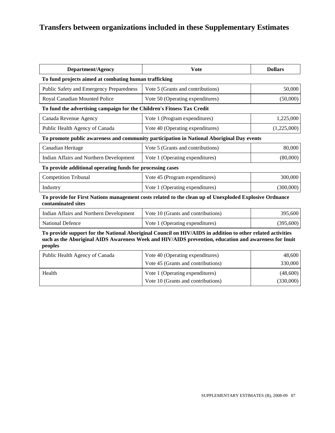| To fund projects aimed at combating human trafficking<br>Vote 5 (Grants and contributions)             |                                                                                                            |  |
|--------------------------------------------------------------------------------------------------------|------------------------------------------------------------------------------------------------------------|--|
|                                                                                                        |                                                                                                            |  |
|                                                                                                        | 50,000                                                                                                     |  |
| Vote 50 (Operating expenditures)                                                                       | (50,000)                                                                                                   |  |
| To fund the advertising campaign for the Children's Fitness Tax Credit                                 |                                                                                                            |  |
| Vote 1 (Program expenditures)                                                                          | 1,225,000                                                                                                  |  |
| Vote 40 (Operating expenditures)                                                                       | (1,225,000)                                                                                                |  |
| To promote public awareness and community participation in National Aboriginal Day events              |                                                                                                            |  |
| Vote 5 (Grants and contributions)                                                                      | 80,000                                                                                                     |  |
| Vote 1 (Operating expenditures)                                                                        | (80,000)                                                                                                   |  |
| To provide additional operating funds for processing cases                                             |                                                                                                            |  |
| Vote 45 (Program expenditures)                                                                         | 300,000                                                                                                    |  |
| Vote 1 (Operating expenditures)                                                                        | (300,000)                                                                                                  |  |
| To provide for First Nations management costs related to the clean up of Unexploded Explosive Ordnance |                                                                                                            |  |
| Vote 10 (Grants and contributions)                                                                     | 395,600                                                                                                    |  |
| Vote 1 (Operating expenditures)                                                                        | (395,600)                                                                                                  |  |
|                                                                                                        | To provide support for the National Aboriginal Council on HIV/AIDS in addition to other related activities |  |

| Public Health Agency of Canada | Vote 40 (Operating expenditures)   | 48,600    |
|--------------------------------|------------------------------------|-----------|
|                                | Vote 45 (Grants and contributions) | 330,000   |
| Health                         | Vote 1 (Operating expenditures)    | (48,600)  |
|                                | Vote 10 (Grants and contributions) | (330,000) |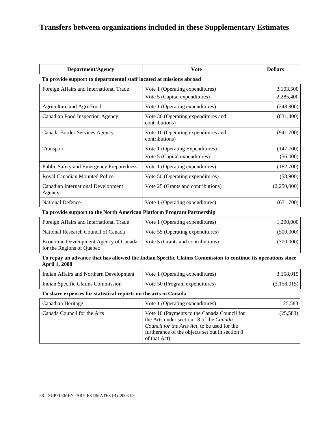| Department/Agency                                                   | <b>Vote</b>                                           | <b>Dollars</b> |
|---------------------------------------------------------------------|-------------------------------------------------------|----------------|
| To provide support to departmental staff located at missions abroad |                                                       |                |
| Foreign Affairs and International Trade                             | Vote 1 (Operating expenditures)                       | 3,103,500      |
|                                                                     | Vote 5 (Capital expenditures)                         | 2,285,400      |
| Agriculture and Agri-Food                                           | Vote 1 (Operating expenditures)                       | (248, 800)     |
| Canadian Food Inspection Agency                                     | Vote 30 (Operating expenditures and<br>contributions) | (831,400)      |
| Canada Border Services Agency                                       | Vote 10 (Operating expenditures and<br>contributions) | (941,700)      |
| <b>Transport</b>                                                    | Vote 1 (Operating Expenditures)                       | (147,700)      |
|                                                                     | Vote 5 (Capital expenditures)                         | (56,000)       |
| Public Safety and Emergency Preparedness                            | Vote 1 (Operating expenditures)                       | (182,700)      |
| Royal Canadian Mounted Police                                       | Vote 50 (Operating expenditures)                      | (58,900)       |
| <b>Canadian International Development</b><br>Agency                 | Vote 25 (Grants and contributions)                    | (2,250,000)    |
| <b>National Defence</b>                                             | Vote 1 (Operating expenditures)                       | (671,700)      |

### **To provide support to the North American Platform Program Partnership**

| Foreign Affairs and International Trade                            | Vote 1 (Operating expenditures)   | 1,200,000 |
|--------------------------------------------------------------------|-----------------------------------|-----------|
| National Research Council of Canada                                | Vote 55 (Operating expenditures)  | (500,000) |
| Economic Development Agency of Canada<br>for the Regions of Quebec | Vote 5 (Grants and contributions) | (700,000) |

### **To repay an advance that has allowed the Indian Specific Claims Commission to continue its operations since April 1, 2008**

| Indian Affairs and Northern Development | Vote 1 (Operating expenditures) | 3.158.015   |
|-----------------------------------------|---------------------------------|-------------|
| Indian Specific Claims Commission       | Vote 50 (Program expenditures)  | (3,158,015) |

### **To share expenses for statistical reports on the arts in Canada**

| Canadian Heritage           | Vote 1 (Operating expenditures)                                                                                                                                                                           | 25,583   |
|-----------------------------|-----------------------------------------------------------------------------------------------------------------------------------------------------------------------------------------------------------|----------|
| Canada Council for the Arts | Vote 10 (Payments to the Canada Council for<br>the Arts under section 18 of the Canada<br>Council for the Arts Act, to be used for the<br>furtherance of the objects set out in section 8<br>of that Act) | (25,583) |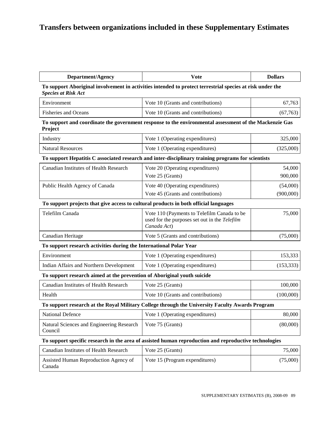| <b>Department/Agency</b>                                                             | <b>Vote</b>                                                                                                 | <b>Dollars</b> |
|--------------------------------------------------------------------------------------|-------------------------------------------------------------------------------------------------------------|----------------|
| <b>Species at Risk Act</b>                                                           | To support Aboriginal involvement in activities intended to protect terrestrial species at risk under the   |                |
| Environment                                                                          | Vote 10 (Grants and contributions)                                                                          | 67,763         |
| <b>Fisheries and Oceans</b>                                                          | Vote 10 (Grants and contributions)                                                                          | (67, 763)      |
| Project                                                                              | To support and coordinate the government response to the environmental assessment of the Mackenzie Gas      |                |
| Industry                                                                             | Vote 1 (Operating expenditures)                                                                             | 325,000        |
| <b>Natural Resources</b>                                                             | Vote 1 (Operating expenditures)                                                                             | (325,000)      |
|                                                                                      | To support Hepatitis C associated research and inter-disciplinary training programs for scientists          |                |
| <b>Canadian Institutes of Health Research</b>                                        | Vote 20 (Operating expenditures)                                                                            | 54,000         |
|                                                                                      | Vote 25 (Grants)                                                                                            | 900,000        |
| Public Health Agency of Canada                                                       | Vote 40 (Operating expenditures)                                                                            | (54,000)       |
|                                                                                      | Vote 45 (Grants and contributions)                                                                          | (900,000)      |
| To support projects that give access to cultural products in both official languages |                                                                                                             |                |
| Telefilm Canada                                                                      | Vote 110 (Payments to Telefilm Canada to be<br>used for the purposes set out in the Telefilm<br>Canada Act) | 75,000         |
| Canadian Heritage                                                                    | Vote 5 (Grants and contributions)                                                                           | (75,000)       |
| To support research activities during the International Polar Year                   |                                                                                                             |                |
| Environment                                                                          | Vote 1 (Operating expenditures)                                                                             | 153,333        |
| Indian Affairs and Northern Development                                              | Vote 1 (Operating expenditures)                                                                             | (153, 333)     |
| To support research aimed at the prevention of Aboriginal youth suicide              |                                                                                                             |                |
| Canadian Institutes of Health Research                                               | Vote 25 (Grants)                                                                                            | 100,000        |
| Health                                                                               | Vote 10 (Grants and contributions)                                                                          | (100,000)      |
|                                                                                      | To support research at the Royal Military College through the University Faculty Awards Program             |                |
| National Defence                                                                     | Vote 1 (Operating expenditures)                                                                             | 80,000         |
| Natural Sciences and Engineering Research<br>Council                                 | Vote 75 (Grants)                                                                                            | (80,000)       |
|                                                                                      | To support specific research in the area of assisted human reproduction and reproductive technologies       |                |
| Canadian Institutes of Health Research                                               | Vote 25 (Grants)                                                                                            | 75,000         |
| Assisted Human Reproduction Agency of<br>Canada                                      | Vote 15 (Program expenditures)                                                                              | (75,000)       |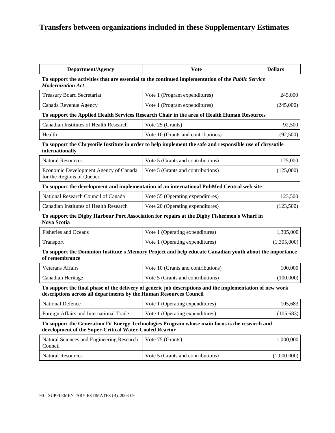| $\sim$<br>. Ie<br>vu<br>-<br>$-$<br>$\overline{\phantom{0}}$<br>.<br>ี ๋ |
|--------------------------------------------------------------------------|
|--------------------------------------------------------------------------|

**To support the activities that are essential to the continued implementation of the** *Public Service Modernization Act*

| <b>Treasury Board Secretariat</b> | Vote 1 (Program expenditures) | 245,000   |
|-----------------------------------|-------------------------------|-----------|
| Canada Revenue Agency             | Vote 1 (Program expenditures) | (245,000) |

### **To support the Applied Health Services Research Chair in the area of Health Human Resources**

| Canadian Institutes of Health Research | Vote 25 (Grants)                   | 92,500   |
|----------------------------------------|------------------------------------|----------|
| Health                                 | Vote 10 (Grants and contributions) | (92,500) |

### **To support the Chrysotile Institute in order to help implement the safe and responsible use of chrysotile internationally**

| <b>Natural Resources</b>                                           | Vote 5 (Grants and contributions) | 125,000   |
|--------------------------------------------------------------------|-----------------------------------|-----------|
| Economic Development Agency of Canada<br>for the Regions of Quebec | Vote 5 (Grants and contributions) | (125,000) |

### **To support the development and implementation of an international PubMed Central web site**

| National Research Council of Canada    | Vote 55 (Operating expenditures) | 123,500   |
|----------------------------------------|----------------------------------|-----------|
| Canadian Institutes of Health Research | Vote 20 (Operating expenditures) | (123,500) |

### **To support the Digby Harbour Port Association for repairs at the Digby Fishermen's Wharf in Nova Scotia**

| <b>Fisheries and Oceans</b> | Vote 1 (Operating expenditures) | 1.305.000   |
|-----------------------------|---------------------------------|-------------|
| Fransport                   | Vote 1 (Operating expenditures) | (1,305,000) |

### **To support the Dominion Institute's Memory Project and help educate Canadian youth about the importance of remembrance**

| Veterans Affairs  | Vote 10 (Grants and contributions) | 100.000     |
|-------------------|------------------------------------|-------------|
| Canadian Heritage | Vote 5 (Grants and contributions)  | $(100,000)$ |

### **To support the final phase of the delivery of generic job descriptions and the implementation of new work descriptions across all departments by the Human Resources Council**

| <b>National Defence</b>                 | Vote 1 (Operating expenditures) | 105.683    |
|-----------------------------------------|---------------------------------|------------|
| Foreign Affairs and International Trade | Vote 1 (Operating expenditures) | (105, 683) |

### **To support the Generation IV Energy Technologies Program whose main focus is the research and development of the Super-Critical Water-Cooled Reactor**

| Natural Sciences and Engineering Research<br>Council | Vote 75 (Grants)                  | 1.000.000   |
|------------------------------------------------------|-----------------------------------|-------------|
| <b>Natural Resources</b>                             | Vote 5 (Grants and contributions) | (1,000,000) |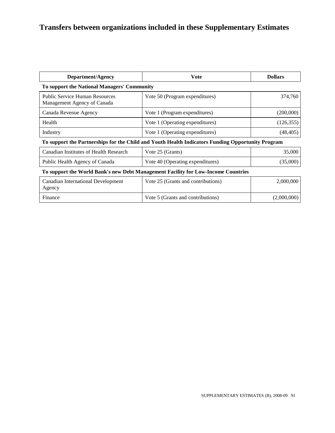| Department/Agency                                                                                 | Vote                            | <b>Dollars</b> |  |  |
|---------------------------------------------------------------------------------------------------|---------------------------------|----------------|--|--|
| To support the National Managers' Community                                                       |                                 |                |  |  |
| <b>Public Service Human Resources</b><br>Management Agency of Canada                              | Vote 50 (Program expenditures)  | 374,760        |  |  |
| Canada Revenue Agency                                                                             | Vote 1 (Program expenditures)   | (200,000)      |  |  |
| Health                                                                                            | Vote 1 (Operating expenditures) | (126, 355)     |  |  |
| Industry                                                                                          | Vote 1 (Operating expenditures) | (48, 405)      |  |  |
| To support the Partnerships for the Child and Youth Health Indicators Funding Opportunity Program |                                 |                |  |  |

| Canadian Institutes of Health Research | Vote 25 (Grants)                 | 35,000   |
|----------------------------------------|----------------------------------|----------|
| Public Health Agency of Canada         | Vote 40 (Operating expenditures) | (35,000) |

### **To support the World Bank's new Debt Management Facility for Low-Income Countries**

| Canadian International Development<br>Agency | Vote 25 (Grants and contributions) | 2,000,000   |
|----------------------------------------------|------------------------------------|-------------|
| Finance                                      | Vote 5 (Grants and contributions)  | (2,000,000) |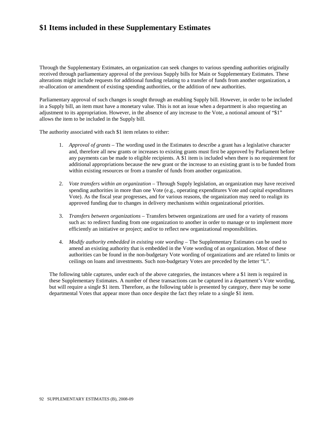## **\$1 Items included in these Supplementary Estimates**

Through the Supplementary Estimates, an organization can seek changes to various spending authorities originally received through parliamentary approval of the previous Supply bills for Main or Supplementary Estimates. These alterations might include requests for additional funding relating to a transfer of funds from another organization, a re-allocation or amendment of existing spending authorities, or the addition of new authorities.

Parliamentary approval of such changes is sought through an enabling Supply bill. However, in order to be included in a Supply bill, an item must have a monetary value. This is not an issue when a department is also requesting an adjustment to its appropriation. However, in the absence of any increase to the Vote, a notional amount of "\$1" allows the item to be included in the Supply bill.

The authority associated with each \$1 item relates to either:

- 1. *Approval of grants* The wording used in the Estimates to describe a grant has a legislative character and, therefore all new grants or increases to existing grants must first be approved by Parliament before any payments can be made to eligible recipients. A \$1 item is included when there is no requirement for additional appropriations because the new grant or the increase to an existing grant is to be funded from within existing resources or from a transfer of funds from another organization.
- 2. *Vote transfers within an organization* Through Supply legislation, an organization may have received spending authorities in more than one Vote (e.g., operating expenditures Vote and capital expenditures Vote). As the fiscal year progresses, and for various reasons, the organization may need to realign its approved funding due to changes in delivery mechanisms within organizational priorities.
- 3. *Transfers between organizations* Transfers between organizations are used for a variety of reasons such as: to redirect funding from one organization to another in order to manage or to implement more efficiently an initiative or project; and/or to reflect new organizational responsibilities.
- 4. *Modify authority embedded in existing vote wording* The Supplementary Estimates can be used to amend an existing authority that is embedded in the Vote wording of an organization. Most of these authorities can be found in the non-budgetary Vote wording of organizations and are related to limits or ceilings on loans and investments. Such non-budgetary Votes are preceded by the letter "L".

The following table captures, under each of the above categories, the instances where a \$1 item is required in these Supplementary Estimates. A number of these transactions can be captured in a department's Vote wording, but will require a single \$1 item. Therefore, as the following table is presented by category, there may be some departmental Votes that appear more than once despite the fact they relate to a single \$1 item.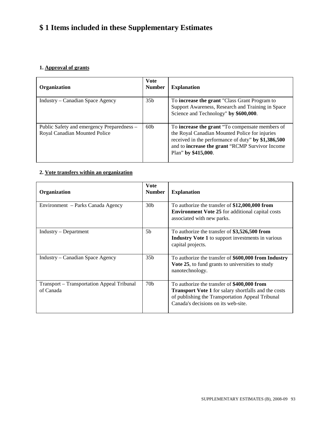## **\$ 1 Items included in these Supplementary Estimates**

## **1. Approval of grants**

| Organization                                                                | Vote<br><b>Number</b> | <b>Explanation</b>                                                                                                                                                                                                                        |
|-----------------------------------------------------------------------------|-----------------------|-------------------------------------------------------------------------------------------------------------------------------------------------------------------------------------------------------------------------------------------|
| Industry – Canadian Space Agency                                            | 35 <sub>b</sub>       | To <b>increase the grant</b> "Class Grant Program to<br>Support Awareness, Research and Training in Space<br>Science and Technology" by \$600,000.                                                                                        |
| Public Safety and emergency Preparedness –<br>Royal Canadian Mounted Police | 60 <sub>b</sub>       | To <b>increase the grant</b> "To compensate members of<br>the Royal Canadian Mounted Police for injuries<br>received in the performance of duty" by \$1,386,500<br>and to increase the grant "RCMP Survivor Income<br>Plan" by \$415,000. |

## **2. Vote transfers within an organization**

| Organization                                            | <b>Vote</b><br><b>Number</b> | <b>Explanation</b>                                                                                                                                                                                    |
|---------------------------------------------------------|------------------------------|-------------------------------------------------------------------------------------------------------------------------------------------------------------------------------------------------------|
| Environment – Parks Canada Agency                       | 30 <sub>b</sub>              | To authorize the transfer of \$12,000,000 from<br><b>Environment Vote 25</b> for additional capital costs<br>associated with new parks.                                                               |
| $Industry - Department$                                 | 5 <sub>b</sub>               | To authorize the transfer of \$3,526,500 from<br><b>Industry Vote 1</b> to support investments in various<br>capital projects.                                                                        |
| Industry – Canadian Space Agency                        | 35 <sub>b</sub>              | To authorize the transfer of \$600,000 from Industry<br><b>Vote 25, to fund grants to universities to study</b><br>nanotechnology.                                                                    |
| Transport – Transportation Appeal Tribunal<br>of Canada | 70 <sub>b</sub>              | To authorize the transfer of \$400,000 from<br><b>Transport Vote 1</b> for salary shortfalls and the costs<br>of publishing the Transportation Appeal Tribunal<br>Canada's decisions on its web-site. |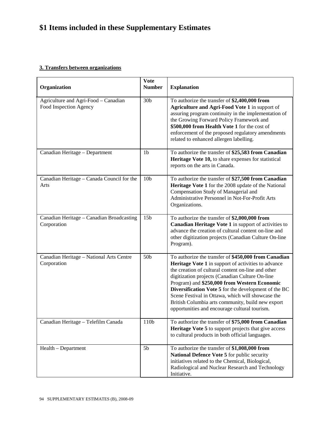## **\$1 Items included in these Supplementary Estimates**

## **3. Transfers between organizations**

| Organization                                                   | <b>Vote</b><br><b>Number</b> | <b>Explanation</b>                                                                                                                                                                                                                                                                                                                                                                                                                                                                      |
|----------------------------------------------------------------|------------------------------|-----------------------------------------------------------------------------------------------------------------------------------------------------------------------------------------------------------------------------------------------------------------------------------------------------------------------------------------------------------------------------------------------------------------------------------------------------------------------------------------|
| Agriculture and Agri-Food - Canadian<br>Food Inspection Agency | 30 <sub>b</sub>              | To authorize the transfer of \$2,400,000 from<br>Agriculture and Agri-Food Vote 1 in support of<br>assuring program continuity in the implementation of<br>the Growing Forward Policy Framework and<br>\$500,000 from Health Vote 1 for the cost of<br>enforcement of the proposed regulatory amendments<br>related to enhanced allergen labelling.                                                                                                                                     |
| Canadian Heritage - Department                                 | 1 <sub>b</sub>               | To authorize the transfer of \$25,583 from Canadian<br>Heritage Vote 10, to share expenses for statistical<br>reports on the arts in Canada.                                                                                                                                                                                                                                                                                                                                            |
| Canadian Heritage - Canada Council for the<br>Arts             | 10 <sub>b</sub>              | To authorize the transfer of \$27,500 from Canadian<br>Heritage Vote 1 for the 2008 update of the National<br>Compensation Study of Managerial and<br>Administrative Personnel in Not-For-Profit Arts<br>Organizations.                                                                                                                                                                                                                                                                 |
| Canadian Heritage - Canadian Broadcasting<br>Corporation       | 15 <sub>b</sub>              | To authorize the transfer of \$2,000,000 from<br>Canadian Heritage Vote 1 in support of activities to<br>advance the creation of cultural content on-line and<br>other digitization projects (Canadian Culture On-line<br>Program).                                                                                                                                                                                                                                                     |
| Canadian Heritage - National Arts Centre<br>Corporation        | 50 <sub>b</sub>              | To authorize the transfer of \$450,000 from Canadian<br>Heritage Vote 1 in support of activities to advance<br>the creation of cultural content on-line and other<br>digitization projects (Canadian Culture On-line<br>Program) and \$250,000 from Western Economic<br>Diversification Vote 5 for the development of the BC<br>Scene Festival in Ottawa, which will showcase the<br>British Columbia arts community, build new export<br>opportunities and encourage cultural tourism. |
| Canadian Heritage - Telefilm Canada                            | 110b                         | To authorize the transfer of \$75,000 from Canadian<br><b>Heritage Vote 5</b> to support projects that give access<br>to cultural products in both official languages.                                                                                                                                                                                                                                                                                                                  |
| Health – Department                                            | 5 <sub>b</sub>               | To authorize the transfer of \$1,008,000 from<br>National Defence Vote 5 for public security<br>initiatives related to the Chemical, Biological,<br>Radiological and Nuclear Research and Technology<br>Initiative.                                                                                                                                                                                                                                                                     |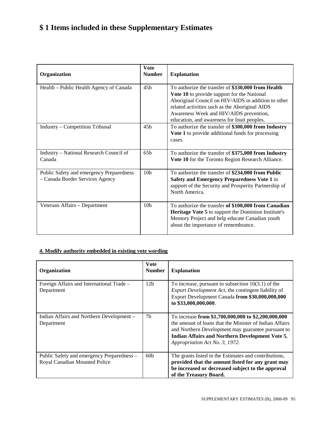## **\$ 1 Items included in these Supplementary Estimates**

| Organization                                                                | <b>V</b> ote<br><b>Number</b> | <b>Explanation</b>                                                                                                                                                                                                                                                                                   |
|-----------------------------------------------------------------------------|-------------------------------|------------------------------------------------------------------------------------------------------------------------------------------------------------------------------------------------------------------------------------------------------------------------------------------------------|
| Health – Public Health Agency of Canada                                     | 45 <sub>b</sub>               | To authorize the transfer of \$330,000 from Health<br>Vote 10 to provide support for the National<br>Aboriginal Council on HIV/AIDS in addition to other<br>related activities such as the Aboriginal AIDS<br>Awareness Week and HIV/AIDS prevention,<br>education, and awareness for Inuit peoples. |
| <b>Industry – Competition Tribunal</b>                                      | 45 <sub>b</sub>               | To authorize the transfer of \$300,000 from Industry<br>Vote 1 to provide additional funds for processing<br>cases.                                                                                                                                                                                  |
| Industry - National Research Council of<br>Canada                           | 65 <sub>b</sub>               | To authorize the transfer of \$375,000 from Industry<br>Vote 10 for the Toronto Region Research Alliance.                                                                                                                                                                                            |
| Public Safety and emergency Preparedness<br>- Canada Border Services Agency | 10 <sub>b</sub>               | To authorize the transfer of \$234,000 from Public<br><b>Safety and Emergency Preparedness Vote 1 in</b><br>support of the Security and Prosperity Partnership of<br>North America.                                                                                                                  |
| Veterans Affairs - Department                                               | 10 <sub>b</sub>               | To authorize the transfer of \$100,000 from Canadian<br>Heritage Vote 5 to support the Dominion Institute's<br>Memory Project and help educate Canadian youth<br>about the importance of remembrance.                                                                                                |

## **4. Modify authority embedded in existing vote wording**

| Organization                                                                | Vote<br><b>Number</b> | <b>Explanation</b>                                                                                                                                                                                                                                               |
|-----------------------------------------------------------------------------|-----------------------|------------------------------------------------------------------------------------------------------------------------------------------------------------------------------------------------------------------------------------------------------------------|
| Foreign Affairs and International Trade –<br>Department                     | 12 <sub>b</sub>       | To increase, pursuant to subsection $10(3.1)$ of the<br>Export Development Act, the contingent liability of<br>Export Development Canada from \$30,000,000,000<br>to \$33,000,000,000.                                                                           |
| Indian Affairs and Northern Development –<br>Department                     | 7 <sub>b</sub>        | To increase from \$1,700,000,000 to \$2,200,000,000<br>the amount of loans that the Minister of Indian Affairs<br>and Northern Development may guarantee pursuant to<br><b>Indian Affairs and Northern Development Vote 5,</b><br>Appropriation Act No. 3, 1972. |
| Public Safety and emergency Preparedness –<br>Royal Canadian Mounted Police | 60 <sub>b</sub>       | The grants listed in the Estimates and contributions,<br>provided that the amount listed for any grant may<br>be increased or decreased subject to the approval<br>of the Treasury Board.                                                                        |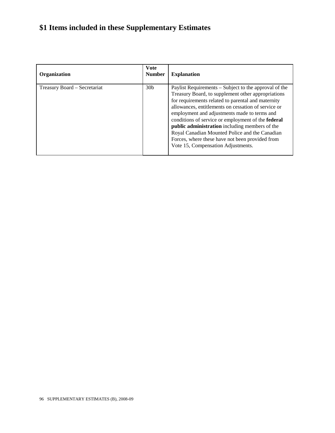# **\$1 Items included in these Supplementary Estimates**

| Organization                 | <b>Vote</b><br><b>Number</b> | <b>Explanation</b>                                                                                                                                                                                                                                                                                                                                                                                                                                                                                                          |
|------------------------------|------------------------------|-----------------------------------------------------------------------------------------------------------------------------------------------------------------------------------------------------------------------------------------------------------------------------------------------------------------------------------------------------------------------------------------------------------------------------------------------------------------------------------------------------------------------------|
| Treasury Board – Secretariat | 30 <sub>b</sub>              | Paylist Requirements – Subject to the approval of the<br>Treasury Board, to supplement other appropriations<br>for requirements related to parental and maternity<br>allowances, entitlements on cessation of service or<br>employment and adjustments made to terms and<br>conditions of service or employment of the federal<br>public administration including members of the<br>Royal Canadian Mounted Police and the Canadian<br>Forces, where these have not been provided from<br>Vote 15, Compensation Adjustments. |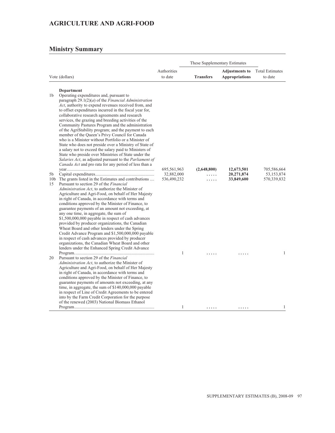## **AGRICULTURE AND AGRI-FOOD**

## **Ministry Summary**

|                             |                                                                                                                                                                                                                                                                                                                                                                                                                                                                                                                                                                                                                                                                                                                                                                                                                                                                                            |                                          | These Supplementary Estimates |                                                |                                            |
|-----------------------------|--------------------------------------------------------------------------------------------------------------------------------------------------------------------------------------------------------------------------------------------------------------------------------------------------------------------------------------------------------------------------------------------------------------------------------------------------------------------------------------------------------------------------------------------------------------------------------------------------------------------------------------------------------------------------------------------------------------------------------------------------------------------------------------------------------------------------------------------------------------------------------------------|------------------------------------------|-------------------------------|------------------------------------------------|--------------------------------------------|
|                             | Vote (dollars)                                                                                                                                                                                                                                                                                                                                                                                                                                                                                                                                                                                                                                                                                                                                                                                                                                                                             | Authorities<br>to date                   | <b>Transfers</b>              | <b>Adjustments to</b><br><b>Appropriations</b> | <b>Total Estimates</b><br>to date          |
| 1 <sub>b</sub>              | Department<br>Operating expenditures and, pursuant to<br>paragraph $29.1(2)(a)$ of the <i>Financial Administration</i><br>Act, authority to expend revenues received from, and<br>to offset expenditures incurred in the fiscal year for,<br>collaborative research agreements and research<br>services, the grazing and breeding activities of the<br>Community Pastures Program and the administration<br>of the AgriStability program; and the payment to each<br>member of the Queen's Privy Council for Canada<br>who is a Minister without Portfolio or a Minister of<br>State who does not preside over a Ministry of State of<br>a salary not to exceed the salary paid to Ministers of<br>State who preside over Ministries of State under the<br><i>Salaries Act</i> , as adjusted pursuant to the <i>Parliament of</i><br>Canada Act and pro rata for any period of less than a |                                          |                               |                                                |                                            |
| 5b<br>10 <sub>b</sub><br>15 | The grants listed in the Estimates and contributions<br>Pursuant to section 29 of the Financial<br>Administration Act, to authorize the Minister of<br>Agriculture and Agri-Food, on behalf of Her Majesty<br>in right of Canada, in accordance with terms and<br>conditions approved by the Minister of Finance, to<br>guarantee payments of an amount not exceeding, at<br>any one time, in aggregate, the sum of<br>\$1,500,000,000 payable in respect of cash advances<br>provided by producer organizations, the Canadian<br>Wheat Board and other lenders under the Spring<br>Credit Advance Program and \$1,500,000,000 payable                                                                                                                                                                                                                                                     | 695,561,963<br>32,882,000<br>536,490,232 | (2,648,800)<br>.<br>.         | 12,673,501<br>20,271,874<br>33,849,600         | 705,586,664<br>53, 153, 874<br>570,339,832 |
|                             | in respect of cash advances provided by producer<br>organizations, the Canadian Wheat Board and other<br>lenders under the Enhanced Spring Credit Advance                                                                                                                                                                                                                                                                                                                                                                                                                                                                                                                                                                                                                                                                                                                                  | 1                                        |                               |                                                | 1                                          |
| 20                          | Pursuant to section 29 of the <i>Financial</i><br>Administration Act, to authorize the Minister of<br>Agriculture and Agri-Food, on behalf of Her Majesty<br>in right of Canada, in accordance with terms and<br>conditions approved by the Minister of Finance, to<br>guarantee payments of amounts not exceeding, at any<br>time, in aggregate, the sum of \$140,000,000 payable<br>in respect of Line of Credit Agreements to be entered<br>into by the Farm Credit Corporation for the purpose<br>of the renewed (2003) National Biomass Ethanol                                                                                                                                                                                                                                                                                                                                       |                                          |                               |                                                |                                            |
|                             |                                                                                                                                                                                                                                                                                                                                                                                                                                                                                                                                                                                                                                                                                                                                                                                                                                                                                            | 1                                        | .                             | .                                              | $\mathbf{1}$                               |

<u> 1989 - Johann Barbara, martxa alemaniar a</u>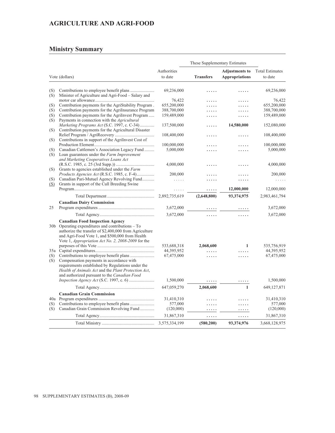## **AGRICULTURE AND AGRI-FOOD**

## **Ministry Summary**

|            |                                                                                                                                                                                                                                                                       |               | These Supplementary Estimates |                       |                        |
|------------|-----------------------------------------------------------------------------------------------------------------------------------------------------------------------------------------------------------------------------------------------------------------------|---------------|-------------------------------|-----------------------|------------------------|
|            |                                                                                                                                                                                                                                                                       | Authorities   |                               | <b>Adjustments to</b> | <b>Total Estimates</b> |
|            | Vote (dollars)                                                                                                                                                                                                                                                        | to date       | <b>Transfers</b>              | <b>Appropriations</b> | to date                |
|            |                                                                                                                                                                                                                                                                       |               |                               |                       |                        |
| (S)<br>(S) | Minister of Agriculture and Agri-Food - Salary and                                                                                                                                                                                                                    | 69,236,000    | .                             |                       | 69,236,000             |
|            |                                                                                                                                                                                                                                                                       | 76,422        | .                             | .                     | 76,422                 |
| (S)        | Contribution payments for the AgriStability Program.                                                                                                                                                                                                                  | 655,200,000   |                               |                       | 655,200,000            |
| (S)        | Contribution payments for the AgriInsurance Program                                                                                                                                                                                                                   | 388,700,000   | .                             | .                     | 388,700,000            |
| (S)<br>(S) | Contribution payments for the AgriInvest Program<br>Payments in connection with the Agricultural                                                                                                                                                                      | 159,489,000   | .                             | .                     | 159,489,000            |
| (S)        | Marketing Programs Act (S.C. 1997, c. C-34)<br>Contribution payments for the Agricultural Disaster                                                                                                                                                                    | 137,500,000   | .                             | 14,580,000            | 152,080,000            |
| (S)        | Contributions in support of the Agril nvest Cost of                                                                                                                                                                                                                   | 108,400,000   |                               |                       | 108,400,000            |
|            |                                                                                                                                                                                                                                                                       | 100,000,000   | .                             | .                     | 100,000,000            |
| (S)<br>(S) | Canadian Cattlemen's Association Legacy Fund<br>Loan guarantees under the Farm Improvement<br>and Marketing Cooperatives Loans Act                                                                                                                                    | 5,000,000     |                               |                       | 5,000,000              |
| (S)        | Grants to agencies established under the Farm                                                                                                                                                                                                                         | 4,000,000     |                               | .                     | 4,000,000              |
|            | Products Agencies Act (R.S.C. 1985, c. F-4)                                                                                                                                                                                                                           | 200,000       |                               |                       | 200,000                |
| (S)<br>(S) | Canadian Pari-Mutuel Agency Revolving Fund<br>Grants in support of the Cull Breeding Swine                                                                                                                                                                            | .             |                               |                       |                        |
|            |                                                                                                                                                                                                                                                                       |               |                               | 12,000,000            | 12,000,000             |
|            |                                                                                                                                                                                                                                                                       | 2,892,735,619 | (2,648,800)                   | 93,374,975            | 2,983,461,794          |
|            | <b>Canadian Dairy Commission</b>                                                                                                                                                                                                                                      |               |                               |                       |                        |
| 25         |                                                                                                                                                                                                                                                                       | 3,672,000     | .                             | .                     | 3,672,000              |
|            |                                                                                                                                                                                                                                                                       | 3,672,000     |                               |                       | 3,672,000              |
|            | <b>Canadian Food Inspection Agency</b><br>30b Operating expenditures and contributions – To<br>authorize the transfer of \$2,400,000 from Agriculture<br>and Agri-Food Vote 1, and \$500,000 from Health<br>Vote 1, <i>Appropriation Act No. 2, 2008-2009</i> for the |               |                               |                       |                        |
|            |                                                                                                                                                                                                                                                                       | 533,688,318   | 2,068,600                     | $\mathbf{1}$          | 535,756,919            |
|            |                                                                                                                                                                                                                                                                       | 44,395,952    | .                             |                       | 44,395,952             |
| (S)<br>(S) | Compensation payments in accordance with<br>requirements established by Regulations under the<br>Health of Animals Act and the Plant Protection Act,<br>and authorized pursuant to the Canadian Food                                                                  | 67,475,000    | .                             | .                     | 67,475,000             |
|            |                                                                                                                                                                                                                                                                       | 1,500,000     |                               |                       | 1,500,000              |
|            |                                                                                                                                                                                                                                                                       | 647,059,270   | 2,068,600                     | 1                     | 649,127,871            |
|            | <b>Canadian Grain Commission</b>                                                                                                                                                                                                                                      |               |                               |                       |                        |
|            |                                                                                                                                                                                                                                                                       | 31,410,310    |                               |                       | 31,410,310             |
| (S)        |                                                                                                                                                                                                                                                                       | 577,000       |                               |                       | 577,000                |
| (S)        | Canadian Grain Commission Revolving Fund                                                                                                                                                                                                                              | (120,000)     | .                             | .                     | (120,000)              |
|            |                                                                                                                                                                                                                                                                       | 31,867,310    | .                             | .                     | 31,867,310             |
|            |                                                                                                                                                                                                                                                                       | 3,575,334,199 | (580, 200)                    | 93,374,976            | 3,668,128,975          |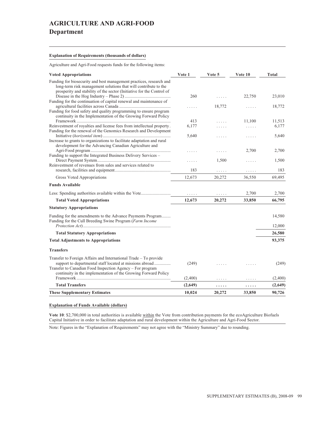## **AGRICULTURE AND AGRI-FOOD Department**

### **Explanation of Requirements (thousands of dollars)**

Agriculture and Agri-Food requests funds for the following items:

| <b>Voted Appropriations</b>                                                                                                                                                                                                                                 | Vote 1  | Vote 5 | Vote 10 | Total   |
|-------------------------------------------------------------------------------------------------------------------------------------------------------------------------------------------------------------------------------------------------------------|---------|--------|---------|---------|
| Funding for biosecurity and best management practices, research and<br>long-term risk management solutions that will contribute to the<br>prosperity and stability of the sector (Initiative for the Control of                                             |         |        |         |         |
| Funding for the continuation of capital renewal and maintenance of                                                                                                                                                                                          | 260     | .      | 22,750  | 23,010  |
| Funding for food safety and quality programming to ensure program                                                                                                                                                                                           | .       | 18,772 | .       | 18,772  |
| continuity in the Implementation of the Growing Forward Policy                                                                                                                                                                                              | 413     | .      | 11,100  | 11,513  |
| Reinvestment of royalties and license fees from intellectual property.<br>Funding for the renewal of the Genomics Research and Development                                                                                                                  | 6,177   |        | .       | 6,177   |
| Increase to grants to organizations to facilitate adaptation and rural<br>development for the Advancing Canadian Agriculture and                                                                                                                            | 5,640   | .      | .       | 5,640   |
| Funding to support the Integrated Business Delivery Services –                                                                                                                                                                                              |         | .      | 2,700   | 2,700   |
| Reinvestment of revenues from sales and services related to                                                                                                                                                                                                 | .       | 1,500  | .       | 1,500   |
|                                                                                                                                                                                                                                                             | 183     | .      | .       | 183     |
| Gross Voted Appropriations                                                                                                                                                                                                                                  | 12,673  | 20,272 | 36,550  | 69,495  |
| <b>Funds Available</b>                                                                                                                                                                                                                                      |         |        |         |         |
| Less: Spending authorities available within the Vote                                                                                                                                                                                                        |         | .      | 2,700   | 2,700   |
| <b>Total Voted Appropriations</b>                                                                                                                                                                                                                           | 12,673  | 20,272 | 33,850  | 66,795  |
| <b>Statutory Appropriations</b>                                                                                                                                                                                                                             |         |        |         |         |
| Funding for the amendments to the Advance Payments Program<br>Funding for the Cull Breeding Swine Program (Farm Income                                                                                                                                      |         |        |         | 14,580  |
|                                                                                                                                                                                                                                                             |         |        |         | 12,000  |
| <b>Total Statutory Appropriations</b>                                                                                                                                                                                                                       |         |        |         | 26,580  |
| <b>Total Adjustments to Appropriations</b>                                                                                                                                                                                                                  |         |        |         | 93,375  |
| <b>Transfers</b>                                                                                                                                                                                                                                            |         |        |         |         |
| Transfer to Foreign Affairs and International Trade – To provide<br>support to departmental staff located at missions abroad<br>Transfer to Canadian Food Inspection Agency – For program<br>continuity in the implementation of the Growing Forward Policy | (249)   |        |         | (249)   |
|                                                                                                                                                                                                                                                             | (2,400) |        |         | (2,400) |
| <b>Total Transfers</b>                                                                                                                                                                                                                                      | (2,649) | .      | .       | (2,649) |
| <b>These Supplementary Estimates</b>                                                                                                                                                                                                                        | 10,024  | 20,272 | 33,850  | 90,726  |

### **Explanation of Funds Available (dollars)**

Vote 10: \$2,700,000 in total authorities is available within the Vote from contribution payments for the ecoAgriculture Biofuels Capital Initiative in order to facilitate adaptation and rural development within the Agriculture and Agri-Food Sector.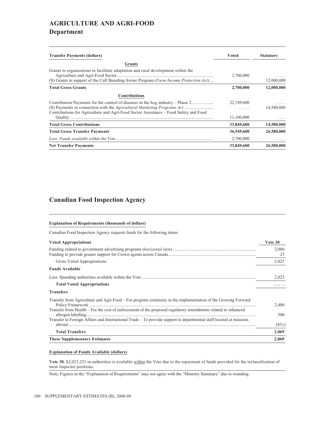## **AGRICULTURE AND AGRI-FOOD Department**

| <b>Transfer Payments (dollars)</b>                                                                                                                                                                                                                        | <b>Voted</b>             | <b>Statutory</b> |
|-----------------------------------------------------------------------------------------------------------------------------------------------------------------------------------------------------------------------------------------------------------|--------------------------|------------------|
| Grants                                                                                                                                                                                                                                                    |                          |                  |
| Grants to organizations to facilitate adaptation and rural development within the<br>(S) Grants in support of the Cull Breeding Swine Program (Farm Income Protection Act)                                                                                | 2,700,000<br>.           | 12,000,000       |
| <b>Total Gross Grants</b>                                                                                                                                                                                                                                 | 2,700,000                | 12,000,000       |
| <b>Contributions</b>                                                                                                                                                                                                                                      |                          |                  |
| Contribution Payments for the control of diseases in the hog industry – Phase 2<br>(S) Payments in connection with the <i>Agricultural Marketing Programs Act</i><br>Contributions for Agriculture and Agri-Food Sector Assistance - Food Safety and Food | 22,749,600<br>11,100,000 | 14.580,000<br>.  |
| <b>Total Gross Contributions</b>                                                                                                                                                                                                                          | 33,849,600               | 14,580,000       |
| <b>Total Gross Transfer Payments</b>                                                                                                                                                                                                                      | 36,549,600               | 26,580,000       |
|                                                                                                                                                                                                                                                           | 2,700,000                | .                |
| <b>Net Transfer Payments</b>                                                                                                                                                                                                                              | 33,849,600               | 26,580,000       |

### **Canadian Food Inspection Agency**

### **Explanation of Requirements (thousands of dollars)**

Canadian Food Inspection Agency requests funds for the following items:

| <b>Voted Appropriations</b>                                                                                        | Vote 30     |
|--------------------------------------------------------------------------------------------------------------------|-------------|
|                                                                                                                    | 2,000<br>23 |
| Gross Voted Appropriations                                                                                         | 2,023       |
| <b>Funds Available</b>                                                                                             |             |
|                                                                                                                    | 2,023       |
| <b>Total Voted Appropriations</b>                                                                                  |             |
| <b>Transfers</b>                                                                                                   |             |
| Transfer from Agriculture and Agri-Food - For program continuity in the implementation of the Growing Forward      | 2.400       |
| Transfer from Health – For the cost of enforcement of the proposed regulatory amendments related to enhanced       | 500         |
| Transfer to Foreign Affairs and International Trade – To provide support to departmental staff located at missions | (831)       |
| <b>Total Transfers</b>                                                                                             | 2,069       |
| <b>These Supplementary Estimates</b>                                                                               | 2.069       |

### **Explanation of Funds Available (dollars)**

Vote 30: \$2,023,231 in authorities is available within the Vote due to the repayment of funds provided for the reclassification of meat inspector positions.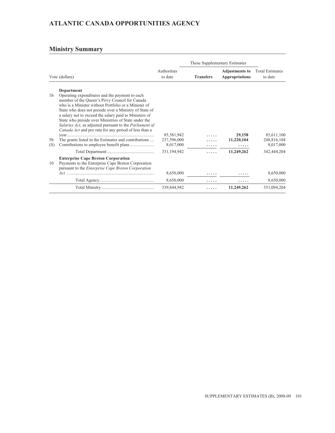## **ATLANTIC CANADA OPPORTUNITIES AGENCY**

## **Ministry Summary**

|                             |                                                                                                                                                                                                                                                                                                                                                                                                                                                                                                                  |                                        | These Supplementary Estimates |                                                |                                        |
|-----------------------------|------------------------------------------------------------------------------------------------------------------------------------------------------------------------------------------------------------------------------------------------------------------------------------------------------------------------------------------------------------------------------------------------------------------------------------------------------------------------------------------------------------------|----------------------------------------|-------------------------------|------------------------------------------------|----------------------------------------|
| Vote (dollars)              |                                                                                                                                                                                                                                                                                                                                                                                                                                                                                                                  | Authorities<br>to date                 | <b>Transfers</b>              | <b>Adjustments to</b><br><b>Appropriations</b> | <b>Total Estimates</b><br>to date      |
|                             | <b>Department</b>                                                                                                                                                                                                                                                                                                                                                                                                                                                                                                |                                        |                               |                                                |                                        |
| 1 <sub>b</sub><br>5b<br>(S) | Operating expenditures and the payment to each<br>member of the Queen's Privy Council for Canada<br>who is a Minister without Portfolio or a Minister of<br>State who does not preside over a Ministry of State of<br>a salary not to exceed the salary paid to Ministers of<br>State who preside over Ministries of State under the<br>Salaries Act, as adjusted pursuant to the Parliament of<br>Canada Act and pro rata for any period of less than a<br>The grants listed in the Estimates and contributions | 85,581,942<br>237,596,000<br>8,017,000 | .                             | 29,158<br>11,220,104                           | 85,611,100<br>248,816,104<br>8,017,000 |
|                             |                                                                                                                                                                                                                                                                                                                                                                                                                                                                                                                  | 331,194,942                            | .                             | 11,249,262                                     | 342,444,204                            |
| 10                          | <b>Enterprise Cape Breton Corporation</b><br>Payments to the Enterprise Cape Breton Corporation<br>pursuant to the Enterprise Cape Breton Corporation                                                                                                                                                                                                                                                                                                                                                            |                                        |                               |                                                |                                        |
|                             |                                                                                                                                                                                                                                                                                                                                                                                                                                                                                                                  | 8,650,000                              | .                             |                                                | 8,650,000                              |
|                             |                                                                                                                                                                                                                                                                                                                                                                                                                                                                                                                  | 8,650,000                              | .                             | .                                              | 8,650,000                              |
|                             |                                                                                                                                                                                                                                                                                                                                                                                                                                                                                                                  | 339,844,942                            |                               | 11,249,262                                     | 351,094,204                            |

<u> 1989 - Johann Barbara, martxa alemaniar a</u>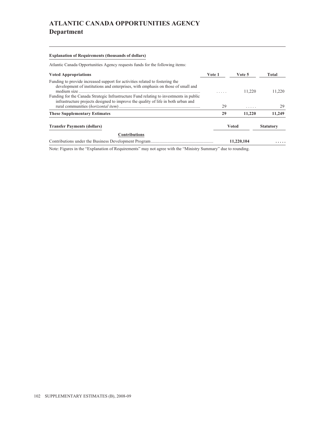## **ATLANTIC CANADA OPPORTUNITIES AGENCY Department**

### **Explanation of Requirements (thousands of dollars)**

Atlantic Canada Opportunities Agency requests funds for the following items:

| <b>Voted Appropriations</b>                                                                                                                                                 | Vote 1 | Vote 5       | Total            |
|-----------------------------------------------------------------------------------------------------------------------------------------------------------------------------|--------|--------------|------------------|
| Funding to provide increased support for activities related to fostering the<br>development of institutions and enterprises, with emphasis on those of small and            | .      | 11.220       | 11.220           |
| Funding for the Canada Strategic Infrastructure Fund relating to investments in public<br>infrastructure projects designed to improve the quality of life in both urban and | 29     | .            | 29               |
| <b>These Supplementary Estimates</b>                                                                                                                                        | 29     | 11.220       | 11.249           |
| <b>Transfer Payments (dollars)</b>                                                                                                                                          |        | <b>Voted</b> | <b>Statutory</b> |
| <b>Contributions</b>                                                                                                                                                        |        |              |                  |
|                                                                                                                                                                             |        | 11.220.104   | .                |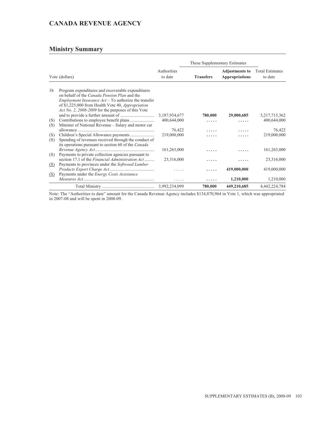## **CANADA REVENUE AGENCY**

### **Ministry Summary**

|                |                                                                                                                                                                                                                                                                                                        |                        | These Supplementary Estimates |                                                |                                   |
|----------------|--------------------------------------------------------------------------------------------------------------------------------------------------------------------------------------------------------------------------------------------------------------------------------------------------------|------------------------|-------------------------------|------------------------------------------------|-----------------------------------|
|                | Vote (dollars)                                                                                                                                                                                                                                                                                         | Authorities<br>to date | <b>Transfers</b>              | <b>Adjustments to</b><br><b>Appropriations</b> | <b>Total Estimates</b><br>to date |
| 1 <sub>b</sub> | Program expenditures and recoverable expenditures<br>on behalf of the <i>Canada Pension Plan</i> and the<br><i>Employment Insurance <math>Act</math></i> – To authorize the transfer<br>of \$1,225,000 from Health Vote 40, Appropriation<br><i>Act No. 2, 2008-2009</i> for the purposes of this Vote |                        |                               |                                                |                                   |
|                |                                                                                                                                                                                                                                                                                                        | 3,187,934,677          | 780,000                       | 29,000,685                                     | 3,217,715,362                     |
| (S)            |                                                                                                                                                                                                                                                                                                        | 400,644,000            |                               |                                                | 400,644,000                       |
| (S)            | Minister of National Revenue - Salary and motor car                                                                                                                                                                                                                                                    |                        |                               |                                                |                                   |
|                |                                                                                                                                                                                                                                                                                                        | 76,422                 |                               |                                                | 76,422                            |
| (S)            |                                                                                                                                                                                                                                                                                                        | 219,000,000            |                               |                                                | 219,000,000                       |
| (S)            | Spending of revenues received through the conduct of<br>its operations pursuant to section 60 of the Canada                                                                                                                                                                                            |                        |                               |                                                |                                   |
|                |                                                                                                                                                                                                                                                                                                        | 161,263,000            |                               |                                                | 161,263,000                       |
| (S)            | Payments to private collection agencies pursuant to                                                                                                                                                                                                                                                    |                        |                               |                                                |                                   |
|                | section 17.1 of the <i>Financial Administration Act</i>                                                                                                                                                                                                                                                | 23,316,000             |                               |                                                | 23,316,000                        |
| (S)            | Payments to provinces under the Softwood Lumber                                                                                                                                                                                                                                                        |                        |                               |                                                |                                   |
|                |                                                                                                                                                                                                                                                                                                        |                        |                               | 419,000,000                                    | 419,000,000                       |
| (S)            | Payments under the Energy Costs Assistance                                                                                                                                                                                                                                                             |                        |                               |                                                |                                   |
|                |                                                                                                                                                                                                                                                                                                        |                        | .                             | 1,210,000                                      | 1,210,000                         |
|                |                                                                                                                                                                                                                                                                                                        |                        | 780,000                       | 449,210,685                                    | 4,442,224,784                     |

Note: The "Authorities to date" amount for the Canada Revenue Agency includes \$134,870,964 in Vote 1, which was appropriated in 2007-08 and will be spent in 2008-09.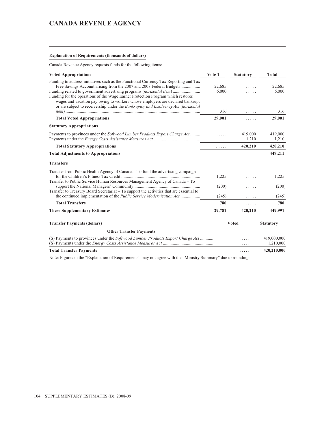### **CANADA REVENUE AGENCY**

### **Explanation of Requirements (thousands of dollars)**

Canada Revenue Agency requests funds for the following items:

| <b>Voted Appropriations</b>                                                                                                                                                                                                                                                                                                                                                                                                     | Vote 1          | <b>Statutory</b> | <b>Total</b>             |
|---------------------------------------------------------------------------------------------------------------------------------------------------------------------------------------------------------------------------------------------------------------------------------------------------------------------------------------------------------------------------------------------------------------------------------|-----------------|------------------|--------------------------|
| Funding to address initiatives such as the Functional Currency Tax Reporting and Tax<br>Funding related to government advertising programs ( <i>horizontal item</i> )<br>Funding for the operations of the Wage Earner Protection Program which restores<br>wages and vacation pay owing to workers whose employers are declared bankrupt<br>or are subject to receivership under the Bankruptcy and Insolvency Act (horizontal | 22,685<br>6,000 | .                | 22,685<br>6,000          |
|                                                                                                                                                                                                                                                                                                                                                                                                                                 | 316             | .                | 316                      |
| <b>Total Voted Appropriations</b>                                                                                                                                                                                                                                                                                                                                                                                               | 29,001          | .                | 29,001                   |
| <b>Statutory Appropriations</b>                                                                                                                                                                                                                                                                                                                                                                                                 |                 |                  |                          |
| Payments to provinces under the Softwood Lumber Products Export Charge Act                                                                                                                                                                                                                                                                                                                                                      | .               | 419,000<br>1,210 | 419,000<br>1,210         |
| <b>Total Statutory Appropriations</b>                                                                                                                                                                                                                                                                                                                                                                                           | .               | 420,210          | 420,210                  |
| <b>Total Adjustments to Appropriations</b>                                                                                                                                                                                                                                                                                                                                                                                      |                 |                  | 449,211                  |
| <b>Transfers</b>                                                                                                                                                                                                                                                                                                                                                                                                                |                 |                  |                          |
| Transfer from Public Health Agency of Canada – To fund the advertising campaign<br>Transfer to Public Service Human Resources Management Agency of Canada – To                                                                                                                                                                                                                                                                  | 1,225           |                  | 1,225                    |
| Transfer to Treasury Board Secretariat – To support the activities that are essential to                                                                                                                                                                                                                                                                                                                                        | (200)           | .                | (200)                    |
|                                                                                                                                                                                                                                                                                                                                                                                                                                 | (245)           | .                | (245)                    |
| <b>Total Transfers</b>                                                                                                                                                                                                                                                                                                                                                                                                          | 780             | .                | 780                      |
| <b>These Supplementary Estimates</b>                                                                                                                                                                                                                                                                                                                                                                                            | 29,781          | 420,210          | 449,991                  |
| <b>Transfer Payments (dollars)</b>                                                                                                                                                                                                                                                                                                                                                                                              |                 | <b>Voted</b>     | <b>Statutory</b>         |
| <b>Other Transfer Payments</b>                                                                                                                                                                                                                                                                                                                                                                                                  |                 |                  |                          |
| (S) Payments to provinces under the Softwood Lumber Products Export Charge Act                                                                                                                                                                                                                                                                                                                                                  |                 |                  | 419,000,000<br>1,210,000 |
| <b>Total Transfer Payments</b>                                                                                                                                                                                                                                                                                                                                                                                                  |                 | .                | 420,210,000              |
|                                                                                                                                                                                                                                                                                                                                                                                                                                 |                 |                  |                          |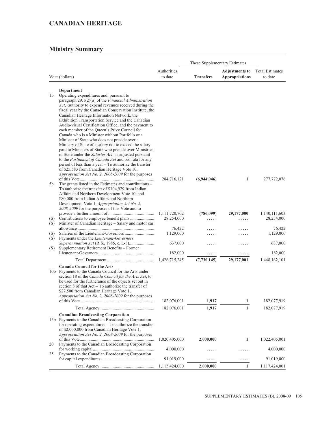## **Ministry Summary**

|            | These Supplementary Estimates                                                                                                                                                                                                                                                                                                                                                                                                                                                                                                                                                                                                                                                                                                                                                                                                                                |                             |                  |                       |                             |  |
|------------|--------------------------------------------------------------------------------------------------------------------------------------------------------------------------------------------------------------------------------------------------------------------------------------------------------------------------------------------------------------------------------------------------------------------------------------------------------------------------------------------------------------------------------------------------------------------------------------------------------------------------------------------------------------------------------------------------------------------------------------------------------------------------------------------------------------------------------------------------------------|-----------------------------|------------------|-----------------------|-----------------------------|--|
|            |                                                                                                                                                                                                                                                                                                                                                                                                                                                                                                                                                                                                                                                                                                                                                                                                                                                              | Authorities                 |                  | <b>Adjustments to</b> | <b>Total Estimates</b>      |  |
|            | Vote (dollars)                                                                                                                                                                                                                                                                                                                                                                                                                                                                                                                                                                                                                                                                                                                                                                                                                                               | to date                     | <b>Transfers</b> | <b>Appropriations</b> | to date                     |  |
| 1b         | Department<br>Operating expenditures and, pursuant to<br>paragraph $29.1(2)(a)$ of the <i>Financial Administration</i><br>Act, authority to expend revenues received during the<br>fiscal year by the Canadian Conservation Institute, the<br>Canadian Heritage Information Network, the<br>Exhibition Transportation Service and the Canadian<br>Audio-visual Certification Office, and the payment to<br>each member of the Queen's Privy Council for<br>Canada who is a Minister without Portfolio or a<br>Minister of State who does not preside over a<br>Ministry of State of a salary not to exceed the salary<br>paid to Ministers of State who preside over Ministries<br>of State under the Salaries Act, as adjusted pursuant<br>to the Parliament of Canada Act and pro rata for any<br>period of less than a year $-$ To authorize the transfer |                             |                  |                       |                             |  |
| 5b         | of \$25,583 from Canadian Heritage Vote 10,<br>Appropriation Act No. 2, 2008-2009 for the purposes<br>The grants listed in the Estimates and contributions –                                                                                                                                                                                                                                                                                                                                                                                                                                                                                                                                                                                                                                                                                                 | 284,716,121                 | (6,944,046)      | 1                     | 277,772,076                 |  |
|            | To authorize the transfer of \$104,929 from Indian<br>Affairs and Northern Development Vote 10, and<br>\$80,000 from Indian Affairs and Northern<br>Development Vote 1, Appropriation Act No. 2,<br>2008-2009 for the purposes of this Vote and to                                                                                                                                                                                                                                                                                                                                                                                                                                                                                                                                                                                                           |                             |                  |                       |                             |  |
| (S)<br>(S) | Minister of Canadian Heritage - Salary and motor car                                                                                                                                                                                                                                                                                                                                                                                                                                                                                                                                                                                                                                                                                                                                                                                                         | 1,111,720,702<br>28,254,000 | (786,099)<br>.   | 29,177,000<br>.       | 1,140,111,603<br>28,254,000 |  |
|            |                                                                                                                                                                                                                                                                                                                                                                                                                                                                                                                                                                                                                                                                                                                                                                                                                                                              | 76,422                      |                  |                       | 76,422                      |  |
| (S)<br>(S) | Payments under the Lieutenant-Governors                                                                                                                                                                                                                                                                                                                                                                                                                                                                                                                                                                                                                                                                                                                                                                                                                      | 1,129,000                   |                  |                       | 1,129,000                   |  |
| (S)        | Supplementary Retirement Benefits - Former                                                                                                                                                                                                                                                                                                                                                                                                                                                                                                                                                                                                                                                                                                                                                                                                                   | 637,000                     | .                | .                     | 637,000                     |  |
|            |                                                                                                                                                                                                                                                                                                                                                                                                                                                                                                                                                                                                                                                                                                                                                                                                                                                              | 182,000                     |                  |                       | 182,000                     |  |
|            | <b>Canada Council for the Arts</b><br>10b Payments to the Canada Council for the Arts under<br>section 18 of the Canada Council for the Arts Act, to<br>be used for the furtherance of the objects set out in<br>section 8 of that $Act - To$ authorize the transfer of<br>\$27,500 from Canadian Heritage Vote 1,<br>Appropriation Act No. 2, 2008-2009 for the purposes                                                                                                                                                                                                                                                                                                                                                                                                                                                                                    | 1,426,715,245               | (7,730,145)      | 29,177,001            | 1,448,162,101               |  |
|            | of this Vote                                                                                                                                                                                                                                                                                                                                                                                                                                                                                                                                                                                                                                                                                                                                                                                                                                                 | 182,076,001                 | 1.917            | 1                     | 182,077,919                 |  |
|            |                                                                                                                                                                                                                                                                                                                                                                                                                                                                                                                                                                                                                                                                                                                                                                                                                                                              | 182,076,001                 | 1,917            | $\mathbf{1}$          | 182,077,919                 |  |
|            | <b>Canadian Broadcasting Corporation</b><br>15b Payments to the Canadian Broadcasting Corporation<br>for operating expenditures $-$ To authorize the transfer<br>of \$2,000,000 from Canadian Heritage Vote 1,<br>Appropriation Act No. 2, 2008-2009 for the purposes                                                                                                                                                                                                                                                                                                                                                                                                                                                                                                                                                                                        |                             |                  |                       |                             |  |
| 20         | Payments to the Canadian Broadcasting Corporation                                                                                                                                                                                                                                                                                                                                                                                                                                                                                                                                                                                                                                                                                                                                                                                                            | 1,020,405,000               | 2,000,000        | 1                     | 1,022,405,001               |  |
| 25         | Payments to the Canadian Broadcasting Corporation                                                                                                                                                                                                                                                                                                                                                                                                                                                                                                                                                                                                                                                                                                                                                                                                            | 4,000,000                   |                  |                       | 4,000,000                   |  |
|            |                                                                                                                                                                                                                                                                                                                                                                                                                                                                                                                                                                                                                                                                                                                                                                                                                                                              | 91,019,000                  | .                | .                     | 91,019,000                  |  |
|            |                                                                                                                                                                                                                                                                                                                                                                                                                                                                                                                                                                                                                                                                                                                                                                                                                                                              | 1,115,424,000               | 2,000,000        | 1                     | 1,117,424,001               |  |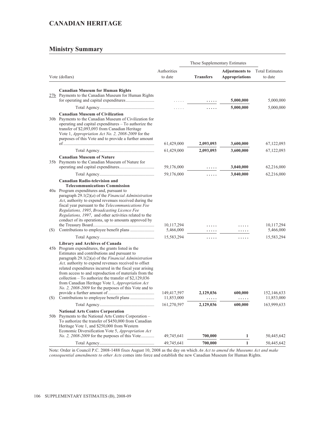### **Ministry Summary**

|     |                                                                                                                                                                                                                                                                                                                                                                                                                                                                                                                                                          |                           | These Supplementary Estimates |                                                |                                   |
|-----|----------------------------------------------------------------------------------------------------------------------------------------------------------------------------------------------------------------------------------------------------------------------------------------------------------------------------------------------------------------------------------------------------------------------------------------------------------------------------------------------------------------------------------------------------------|---------------------------|-------------------------------|------------------------------------------------|-----------------------------------|
|     | Vote (dollars)                                                                                                                                                                                                                                                                                                                                                                                                                                                                                                                                           | Authorities<br>to date    | <b>Transfers</b>              | <b>Adjustments to</b><br><b>Appropriations</b> | <b>Total Estimates</b><br>to date |
|     | <b>Canadian Museum for Human Rights</b><br>27b Payments to the Canadian Museum for Human Rights                                                                                                                                                                                                                                                                                                                                                                                                                                                          |                           |                               |                                                |                                   |
|     |                                                                                                                                                                                                                                                                                                                                                                                                                                                                                                                                                          |                           | .                             | 5,000,000                                      | 5,000,000                         |
|     |                                                                                                                                                                                                                                                                                                                                                                                                                                                                                                                                                          |                           | .                             | 5,000,000                                      | 5,000,000                         |
|     | <b>Canadian Museum of Civilization</b><br>30b Payments to the Canadian Museum of Civilization for<br>operating and capital expenditures – To authorize the<br>transfer of \$2,093,093 from Canadian Heritage<br>Vote 1, Appropriation Act No. 2, 2008-2009 for the<br>purposes of this Vote and to provide a further amount                                                                                                                                                                                                                              |                           |                               |                                                |                                   |
|     |                                                                                                                                                                                                                                                                                                                                                                                                                                                                                                                                                          | 61,429,000                | 2,093,093                     | 3,600,000                                      | 67,122,093                        |
|     |                                                                                                                                                                                                                                                                                                                                                                                                                                                                                                                                                          | 61,429,000                | 2,093,093                     | 3,600,000                                      | 67,122,093                        |
|     | <b>Canadian Museum of Nature</b><br>35b Payments to the Canadian Museum of Nature for                                                                                                                                                                                                                                                                                                                                                                                                                                                                    |                           |                               |                                                | 62,216,000                        |
|     |                                                                                                                                                                                                                                                                                                                                                                                                                                                                                                                                                          | 59,176,000<br>59,176,000  | .                             | 3,040,000<br>3,040,000                         | 62,216,000                        |
| (S) | <b>Canadian Radio-television and</b><br><b>Telecommunications Commission</b><br>40a Program expenditures and, pursuant to<br>paragraph $29.1(2)(a)$ of the <i>Financial Administration</i><br>Act, authority to expend revenues received during the<br>fiscal year pursuant to the Telecommunications Fee<br>Regulations, 1995, Broadcasting Licence Fee<br>Regulations, 1997, and other activities related to the<br>conduct of its operations, up to amounts approved by                                                                               | 10, 117, 294<br>5,466,000 |                               |                                                | 10, 117, 294<br>5,466,000         |
|     |                                                                                                                                                                                                                                                                                                                                                                                                                                                                                                                                                          | 15,583,294                | .                             | .                                              | 15,583,294                        |
| (S) | Library and Archives of Canada<br>45b Program expenditures, the grants listed in the<br>Estimates and contributions and pursuant to<br>paragraph $29.1(2)(a)$ of the <i>Financial Administration</i><br>Act, authority to expend revenues received to offset<br>related expenditures incurred in the fiscal year arising<br>from access to and reproduction of materials from the<br>collection – To authorize the transfer of $$2,129,036$<br>from Canadian Heritage Vote 1, Appropriation Act<br>No. 2, 2008-2009 for the purposes of this Vote and to | 149,417,597<br>11,853,000 | 2,129,036<br>.                | 600,000<br>.                                   | 152,146,633<br>11,853,000         |
|     |                                                                                                                                                                                                                                                                                                                                                                                                                                                                                                                                                          | 161,270,597               | 2,129,036                     | 600,000                                        | 163,999,633                       |
|     | <b>National Arts Centre Corporation</b><br>50b Payments to the National Arts Centre Corporation -<br>To authorize the transfer of \$450,000 from Canadian<br>Heritage Vote 1, and \$250,000 from Western<br>Economic Diversification Vote 5, Appropriation Act<br><i>No. 2, 2008-2009</i> for the purposes of this Vote                                                                                                                                                                                                                                  | 49,745,641                | 700,000                       | 1                                              | 50,445,642                        |
|     |                                                                                                                                                                                                                                                                                                                                                                                                                                                                                                                                                          | 49,745,641                | 700,000                       | $\mathbf{1}$                                   | 50,445,642                        |
|     |                                                                                                                                                                                                                                                                                                                                                                                                                                                                                                                                                          |                           |                               |                                                |                                   |

Note: Order in Council P.C. 2008-1488 fixes August 10, 2008 as the day on which *An Act to amend the Museums Act and make consequential amendments to other Acts* comes into force and establish the new Canadian Museum for Human Rights.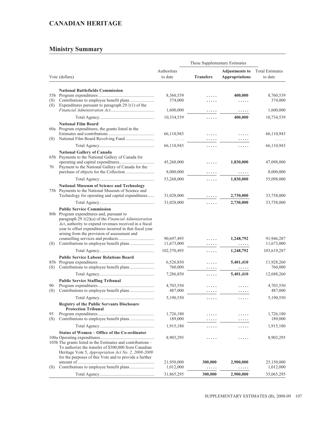## **Ministry Summary**

| These Supplementary Estimates |                                                                                                                                                                                                                                                                                      |                          |                  |                                                |                                   |
|-------------------------------|--------------------------------------------------------------------------------------------------------------------------------------------------------------------------------------------------------------------------------------------------------------------------------------|--------------------------|------------------|------------------------------------------------|-----------------------------------|
|                               | Vote (dollars)                                                                                                                                                                                                                                                                       | Authorities<br>to date   | <b>Transfers</b> | <b>Adjustments to</b><br><b>Appropriations</b> | <b>Total Estimates</b><br>to date |
|                               |                                                                                                                                                                                                                                                                                      |                          |                  |                                                |                                   |
|                               | <b>National Battlefields Commission</b>                                                                                                                                                                                                                                              | 8,360,539                |                  | 400,000                                        | 8,760,539                         |
| (S)                           | Contributions to employee benefit plans                                                                                                                                                                                                                                              | 374,000                  | .                | .                                              | 374,000                           |
| (S)                           | Expenditures pursuant to paragraph $29.1(1)$ of the                                                                                                                                                                                                                                  | 1,600,000                | .                | .                                              | 1,600,000                         |
|                               |                                                                                                                                                                                                                                                                                      | 10,334,539               | .                | 400,000                                        | 10,734,539                        |
|                               | <b>National Film Board</b><br>60a Program expenditures, the grants listed in the                                                                                                                                                                                                     | 66,110,943               |                  | .                                              | 66,110,943                        |
| (S)                           |                                                                                                                                                                                                                                                                                      |                          | .                | .                                              |                                   |
|                               |                                                                                                                                                                                                                                                                                      | 66,110,943               | .                | .                                              | 66,110,943                        |
|                               | <b>National Gallery of Canada</b><br>65b Payments to the National Gallery of Canada for                                                                                                                                                                                              |                          |                  |                                                |                                   |
| 70                            | Payment to the National Gallery of Canada for the                                                                                                                                                                                                                                    | 45,268,000               | .                | 1,830,000                                      | 47,098,000                        |
|                               |                                                                                                                                                                                                                                                                                      | 8,000,000                | .                |                                                | 8,000,000                         |
|                               |                                                                                                                                                                                                                                                                                      | 53,268,000               | .                | 1,830,000                                      | 55,098,000                        |
|                               | <b>National Museum of Science and Technology</b><br>75b Payments to the National Museum of Science and                                                                                                                                                                               |                          |                  |                                                |                                   |
|                               | Technology for operating and capital expenditures                                                                                                                                                                                                                                    | 31,028,000               | .                | 2,730,000                                      | 33,758,000                        |
|                               |                                                                                                                                                                                                                                                                                      | 31,028,000               | .                | 2,730,000                                      | 33,758,000                        |
| (S)                           | 80b Program expenditures and, pursuant to<br>paragraph $29.1(2)(a)$ of the <i>Financial Administration</i><br>Act, authority to expend revenues received in a fiscal<br>year to offset expenditures incurred in that fiscal year<br>arising from the provision of assessment and     | 90,697,495<br>11,673,000 | .<br>.           | 1,248,792<br>.                                 | 91,946,287<br>11,673,000          |
|                               |                                                                                                                                                                                                                                                                                      | 102,370,495              | .                | 1,248,792                                      | 103,619,287                       |
|                               | <b>Public Service Labour Relations Board</b>                                                                                                                                                                                                                                         |                          |                  |                                                |                                   |
|                               |                                                                                                                                                                                                                                                                                      | 6,526,850                | .                | 5,401,410                                      | 11,928,260                        |
| (S)                           |                                                                                                                                                                                                                                                                                      | 760,000                  | .                |                                                | 760,000                           |
|                               |                                                                                                                                                                                                                                                                                      | 7,286,850                | .                | 5,401,410                                      | 12,688,260                        |
|                               | <b>Public Service Staffing Tribunal</b>                                                                                                                                                                                                                                              |                          |                  |                                                |                                   |
| 90                            |                                                                                                                                                                                                                                                                                      | 4,703,550                |                  |                                                | 4,703,550                         |
| (S)                           |                                                                                                                                                                                                                                                                                      | 487,000                  | .                | .                                              | 487,000                           |
|                               |                                                                                                                                                                                                                                                                                      | 5,190,550                | .                | .                                              | 5,190,550                         |
|                               | <b>Registry of the Public Servants Disclosure</b><br><b>Protection Tribunal</b>                                                                                                                                                                                                      |                          |                  |                                                |                                   |
| 95                            |                                                                                                                                                                                                                                                                                      | 1,726,180                |                  |                                                | 1,726,180                         |
| (S)                           |                                                                                                                                                                                                                                                                                      | 189,000                  |                  |                                                | 189,000                           |
|                               |                                                                                                                                                                                                                                                                                      | 1,915,180                | .                | .                                              | 1,915,180                         |
|                               | Status of Women – Office of the Co-ordinator<br>105b The grants listed in the Estimates and contributions –<br>To authorize the transfer of \$300,000 from Canadian<br>Heritage Vote 5, Appropriation Act No. 2, 2008-2009<br>for the purposes of this Vote and to provide a further | 8,903,295                |                  | .                                              | 8,903,295                         |
|                               |                                                                                                                                                                                                                                                                                      | 21,950,000               | 300,000          | 2,900,000                                      | 25,150,000                        |
| (S)                           | Contributions to employee benefit plans                                                                                                                                                                                                                                              | 1,012,000                | .                | .                                              | 1,012,000                         |
|                               |                                                                                                                                                                                                                                                                                      | 31,865,295               | 300,000          | 2,900,000                                      | 35,065,295                        |

<u> 1980 - Johann Barn, mars ann an t-Amhain Aonaich an t-Aonaich an t-Aonaich ann an t-Aonaich ann an t-Aonaich</u>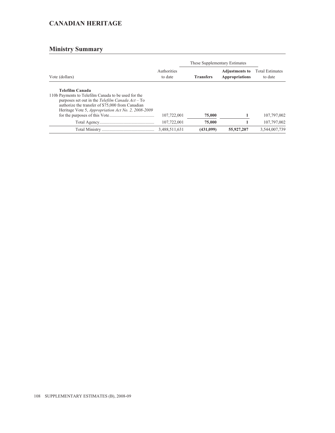## **Ministry Summary**

|                                                                                                                                                                                                                                         |                        | These Supplementary Estimates |                                         |                                   |
|-----------------------------------------------------------------------------------------------------------------------------------------------------------------------------------------------------------------------------------------|------------------------|-------------------------------|-----------------------------------------|-----------------------------------|
| Vote (dollars)                                                                                                                                                                                                                          | Authorities<br>to date | <b>Transfers</b>              | <b>Adjustments to</b><br>Appropriations | <b>Total Estimates</b><br>to date |
| Telefilm Canada<br>110b Payments to Telefilm Canada to be used for the<br>purposes set out in the Telefilm Canada $Act - To$<br>authorize the transfer of \$75,000 from Canadian<br>Heritage Vote 5, Appropriation Act No. 2, 2008-2009 | 107,722,001            | 75,000                        |                                         | 107,797,002                       |
|                                                                                                                                                                                                                                         | 107,722,001            | 75,000                        |                                         | 107,797,002                       |
|                                                                                                                                                                                                                                         | 3,488,511,631          | (431,099)                     | 55,927,207                              | 3,544,007,739                     |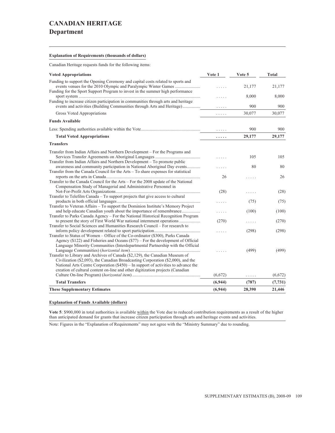### **Department**

### **Explanation of Requirements (thousands of dollars)**

Canadian Heritage requests funds for the following items:

| <b>Voted Appropriations</b>                                                                                                                                              | Vote 1  | Vote 5 | Total    |
|--------------------------------------------------------------------------------------------------------------------------------------------------------------------------|---------|--------|----------|
| Funding to support the Opening Ceremony and capital costs related to sports and                                                                                          |         | 21,177 | 21,177   |
| Funding for the Sport Support Program to invest in the summer high performance                                                                                           |         | 8,000  | 8,000    |
| Funding to increase citizen participation in communities through arts and heritage<br>events and activities (Building Communities through Arts and Heritage)             | .       | 900    | 900      |
| Gross Voted Appropriations                                                                                                                                               | .       | 30,077 | 30,077   |
| <b>Funds Available</b>                                                                                                                                                   |         |        |          |
|                                                                                                                                                                          |         | 900    | 900      |
| <b>Total Voted Appropriations</b>                                                                                                                                        | .       | 29,177 | 29,177   |
| <b>Transfers</b>                                                                                                                                                         |         |        |          |
| Transfer from Indian Affairs and Northern Development – For the Programs and                                                                                             |         |        |          |
| Transfer from Indian Affairs and Northern Development – To promote public                                                                                                |         | 105    | 105      |
| awareness and community participation in National Aboriginal Day events                                                                                                  |         | 80     | 80       |
| Transfer from the Canada Council for the Arts - To share expenses for statistical                                                                                        | 26      |        | 26       |
| Transfer to the Canada Council for the Arts – For the 2008 update of the National                                                                                        |         |        |          |
| Compensation Study of Managerial and Administrative Personnel in                                                                                                         |         |        |          |
|                                                                                                                                                                          | (28)    | .      | (28)     |
| Transfer to Telefilm Canada - To support projects that give access to cultural                                                                                           |         | (75)   | (75)     |
| Transfer to Veteran Affairs - To support the Dominion Institute's Memory Project                                                                                         |         |        |          |
|                                                                                                                                                                          | .       | (100)  | (100)    |
| Transfer to Parks Canada Agency – For the National Historical Recognition Program                                                                                        |         |        |          |
|                                                                                                                                                                          | (270)   | .      | (270)    |
| Transfer to Social Sciences and Humanities Research Council – For research to                                                                                            |         |        |          |
|                                                                                                                                                                          |         | (298)  | (298)    |
| Transfer to Status of Women - Office of the Co-ordinator (\$300), Parks Canada                                                                                           |         |        |          |
| Agency (\$122) and Fisheries and Oceans ( $\$77$ ) – For the development of Official                                                                                     |         |        |          |
| Language Minority Communities (Interdepartmental Partnership with the Official                                                                                           |         |        |          |
|                                                                                                                                                                          |         | (499)  | (499)    |
| Transfer to Library and Archives of Canada (\$2,129), the Canadian Museum of                                                                                             |         |        |          |
| Civilization (\$2,093), the Canadian Broadcasting Corporation (\$2,000), and the<br>National Arts Centre Corporation $(\$450)$ – In support of activities to advance the |         |        |          |
| creation of cultural content on-line and other digitization projects (Canadian                                                                                           |         |        |          |
|                                                                                                                                                                          | (6,672) | .      | (6,672)  |
| <b>Total Transfers</b>                                                                                                                                                   | (6,944) | (787)  | (7, 731) |
| <b>These Supplementary Estimates</b>                                                                                                                                     | (6,944) | 28,390 | 21,446   |
|                                                                                                                                                                          |         |        |          |

### **Explanation of Funds Available (dollars)**

**Vote 5**: \$900,000 in total authorities is available within the Vote due to reduced contribution requirements as a result of the higher than anticipated demand for grants that increase citizen participation through arts and heritage events and activities.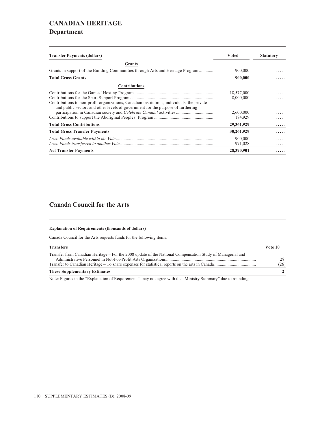## **Department**

| <b>Transfer Payments (dollars)</b>                                                                                                                                            | <b>Voted</b> | <b>Statutory</b> |
|-------------------------------------------------------------------------------------------------------------------------------------------------------------------------------|--------------|------------------|
| <b>Grants</b>                                                                                                                                                                 |              |                  |
| Grants in support of the Building Communities through Arts and Heritage Program                                                                                               | 900,000      | .                |
| <b>Total Gross Grants</b>                                                                                                                                                     | 900,000      |                  |
| <b>Contributions</b>                                                                                                                                                          |              |                  |
|                                                                                                                                                                               | 18,577,000   |                  |
| Contributions to non-profit organizations, Canadian institutions, individuals, the private<br>and public sectors and other levels of government for the purpose of furthering | 8,000,000    |                  |
|                                                                                                                                                                               | 2,600,000    |                  |
|                                                                                                                                                                               | 184,929      |                  |
| <b>Total Gross Contributions</b>                                                                                                                                              | 29,361,929   | .                |
| <b>Total Gross Transfer Payments</b>                                                                                                                                          | 30,261,929   | .                |
|                                                                                                                                                                               | 900,000      |                  |
|                                                                                                                                                                               | 971,028      |                  |
| <b>Net Transfer Payments</b>                                                                                                                                                  | 28,390,901   | .                |

### **Canada Council for the Arts**

### **Explanation of Requirements (thousands of dollars)**

Canada Council for the Arts requests funds for the following items:

| <b>Transfers</b>                                                                                           | Vote 10       |
|------------------------------------------------------------------------------------------------------------|---------------|
| Transfer from Canadian Heritage – For the 2008 update of the National Compensation Study of Managerial and | 28            |
|                                                                                                            | (26)          |
| <b>These Supplementary Estimates</b>                                                                       | $\mathcal{L}$ |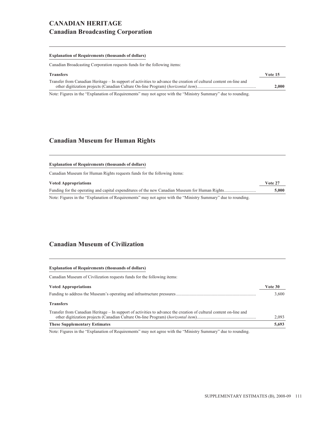## **CANADIAN HERITAGE Canadian Broadcasting Corporation**

#### **Explanation of Requirements (thousands of dollars)**

Canadian Broadcasting Corporation requests funds for the following items:

| Vote 15 |       |
|---------|-------|
|         |       |
|         | 2.000 |
|         |       |

Note: Figures in the "Explanation of Requirements" may not agree with the "Ministry Summary" due to rounding.

### **Canadian Museum for Human Rights**

| <b>Explanation of Requirements (thousands of dollars)</b> |
|-----------------------------------------------------------|
|-----------------------------------------------------------|

Canadian Museum for Human Rights requests funds for the following items:

| <b>Voted Appropriations</b> | Vote 27 |
|-----------------------------|---------|
|                             |         |

|                                                                                                               | 5,000 |
|---------------------------------------------------------------------------------------------------------------|-------|
| Note: Figures in the "Explanation of Requirements" may not agree with the "Ministry Summary" due to rounding. |       |

### **Canadian Museum of Civilization**

| <b>Explanation of Requirements (thousands of dollars)</b>                                                          |         |
|--------------------------------------------------------------------------------------------------------------------|---------|
| Canadian Museum of Civilization requests funds for the following items:                                            |         |
| <b>Voted Appropriations</b>                                                                                        | Vote 30 |
|                                                                                                                    | 3.600   |
| <b>Transfers</b>                                                                                                   |         |
| Transfer from Canadian Heritage – In support of activities to advance the creation of cultural content on-line and | 2,093   |
| <b>These Supplementary Estimates</b>                                                                               | 5,693   |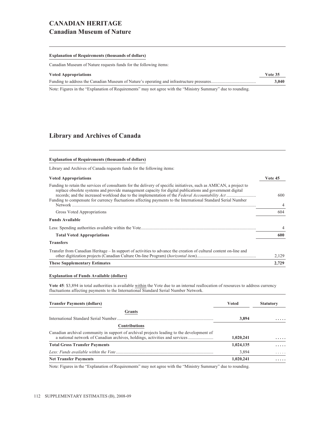# **CANADIAN HERITAGE Canadian Museum of Nature**

### **Explanation of Requirements (thousands of dollars)**

Canadian Museum of Nature requests funds for the following items:

| <b>Voted Appropriations</b>                                                                                 | Vote 35 |
|-------------------------------------------------------------------------------------------------------------|---------|
|                                                                                                             | 3.040   |
| Note: Figures in the "Evalenction of Dequirements" may not gave with the "Ministry Cummery" due to reunding |         |

Note: Figures in the "Explanation of Requirements" may not agree with the "Ministry Summary" due to rounding.

### **Library and Archives of Canada**

### **Explanation of Requirements (thousands of dollars)**

Library and Archives of Canada requests funds for the following items:

| <b>Voted Appropriations</b>                                                                                                                                                                                                                                                                                                                        | Vote 45        |
|----------------------------------------------------------------------------------------------------------------------------------------------------------------------------------------------------------------------------------------------------------------------------------------------------------------------------------------------------|----------------|
| Funding to retain the services of consultants for the delivery of specific initiatives, such as AMICAN, a project to<br>replace obsolete systems and provide management capacity for digital publications and government digital<br>Funding to compensate for currency fluctuations affecting payments to the International Standard Serial Number | 600            |
| Network                                                                                                                                                                                                                                                                                                                                            | $\overline{4}$ |
| Gross Voted Appropriations                                                                                                                                                                                                                                                                                                                         | 604            |
| <b>Funds Available</b>                                                                                                                                                                                                                                                                                                                             |                |
|                                                                                                                                                                                                                                                                                                                                                    | 4              |
| <b>Total Voted Appropriations</b>                                                                                                                                                                                                                                                                                                                  | 600            |
| <b>Transfers</b>                                                                                                                                                                                                                                                                                                                                   |                |
| Transfer from Canadian Heritage – In support of activities to advance the creation of cultural content on-line and                                                                                                                                                                                                                                 | 2,129          |
| <b>These Supplementary Estimates</b>                                                                                                                                                                                                                                                                                                               | 2.729          |

### **Explanation of Funds Available (dollars)**

**Vote 45**: \$3,894 in total authorities is available within the Vote due to an internal reallocation of resources to address currency fluctuations affecting payments to the International Standard Serial Number Network.

| <b>Transfer Payments (dollars)</b>                                                                                                                                      | <b>Voted</b> | <b>Statutory</b> |  |
|-------------------------------------------------------------------------------------------------------------------------------------------------------------------------|--------------|------------------|--|
| <b>Grants</b>                                                                                                                                                           |              |                  |  |
| International Standard Serial Number                                                                                                                                    | 3,894        | .                |  |
| <b>Contributions</b>                                                                                                                                                    |              |                  |  |
| Canadian archival community in support of archival projects leading to the development of<br>a national network of Canadian archives, holdings, activities and services | 1,020,241    | .                |  |
| <b>Total Gross Transfer Payments</b>                                                                                                                                    | 1,024,135    | .                |  |
|                                                                                                                                                                         | 3,894        | .                |  |
| <b>Net Transfer Payments</b>                                                                                                                                            | 1.020.241    | .                |  |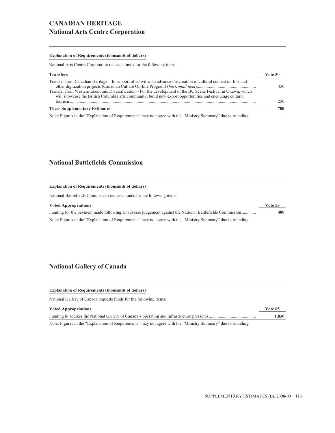# **CANADIAN HERITAGE National Arts Centre Corporation**

### **Explanation of Requirements (thousands of dollars)**

National Arts Centre Corporation requests funds for the following items:

| <b>Transfers</b>                                                                                                                                                                                                                                                                                                                                 | Vote 50 |
|--------------------------------------------------------------------------------------------------------------------------------------------------------------------------------------------------------------------------------------------------------------------------------------------------------------------------------------------------|---------|
| Transfer from Canadian Heritage – In support of activities to advance the creation of cultural content on-line and<br>Transfer from Western Economic Diversification – For the development of the BC Scene Festival in Ottawa, which<br>will showcase the British Columbia arts community, build new export opportunities and encourage cultural | 450     |
| tourism.                                                                                                                                                                                                                                                                                                                                         | 250     |
| <b>These Supplementary Estimates</b>                                                                                                                                                                                                                                                                                                             | 700     |

Note: Figures in the "Explanation of Requirements" may not agree with the "Ministry Summary" due to rounding.

### **National Battlefields Commission**

### **Explanation of Requirements (thousands of dollars)**

National Battlefields Commission requests funds for the following items:

| <b>Voted Appropriations</b>                                                                                   | Vote 55 |
|---------------------------------------------------------------------------------------------------------------|---------|
| Funding for the payment made following an adverse judgement against the National Battlefields Commission      | 400     |
| Note: Figures in the "Explanation of Requirements" may not agree with the "Ministry Summary" due to rounding. |         |

### **National Gallery of Canada**

### **Explanation of Requirements (thousands of dollars)**

National Gallery of Canada requests funds for the following items:

| <b>Voted Appropriations</b>                                                                                   | Vote 65 |
|---------------------------------------------------------------------------------------------------------------|---------|
|                                                                                                               | 1.830   |
| Note: Figures in the "Explanation of Requirements" may not agree with the "Ministry Summary" due to rounding. |         |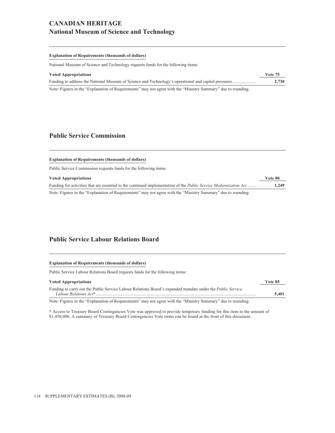# **CANADIAN HERITAGE**

### **National Museum of Science and Technology**

#### **Explanation of Requirements (thousands of dollars)**

National Museum of Science and Technology requests funds for the following items:

| <b>Voted Appropriations</b>                                                                                   | Vote 75 |
|---------------------------------------------------------------------------------------------------------------|---------|
|                                                                                                               | 2.730   |
| Note: Figures in the "Explanation of Requirements" may not agree with the "Ministry Summary" due to rounding. |         |

### **Public Service Commission**

# **Explanation of Requirements (thousands of dollars)** Public Service Commission requests funds for the following items: **Voted Appropriations Vote 80** Funding for activities that are essential to the continued implementation of the *Public Service Modernization Act* ........ **1,249** Note: Figures in the "Explanation of Requirements" may not agree with the "Ministry Summary" due to rounding.

### **Public Service Labour Relations Board**

# **Explanation of Requirements (thousands of dollars)** Public Service Labour Relations Board requests funds for the following items: **Voted Appropriations Vote 85** Funding to carry out the Public Service Labour Relations Board's expanded mandate under the *Public Service Labour Relations Act*\* .................................................................................................................................................. **5,401**

Note: Figures in the "Explanation of Requirements" may not agree with the "Ministry Summary" due to rounding.

\* Access to Treasury Board Contingencies Vote was approved to provide temporary funding for this item in the amount of \$1,450,000. A summary of Treasury Board Contingencies Vote items can be found at the front of this document.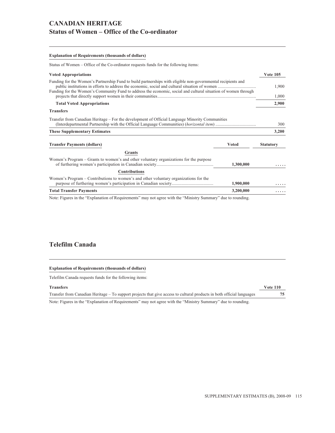# **CANADIAN HERITAGE Status of Women – Office of the Co-ordinator**

### **Explanation of Requirements (thousands of dollars)**

Status of Women – Office of the Co-ordinator requests funds for the following items:

| <b>Voted Appropriations</b>                                                                                                                                                                                                    |              | <b>Vote 105</b>  |
|--------------------------------------------------------------------------------------------------------------------------------------------------------------------------------------------------------------------------------|--------------|------------------|
| Funding for the Women's Partnership Fund to build partnerships with eligible non-governmental recipients and<br>Funding for the Women's Community Fund to address the economic, social and cultural situation of women through |              | 1,900<br>1,000   |
| <b>Total Voted Appropriations</b>                                                                                                                                                                                              |              | 2,900            |
| <b>Transfers</b>                                                                                                                                                                                                               |              |                  |
| Transfer from Canadian Heritage – For the development of Official Language Minority Communities                                                                                                                                |              | 300              |
| <b>These Supplementary Estimates</b>                                                                                                                                                                                           |              | 3,200            |
| <b>Transfer Payments (dollars)</b>                                                                                                                                                                                             | <b>Voted</b> | <b>Statutory</b> |
| Grants                                                                                                                                                                                                                         |              |                  |
| Women's Program – Grants to women's and other voluntary organizations for the purpose                                                                                                                                          | 1,300,000    |                  |
| <b>Contributions</b>                                                                                                                                                                                                           |              |                  |
| Women's Program – Contributions to women's and other voluntary organizations for the                                                                                                                                           | 1,900,000    |                  |
| <b>Total Transfer Payments</b>                                                                                                                                                                                                 | 3,200,000    |                  |

Note: Figures in the "Explanation of Requirements" may not agree with the "Ministry Summary" due to rounding.

### **Telefilm Canada**

### **Explanation of Requirements (thousands of dollars)**

Telefilm Canada requests funds for the following items:

| <b>Transfers</b>                                                                                                       | <b>Vote 110</b> |
|------------------------------------------------------------------------------------------------------------------------|-----------------|
| Transfer from Canadian Heritage – To support projects that give access to cultural products in both official languages |                 |
| Nicker Pierre en der GP----Louisier of Dominion (19) meer ook een eerste klog GNI-louis Grommer 9) daar kennematien    |                 |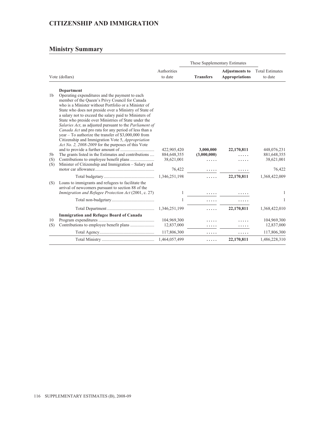# **CITIZENSHIP AND IMMIGRATION**

|                  |                                                                                                                                                                                                                                                                                                                                                                                                                                                                                                                                                                                                                              |                           |                  | These Supplementary Estimates                  |                                   |
|------------------|------------------------------------------------------------------------------------------------------------------------------------------------------------------------------------------------------------------------------------------------------------------------------------------------------------------------------------------------------------------------------------------------------------------------------------------------------------------------------------------------------------------------------------------------------------------------------------------------------------------------------|---------------------------|------------------|------------------------------------------------|-----------------------------------|
|                  | Vote (dollars)                                                                                                                                                                                                                                                                                                                                                                                                                                                                                                                                                                                                               | Authorities<br>to date    | <b>Transfers</b> | <b>Adjustments to</b><br><b>Appropriations</b> | <b>Total Estimates</b><br>to date |
|                  | Department                                                                                                                                                                                                                                                                                                                                                                                                                                                                                                                                                                                                                   |                           |                  |                                                |                                   |
| 1 <sub>b</sub>   | Operating expenditures and the payment to each<br>member of the Queen's Privy Council for Canada<br>who is a Minister without Portfolio or a Minister of<br>State who does not preside over a Ministry of State of<br>a salary not to exceed the salary paid to Ministers of<br>State who preside over Ministries of State under the<br>Salaries Act, as adjusted pursuant to the Parliament of<br>Canada Act and pro rata for any period of less than a<br>year – To authorize the transfer of $$3,000,000$ from<br>Citizenship and Immigration Vote 5, Appropriation<br>Act No. 2, 2008-2009 for the purposes of this Vote | 422,905,420               | 3,000,000        | 22,170,811                                     | 448,076,231                       |
| 5b<br>(S)<br>(S) | The grants listed in the Estimates and contributions<br>Minister of Citizenship and Immigration – Salary and                                                                                                                                                                                                                                                                                                                                                                                                                                                                                                                 | 884,648,355<br>38,621,001 | (3,000,000)<br>. |                                                | 881,648,355<br>38,621,001         |
|                  |                                                                                                                                                                                                                                                                                                                                                                                                                                                                                                                                                                                                                              | 76,422                    |                  |                                                | 76,422                            |
|                  |                                                                                                                                                                                                                                                                                                                                                                                                                                                                                                                                                                                                                              | 1,346,251,198             |                  | 22,170,811                                     | 1,368,422,009                     |
| (S)              | Loans to immigrants and refugees to facilitate the                                                                                                                                                                                                                                                                                                                                                                                                                                                                                                                                                                           |                           |                  |                                                |                                   |
|                  | arrival of newcomers pursuant to section 88 of the                                                                                                                                                                                                                                                                                                                                                                                                                                                                                                                                                                           |                           |                  |                                                |                                   |
|                  | Immigration and Refugee Protection Act (2001, c. 27)                                                                                                                                                                                                                                                                                                                                                                                                                                                                                                                                                                         | 1                         |                  |                                                | 1                                 |
|                  |                                                                                                                                                                                                                                                                                                                                                                                                                                                                                                                                                                                                                              | 1                         |                  |                                                | 1                                 |
|                  |                                                                                                                                                                                                                                                                                                                                                                                                                                                                                                                                                                                                                              | 1,346,251,199             |                  | 22,170,811                                     | 1,368,422,010                     |
|                  | <b>Immigration and Refugee Board of Canada</b>                                                                                                                                                                                                                                                                                                                                                                                                                                                                                                                                                                               |                           |                  |                                                |                                   |
| 10               |                                                                                                                                                                                                                                                                                                                                                                                                                                                                                                                                                                                                                              | 104,969,300               |                  |                                                | 104,969,300                       |
| (S)              |                                                                                                                                                                                                                                                                                                                                                                                                                                                                                                                                                                                                                              | 12,837,000                |                  |                                                | 12,837,000                        |
|                  |                                                                                                                                                                                                                                                                                                                                                                                                                                                                                                                                                                                                                              | 117,806,300               | .                | .                                              | 117,806,300                       |
|                  |                                                                                                                                                                                                                                                                                                                                                                                                                                                                                                                                                                                                                              | 1,464,057,499             | .                | 22,170,811                                     | 1,486,228,310                     |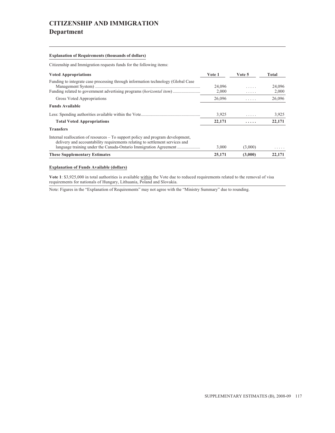# **CITIZENSHIP AND IMMIGRATION Department**

### **Explanation of Requirements (thousands of dollars)**

Citizenship and Immigration requests funds for the following items:

| <b>Voted Appropriations</b>                                                                                                                                                                                                         | Vote 1          | Vote 5  | Total           |
|-------------------------------------------------------------------------------------------------------------------------------------------------------------------------------------------------------------------------------------|-----------------|---------|-----------------|
| Funding to integrate case processing through information technology (Global Case<br>Funding related to government advertising programs ( <i>horizontal item</i> )                                                                   | 24,096<br>2,000 | .<br>.  | 24,096<br>2,000 |
| Gross Voted Appropriations                                                                                                                                                                                                          | 26,096          | .       | 26,096          |
| <b>Funds Available</b>                                                                                                                                                                                                              |                 |         |                 |
|                                                                                                                                                                                                                                     | 3,925           | .       | 3,925           |
| <b>Total Voted Appropriations</b>                                                                                                                                                                                                   | 22,171          | .       | 22,171          |
| <b>Transfers</b>                                                                                                                                                                                                                    |                 |         |                 |
| Internal reallocation of resources – To support policy and program development,<br>delivery and accountability requirements relating to settlement services and<br>language training under the Canada-Ontario Immigration Agreement | 3,000           | (3,000) | .               |
| <b>These Supplementary Estimates</b>                                                                                                                                                                                                | 25,171          | (3,000) | 22,171          |

### **Explanation of Funds Available (dollars)**

**Vote 1**: \$3,925,000 in total authorities is available within the Vote due to reduced requirements related to the removal of visa requirements for nationals of Hungary, Lithuania, Poland and Slovakia.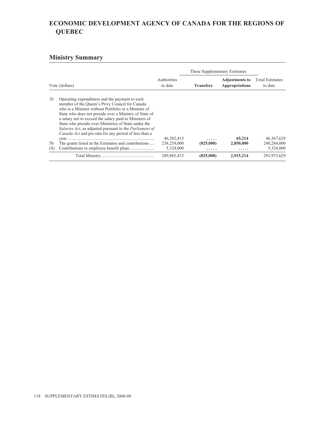# **ECONOMIC DEVELOPMENT AGENCY OF CANADA FOR THE REGIONS OF QUEBEC**

|                      |                                                                                                                                                                                                                                                                                                                                                                                                                                                                                                                  |                           | These Supplementary Estimates |                                         | <b>Total Estimates</b><br>to date |
|----------------------|------------------------------------------------------------------------------------------------------------------------------------------------------------------------------------------------------------------------------------------------------------------------------------------------------------------------------------------------------------------------------------------------------------------------------------------------------------------------------------------------------------------|---------------------------|-------------------------------|-----------------------------------------|-----------------------------------|
| Vote (dollars)       |                                                                                                                                                                                                                                                                                                                                                                                                                                                                                                                  | Authorities<br>to date    | <b>Transfers</b>              | <b>Adjustments to</b><br>Appropriations |                                   |
| 1 <sub>b</sub><br>5b | Operating expenditures and the payment to each<br>member of the Queen's Privy Council for Canada<br>who is a Minister without Portfolio or a Minister of<br>State who does not preside over a Ministry of State of<br>a salary not to exceed the salary paid to Ministers of<br>State who preside over Ministries of State under the<br>Salaries Act, as adjusted pursuant to the Parliament of<br>Canada Act and pro rata for any period of less than a<br>The grants listed in the Estimates and contributions | 46,302,415<br>238,259,000 | .<br>(825,000)                | 65,214<br>2,850,000                     | 46, 367, 629<br>240,284,000       |
| (S)                  |                                                                                                                                                                                                                                                                                                                                                                                                                                                                                                                  | 5,324,000                 | .                             | .                                       | 5,324,000                         |
|                      |                                                                                                                                                                                                                                                                                                                                                                                                                                                                                                                  | 289,885,415               | (825.000)                     | 2,915,214                               | 291,975,629                       |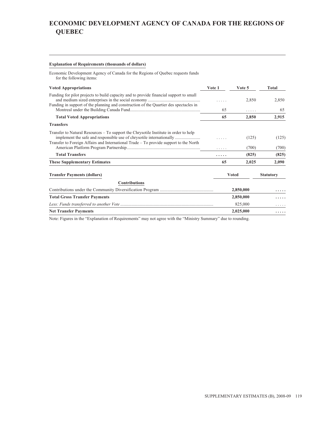# **ECONOMIC DEVELOPMENT AGENCY OF CANADA FOR THE REGIONS OF QUEBEC**

### **Explanation of Requirements (thousands of dollars)**

Economic Development Agency of Canada for the Regions of Quebec requests funds for the following items:

| <b>Voted Appropriations</b>                                                                                                                                                                                                                           | Vote 1 | Vote 5       | Total            |
|-------------------------------------------------------------------------------------------------------------------------------------------------------------------------------------------------------------------------------------------------------|--------|--------------|------------------|
| Funding for pilot projects to build capacity and to provide financial support to small<br>Funding in support of the planning and construction of the Quartier des spectacles in                                                                       |        | 2,850        | 2,850            |
|                                                                                                                                                                                                                                                       | 65     | .            | 65               |
| <b>Total Voted Appropriations</b>                                                                                                                                                                                                                     | 65     | 2,850        | 2,915            |
| <b>Transfers</b>                                                                                                                                                                                                                                      |        |              |                  |
| Transfer to Natural Resources – To support the Chrysotile Institute in order to help<br>implement the safe and responsible use of chrysotile internationally<br>Transfer to Foreign Affairs and International Trade – To provide support to the North | .      | (125)        | (125)            |
|                                                                                                                                                                                                                                                       | .      | (700)        | (700)            |
| <b>Total Transfers</b>                                                                                                                                                                                                                                | .      | (825)        | (825)            |
| <b>These Supplementary Estimates</b>                                                                                                                                                                                                                  | 65     | 2.025        | 2,090            |
| <b>Transfer Payments (dollars)</b>                                                                                                                                                                                                                    |        | <b>Voted</b> | <b>Statutory</b> |
| <b>Contributions</b>                                                                                                                                                                                                                                  |        |              |                  |
|                                                                                                                                                                                                                                                       |        | 2,850,000    |                  |
| <b>Total Gross Transfer Payments</b>                                                                                                                                                                                                                  |        | 2,850,000    |                  |
|                                                                                                                                                                                                                                                       |        | 825,000      |                  |
| <b>Net Transfer Payments</b>                                                                                                                                                                                                                          |        | 2,025,000    |                  |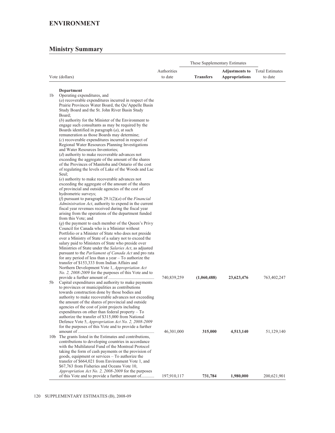|    |                                                                                                                                                                                                                                                                                                                                                                                                                                                                                                                                                                                                                                                                                                                                                                                                                                                                                                                                                                                                                                                                                                                                                                                                                                                                                                                                                                                                                                                                                                                                                                                                                                                                                                                                                                         |                        | These Supplementary Estimates |                                                |                                   |
|----|-------------------------------------------------------------------------------------------------------------------------------------------------------------------------------------------------------------------------------------------------------------------------------------------------------------------------------------------------------------------------------------------------------------------------------------------------------------------------------------------------------------------------------------------------------------------------------------------------------------------------------------------------------------------------------------------------------------------------------------------------------------------------------------------------------------------------------------------------------------------------------------------------------------------------------------------------------------------------------------------------------------------------------------------------------------------------------------------------------------------------------------------------------------------------------------------------------------------------------------------------------------------------------------------------------------------------------------------------------------------------------------------------------------------------------------------------------------------------------------------------------------------------------------------------------------------------------------------------------------------------------------------------------------------------------------------------------------------------------------------------------------------------|------------------------|-------------------------------|------------------------------------------------|-----------------------------------|
|    | Vote (dollars)                                                                                                                                                                                                                                                                                                                                                                                                                                                                                                                                                                                                                                                                                                                                                                                                                                                                                                                                                                                                                                                                                                                                                                                                                                                                                                                                                                                                                                                                                                                                                                                                                                                                                                                                                          | Authorities<br>to date | <b>Transfers</b>              | <b>Adjustments to</b><br><b>Appropriations</b> | <b>Total Estimates</b><br>to date |
|    |                                                                                                                                                                                                                                                                                                                                                                                                                                                                                                                                                                                                                                                                                                                                                                                                                                                                                                                                                                                                                                                                                                                                                                                                                                                                                                                                                                                                                                                                                                                                                                                                                                                                                                                                                                         |                        |                               |                                                |                                   |
| 1b | Department<br>Operating expenditures, and<br>(a) recoverable expenditures incurred in respect of the<br>Prairie Provinces Water Board, the Qu'Appelle Basin<br>Study Board and the St. John River Basin Study<br>Board:<br>$(b)$ authority for the Minister of the Environment to<br>engage such consultants as may be required by the<br>Boards identified in paragraph $(a)$ , at such<br>remuneration as those Boards may determine;<br>$(c)$ recoverable expenditures incurred in respect of<br>Regional Water Resources Planning Investigations<br>and Water Resources Inventories;<br>$(d)$ authority to make recoverable advances not<br>exceeding the aggregate of the amount of the shares<br>of the Provinces of Manitoba and Ontario of the cost<br>of regulating the levels of Lake of the Woods and Lac<br>Seul;<br>(e) authority to make recoverable advances not<br>exceeding the aggregate of the amount of the shares<br>of provincial and outside agencies of the cost of<br>hydrometric surveys;<br>( <i>f</i> ) pursuant to paragraph 29.1(2)( <i>a</i> ) of the <i>Financial</i><br>Administration Act, authority to expend in the current<br>fiscal year revenues received during the fiscal year<br>arising from the operations of the department funded<br>from this Vote; and<br>$(g)$ the payment to each member of the Queen's Privy<br>Council for Canada who is a Minister without<br>Portfolio or a Minister of State who does not preside<br>over a Ministry of State of a salary not to exceed the<br>salary paid to Ministers of State who preside over<br>Ministries of State under the Salaries Act, as adjusted<br>pursuant to the Parliament of Canada Act and pro rata<br>for any period of less than a year $-$ To authorize the |                        |                               |                                                |                                   |
| 5b | transfer of \$153,333 from Indian Affairs and<br>Northern Development Vote 1, Appropriation Act<br>No. 2, 2008-2009 for the purposes of this Vote and to<br>Capital expenditures and authority to make payments<br>to provinces or municipalities as contributions<br>towards construction done by those bodies and<br>authority to make recoverable advances not exceeding                                                                                                                                                                                                                                                                                                                                                                                                                                                                                                                                                                                                                                                                                                                                                                                                                                                                                                                                                                                                                                                                                                                                                                                                                                                                                                                                                                                             | 740,839,259            | (1,060,488)                   | 23,623,476                                     | 763,402,247                       |
|    | the amount of the shares of provincial and outside<br>agencies of the cost of joint projects including<br>expenditures on other than federal property $-$ To<br>authorize the transfer of \$315,000 from National<br>Defence Vote 5, Appropriation Act No. 2, 2008-2009<br>for the purposes of this Vote and to provide a further<br>10b The grants listed in the Estimates and contributions,<br>contributions to developing countries in accordance<br>with the Multilateral Fund of the Montreal Protocol<br>taking the form of cash payments or the provision of<br>goods, equipment or services – To authorize the<br>transfer of \$664,021 from Environment Vote 1, and<br>\$67,763 from Fisheries and Oceans Vote 10,                                                                                                                                                                                                                                                                                                                                                                                                                                                                                                                                                                                                                                                                                                                                                                                                                                                                                                                                                                                                                                            | 46,301,000             | 315,000                       | 4,513,140                                      | 51,129,140                        |
|    | Appropriation Act No. 2, 2008-2009 for the purposes<br>of this Vote and to provide a further amount of                                                                                                                                                                                                                                                                                                                                                                                                                                                                                                                                                                                                                                                                                                                                                                                                                                                                                                                                                                                                                                                                                                                                                                                                                                                                                                                                                                                                                                                                                                                                                                                                                                                                  | 197,910,117            | 731,784                       | 1,980,000                                      | 200,621,901                       |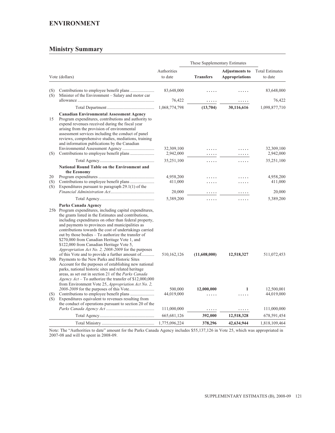### **ENVIRONMENT**

### **Ministry Summary**

|                  |                                                                                                                                                                                                                                                                                                                                                                                                                                                                                                                                                                                                                                                                                                                                                                                                                                                                   |                                      | These Supplementary Estimates |                                                |                                         |  |
|------------------|-------------------------------------------------------------------------------------------------------------------------------------------------------------------------------------------------------------------------------------------------------------------------------------------------------------------------------------------------------------------------------------------------------------------------------------------------------------------------------------------------------------------------------------------------------------------------------------------------------------------------------------------------------------------------------------------------------------------------------------------------------------------------------------------------------------------------------------------------------------------|--------------------------------------|-------------------------------|------------------------------------------------|-----------------------------------------|--|
|                  | Vote (dollars)                                                                                                                                                                                                                                                                                                                                                                                                                                                                                                                                                                                                                                                                                                                                                                                                                                                    | Authorities<br>to date               | <b>Transfers</b>              | <b>Adjustments to</b><br><b>Appropriations</b> | <b>Total Estimates</b><br>to date       |  |
| (S)<br>(S)       | Minister of the Environment – Salary and motor car                                                                                                                                                                                                                                                                                                                                                                                                                                                                                                                                                                                                                                                                                                                                                                                                                | 83,648,000                           |                               |                                                | 83,648,000                              |  |
|                  |                                                                                                                                                                                                                                                                                                                                                                                                                                                                                                                                                                                                                                                                                                                                                                                                                                                                   | 76,422                               | .                             | .                                              | 76,422                                  |  |
| 15               | <b>Canadian Environmental Assessment Agency</b><br>Program expenditures, contributions and authority to<br>expend revenues received during the fiscal year<br>arising from the provision of environmental<br>assessment services including the conduct of panel<br>reviews, comprehensive studies, mediations, training<br>and information publications by the Canadian                                                                                                                                                                                                                                                                                                                                                                                                                                                                                           | 1,068,774,798<br>32,309,100          | (13,704)                      | 30,116,616                                     | 1,098,877,710<br>32,309,100             |  |
| (S)              |                                                                                                                                                                                                                                                                                                                                                                                                                                                                                                                                                                                                                                                                                                                                                                                                                                                                   | 2,942,000                            |                               |                                                | 2,942,000                               |  |
|                  |                                                                                                                                                                                                                                                                                                                                                                                                                                                                                                                                                                                                                                                                                                                                                                                                                                                                   | 35,251,100                           | .                             | .                                              | 35,251,100                              |  |
| 20<br>(S)<br>(S) | <b>National Round Table on the Environment and</b><br>the Economy<br>Expenditures pursuant to paragraph $29.1(1)$ of the                                                                                                                                                                                                                                                                                                                                                                                                                                                                                                                                                                                                                                                                                                                                          | 4,958,200<br>411,000<br>20,000       |                               |                                                | 4,958,200<br>411,000<br>20,000          |  |
|                  |                                                                                                                                                                                                                                                                                                                                                                                                                                                                                                                                                                                                                                                                                                                                                                                                                                                                   | 5,389,200                            | .                             | .                                              | 5,389,200                               |  |
|                  | Parks Canada Agency<br>25b Program expenditures, including capital expenditures,<br>the grants listed in the Estimates and contributions,<br>including expenditures on other than federal property,<br>and payments to provinces and municipalities as<br>contributions towards the cost of undertakings carried<br>out by those bodies – To authorize the transfer of<br>\$270,000 from Canadian Heritage Vote 1, and<br>\$122,000 from Canadian Heritage Vote 5,<br>Appropriation Act No. 2, 2008-2009 for the purposes<br>of this Vote and to provide a further amount of<br>30b Payments to the New Parks and Historic Sites<br>Account for the purposes of establishing new national<br>parks, national historic sites and related heritage<br>areas, as set out in section 21 of the Parks Canada<br>Agency Act – To authorize the transfer of \$12,000,000 | 510, 162, 126                        | (11,608,000)                  | 12,518,327                                     | 511,072,453                             |  |
| (S)<br>(S)       | from Environment Vote 25, Appropriation Act No. 2,<br>Expenditures equivalent to revenues resulting from<br>the conduct of operations pursuant to section 20 of the                                                                                                                                                                                                                                                                                                                                                                                                                                                                                                                                                                                                                                                                                               | 500,000<br>44,019,000<br>111,000,000 | 12,000,000<br>.<br>.          | $\mathbf{1}$<br>.<br>.                         | 12,500,001<br>44,019,000<br>111,000,000 |  |
|                  |                                                                                                                                                                                                                                                                                                                                                                                                                                                                                                                                                                                                                                                                                                                                                                                                                                                                   | 665, 681, 126                        | 392,000                       | 12,518,328                                     | 678,591,454                             |  |
|                  |                                                                                                                                                                                                                                                                                                                                                                                                                                                                                                                                                                                                                                                                                                                                                                                                                                                                   | 1,775,096,224                        | 378,296                       | 42,634,944                                     | 1,818,109,464                           |  |

Note: The "Authorities to date" amount for the Parks Canada Agency includes \$55,137,126 in Vote 25, which was appropriated in 2007-08 and will be spent in 2008-09.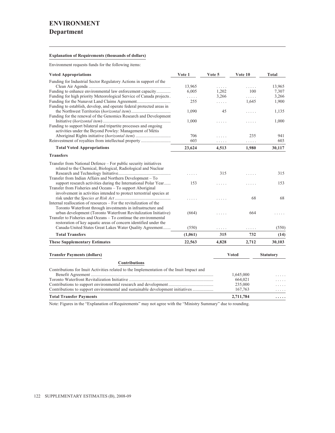## **ENVIRONMENT Department**

### **Explanation of Requirements (thousands of dollars)**

Environment requests funds for the following items:

| <b>Voted Appropriations</b>                                                                                                        | Vote 1  | Vote 5    | Vote 10      | <b>Total</b>     |
|------------------------------------------------------------------------------------------------------------------------------------|---------|-----------|--------------|------------------|
| Funding for Industrial Sector Regulatory Actions in support of the                                                                 | 13,965  | .         | .            | 13,965           |
| Funding to enhance environmental law enforcement capacity                                                                          | 6,005   | 1,202     | 100          | 7,307            |
| Funding for high priority Meteorological Service of Canada projects.                                                               | .       | 3,266     | .            | 3,266            |
| Funding to establish, develop, and operate federal protected areas in                                                              | 255     | .         | 1,645        | 1,900            |
| Funding for the renewal of the Genomics Research and Development                                                                   | 1,090   | 45        | .            | 1,135            |
| Funding to support bilateral and tripartite processes and ongoing<br>activities under the Beyond Powley: Management of Métis       | 1,000   | .         | .            | 1,000            |
|                                                                                                                                    | 706     | .         | 235          | 941              |
| Reinvestment of royalties from intellectual property                                                                               | 603     | .         | .            | 603              |
| <b>Total Voted Appropriations</b>                                                                                                  | 23,624  | 4,513     | 1,980        | 30,117           |
| <b>Transfers</b>                                                                                                                   |         |           |              |                  |
| Transfer from National Defence - For public security initiatives<br>related to the Chemical, Biological, Radiological and Nuclear  |         |           |              |                  |
| Transfer from Indian Affairs and Northern Development - To                                                                         |         | 315       | .            | 315              |
| support research activities during the International Polar Year                                                                    | 153     | .         |              | 153              |
| Transfer from Fisheries and Oceans – To support Aboriginal<br>involvement in activities intended to protect terrestrial species at |         |           |              |                  |
|                                                                                                                                    |         | .         | 68           | 68               |
| Internal reallocation of resources – For the revitalization of the<br>Toronto Waterfront through investments in infrastructure and |         |           |              |                  |
| urban development (Toronto Waterfront Revitalization Initiative)                                                                   | (664)   | .         | 664          |                  |
| Transfer to Fisheries and Oceans – To continue the environmental                                                                   |         |           |              |                  |
| restoration of key aquatic areas of concern identified under the<br>Canada-United States Great Lakes Water Quality Agreement       | (550)   | $\dots$   | .            | (550)            |
| <b>Total Transfers</b>                                                                                                             | (1,061) | 315       | 732          | (14)             |
| <b>These Supplementary Estimates</b>                                                                                               | 22,563  | 4,828     | 2,712        | 30,103           |
| <b>Transfer Payments (dollars)</b>                                                                                                 |         |           | <b>Voted</b> | <b>Statutory</b> |
| <b>Contributions</b>                                                                                                               |         |           |              |                  |
| Contributions for Inuit Activities related to the Implementation of the Inuit Impact and                                           |         |           |              |                  |
|                                                                                                                                    |         |           |              |                  |
|                                                                                                                                    |         |           | 664,021      |                  |
|                                                                                                                                    |         |           | 235,000      |                  |
| Contributions to support environmental and sustainable development initiatives                                                     |         | 167,763   |              |                  |
| <b>Total Transfer Payments</b>                                                                                                     |         | 2,711,784 | .            |                  |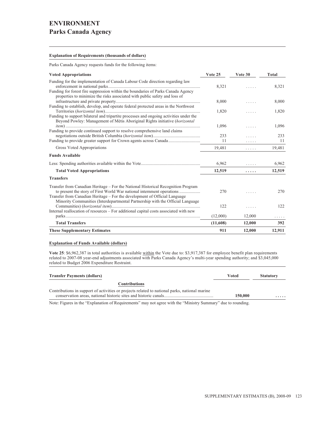### **Explanation of Requirements (thousands of dollars)**

Parks Canada Agency requests funds for the following items:

| <b>Voted Appropriations</b>                                                                                                                                       | Vote 25  | Vote 30 | Total  |
|-------------------------------------------------------------------------------------------------------------------------------------------------------------------|----------|---------|--------|
| Funding for the implementation of Canada Labour Code direction regarding law<br>Funding for forest fire suppression within the boundaries of Parks Canada Agency  | 8,321    |         | 8,321  |
| properties to minimize the risks associated with public safety and loss of<br>Funding to establish, develop, and operate federal protected areas in the Northwest | 8,000    | .       | 8,000  |
| Funding to support bilateral and tripartite processes and ongoing activities under the                                                                            | 1,820    | .       | 1,820  |
| Beyond Powley: Management of Métis Aboriginal Rights initiative ( <i>horizontal</i><br>Funding to provide continued support to resolve comprehensive land claims  | 1,096    | .       | 1,096  |
|                                                                                                                                                                   | 233      | .       | 233    |
|                                                                                                                                                                   | 11       | .       | 11     |
| Gross Voted Appropriations                                                                                                                                        | 19,481   | .       | 19,481 |
| <b>Funds Available</b>                                                                                                                                            |          |         |        |
|                                                                                                                                                                   | 6,962    | .       | 6,962  |
| <b>Total Voted Appropriations</b>                                                                                                                                 | 12,519   |         | 12,519 |
| <b>Transfers</b>                                                                                                                                                  |          |         |        |
| Transfer from Canadian Heritage – For the National Historical Recognition Program<br>Transfer from Canadian Heritage – For the development of Official Language   | 270      |         | 270    |
| Minority Communities (Interdepartmental Partnership with the Official Language                                                                                    | 122      | .       | 122    |
| Internal reallocation of resources – For additional capital costs associated with new                                                                             | (12,000) | 12,000  | .      |
| <b>Total Transfers</b>                                                                                                                                            | (11,608) | 12,000  | 392    |
| <b>These Supplementary Estimates</b>                                                                                                                              | 911      | 12,000  | 12,911 |

### **Explanation of Funds Available (dollars)**

**Vote 25**: \$6,962,387 in total authorities is available within the Vote due to: \$3,917,387 for employee benefit plan requirements related to 2007-08 year-end adjustments associated with Parks Canada Agency's multi-year spending authority; and \$3,045,000 related to Budget 2006 Expenditure Restraint.

| <b>Transfer Payments (dollars)</b>                                                            | Voted   | <b>Statutory</b> |
|-----------------------------------------------------------------------------------------------|---------|------------------|
| <b>Contributions</b>                                                                          |         |                  |
| Contributions in support of activities or projects related to national parks, national marine |         |                  |
|                                                                                               | 150,000 | .                |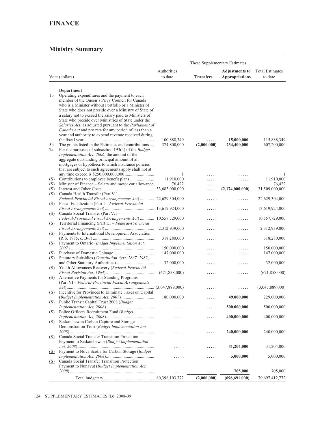|            |                                                                                                                                                                                                                                                                                                                                                                                                                                                                                                                |                             | These Supplementary Estimates |                                                |                                   |
|------------|----------------------------------------------------------------------------------------------------------------------------------------------------------------------------------------------------------------------------------------------------------------------------------------------------------------------------------------------------------------------------------------------------------------------------------------------------------------------------------------------------------------|-----------------------------|-------------------------------|------------------------------------------------|-----------------------------------|
|            | Vote (dollars)                                                                                                                                                                                                                                                                                                                                                                                                                                                                                                 | Authorities<br>to date      | <b>Transfers</b>              | <b>Adjustments to</b><br><b>Appropriations</b> | <b>Total Estimates</b><br>to date |
| 1b         | Department<br>Operating expenditures and the payment to each<br>member of the Queen's Privy Council for Canada<br>who is a Minister without Portfolio or a Minister of<br>State who does not preside over a Ministry of State of<br>a salary not to exceed the salary paid to Ministers of<br>State who preside over Ministries of State under the                                                                                                                                                             |                             |                               |                                                |                                   |
| 5b<br>7a   | Salaries Act, as adjusted pursuant to the Parliament of<br>Canada Act and pro rata for any period of less than a<br>year and authority to expend revenue received during<br>The grants listed in the Estimates and contributions<br>For the purposes of subsection 193(4) of the Budget<br><i>Implementation Act, 2006, the amount of the</i><br>aggregate outstanding principal amount of all<br>mortgages or hypothecs to which insurance policies<br>that are subject to such agreements apply shall not at | 100,888,349<br>374,800,000  | (2,000,000)                   | 15,000,000<br>234,400,000                      | 115,888,349<br>607,200,000        |
|            |                                                                                                                                                                                                                                                                                                                                                                                                                                                                                                                | 1                           |                               |                                                | 1                                 |
| (S)        |                                                                                                                                                                                                                                                                                                                                                                                                                                                                                                                | 11,910,000                  |                               |                                                | 11,910,000                        |
| (S)<br>(S) | Minister of Finance – Salary and motor car allowance                                                                                                                                                                                                                                                                                                                                                                                                                                                           | 76,422                      | .                             | .<br>(2,174,000,000)                           | 76,422<br>31,509,000,000          |
| (S)        | Canada Health Transfer (Part V.1 -                                                                                                                                                                                                                                                                                                                                                                                                                                                                             |                             |                               |                                                |                                   |
| (S)        | Federal-Provincial Fiscal Arrangements Act)  22,629,304,000<br>Fiscal Equalization (Part I - Federal-Provincial                                                                                                                                                                                                                                                                                                                                                                                                |                             |                               |                                                | 22,629,304,000                    |
|            |                                                                                                                                                                                                                                                                                                                                                                                                                                                                                                                |                             |                               |                                                | 13,619,924,000                    |
| (S)<br>(S) | Canada Social Transfer (Part V.1 -<br>Federal-Provincial Fiscal Arrangements Act)  10,557,729,000<br>Territorial Financing (Part I.1 - Federal-Provincial                                                                                                                                                                                                                                                                                                                                                      |                             |                               |                                                | 10,557,729,000                    |
| (S)        | Payments to International Development Association                                                                                                                                                                                                                                                                                                                                                                                                                                                              | 2,312,939,000               |                               |                                                | 2,312,939,000                     |
| (S)        | Payment to Ontario (Budget Implementation Act,                                                                                                                                                                                                                                                                                                                                                                                                                                                                 | 318,280,000                 |                               |                                                | 318,280,000                       |
|            |                                                                                                                                                                                                                                                                                                                                                                                                                                                                                                                | 150,000,000                 |                               |                                                | 150,000,000                       |
| (S)<br>(S) | Statutory Subsidies (Constitution Acts, 1867–1982,                                                                                                                                                                                                                                                                                                                                                                                                                                                             | 147,000,000                 |                               |                                                | 147,000,000                       |
| (S)        | Youth Allowances Recovery (Federal-Provincial                                                                                                                                                                                                                                                                                                                                                                                                                                                                  | 32,000,000<br>(671,858,000) |                               |                                                | 32,000,000<br>(671, 858, 000)     |
| (S)        | Alternative Payments for Standing Programs<br>(Part VI – Federal-Provincial Fiscal Arrangements                                                                                                                                                                                                                                                                                                                                                                                                                |                             |                               |                                                |                                   |
|            |                                                                                                                                                                                                                                                                                                                                                                                                                                                                                                                |                             |                               | .                                              | (3,047,889,000)                   |
| (S)        | Incentive for Provinces to Eliminate Taxes on Capital                                                                                                                                                                                                                                                                                                                                                                                                                                                          | 180,000,000                 | .                             | 49,000,000                                     | 229,000,000                       |
|            | (S) Public Transit Capital Trust 2008 (Budget                                                                                                                                                                                                                                                                                                                                                                                                                                                                  | .                           |                               | 500,000,000                                    | 500,000,000                       |
| (S)        | Police Officers Recruitment Fund (Budget                                                                                                                                                                                                                                                                                                                                                                                                                                                                       |                             |                               |                                                |                                   |
| (S)        | Saskatchewan Carbon Capture and Storage                                                                                                                                                                                                                                                                                                                                                                                                                                                                        | .                           |                               | 400,000,000                                    | 400,000,000                       |
| (S)        | Demonstration Trust (Budget Implementation Act,<br>Canada Social Transfer Transition Protection                                                                                                                                                                                                                                                                                                                                                                                                                | .                           | .                             | 240,000,000                                    | 240,000,000                       |
|            | Payment to Saskatchewan (Budget Implementation                                                                                                                                                                                                                                                                                                                                                                                                                                                                 | .                           | .                             | 31,204,000                                     | 31,204,000                        |
|            | (S) Payment to Nova Scotia for Carbon Storage (Budget                                                                                                                                                                                                                                                                                                                                                                                                                                                          | .                           | .                             | 5,000,000                                      | 5,000,000                         |
| (S)        | Canada Social Transfer Transition Protection<br>Payment to Nunavut (Budget Implementation Act,                                                                                                                                                                                                                                                                                                                                                                                                                 |                             |                               |                                                |                                   |
|            |                                                                                                                                                                                                                                                                                                                                                                                                                                                                                                                |                             |                               | 705,000                                        | 705,000                           |
|            |                                                                                                                                                                                                                                                                                                                                                                                                                                                                                                                |                             | (2,000,000)                   | (698, 691, 000)                                | 79,697,412,772                    |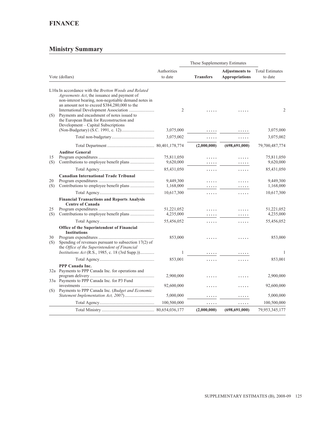# **FINANCE**

|                |                                                                                                                                                                               |                        | These Supplementary Estimates |                                                |                                   |
|----------------|-------------------------------------------------------------------------------------------------------------------------------------------------------------------------------|------------------------|-------------------------------|------------------------------------------------|-----------------------------------|
| Vote (dollars) |                                                                                                                                                                               | Authorities<br>to date | <b>Transfers</b>              | <b>Adjustments to</b><br><b>Appropriations</b> | <b>Total Estimates</b><br>to date |
|                | L10a In accordance with the Bretton Woods and Related<br>Agreements Act, the issuance and payment of<br>non-interest bearing, non-negotiable demand notes in                  |                        |                               |                                                |                                   |
| (S)            | an amount not to exceed \$384,280,000 to the<br>Payments and encashment of notes issued to<br>the European Bank for Reconstruction and<br>Development – Capital Subscriptions | $\overline{2}$         |                               |                                                | $\overline{2}$                    |
|                |                                                                                                                                                                               | 3,075,000              | .                             | .                                              | 3,075,000                         |
|                |                                                                                                                                                                               | 3,075,002              | .                             | .                                              | 3,075,002                         |
|                |                                                                                                                                                                               |                        | (2,000,000)                   | (698, 691, 000)                                | 79,700,487,774                    |
|                | <b>Auditor General</b>                                                                                                                                                        |                        |                               |                                                |                                   |
| 15             |                                                                                                                                                                               | 75,811,050             | .                             |                                                | 75,811,050                        |
| (S)            | Contributions to employee benefit plans                                                                                                                                       | 9,620,000              | .                             | .                                              | 9,620,000                         |
|                |                                                                                                                                                                               | 85,431,050             | .                             | .                                              | 85,431,050                        |
|                | <b>Canadian International Trade Tribunal</b>                                                                                                                                  |                        |                               |                                                |                                   |
| 20<br>(S)      |                                                                                                                                                                               | 9,449,300<br>1,168,000 | .                             | .                                              | 9,449,300<br>1,168,000            |
|                |                                                                                                                                                                               |                        | .                             | .                                              |                                   |
|                |                                                                                                                                                                               | 10,617,300             | .                             | .                                              | 10,617,300                        |
|                | <b>Financial Transactions and Reports Analysis</b><br><b>Centre of Canada</b>                                                                                                 |                        |                               |                                                |                                   |
| 25             |                                                                                                                                                                               | 51,221,052             | .                             |                                                | 51,221,052                        |
| (S)            |                                                                                                                                                                               | 4,235,000              | .                             | .                                              | 4,235,000                         |
|                |                                                                                                                                                                               | 55,456,052             | .                             | .                                              | 55,456,052                        |
|                | Office of the Superintendent of Financial                                                                                                                                     |                        |                               |                                                |                                   |
| 30             | <b>Institutions</b>                                                                                                                                                           | 853,000                | .                             |                                                | 853,000                           |
| (S)            | Spending of revenues pursuant to subsection $17(2)$ of                                                                                                                        |                        |                               |                                                |                                   |
|                | the Office of the Superintendent of Financial                                                                                                                                 |                        |                               |                                                |                                   |
|                | <i>Institutions Act</i> (R.S., 1985, c. 18 (3rd Supp.))                                                                                                                       | 1                      | .                             |                                                | 1                                 |
|                |                                                                                                                                                                               | 853,001                | .                             | .                                              | 853,001                           |
|                | PPP Canada Inc.                                                                                                                                                               |                        |                               |                                                |                                   |
|                | 32a Payments to PPP Canada Inc. for operations and                                                                                                                            | 2,900,000              | .                             | .                                              | 2,900,000                         |
|                | 33a Payments to PPP Canada Inc. for P3 Fund                                                                                                                                   |                        |                               |                                                |                                   |
|                |                                                                                                                                                                               | 92,600,000             |                               |                                                | 92,600,000                        |
| (S)            | Payments to PPP Canada Inc. (Budget and Economic                                                                                                                              | 5,000,000              |                               |                                                | 5,000,000                         |
|                |                                                                                                                                                                               |                        | .                             | .                                              |                                   |
|                |                                                                                                                                                                               | 100,500,000            | .                             | .                                              | 100,500,000                       |
|                |                                                                                                                                                                               |                        | (2,000,000)                   | (698, 691, 000)                                | 79,953,345,177                    |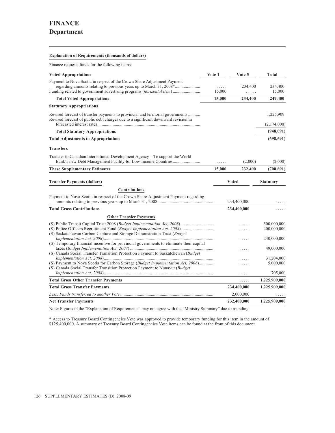### **Explanation of Requirements (thousands of dollars)**

Finance requests funds for the following items:

| <b>Voted Appropriations</b>                                                                                                                                          | Vote 1      | Vote 5               | Total                      |
|----------------------------------------------------------------------------------------------------------------------------------------------------------------------|-------------|----------------------|----------------------------|
| Payment to Nova Scotia in respect of the Crown Share Adjustment Payment<br>Funding related to government advertising programs ( <i>horizontal item</i> )             | .<br>15,000 | 234,400<br>.         | 234,400<br>15,000          |
| <b>Total Voted Appropriations</b>                                                                                                                                    | 15,000      | 234,400              | 249,400                    |
| <b>Statutory Appropriations</b>                                                                                                                                      |             |                      |                            |
| Revised forecast of transfer payments to provincial and territorial governments<br>Revised forecast of public debt charges due to a significant downward revision in |             |                      | 1,225,909<br>(2,174,000)   |
| <b>Total Statutory Appropriations</b>                                                                                                                                |             |                      | (948,091)                  |
| <b>Total Adjustments to Appropriations</b>                                                                                                                           |             |                      | (698, 691)                 |
| <b>Transfers</b>                                                                                                                                                     |             |                      |                            |
| Transfer to Canadian International Development Agency – To support the World                                                                                         | .           | (2,000)              | (2,000)                    |
| <b>These Supplementary Estimates</b>                                                                                                                                 | 15,000      | 232,400              | (700, 691)                 |
| <b>Transfer Payments (dollars)</b>                                                                                                                                   |             | <b>Voted</b>         | <b>Statutory</b>           |
| <b>Contributions</b>                                                                                                                                                 |             |                      |                            |
| Payment to Nova Scotia in respect of the Crown Share Adjustment Payment regarding                                                                                    |             | 234,400,000          |                            |
| <b>Total Gross Contributions</b>                                                                                                                                     |             | 234,400,000          |                            |
| <b>Other Transfer Payments</b>                                                                                                                                       |             |                      |                            |
| (S) Police Officers Recruitment Fund (Budget Implementation Act, 2008)<br>(S) Saskatchewan Carbon Capture and Storage Demonstration Trust (Budget)                   |             | $\sim$ $\sim$ $\sim$ | 500,000,000<br>400,000,000 |
| (S) Temporary financial incentive for provincial governments to eliminate their capital                                                                              |             |                      | 240,000,000                |
| (S) Canada Social Transfer Transition Protection Payment to Saskatchewan (Budget)                                                                                    |             | .                    | 49,000,000                 |
| (S) Payment to Nova Scotia for Carbon Storage (Budget Implementation Act, 2008)                                                                                      |             | .<br>.               | 31,204,000<br>5,000,000    |
| (S) Canada Social Transfer Transition Protection Payment to Nunavut (Budget)                                                                                         |             | .                    | 705,000                    |
| <b>Total Gross Other Transfer Payments</b>                                                                                                                           |             | .                    | 1,225,909,000              |
| <b>Total Gross Transfer Payments</b>                                                                                                                                 |             | 234,400,000          | 1,225,909,000              |
|                                                                                                                                                                      |             | 2,000,000            |                            |
| <b>Net Transfer Payments</b>                                                                                                                                         |             | 232,400,000          | 1,225,909,000              |

Note: Figures in the "Explanation of Requirements" may not agree with the "Ministry Summary" due to rounding.

\* Access to Treasury Board Contingencies Vote was approved to provide temporary funding for this item in the amount of \$125,400,000. A summary of Treasury Board Contingencies Vote items can be found at the front of this document.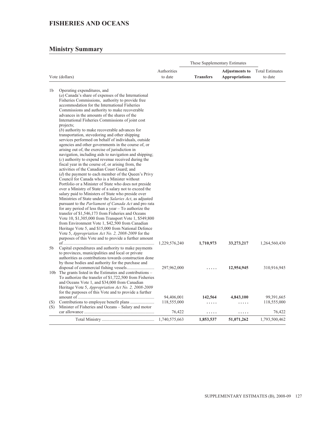## **FISHERIES AND OCEANS**

|                |                                                                                                           | These Supplementary Estimates |                  |                       |                        |  |  |
|----------------|-----------------------------------------------------------------------------------------------------------|-------------------------------|------------------|-----------------------|------------------------|--|--|
|                |                                                                                                           | Authorities                   |                  | <b>Adjustments to</b> | <b>Total Estimates</b> |  |  |
|                | Vote (dollars)                                                                                            | to date                       | <b>Transfers</b> | <b>Appropriations</b> | to date                |  |  |
|                |                                                                                                           |                               |                  |                       |                        |  |  |
| 1 <sub>b</sub> | Operating expenditures, and                                                                               |                               |                  |                       |                        |  |  |
|                | $(a)$ Canada's share of expenses of the International<br>Fisheries Commissions, authority to provide free |                               |                  |                       |                        |  |  |
|                | accommodation for the International Fisheries                                                             |                               |                  |                       |                        |  |  |
|                | Commissions and authority to make recoverable                                                             |                               |                  |                       |                        |  |  |
|                | advances in the amounts of the shares of the                                                              |                               |                  |                       |                        |  |  |
|                | International Fisheries Commissions of joint cost                                                         |                               |                  |                       |                        |  |  |
|                | projects;                                                                                                 |                               |                  |                       |                        |  |  |
|                | $(b)$ authority to make recoverable advances for                                                          |                               |                  |                       |                        |  |  |
|                | transportation, stevedoring and other shipping                                                            |                               |                  |                       |                        |  |  |
|                | services performed on behalf of individuals, outside                                                      |                               |                  |                       |                        |  |  |
|                | agencies and other governments in the course of, or                                                       |                               |                  |                       |                        |  |  |
|                | arising out of, the exercise of jurisdiction in                                                           |                               |                  |                       |                        |  |  |
|                | navigation, including aids to navigation and shipping;                                                    |                               |                  |                       |                        |  |  |
|                | $(c)$ authority to expend revenue received during the                                                     |                               |                  |                       |                        |  |  |
|                | fiscal year in the course of, or arising from, the                                                        |                               |                  |                       |                        |  |  |
|                | activities of the Canadian Coast Guard; and<br>(d) the payment to each member of the Queen's Privy        |                               |                  |                       |                        |  |  |
|                | Council for Canada who is a Minister without                                                              |                               |                  |                       |                        |  |  |
|                | Portfolio or a Minister of State who does not preside                                                     |                               |                  |                       |                        |  |  |
|                | over a Ministry of State of a salary not to exceed the                                                    |                               |                  |                       |                        |  |  |
|                | salary paid to Ministers of State who preside over                                                        |                               |                  |                       |                        |  |  |
|                | Ministries of State under the <i>Salaries Act</i> , as adjusted                                           |                               |                  |                       |                        |  |  |
|                | pursuant to the <i>Parliament of Canada Act</i> and pro rata                                              |                               |                  |                       |                        |  |  |
|                | for any period of less than a year - To authorize the                                                     |                               |                  |                       |                        |  |  |
|                | transfer of \$1,546,173 from Fisheries and Oceans                                                         |                               |                  |                       |                        |  |  |
|                | Vote 10, \$1,305,000 from Transport Vote 1, \$549,800                                                     |                               |                  |                       |                        |  |  |
|                | from Environment Vote 1, \$42,500 from Canadian                                                           |                               |                  |                       |                        |  |  |
|                | Heritage Vote 5, and \$15,000 from National Defence                                                       |                               |                  |                       |                        |  |  |
|                | Vote 5, Appropriation Act No. 2, 2008-2009 for the                                                        |                               |                  |                       |                        |  |  |
|                | purposes of this Vote and to provide a further amount                                                     |                               |                  |                       |                        |  |  |
| 5b             |                                                                                                           | 1,229,576,240                 | 1,710,973        | 33, 273, 217          | 1,264,560,430          |  |  |
|                | Capital expenditures and authority to make payments<br>to provinces, municipalities and local or private  |                               |                  |                       |                        |  |  |
|                | authorities as contributions towards construction done                                                    |                               |                  |                       |                        |  |  |
|                | by those bodies and authority for the purchase and                                                        |                               |                  |                       |                        |  |  |
|                |                                                                                                           | 297,962,000                   |                  | 12,954,945            | 310,916,945            |  |  |
|                | 10b The grants listed in the Estimates and contributions –                                                |                               |                  |                       |                        |  |  |
|                | To authorize the transfer of \$1,722,500 from Fisheries                                                   |                               |                  |                       |                        |  |  |
|                | and Oceans Vote 1, and \$34,000 from Canadian                                                             |                               |                  |                       |                        |  |  |
|                | Heritage Vote 5, Appropriation Act No. 2, 2008-2009                                                       |                               |                  |                       |                        |  |  |
|                | for the purposes of this Vote and to provide a further                                                    |                               |                  |                       |                        |  |  |
|                |                                                                                                           | 94,406,001                    | 142,564          | 4,843,100             | 99,391,665             |  |  |
| (S)            |                                                                                                           | 118,555,000                   | .                | .                     | 118,555,000            |  |  |
| (S)            | Minister of Fisheries and Oceans – Salary and motor                                                       |                               |                  |                       |                        |  |  |
|                |                                                                                                           | 76,422                        | .                | .                     | 76,422                 |  |  |
|                |                                                                                                           | 1,740,575,663                 | 1,853,537        | 51,071,262            | 1,793,500,462          |  |  |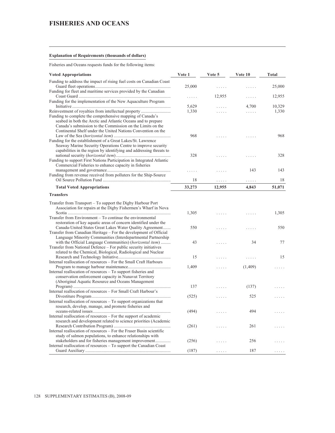### **FISHERIES AND OCEANS**

### **Explanation of Requirements (thousands of dollars)**

Fisheries and Oceans requests funds for the following items:

| Funding to address the impact of rising fuel costs on Canadian Coast<br>25,000<br>25,000<br>.<br>.<br>Funding for fleet and maritime services provided by the Canadian<br>12,955<br>12,955<br>.<br>.<br>Funding for the implementation of the New Aquaculture Program<br>10,329<br>5.629<br>4,700<br>.<br>1,330<br>1,330<br>.<br>.<br>Funding to complete the comprehensive mapping of Canada's<br>seabed in both the Arctic and Atlantic Oceans and to prepare<br>Canada's submission to the Commission on the Limits on the<br>Continental Shelf under the United Nations Convention on the<br>968<br>968<br>$\ldots$ .<br>Funding for the establishment of a Great Lakes/St. Lawrence<br>Seaway Marine Security Operations Centre to improve security<br>capabilities in the region by identifying and addressing threats to<br>328<br>328<br>.<br>Funding to support First Nations Participation in Integrated Atlantic<br>Commercial Fisheries to enhance capacity in fisheries<br>143<br>143<br>1.1.1<br>.<br>Funding from revenue received from polluters for the Ship-Source<br>18<br>18<br>1.1.1.1<br>.<br>33,273<br>12,955<br>4,843<br>51,071<br><b>Total Voted Appropriations</b><br><b>Transfers</b><br>Transfer from Transport – To support the Digby Harbour Port<br>Association for repairs at the Digby Fishermen's Wharf in Nova<br>1,305<br>1,305<br>Transfer from Environment – To continue the environmental<br>restoration of key aquatic areas of concern identified under the<br>Canada-United States Great Lakes Water Quality Agreement<br>550<br>550<br>.<br>Transfer from Canadian Heritage – For the development of Official<br>Language Minority Communities (Interdepartmental Partnership<br>with the Official Language Communities) (horizontal item)<br>43<br>34<br>77<br>Transfer from National Defence - For public security initiatives<br>related to the Chemical, Biological, Radiological and Nuclear<br>15<br>15<br>.<br>.<br>Internal reallocation of resources - For the Small Craft Harbours<br>1,409<br>(1,409)<br>.<br>Internal reallocation of resources - To support fisheries and<br>conservation enforcement capacity in Nunavut Territory<br>(Aboriginal Aquatic Resource and Oceans Management<br>137<br>(137)<br>.<br>Internal reallocation of resources - For Small Craft Harbour's<br>525<br>(525)<br>.<br>Internal reallocation of resources – To support organizations that<br>research, develop, manage, and promote fisheries and<br>(494)<br>494<br>.<br>Internal reallocation of resources – For the support of academic<br>research and development related to science priorities (Academic<br>261<br>(261)<br>.<br>Internal reallocation of resources - For the Fraser Basin scientific<br>study of salmon populations, to enhance relationships with<br>stakeholders and for fisheries management improvement<br>(256)<br>256<br>.<br>Internal reallocation of resources - To support the Canadian Coast<br>(187)<br>187<br>. | <b>Voted Appropriations</b> | Vote 1 | Vote 5 | Vote 10 | <b>Total</b> |
|----------------------------------------------------------------------------------------------------------------------------------------------------------------------------------------------------------------------------------------------------------------------------------------------------------------------------------------------------------------------------------------------------------------------------------------------------------------------------------------------------------------------------------------------------------------------------------------------------------------------------------------------------------------------------------------------------------------------------------------------------------------------------------------------------------------------------------------------------------------------------------------------------------------------------------------------------------------------------------------------------------------------------------------------------------------------------------------------------------------------------------------------------------------------------------------------------------------------------------------------------------------------------------------------------------------------------------------------------------------------------------------------------------------------------------------------------------------------------------------------------------------------------------------------------------------------------------------------------------------------------------------------------------------------------------------------------------------------------------------------------------------------------------------------------------------------------------------------------------------------------------------------------------------------------------------------------------------------------------------------------------------------------------------------------------------------------------------------------------------------------------------------------------------------------------------------------------------------------------------------------------------------------------------------------------------------------------------------------------------------------------------------------------------------------------------------------------------------------------------------------------------------------------------------------------------------------------------------------------------------------------------------------------------------------------------------------------------------------------------------------------------------------------------------------------------------------------------------------------------------------------------------------------------------------------------------------------------------------------------------|-----------------------------|--------|--------|---------|--------------|
|                                                                                                                                                                                                                                                                                                                                                                                                                                                                                                                                                                                                                                                                                                                                                                                                                                                                                                                                                                                                                                                                                                                                                                                                                                                                                                                                                                                                                                                                                                                                                                                                                                                                                                                                                                                                                                                                                                                                                                                                                                                                                                                                                                                                                                                                                                                                                                                                                                                                                                                                                                                                                                                                                                                                                                                                                                                                                                                                                                                              |                             |        |        |         |              |
|                                                                                                                                                                                                                                                                                                                                                                                                                                                                                                                                                                                                                                                                                                                                                                                                                                                                                                                                                                                                                                                                                                                                                                                                                                                                                                                                                                                                                                                                                                                                                                                                                                                                                                                                                                                                                                                                                                                                                                                                                                                                                                                                                                                                                                                                                                                                                                                                                                                                                                                                                                                                                                                                                                                                                                                                                                                                                                                                                                                              |                             |        |        |         |              |
|                                                                                                                                                                                                                                                                                                                                                                                                                                                                                                                                                                                                                                                                                                                                                                                                                                                                                                                                                                                                                                                                                                                                                                                                                                                                                                                                                                                                                                                                                                                                                                                                                                                                                                                                                                                                                                                                                                                                                                                                                                                                                                                                                                                                                                                                                                                                                                                                                                                                                                                                                                                                                                                                                                                                                                                                                                                                                                                                                                                              |                             |        |        |         |              |
|                                                                                                                                                                                                                                                                                                                                                                                                                                                                                                                                                                                                                                                                                                                                                                                                                                                                                                                                                                                                                                                                                                                                                                                                                                                                                                                                                                                                                                                                                                                                                                                                                                                                                                                                                                                                                                                                                                                                                                                                                                                                                                                                                                                                                                                                                                                                                                                                                                                                                                                                                                                                                                                                                                                                                                                                                                                                                                                                                                                              |                             |        |        |         |              |
|                                                                                                                                                                                                                                                                                                                                                                                                                                                                                                                                                                                                                                                                                                                                                                                                                                                                                                                                                                                                                                                                                                                                                                                                                                                                                                                                                                                                                                                                                                                                                                                                                                                                                                                                                                                                                                                                                                                                                                                                                                                                                                                                                                                                                                                                                                                                                                                                                                                                                                                                                                                                                                                                                                                                                                                                                                                                                                                                                                                              |                             |        |        |         |              |
|                                                                                                                                                                                                                                                                                                                                                                                                                                                                                                                                                                                                                                                                                                                                                                                                                                                                                                                                                                                                                                                                                                                                                                                                                                                                                                                                                                                                                                                                                                                                                                                                                                                                                                                                                                                                                                                                                                                                                                                                                                                                                                                                                                                                                                                                                                                                                                                                                                                                                                                                                                                                                                                                                                                                                                                                                                                                                                                                                                                              |                             |        |        |         |              |
|                                                                                                                                                                                                                                                                                                                                                                                                                                                                                                                                                                                                                                                                                                                                                                                                                                                                                                                                                                                                                                                                                                                                                                                                                                                                                                                                                                                                                                                                                                                                                                                                                                                                                                                                                                                                                                                                                                                                                                                                                                                                                                                                                                                                                                                                                                                                                                                                                                                                                                                                                                                                                                                                                                                                                                                                                                                                                                                                                                                              |                             |        |        |         |              |
|                                                                                                                                                                                                                                                                                                                                                                                                                                                                                                                                                                                                                                                                                                                                                                                                                                                                                                                                                                                                                                                                                                                                                                                                                                                                                                                                                                                                                                                                                                                                                                                                                                                                                                                                                                                                                                                                                                                                                                                                                                                                                                                                                                                                                                                                                                                                                                                                                                                                                                                                                                                                                                                                                                                                                                                                                                                                                                                                                                                              |                             |        |        |         |              |
|                                                                                                                                                                                                                                                                                                                                                                                                                                                                                                                                                                                                                                                                                                                                                                                                                                                                                                                                                                                                                                                                                                                                                                                                                                                                                                                                                                                                                                                                                                                                                                                                                                                                                                                                                                                                                                                                                                                                                                                                                                                                                                                                                                                                                                                                                                                                                                                                                                                                                                                                                                                                                                                                                                                                                                                                                                                                                                                                                                                              |                             |        |        |         |              |
|                                                                                                                                                                                                                                                                                                                                                                                                                                                                                                                                                                                                                                                                                                                                                                                                                                                                                                                                                                                                                                                                                                                                                                                                                                                                                                                                                                                                                                                                                                                                                                                                                                                                                                                                                                                                                                                                                                                                                                                                                                                                                                                                                                                                                                                                                                                                                                                                                                                                                                                                                                                                                                                                                                                                                                                                                                                                                                                                                                                              |                             |        |        |         |              |
|                                                                                                                                                                                                                                                                                                                                                                                                                                                                                                                                                                                                                                                                                                                                                                                                                                                                                                                                                                                                                                                                                                                                                                                                                                                                                                                                                                                                                                                                                                                                                                                                                                                                                                                                                                                                                                                                                                                                                                                                                                                                                                                                                                                                                                                                                                                                                                                                                                                                                                                                                                                                                                                                                                                                                                                                                                                                                                                                                                                              |                             |        |        |         |              |
|                                                                                                                                                                                                                                                                                                                                                                                                                                                                                                                                                                                                                                                                                                                                                                                                                                                                                                                                                                                                                                                                                                                                                                                                                                                                                                                                                                                                                                                                                                                                                                                                                                                                                                                                                                                                                                                                                                                                                                                                                                                                                                                                                                                                                                                                                                                                                                                                                                                                                                                                                                                                                                                                                                                                                                                                                                                                                                                                                                                              |                             |        |        |         |              |
|                                                                                                                                                                                                                                                                                                                                                                                                                                                                                                                                                                                                                                                                                                                                                                                                                                                                                                                                                                                                                                                                                                                                                                                                                                                                                                                                                                                                                                                                                                                                                                                                                                                                                                                                                                                                                                                                                                                                                                                                                                                                                                                                                                                                                                                                                                                                                                                                                                                                                                                                                                                                                                                                                                                                                                                                                                                                                                                                                                                              |                             |        |        |         |              |
|                                                                                                                                                                                                                                                                                                                                                                                                                                                                                                                                                                                                                                                                                                                                                                                                                                                                                                                                                                                                                                                                                                                                                                                                                                                                                                                                                                                                                                                                                                                                                                                                                                                                                                                                                                                                                                                                                                                                                                                                                                                                                                                                                                                                                                                                                                                                                                                                                                                                                                                                                                                                                                                                                                                                                                                                                                                                                                                                                                                              |                             |        |        |         |              |
|                                                                                                                                                                                                                                                                                                                                                                                                                                                                                                                                                                                                                                                                                                                                                                                                                                                                                                                                                                                                                                                                                                                                                                                                                                                                                                                                                                                                                                                                                                                                                                                                                                                                                                                                                                                                                                                                                                                                                                                                                                                                                                                                                                                                                                                                                                                                                                                                                                                                                                                                                                                                                                                                                                                                                                                                                                                                                                                                                                                              |                             |        |        |         |              |
|                                                                                                                                                                                                                                                                                                                                                                                                                                                                                                                                                                                                                                                                                                                                                                                                                                                                                                                                                                                                                                                                                                                                                                                                                                                                                                                                                                                                                                                                                                                                                                                                                                                                                                                                                                                                                                                                                                                                                                                                                                                                                                                                                                                                                                                                                                                                                                                                                                                                                                                                                                                                                                                                                                                                                                                                                                                                                                                                                                                              |                             |        |        |         |              |
|                                                                                                                                                                                                                                                                                                                                                                                                                                                                                                                                                                                                                                                                                                                                                                                                                                                                                                                                                                                                                                                                                                                                                                                                                                                                                                                                                                                                                                                                                                                                                                                                                                                                                                                                                                                                                                                                                                                                                                                                                                                                                                                                                                                                                                                                                                                                                                                                                                                                                                                                                                                                                                                                                                                                                                                                                                                                                                                                                                                              |                             |        |        |         |              |
|                                                                                                                                                                                                                                                                                                                                                                                                                                                                                                                                                                                                                                                                                                                                                                                                                                                                                                                                                                                                                                                                                                                                                                                                                                                                                                                                                                                                                                                                                                                                                                                                                                                                                                                                                                                                                                                                                                                                                                                                                                                                                                                                                                                                                                                                                                                                                                                                                                                                                                                                                                                                                                                                                                                                                                                                                                                                                                                                                                                              |                             |        |        |         |              |
|                                                                                                                                                                                                                                                                                                                                                                                                                                                                                                                                                                                                                                                                                                                                                                                                                                                                                                                                                                                                                                                                                                                                                                                                                                                                                                                                                                                                                                                                                                                                                                                                                                                                                                                                                                                                                                                                                                                                                                                                                                                                                                                                                                                                                                                                                                                                                                                                                                                                                                                                                                                                                                                                                                                                                                                                                                                                                                                                                                                              |                             |        |        |         |              |
|                                                                                                                                                                                                                                                                                                                                                                                                                                                                                                                                                                                                                                                                                                                                                                                                                                                                                                                                                                                                                                                                                                                                                                                                                                                                                                                                                                                                                                                                                                                                                                                                                                                                                                                                                                                                                                                                                                                                                                                                                                                                                                                                                                                                                                                                                                                                                                                                                                                                                                                                                                                                                                                                                                                                                                                                                                                                                                                                                                                              |                             |        |        |         |              |
|                                                                                                                                                                                                                                                                                                                                                                                                                                                                                                                                                                                                                                                                                                                                                                                                                                                                                                                                                                                                                                                                                                                                                                                                                                                                                                                                                                                                                                                                                                                                                                                                                                                                                                                                                                                                                                                                                                                                                                                                                                                                                                                                                                                                                                                                                                                                                                                                                                                                                                                                                                                                                                                                                                                                                                                                                                                                                                                                                                                              |                             |        |        |         |              |
|                                                                                                                                                                                                                                                                                                                                                                                                                                                                                                                                                                                                                                                                                                                                                                                                                                                                                                                                                                                                                                                                                                                                                                                                                                                                                                                                                                                                                                                                                                                                                                                                                                                                                                                                                                                                                                                                                                                                                                                                                                                                                                                                                                                                                                                                                                                                                                                                                                                                                                                                                                                                                                                                                                                                                                                                                                                                                                                                                                                              |                             |        |        |         |              |
|                                                                                                                                                                                                                                                                                                                                                                                                                                                                                                                                                                                                                                                                                                                                                                                                                                                                                                                                                                                                                                                                                                                                                                                                                                                                                                                                                                                                                                                                                                                                                                                                                                                                                                                                                                                                                                                                                                                                                                                                                                                                                                                                                                                                                                                                                                                                                                                                                                                                                                                                                                                                                                                                                                                                                                                                                                                                                                                                                                                              |                             |        |        |         |              |
|                                                                                                                                                                                                                                                                                                                                                                                                                                                                                                                                                                                                                                                                                                                                                                                                                                                                                                                                                                                                                                                                                                                                                                                                                                                                                                                                                                                                                                                                                                                                                                                                                                                                                                                                                                                                                                                                                                                                                                                                                                                                                                                                                                                                                                                                                                                                                                                                                                                                                                                                                                                                                                                                                                                                                                                                                                                                                                                                                                                              |                             |        |        |         |              |
|                                                                                                                                                                                                                                                                                                                                                                                                                                                                                                                                                                                                                                                                                                                                                                                                                                                                                                                                                                                                                                                                                                                                                                                                                                                                                                                                                                                                                                                                                                                                                                                                                                                                                                                                                                                                                                                                                                                                                                                                                                                                                                                                                                                                                                                                                                                                                                                                                                                                                                                                                                                                                                                                                                                                                                                                                                                                                                                                                                                              |                             |        |        |         |              |
|                                                                                                                                                                                                                                                                                                                                                                                                                                                                                                                                                                                                                                                                                                                                                                                                                                                                                                                                                                                                                                                                                                                                                                                                                                                                                                                                                                                                                                                                                                                                                                                                                                                                                                                                                                                                                                                                                                                                                                                                                                                                                                                                                                                                                                                                                                                                                                                                                                                                                                                                                                                                                                                                                                                                                                                                                                                                                                                                                                                              |                             |        |        |         |              |
|                                                                                                                                                                                                                                                                                                                                                                                                                                                                                                                                                                                                                                                                                                                                                                                                                                                                                                                                                                                                                                                                                                                                                                                                                                                                                                                                                                                                                                                                                                                                                                                                                                                                                                                                                                                                                                                                                                                                                                                                                                                                                                                                                                                                                                                                                                                                                                                                                                                                                                                                                                                                                                                                                                                                                                                                                                                                                                                                                                                              |                             |        |        |         |              |
|                                                                                                                                                                                                                                                                                                                                                                                                                                                                                                                                                                                                                                                                                                                                                                                                                                                                                                                                                                                                                                                                                                                                                                                                                                                                                                                                                                                                                                                                                                                                                                                                                                                                                                                                                                                                                                                                                                                                                                                                                                                                                                                                                                                                                                                                                                                                                                                                                                                                                                                                                                                                                                                                                                                                                                                                                                                                                                                                                                                              |                             |        |        |         |              |
|                                                                                                                                                                                                                                                                                                                                                                                                                                                                                                                                                                                                                                                                                                                                                                                                                                                                                                                                                                                                                                                                                                                                                                                                                                                                                                                                                                                                                                                                                                                                                                                                                                                                                                                                                                                                                                                                                                                                                                                                                                                                                                                                                                                                                                                                                                                                                                                                                                                                                                                                                                                                                                                                                                                                                                                                                                                                                                                                                                                              |                             |        |        |         |              |
|                                                                                                                                                                                                                                                                                                                                                                                                                                                                                                                                                                                                                                                                                                                                                                                                                                                                                                                                                                                                                                                                                                                                                                                                                                                                                                                                                                                                                                                                                                                                                                                                                                                                                                                                                                                                                                                                                                                                                                                                                                                                                                                                                                                                                                                                                                                                                                                                                                                                                                                                                                                                                                                                                                                                                                                                                                                                                                                                                                                              |                             |        |        |         |              |
|                                                                                                                                                                                                                                                                                                                                                                                                                                                                                                                                                                                                                                                                                                                                                                                                                                                                                                                                                                                                                                                                                                                                                                                                                                                                                                                                                                                                                                                                                                                                                                                                                                                                                                                                                                                                                                                                                                                                                                                                                                                                                                                                                                                                                                                                                                                                                                                                                                                                                                                                                                                                                                                                                                                                                                                                                                                                                                                                                                                              |                             |        |        |         |              |
|                                                                                                                                                                                                                                                                                                                                                                                                                                                                                                                                                                                                                                                                                                                                                                                                                                                                                                                                                                                                                                                                                                                                                                                                                                                                                                                                                                                                                                                                                                                                                                                                                                                                                                                                                                                                                                                                                                                                                                                                                                                                                                                                                                                                                                                                                                                                                                                                                                                                                                                                                                                                                                                                                                                                                                                                                                                                                                                                                                                              |                             |        |        |         |              |
|                                                                                                                                                                                                                                                                                                                                                                                                                                                                                                                                                                                                                                                                                                                                                                                                                                                                                                                                                                                                                                                                                                                                                                                                                                                                                                                                                                                                                                                                                                                                                                                                                                                                                                                                                                                                                                                                                                                                                                                                                                                                                                                                                                                                                                                                                                                                                                                                                                                                                                                                                                                                                                                                                                                                                                                                                                                                                                                                                                                              |                             |        |        |         |              |
|                                                                                                                                                                                                                                                                                                                                                                                                                                                                                                                                                                                                                                                                                                                                                                                                                                                                                                                                                                                                                                                                                                                                                                                                                                                                                                                                                                                                                                                                                                                                                                                                                                                                                                                                                                                                                                                                                                                                                                                                                                                                                                                                                                                                                                                                                                                                                                                                                                                                                                                                                                                                                                                                                                                                                                                                                                                                                                                                                                                              |                             |        |        |         |              |
|                                                                                                                                                                                                                                                                                                                                                                                                                                                                                                                                                                                                                                                                                                                                                                                                                                                                                                                                                                                                                                                                                                                                                                                                                                                                                                                                                                                                                                                                                                                                                                                                                                                                                                                                                                                                                                                                                                                                                                                                                                                                                                                                                                                                                                                                                                                                                                                                                                                                                                                                                                                                                                                                                                                                                                                                                                                                                                                                                                                              |                             |        |        |         |              |
|                                                                                                                                                                                                                                                                                                                                                                                                                                                                                                                                                                                                                                                                                                                                                                                                                                                                                                                                                                                                                                                                                                                                                                                                                                                                                                                                                                                                                                                                                                                                                                                                                                                                                                                                                                                                                                                                                                                                                                                                                                                                                                                                                                                                                                                                                                                                                                                                                                                                                                                                                                                                                                                                                                                                                                                                                                                                                                                                                                                              |                             |        |        |         |              |
|                                                                                                                                                                                                                                                                                                                                                                                                                                                                                                                                                                                                                                                                                                                                                                                                                                                                                                                                                                                                                                                                                                                                                                                                                                                                                                                                                                                                                                                                                                                                                                                                                                                                                                                                                                                                                                                                                                                                                                                                                                                                                                                                                                                                                                                                                                                                                                                                                                                                                                                                                                                                                                                                                                                                                                                                                                                                                                                                                                                              |                             |        |        |         |              |
|                                                                                                                                                                                                                                                                                                                                                                                                                                                                                                                                                                                                                                                                                                                                                                                                                                                                                                                                                                                                                                                                                                                                                                                                                                                                                                                                                                                                                                                                                                                                                                                                                                                                                                                                                                                                                                                                                                                                                                                                                                                                                                                                                                                                                                                                                                                                                                                                                                                                                                                                                                                                                                                                                                                                                                                                                                                                                                                                                                                              |                             |        |        |         |              |
|                                                                                                                                                                                                                                                                                                                                                                                                                                                                                                                                                                                                                                                                                                                                                                                                                                                                                                                                                                                                                                                                                                                                                                                                                                                                                                                                                                                                                                                                                                                                                                                                                                                                                                                                                                                                                                                                                                                                                                                                                                                                                                                                                                                                                                                                                                                                                                                                                                                                                                                                                                                                                                                                                                                                                                                                                                                                                                                                                                                              |                             |        |        |         |              |
|                                                                                                                                                                                                                                                                                                                                                                                                                                                                                                                                                                                                                                                                                                                                                                                                                                                                                                                                                                                                                                                                                                                                                                                                                                                                                                                                                                                                                                                                                                                                                                                                                                                                                                                                                                                                                                                                                                                                                                                                                                                                                                                                                                                                                                                                                                                                                                                                                                                                                                                                                                                                                                                                                                                                                                                                                                                                                                                                                                                              |                             |        |        |         |              |
|                                                                                                                                                                                                                                                                                                                                                                                                                                                                                                                                                                                                                                                                                                                                                                                                                                                                                                                                                                                                                                                                                                                                                                                                                                                                                                                                                                                                                                                                                                                                                                                                                                                                                                                                                                                                                                                                                                                                                                                                                                                                                                                                                                                                                                                                                                                                                                                                                                                                                                                                                                                                                                                                                                                                                                                                                                                                                                                                                                                              |                             |        |        |         |              |
|                                                                                                                                                                                                                                                                                                                                                                                                                                                                                                                                                                                                                                                                                                                                                                                                                                                                                                                                                                                                                                                                                                                                                                                                                                                                                                                                                                                                                                                                                                                                                                                                                                                                                                                                                                                                                                                                                                                                                                                                                                                                                                                                                                                                                                                                                                                                                                                                                                                                                                                                                                                                                                                                                                                                                                                                                                                                                                                                                                                              |                             |        |        |         |              |
|                                                                                                                                                                                                                                                                                                                                                                                                                                                                                                                                                                                                                                                                                                                                                                                                                                                                                                                                                                                                                                                                                                                                                                                                                                                                                                                                                                                                                                                                                                                                                                                                                                                                                                                                                                                                                                                                                                                                                                                                                                                                                                                                                                                                                                                                                                                                                                                                                                                                                                                                                                                                                                                                                                                                                                                                                                                                                                                                                                                              |                             |        |        |         |              |
|                                                                                                                                                                                                                                                                                                                                                                                                                                                                                                                                                                                                                                                                                                                                                                                                                                                                                                                                                                                                                                                                                                                                                                                                                                                                                                                                                                                                                                                                                                                                                                                                                                                                                                                                                                                                                                                                                                                                                                                                                                                                                                                                                                                                                                                                                                                                                                                                                                                                                                                                                                                                                                                                                                                                                                                                                                                                                                                                                                                              |                             |        |        |         |              |
|                                                                                                                                                                                                                                                                                                                                                                                                                                                                                                                                                                                                                                                                                                                                                                                                                                                                                                                                                                                                                                                                                                                                                                                                                                                                                                                                                                                                                                                                                                                                                                                                                                                                                                                                                                                                                                                                                                                                                                                                                                                                                                                                                                                                                                                                                                                                                                                                                                                                                                                                                                                                                                                                                                                                                                                                                                                                                                                                                                                              |                             |        |        |         |              |
|                                                                                                                                                                                                                                                                                                                                                                                                                                                                                                                                                                                                                                                                                                                                                                                                                                                                                                                                                                                                                                                                                                                                                                                                                                                                                                                                                                                                                                                                                                                                                                                                                                                                                                                                                                                                                                                                                                                                                                                                                                                                                                                                                                                                                                                                                                                                                                                                                                                                                                                                                                                                                                                                                                                                                                                                                                                                                                                                                                                              |                             |        |        |         |              |
|                                                                                                                                                                                                                                                                                                                                                                                                                                                                                                                                                                                                                                                                                                                                                                                                                                                                                                                                                                                                                                                                                                                                                                                                                                                                                                                                                                                                                                                                                                                                                                                                                                                                                                                                                                                                                                                                                                                                                                                                                                                                                                                                                                                                                                                                                                                                                                                                                                                                                                                                                                                                                                                                                                                                                                                                                                                                                                                                                                                              |                             |        |        |         |              |
|                                                                                                                                                                                                                                                                                                                                                                                                                                                                                                                                                                                                                                                                                                                                                                                                                                                                                                                                                                                                                                                                                                                                                                                                                                                                                                                                                                                                                                                                                                                                                                                                                                                                                                                                                                                                                                                                                                                                                                                                                                                                                                                                                                                                                                                                                                                                                                                                                                                                                                                                                                                                                                                                                                                                                                                                                                                                                                                                                                                              |                             |        |        |         |              |
|                                                                                                                                                                                                                                                                                                                                                                                                                                                                                                                                                                                                                                                                                                                                                                                                                                                                                                                                                                                                                                                                                                                                                                                                                                                                                                                                                                                                                                                                                                                                                                                                                                                                                                                                                                                                                                                                                                                                                                                                                                                                                                                                                                                                                                                                                                                                                                                                                                                                                                                                                                                                                                                                                                                                                                                                                                                                                                                                                                                              |                             |        |        |         |              |
|                                                                                                                                                                                                                                                                                                                                                                                                                                                                                                                                                                                                                                                                                                                                                                                                                                                                                                                                                                                                                                                                                                                                                                                                                                                                                                                                                                                                                                                                                                                                                                                                                                                                                                                                                                                                                                                                                                                                                                                                                                                                                                                                                                                                                                                                                                                                                                                                                                                                                                                                                                                                                                                                                                                                                                                                                                                                                                                                                                                              |                             |        |        |         |              |
|                                                                                                                                                                                                                                                                                                                                                                                                                                                                                                                                                                                                                                                                                                                                                                                                                                                                                                                                                                                                                                                                                                                                                                                                                                                                                                                                                                                                                                                                                                                                                                                                                                                                                                                                                                                                                                                                                                                                                                                                                                                                                                                                                                                                                                                                                                                                                                                                                                                                                                                                                                                                                                                                                                                                                                                                                                                                                                                                                                                              |                             |        |        |         |              |
|                                                                                                                                                                                                                                                                                                                                                                                                                                                                                                                                                                                                                                                                                                                                                                                                                                                                                                                                                                                                                                                                                                                                                                                                                                                                                                                                                                                                                                                                                                                                                                                                                                                                                                                                                                                                                                                                                                                                                                                                                                                                                                                                                                                                                                                                                                                                                                                                                                                                                                                                                                                                                                                                                                                                                                                                                                                                                                                                                                                              |                             |        |        |         |              |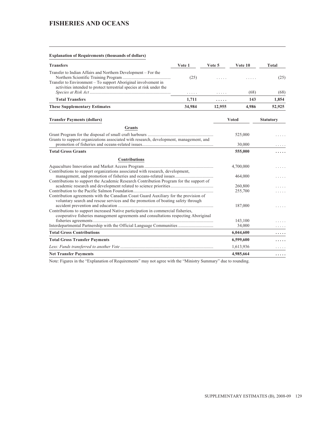### **FISHERIES AND OCEANS**

### **Explanation of Requirements (thousands of dollars)**

| <b>Transfers</b>                                                                                                                                                                                        | Vote 1 | Vote 5 | Vote 10 | Total  |
|---------------------------------------------------------------------------------------------------------------------------------------------------------------------------------------------------------|--------|--------|---------|--------|
| Transfer to Indian Affairs and Northern Development – For the<br>Transfer to Environment – To support Aboriginal involvement in<br>activities intended to protect terrestrial species at risk under the | 25)    | .      | .       | (25)   |
|                                                                                                                                                                                                         | .      | .      | (68)    | (68)   |
| <b>Total Transfers</b>                                                                                                                                                                                  | 1.711  | .      | 143     | 1.854  |
| <b>These Supplementary Estimates</b>                                                                                                                                                                    | 34,984 | 12.955 | 4.986   | 52,925 |

| <b>Transfer Payments (dollars)</b>                                                                                                                                       | <b>Voted</b> | <b>Statutory</b> |
|--------------------------------------------------------------------------------------------------------------------------------------------------------------------------|--------------|------------------|
| <b>Grants</b>                                                                                                                                                            |              |                  |
| Grants to support organizations associated with research, development, management, and                                                                                   | 525,000      |                  |
|                                                                                                                                                                          | 30,000       |                  |
| <b>Total Gross Grants</b>                                                                                                                                                | 555,000      |                  |
| <b>Contributions</b>                                                                                                                                                     |              |                  |
| Contributions to support organizations associated with research, development,                                                                                            | 4,700,000    |                  |
| Contributions to support the Academic Research Contribution Program for the support of                                                                                   | 464,000      |                  |
|                                                                                                                                                                          | 260,800      |                  |
| Contribution agreements with the Canadian Coast Guard Auxiliary for the provision of<br>voluntary search and rescue services and the promotion of boating safety through | 255,700      |                  |
| Contributions to support increased Native participation in commercial fisheries,<br>cooperative fisheries management agreements and consultations respecting Aboriginal  | 187,000      |                  |
|                                                                                                                                                                          | 143,100      |                  |
| Interdepartmental Partnership with the Official Language Communities                                                                                                     | 34,000       |                  |
| <b>Total Gross Contributions</b>                                                                                                                                         | 6,044,600    |                  |
| <b>Total Gross Transfer Payments</b>                                                                                                                                     | 6,599,600    |                  |
|                                                                                                                                                                          | 1,613,936    |                  |
| <b>Net Transfer Payments</b>                                                                                                                                             | 4,985,664    | .                |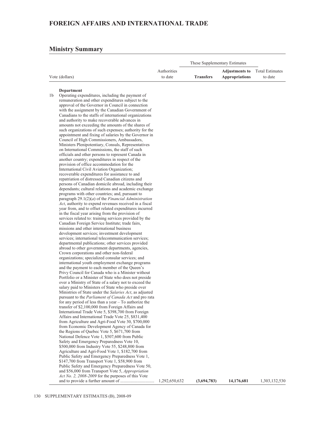### **Ministry Summary**

|                |                        | These Supplementary Estimates |                       |                                                  |
|----------------|------------------------|-------------------------------|-----------------------|--------------------------------------------------|
| Vote (dollars) | Authorities<br>to date | <b>Transfers</b>              | <b>Appropriations</b> | <b>Adjustments to</b> Total Estimates<br>to date |
|                |                        |                               |                       |                                                  |

#### **Department**

1b Operating expenditures, including the payment of remuneration and other expenditures subject to the approval of the Governor in Council in connection with the assignment by the Canadian Government of Canadians to the staffs of international organizations and authority to make recoverable advances in amounts not exceeding the amounts of the shares of such organizations of such expenses; authority for the appointment and fixing of salaries by the Governor in Council of High Commissioners, Ambassadors, Ministers Plenipotentiary, Consuls, Representatives on International Commissions, the staff of such officials and other persons to represent Canada in another country; expenditures in respect of the provision of office accommodation for the International Civil Aviation Organization; recoverable expenditures for assistance to and repatriation of distressed Canadian citizens and persons of Canadian domicile abroad, including their dependants; cultural relations and academic exchange programs with other countries; and, pursuant to paragraph 29.1(2)(*a*) of the *Financial Administration Act*, authority to expend revenues received in a fiscal year from, and to offset related expenditures incurred in the fiscal year arising from the provision of services related to: training services provided by the Canadian Foreign Service Institute; trade fairs, missions and other international business development services; investment development services; international telecommunication services; departmental publications; other services provided abroad to other government departments, agencies, Crown corporations and other non-federal organizations; specialized consular services; and international youth employment exchange programs and the payment to each member of the Queen's Privy Council for Canada who is a Minister without Portfolio or a Minister of State who does not preside over a Ministry of State of a salary not to exceed the salary paid to Ministers of State who preside over Ministries of State under the *Salaries Act*, as adjusted pursuant to the *Parliament of Canada Act* and pro rata for any period of less than a year – To authorize the transfer of \$2,100,000 from Foreign Affairs and International Trade Vote 5, \$398,700 from Foreign Affairs and International Trade Vote 25, \$831,400 from Agriculture and Agri-Food Vote 30, \$700,000 from Economic Development Agency of Canada for the Regions of Quebec Vote 5, \$671,700 from National Defence Vote 1, \$507,600 from Public Safety and Emergency Preparedness Vote 10, \$500,000 from Industry Vote 55, \$248,800 from Agriculture and Agri-Food Vote 1, \$182,700 from Public Safety and Emergency Preparedness Vote 1, \$147,700 from Transport Vote 1, \$58,900 from Public Safety and Emergency Preparedness Vote 50, and \$56,000 from Transport Vote 5, *Appropriation Act No. 2, 2008-2009* for the purposes of this Vote and to provide a further amount of ............................... 1,292,650,632 **(3,694,783) 14,176,681** 1,303,132,530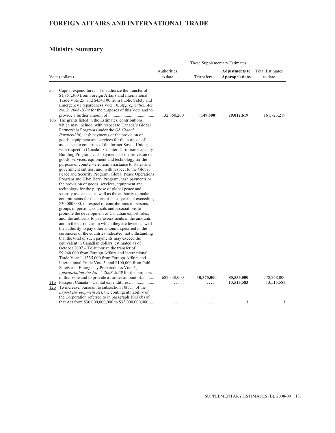|    |                                                                                                                                                                                                                                                                                                                                                                                                                                                                                                                                                                                                                                                                                                                                                                                                                                                                                                                                                                                                                                                                                                                                                                                                                                                                                                                                                                                                                                                                                                                                                                                                                                                                                                                                                                                    |                        | These Supplementary Estimates |                                                |                                   |  |  |
|----|------------------------------------------------------------------------------------------------------------------------------------------------------------------------------------------------------------------------------------------------------------------------------------------------------------------------------------------------------------------------------------------------------------------------------------------------------------------------------------------------------------------------------------------------------------------------------------------------------------------------------------------------------------------------------------------------------------------------------------------------------------------------------------------------------------------------------------------------------------------------------------------------------------------------------------------------------------------------------------------------------------------------------------------------------------------------------------------------------------------------------------------------------------------------------------------------------------------------------------------------------------------------------------------------------------------------------------------------------------------------------------------------------------------------------------------------------------------------------------------------------------------------------------------------------------------------------------------------------------------------------------------------------------------------------------------------------------------------------------------------------------------------------------|------------------------|-------------------------------|------------------------------------------------|-----------------------------------|--|--|
|    | Vote (dollars)                                                                                                                                                                                                                                                                                                                                                                                                                                                                                                                                                                                                                                                                                                                                                                                                                                                                                                                                                                                                                                                                                                                                                                                                                                                                                                                                                                                                                                                                                                                                                                                                                                                                                                                                                                     | Authorities<br>to date | <b>Transfers</b>              | <b>Adjustments to</b><br><b>Appropriations</b> | <b>Total Estimates</b><br>to date |  |  |
| 5b | Capital expenditures – To authorize the transfer of<br>\$1,851,300 from Foreign Affairs and International<br>Trade Vote 25, and \$434,100 from Public Safety and<br>Emergency Preparedness Vote 10, Appropriation Act<br>No. 2, 2008-2009 for the purposes of this Vote and to                                                                                                                                                                                                                                                                                                                                                                                                                                                                                                                                                                                                                                                                                                                                                                                                                                                                                                                                                                                                                                                                                                                                                                                                                                                                                                                                                                                                                                                                                                     |                        |                               |                                                |                                   |  |  |
|    | 10b The grants listed in the Estimates, contributions,<br>which may include: with respect to Canada's Global<br>Partnership Program (under the G8 Global<br>Partnership), cash payments or the provision of<br>goods, equipment and services for the purpose of<br>assistance to countries of the former Soviet Union;<br>with respect to Canada's Counter-Terrorism Capacity<br>Building Program, cash payments or the provision of<br>goods, services, equipment and technology for the<br>purpose of counter-terrorism assistance to states and<br>government entities; and, with respect to the Global<br>Peace and Security Program, Global Peace Operations<br>Program and Glyn Berry Program, cash payments or<br>the provision of goods, services, equipment and<br>technology for the purpose of global peace and<br>security assistance; as well as the authority to make<br>commitments for the current fiscal year not exceeding<br>\$30,000,000, in respect of contributions to persons,<br>groups of persons, councils and associations to<br>promote the development of Canadian export sales;<br>and, the authority to pay assessments in the amounts<br>and in the currencies in which they are levied as well<br>the authority to pay other amounts specified in the<br>currencies of the countries indicated, notwithstanding<br>that the total of such payments may exceed the<br>equivalent in Canadian dollars, estimated as of<br>October 2007 – To authorize the transfer of<br>\$9,940,000 from Foreign Affairs and International<br>Trade Vote 1, \$335,000 from Foreign Affairs and<br>International Trade Vote 5, and \$100,000 from Public<br>Safety and Emergency Preparedness Vote 5,<br><i>Appropriation Act No. 2, 2008-2009</i> for the purposes | 132,860,200            | (149,600)                     | 29,012,619                                     | 161,723,219                       |  |  |
|    | of this Vote and to provide a further amount of                                                                                                                                                                                                                                                                                                                                                                                                                                                                                                                                                                                                                                                                                                                                                                                                                                                                                                                                                                                                                                                                                                                                                                                                                                                                                                                                                                                                                                                                                                                                                                                                                                                                                                                                    | 682,338,000<br>.       | 10,375,000<br>.               | 85,555,000<br>13,515,583                       | 778,268,000<br>13,515,583         |  |  |
|    | $12b$ To increase, pursuant to subsection 10(3.1) of the<br>Export Development Act, the contingent liability of<br>the Corporation referred to in paragraph $10(3)(b)$ of                                                                                                                                                                                                                                                                                                                                                                                                                                                                                                                                                                                                                                                                                                                                                                                                                                                                                                                                                                                                                                                                                                                                                                                                                                                                                                                                                                                                                                                                                                                                                                                                          |                        |                               |                                                |                                   |  |  |
|    | that Act from \$30,000,000,000 to \$33,000,000,000                                                                                                                                                                                                                                                                                                                                                                                                                                                                                                                                                                                                                                                                                                                                                                                                                                                                                                                                                                                                                                                                                                                                                                                                                                                                                                                                                                                                                                                                                                                                                                                                                                                                                                                                 | .                      | .                             | $\mathbf{1}$                                   | $\mathbf{1}$                      |  |  |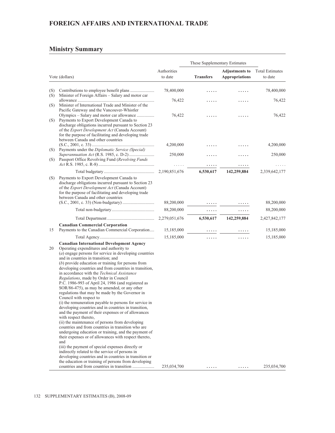### **Ministry Summary**

|            |                                                                                                                                                                                                                                                                                                                                                                                                                                                                                                                                                                                                                                                                                                                                                                                                                                                                                                                                                                                                                                                                                                                                                                                                                                                          |                        | These Supplementary Estimates |                                                |                                   |
|------------|----------------------------------------------------------------------------------------------------------------------------------------------------------------------------------------------------------------------------------------------------------------------------------------------------------------------------------------------------------------------------------------------------------------------------------------------------------------------------------------------------------------------------------------------------------------------------------------------------------------------------------------------------------------------------------------------------------------------------------------------------------------------------------------------------------------------------------------------------------------------------------------------------------------------------------------------------------------------------------------------------------------------------------------------------------------------------------------------------------------------------------------------------------------------------------------------------------------------------------------------------------|------------------------|-------------------------------|------------------------------------------------|-----------------------------------|
|            | Vote (dollars)                                                                                                                                                                                                                                                                                                                                                                                                                                                                                                                                                                                                                                                                                                                                                                                                                                                                                                                                                                                                                                                                                                                                                                                                                                           | Authorities<br>to date | <b>Transfers</b>              | <b>Adjustments to</b><br><b>Appropriations</b> | <b>Total Estimates</b><br>to date |
| (S)<br>(S) | Minister of Foreign Affairs - Salary and motor car                                                                                                                                                                                                                                                                                                                                                                                                                                                                                                                                                                                                                                                                                                                                                                                                                                                                                                                                                                                                                                                                                                                                                                                                       | 78,400,000             |                               |                                                | 78,400,000                        |
| (S)        | Minister of International Trade and Minister of the                                                                                                                                                                                                                                                                                                                                                                                                                                                                                                                                                                                                                                                                                                                                                                                                                                                                                                                                                                                                                                                                                                                                                                                                      | 76,422                 |                               |                                                | 76,422                            |
| (S)        | Pacific Gateway and the Vancouver-Whistler<br>Olympics – Salary and motor car allowance<br>Payments to Export Development Canada to<br>discharge obligations incurred pursuant to Section 23<br>of the Export Development Act (Canada Account)<br>for the purpose of facilitating and developing trade                                                                                                                                                                                                                                                                                                                                                                                                                                                                                                                                                                                                                                                                                                                                                                                                                                                                                                                                                   | 76,422                 |                               |                                                | 76,422                            |
|            | between Canada and other countries                                                                                                                                                                                                                                                                                                                                                                                                                                                                                                                                                                                                                                                                                                                                                                                                                                                                                                                                                                                                                                                                                                                                                                                                                       | 4,200,000              |                               |                                                | 4,200,000                         |
| (S)<br>(S) | Payments under the Diplomatic Service (Special)<br>Passport Office Revolving Fund (Revolving Funds                                                                                                                                                                                                                                                                                                                                                                                                                                                                                                                                                                                                                                                                                                                                                                                                                                                                                                                                                                                                                                                                                                                                                       | 250,000                |                               |                                                | 250,000                           |
|            |                                                                                                                                                                                                                                                                                                                                                                                                                                                                                                                                                                                                                                                                                                                                                                                                                                                                                                                                                                                                                                                                                                                                                                                                                                                          |                        |                               |                                                |                                   |
|            |                                                                                                                                                                                                                                                                                                                                                                                                                                                                                                                                                                                                                                                                                                                                                                                                                                                                                                                                                                                                                                                                                                                                                                                                                                                          | 2,190,851,676          | 6,530,617                     | 142,259,884                                    | 2,339,642,177                     |
| (S)        | Payments to Export Development Canada to<br>discharge obligations incurred pursuant to Section 23<br>of the Export Development Act (Canada Account)<br>for the purpose of facilitating and developing trade<br>between Canada and other countries                                                                                                                                                                                                                                                                                                                                                                                                                                                                                                                                                                                                                                                                                                                                                                                                                                                                                                                                                                                                        | 88,200,000             |                               |                                                | 88,200,000                        |
|            |                                                                                                                                                                                                                                                                                                                                                                                                                                                                                                                                                                                                                                                                                                                                                                                                                                                                                                                                                                                                                                                                                                                                                                                                                                                          | 88,200,000             |                               |                                                | 88,200,000                        |
|            |                                                                                                                                                                                                                                                                                                                                                                                                                                                                                                                                                                                                                                                                                                                                                                                                                                                                                                                                                                                                                                                                                                                                                                                                                                                          |                        | 6,530,617                     |                                                |                                   |
|            | <b>Canadian Commercial Corporation</b>                                                                                                                                                                                                                                                                                                                                                                                                                                                                                                                                                                                                                                                                                                                                                                                                                                                                                                                                                                                                                                                                                                                                                                                                                   | 2,279,051,676          |                               | 142,259,884                                    | 2,427,842,177                     |
| 15         | Payments to the Canadian Commercial Corporation                                                                                                                                                                                                                                                                                                                                                                                                                                                                                                                                                                                                                                                                                                                                                                                                                                                                                                                                                                                                                                                                                                                                                                                                          | 15,185,000             |                               |                                                | 15,185,000                        |
|            |                                                                                                                                                                                                                                                                                                                                                                                                                                                                                                                                                                                                                                                                                                                                                                                                                                                                                                                                                                                                                                                                                                                                                                                                                                                          | 15,185,000             | .                             | .                                              | 15,185,000                        |
| 20         | <b>Canadian International Development Agency</b><br>Operating expenditures and authority to<br>$(a)$ engage persons for service in developing countries<br>and in countries in transition; and<br>$(b)$ provide education or training for persons from<br>developing countries and from countries in transition,<br>in accordance with the Technical Assistance<br>Regulations, made by Order in Council<br>P.C. 1986-993 of April 24, 1986 (and registered as<br>SOR/86-475), as may be amended, or any other<br>regulations that may be made by the Governor in<br>Council with respect to<br>(i) the remuneration payable to persons for service in<br>developing countries and in countries in transition,<br>and the payment of their expenses or of allowances<br>with respect thereto,<br>(ii) the maintenance of persons from developing<br>countries and from countries in transition who are<br>undergoing education or training, and the payment of<br>their expenses or of allowances with respect thereto,<br>and<br>(iii) the payment of special expenses directly or<br>indirectly related to the service of persons in<br>developing countries and in countries in transition or<br>the education or training of persons from developing |                        |                               |                                                |                                   |
|            |                                                                                                                                                                                                                                                                                                                                                                                                                                                                                                                                                                                                                                                                                                                                                                                                                                                                                                                                                                                                                                                                                                                                                                                                                                                          | 235,034,700            |                               |                                                | 235,034,700                       |

<u> 1989 - Johann Barn, mars eta bainar eta baina eta baina eta baina eta baina eta baina eta baina eta baina e</u>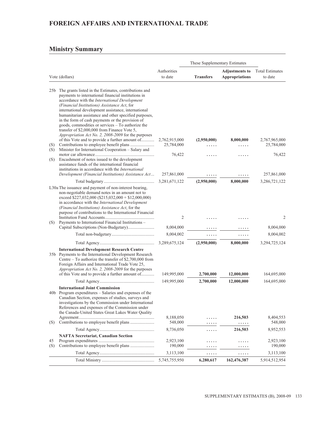### **Ministry Summary**

|            |                                                                                                                                                                                                                                                                                                                                                                                                                                                                                                                                                   |                             | These Supplementary Estimates |                       |                             |  |
|------------|---------------------------------------------------------------------------------------------------------------------------------------------------------------------------------------------------------------------------------------------------------------------------------------------------------------------------------------------------------------------------------------------------------------------------------------------------------------------------------------------------------------------------------------------------|-----------------------------|-------------------------------|-----------------------|-----------------------------|--|
|            |                                                                                                                                                                                                                                                                                                                                                                                                                                                                                                                                                   | Authorities                 |                               | <b>Adjustments to</b> | <b>Total Estimates</b>      |  |
|            | Vote (dollars)                                                                                                                                                                                                                                                                                                                                                                                                                                                                                                                                    | to date                     | <b>Transfers</b>              | <b>Appropriations</b> | to date                     |  |
|            | 25b The grants listed in the Estimates, contributions and<br>payments to international financial institutions in<br>accordance with the International Development<br>(Financial Institutions) Assistance Act, for<br>international development assistance, international<br>humanitarian assistance and other specified purposes,<br>in the form of cash payments or the provision of<br>goods, commodities or services – To authorize the<br>transfer of \$2,000,000 from Finance Vote 5,<br>Appropriation Act No. 2, 2008-2009 for the purposes |                             |                               |                       |                             |  |
| (S)<br>(S) | of this Vote and to provide a further amount of<br>Minister for International Cooperation - Salary and                                                                                                                                                                                                                                                                                                                                                                                                                                            | 2,762,915,000<br>25,784,000 | (2,950,000)                   | 8,000,000             | 2,767,965,000<br>25,784,000 |  |
| (S)        | Encashment of notes issued to the development<br>assistance funds of the international financial<br>institutions in accordance with the <i>International</i>                                                                                                                                                                                                                                                                                                                                                                                      | 76,422                      |                               |                       | 76,422                      |  |
|            | Development (Financial Institutions) Assistance Act                                                                                                                                                                                                                                                                                                                                                                                                                                                                                               | 257,861,000                 |                               |                       | 257,861,000                 |  |
|            | L30a The issuance and payment of non-interest bearing,<br>non-negotiable demand notes in an amount not to<br>exceed \$227,032,000 (\$215,032,000 + \$12,000,000)<br>in accordance with the International Development<br>(Financial Institutions) Assistance Act, for the                                                                                                                                                                                                                                                                          | 3,281,671,122               | (2,950,000)                   | 8,000,000             | 3,286,721,122               |  |
|            | purpose of contributions to the International Financial                                                                                                                                                                                                                                                                                                                                                                                                                                                                                           | $\mathfrak{2}$              |                               |                       | 2                           |  |
| (S)        | Payments to International Financial Institutions -                                                                                                                                                                                                                                                                                                                                                                                                                                                                                                | 8,004,000                   |                               |                       | 8,004,000                   |  |
|            |                                                                                                                                                                                                                                                                                                                                                                                                                                                                                                                                                   | 8,004,002                   | .                             | .                     | 8,004,002                   |  |
|            |                                                                                                                                                                                                                                                                                                                                                                                                                                                                                                                                                   | 3,289,675,124               | (2,950,000)                   | 8,000,000             | 3,294,725,124               |  |
|            | <b>International Development Research Centre</b><br>35b Payments to the International Development Research<br>Centre – To authorize the transfer of \$2,700,000 from<br>Foreign Affairs and International Trade Vote 25,<br>Appropriation Act No. 2, 2008-2009 for the purposes<br>of this Vote and to provide a further amount of                                                                                                                                                                                                                | 149,995,000                 | 2,700,000                     | 12,000,000            | 164,695,000                 |  |
|            |                                                                                                                                                                                                                                                                                                                                                                                                                                                                                                                                                   | 149,995,000                 | 2,700,000                     | 12,000,000            | 164,695,000                 |  |
|            | <b>International Joint Commission</b><br>40b Program expenditures – Salaries and expenses of the<br>Canadian Section, expenses of studies, surveys and<br>investigations by the Commission under International<br>References and expenses of the Commission under<br>the Canada-United States Great Lakes Water Quality                                                                                                                                                                                                                           |                             |                               |                       |                             |  |
|            |                                                                                                                                                                                                                                                                                                                                                                                                                                                                                                                                                   | 8,188,050                   | .                             | 216,503               | 8,404,553                   |  |
| (S)        |                                                                                                                                                                                                                                                                                                                                                                                                                                                                                                                                                   | 548,000                     | .                             | .                     | 548,000                     |  |
|            |                                                                                                                                                                                                                                                                                                                                                                                                                                                                                                                                                   | 8,736,050                   | .                             | 216,503               | 8,952,553                   |  |
| 45         | <b>NAFTA Secretariat, Canadian Section</b>                                                                                                                                                                                                                                                                                                                                                                                                                                                                                                        | 2,923,100                   | .                             | .                     | 2,923,100                   |  |
| (S)        |                                                                                                                                                                                                                                                                                                                                                                                                                                                                                                                                                   | 190,000                     | .                             | .                     | 190,000                     |  |
|            |                                                                                                                                                                                                                                                                                                                                                                                                                                                                                                                                                   | 3,113,100                   | .                             | .                     | 3,113,100                   |  |
|            |                                                                                                                                                                                                                                                                                                                                                                                                                                                                                                                                                   | 5,745,755,950               | 6,280,617                     | 162,476,387           | 5,914,512,954               |  |

<u> 1980 - Johann Barbara, martxa alemaniar amerikan basar da a</u>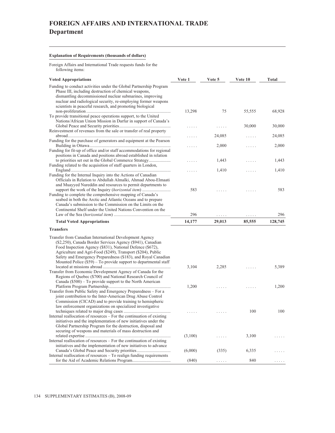# **FOREIGN AFFAIRS AND INTERNATIONAL TRADE Department**

### **Explanation of Requirements (thousands of dollars)**

Foreign Affairs and International Trade requests funds for the following items:

| <b>Voted Appropriations</b>                                                                                                                                                                                                                                                                                                                                                               | Vote 1  | Vote 5 | Vote 10    | <b>Total</b> |
|-------------------------------------------------------------------------------------------------------------------------------------------------------------------------------------------------------------------------------------------------------------------------------------------------------------------------------------------------------------------------------------------|---------|--------|------------|--------------|
| Funding to conduct activities under the Global Partnership Program<br>Phase III, including destruction of chemical weapons,<br>dismantling decommissioned nuclear submarines, improving<br>nuclear and radiological security, re-employing former weapons<br>scientists in peaceful research, and promoting biological                                                                    | 13,298  | 75     | 55,555     | 68,928       |
| To provide transitional peace operations support, to the United<br>Nations/African Union Mission in Darfur in support of Canada's                                                                                                                                                                                                                                                         |         |        |            |              |
| Reinvestment of revenues from the sale or transfer of real property                                                                                                                                                                                                                                                                                                                       | .       | .      | 30,000     | 30,000       |
|                                                                                                                                                                                                                                                                                                                                                                                           | .       | 24,085 | $\cdots$   | 24,085       |
| Funding for the purchase of generators and equipment at the Pearson                                                                                                                                                                                                                                                                                                                       | .       | 2,000  | $\cdots$   | 2,000        |
| Funding for fit-up of office and/or staff accommodations for regional<br>positions in Canada and positions abroad established in relation                                                                                                                                                                                                                                                 |         |        |            |              |
| to priorities set out in the Global Commerce Strategy<br>Funding related to the acquisition of staff quarters in London,                                                                                                                                                                                                                                                                  |         | 1,443  |            | 1,443        |
|                                                                                                                                                                                                                                                                                                                                                                                           | .       | 1,410  | $\ldots$ . | 1,410        |
| Funding for the Internal Inquiry into the Actions of Canadian<br>Officials in Relation to Abdullah Almalki, Ahmad Abou-Elmaati<br>and Muayyed Nureddin and resources to permit departments to<br>Funding to complete the comprehensive mapping of Canada's<br>seabed in both the Arctic and Atlantic Oceans and to prepare<br>Canada's submission to the Commission on the Limits on the  | 583     |        |            | 583          |
| Continental Shelf under the United Nations Convention on the                                                                                                                                                                                                                                                                                                                              | 296     | .      | .          | 296          |
| <b>Total Voted Appropriations</b>                                                                                                                                                                                                                                                                                                                                                         | 14,177  | 29,013 | 85,555     | 128,745      |
| <b>Transfers</b>                                                                                                                                                                                                                                                                                                                                                                          |         |        |            |              |
| Transfer from Canadian International Development Agency<br>(\$2,250), Canada Border Services Agency (\$941), Canadian<br>Food Inspection Agency (\$831), National Defence (\$672),<br>Agriculture and Agri-Food (\$249), Transport (\$204), Public<br>Safety and Emergency Preparedness (\$183), and Royal Canadian<br>Mounted Police $(\$59) - To$ provide support to departmental staff | 3,104   | 2,285  |            | 5,389        |
| Transfer from Economic Development Agency of Canada for the<br>Regions of Quebec (\$700) and National Research Council of<br>Canada (\$500) – To provide support to the North American                                                                                                                                                                                                    |         |        |            |              |
| Transfer from Public Safety and Emergency Preparedness – For a<br>joint contribution to the Inter-American Drug Abuse Control<br>Commission (CICAD) and to provide training to hemispheric<br>law enforcement organizations on specialized investigative                                                                                                                                  | 1,200   |        |            | 1,200        |
| Internal reallocation of resources – For the continuation of existing<br>initiatives and the implementation of new initiatives under the<br>Global Partnership Program for the destruction, disposal and<br>securing of weapons and materials of mass destruction and                                                                                                                     |         |        | 100        | 100          |
| Internal reallocation of resources – For the continuation of existing<br>initiatives and the implementation of new initiatives to advance                                                                                                                                                                                                                                                 | (3,100) | .      | 3,100      |              |
| Internal reallocation of resources – To realign funding requirements                                                                                                                                                                                                                                                                                                                      | (6,000) | (335)  | 6,335      |              |
|                                                                                                                                                                                                                                                                                                                                                                                           | (840)   | .      | 840        | .            |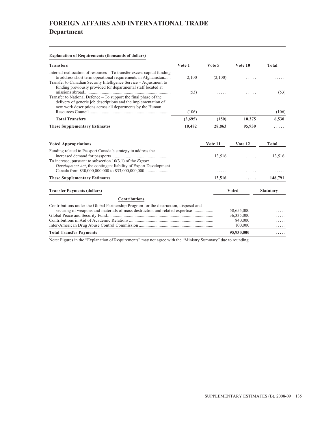# **FOREIGN AFFAIRS AND INTERNATIONAL TRADE Department**

**Explanation of Requirements (thousands of dollars)**

| <b>Transfers</b>                                                                                                                                                                                      | Vote 1  | Vote 5      | Vote 10      | <b>Total</b>     |
|-------------------------------------------------------------------------------------------------------------------------------------------------------------------------------------------------------|---------|-------------|--------------|------------------|
| Internal reallocation of resources – To transfer excess capital funding<br>to address short term operational requirements in Afghanistan                                                              | 2,100   | (2,100)     |              |                  |
| Transfer to Canadian Security Intelligence Service – Adjustment to<br>funding previously provided for departmental staff located at                                                                   | (53)    |             | .            | (53)             |
| Transfer to National Defence – To support the final phase of the<br>delivery of generic job descriptions and the implementation of<br>new work descriptions across all departments by the Human       |         |             |              |                  |
|                                                                                                                                                                                                       | (106)   | .           | .            | (106)            |
| <b>Total Transfers</b>                                                                                                                                                                                | (3,695) | (150)       | 10,375       | 6,530            |
| <b>These Supplementary Estimates</b>                                                                                                                                                                  | 10,482  | 28,863      | 95,930       |                  |
| <b>Voted Appropriations</b>                                                                                                                                                                           |         | Vote 11     | Vote 12      | <b>Total</b>     |
| Funding related to Passport Canada's strategy to address the<br>To increase, pursuant to subsection $10(3.1)$ of the <i>Export</i><br>Development Act, the contingent liability of Export Development |         | 13,516<br>. |              | 13,516<br>.      |
| <b>These Supplementary Estimates</b>                                                                                                                                                                  |         | 13,516      | .            | 148,791          |
| <b>Transfer Payments (dollars)</b>                                                                                                                                                                    |         |             | <b>Voted</b> | <b>Statutory</b> |
| <b>Contributions</b>                                                                                                                                                                                  |         |             |              |                  |
| Contributions under the Global Partnership Program for the destruction, disposal and<br>securing of weapons and materials of mass destruction and related expertise                                   |         |             | 58,655,000   |                  |
|                                                                                                                                                                                                       |         |             | 36,335,000   |                  |
|                                                                                                                                                                                                       |         |             | 840,000      |                  |
|                                                                                                                                                                                                       |         |             | 100,000      |                  |
| <b>Total Transfer Payments</b>                                                                                                                                                                        |         |             | 95,930,000   | .                |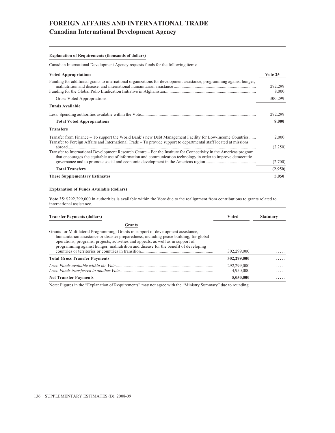# **FOREIGN AFFAIRS AND INTERNATIONAL TRADE Canadian International Development Agency**

### **Explanation of Requirements (thousands of dollars)**

Canadian International Development Agency requests funds for the following items:

| <b>Voted Appropriations</b>                                                                                                                                                                                                        | Vote 25          |
|------------------------------------------------------------------------------------------------------------------------------------------------------------------------------------------------------------------------------------|------------------|
| Funding for additional grants to international organizations for development assistance, programming against hunger,                                                                                                               | 292,299<br>8,000 |
| Gross Voted Appropriations                                                                                                                                                                                                         | 300,299          |
| <b>Funds Available</b>                                                                                                                                                                                                             |                  |
|                                                                                                                                                                                                                                    | 292,299          |
| <b>Total Voted Appropriations</b>                                                                                                                                                                                                  | 8,000            |
| <b>Transfers</b>                                                                                                                                                                                                                   |                  |
| Transfer from Finance – To support the World Bank's new Debt Management Facility for Low-Income Countries<br>Transfer to Foreign Affairs and International Trade - To provide support to departmental staff located at missions    | 2.000            |
|                                                                                                                                                                                                                                    | (2,250)          |
| Transfer to International Development Research Centre – For the Institute for Connectivity in the Americas program<br>that encourages the equitable use of information and communication technology in order to improve democratic |                  |
|                                                                                                                                                                                                                                    | (2,700)          |
| <b>Total Transfers</b>                                                                                                                                                                                                             | (2,950)          |
| <b>These Supplementary Estimates</b>                                                                                                                                                                                               | 5,050            |

### **Explanation of Funds Available (dollars)**

**Vote 25**: \$292,299,000 in authorities is available within the Vote due to the realignment from contributions to grants related to international assistance.

| <b>Transfer Payments (dollars)</b>                                                                                                                                                                                                                                                                                                                    | Voted                    | <b>Statutory</b> |
|-------------------------------------------------------------------------------------------------------------------------------------------------------------------------------------------------------------------------------------------------------------------------------------------------------------------------------------------------------|--------------------------|------------------|
| <b>Grants</b>                                                                                                                                                                                                                                                                                                                                         |                          |                  |
| Grants for Multilateral Programming: Grants in support of development assistance,<br>humanitarian assistance or disaster preparedness, including peace building, for global<br>operations, programs, projects, activities and appeals; as well as in support of<br>programming against hunger, malnutrition and disease for the benefit of developing | 302,299,000              | .                |
| <b>Total Gross Transfer Payments</b>                                                                                                                                                                                                                                                                                                                  | 302,299,000              | .                |
|                                                                                                                                                                                                                                                                                                                                                       | 292,299,000<br>4.950,000 | .<br>.           |
| <b>Net Transfer Payments</b>                                                                                                                                                                                                                                                                                                                          | 5,050,000                | $\cdots$         |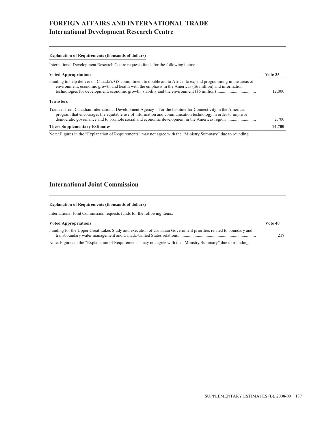# **FOREIGN AFFAIRS AND INTERNATIONAL TRADE International Development Research Centre**

### **Explanation of Requirements (thousands of dollars)**

International Development Research Centre requests funds for the following items:

| <b>Voted Appropriations</b>                                                                                                                                                                                                 | Vote 35 |
|-----------------------------------------------------------------------------------------------------------------------------------------------------------------------------------------------------------------------------|---------|
| Funding to help deliver on Canada's G8 commitment to double aid to Africa; to expand programming in the areas of<br>environment, economic growth and health with the emphasis in the Americas (\$6 million) and information | 12.000  |
| <b>Transfers</b>                                                                                                                                                                                                            |         |
| Transfer from Canadian International Development Agency – For the Institute for Connectivity in the Americas<br>program that encourages the equitable use of information and communication technology in order to improve   | 2,700   |
| <b>These Supplementary Estimates</b>                                                                                                                                                                                        | 14,700  |

Note: Figures in the "Explanation of Requirements" may not agree with the "Ministry Summary" due to rounding.

### **International Joint Commission**

### **Explanation of Requirements (thousands of dollars)**

International Joint Commission requests funds for the following items:

### **Voted Appropriations Vote 40**

| $\overline{\phantom{a}}$                                                                                        | 1 Y Y Y Y Y |
|-----------------------------------------------------------------------------------------------------------------|-------------|
| Funding for the Upper Great Lakes Study and execution of Canadian Government priorities related to boundary and |             |
|                                                                                                                 |             |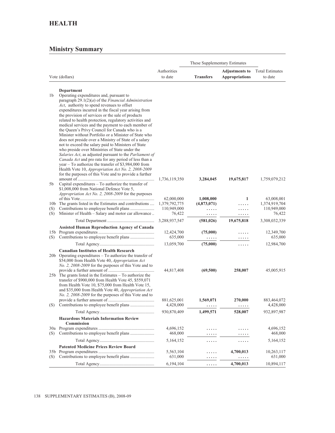|                               |                                                                                                                                                                                                                                                                                                                                                                                                                                                                                                                                                                                                                                                                                                                                                                                              |                                                      | These Supplementary Estimates      |                                                |                                                      |
|-------------------------------|----------------------------------------------------------------------------------------------------------------------------------------------------------------------------------------------------------------------------------------------------------------------------------------------------------------------------------------------------------------------------------------------------------------------------------------------------------------------------------------------------------------------------------------------------------------------------------------------------------------------------------------------------------------------------------------------------------------------------------------------------------------------------------------------|------------------------------------------------------|------------------------------------|------------------------------------------------|------------------------------------------------------|
|                               | Vote (dollars)                                                                                                                                                                                                                                                                                                                                                                                                                                                                                                                                                                                                                                                                                                                                                                               | Authorities<br>to date                               | <b>Transfers</b>                   | <b>Adjustments to</b><br><b>Appropriations</b> | <b>Total Estimates</b><br>to date                    |
| 1b                            | Department<br>Operating expenditures and, pursuant to<br>paragraph $29.1(2)(a)$ of the Financial Administration<br>Act, authority to spend revenues to offset<br>expenditures incurred in the fiscal year arising from<br>the provision of services or the sale of products<br>related to health protection, regulatory activities and<br>medical services and the payment to each member of<br>the Queen's Privy Council for Canada who is a<br>Minister without Portfolio or a Minister of State who<br>does not preside over a Ministry of State of a salary<br>not to exceed the salary paid to Ministers of State<br>who preside over Ministries of State under the<br>Salaries Act, as adjusted pursuant to the Parliament of<br>Canada Act and pro rata for any period of less than a |                                                      |                                    |                                                |                                                      |
| 5b                            | year $-$ To authorize the transfer of \$3,984,000 from<br>Health Vote 10, Appropriation Act No. 2, 2008-2009<br>for the purposes of this Vote and to provide a further<br>Capital expenditures $-$ To authorize the transfer of<br>\$1,008,000 from National Defence Vote 5,<br>Appropriation Act No. 2, 2008-2009 for the purposes                                                                                                                                                                                                                                                                                                                                                                                                                                                          | 1,736,119,350                                        | 3,284,045                          | 19,675,817                                     | 1,759,079,212                                        |
| 10 <sub>b</sub><br>(S)<br>(S) | The grants listed in the Estimates and contributions<br>Minister of Health - Salary and motor car allowance                                                                                                                                                                                                                                                                                                                                                                                                                                                                                                                                                                                                                                                                                  | 62,000,000<br>1,379,792,775<br>110,949,000<br>76,422 | 1,008,000<br>(4,873,071)<br>.<br>. | 1<br>.<br>.<br>.                               | 63,008,001<br>1,374,919,704<br>110,949,000<br>76,422 |
|                               |                                                                                                                                                                                                                                                                                                                                                                                                                                                                                                                                                                                                                                                                                                                                                                                              | 3,288,937,547                                        | (581, 026)                         | 19,675,818                                     | 3,308,032,339                                        |
| (S)                           | <b>Assisted Human Reproduction Agency of Canada</b>                                                                                                                                                                                                                                                                                                                                                                                                                                                                                                                                                                                                                                                                                                                                          | 12,424,700<br>635,000                                | (75,000)<br>.                      | .                                              | 12,349,700<br>635,000                                |
|                               |                                                                                                                                                                                                                                                                                                                                                                                                                                                                                                                                                                                                                                                                                                                                                                                              | 13,059,700                                           | (75,000)                           | .                                              | 12,984,700                                           |
|                               | <b>Canadian Institutes of Health Research</b><br>20b Operating expenditures – To authorize the transfer of<br>\$54,000 from Health Vote 40, <i>Appropriation Act</i><br><i>No. 2, 2008-2009</i> for the purposes of this Vote and to<br>25b The grants listed in the Estimates – To authorize the<br>transfer of $$900,000$ from Health Vote 45, $$559,071$<br>from Health Vote 10, \$75,000 from Health Vote 15,<br>and \$35,000 from Health Vote 40, <i>Appropriation Act</i><br><i>No. 2, 2008-2009</i> for the purposes of this Vote and to                                                                                                                                                                                                                                              | 44,817,408                                           | (69, 500)                          | 258,007                                        | 45,005,915                                           |
| (S)                           |                                                                                                                                                                                                                                                                                                                                                                                                                                                                                                                                                                                                                                                                                                                                                                                              | 881,625,001<br>4,428,000                             | 1,569,071<br>.                     | 270,000<br>.                                   | 883,464,072<br>4,428,000                             |
|                               |                                                                                                                                                                                                                                                                                                                                                                                                                                                                                                                                                                                                                                                                                                                                                                                              | 930,870,409                                          | 1,499,571                          | 528,007                                        | 932,897,987                                          |
| (S)                           | <b>Hazardous Materials Information Review</b><br>Commission                                                                                                                                                                                                                                                                                                                                                                                                                                                                                                                                                                                                                                                                                                                                  | 4,696,152<br>468,000                                 |                                    | .                                              | 4,696,152<br>468,000                                 |
|                               |                                                                                                                                                                                                                                                                                                                                                                                                                                                                                                                                                                                                                                                                                                                                                                                              | 5,164,152                                            | .                                  | .                                              | 5,164,152                                            |
| (S)                           | <b>Patented Medicine Prices Review Board</b>                                                                                                                                                                                                                                                                                                                                                                                                                                                                                                                                                                                                                                                                                                                                                 | 5,563,104<br>631,000                                 | .                                  | 4,700,013<br>.                                 | 10,263,117<br>631,000                                |
|                               |                                                                                                                                                                                                                                                                                                                                                                                                                                                                                                                                                                                                                                                                                                                                                                                              | 6,194,104                                            | .                                  | 4,700,013                                      | 10,894,117                                           |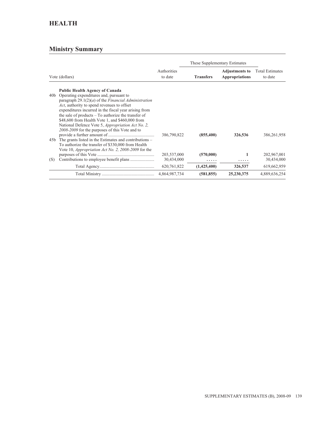# **HEALTH**

|                |                                                                                                                                                                                                                                                                                                                                                                                                                                                                                     |                           | These Supplementary Estimates |                                         |                                   |
|----------------|-------------------------------------------------------------------------------------------------------------------------------------------------------------------------------------------------------------------------------------------------------------------------------------------------------------------------------------------------------------------------------------------------------------------------------------------------------------------------------------|---------------------------|-------------------------------|-----------------------------------------|-----------------------------------|
| Vote (dollars) |                                                                                                                                                                                                                                                                                                                                                                                                                                                                                     | Authorities<br>to date    | <b>Transfers</b>              | <b>Adjustments to</b><br>Appropriations | <b>Total Estimates</b><br>to date |
| 40b            | <b>Public Health Agency of Canada</b><br>Operating expenditures and, pursuant to<br>paragraph $29.1(2)(a)$ of the <i>Financial Administration</i><br>Act, authority to spend revenues to offset<br>expenditures incurred in the fiscal year arising from<br>the sale of products $-$ To authorize the transfer of<br>\$48,600 from Health Vote 1, and \$460,000 from<br>National Defence Vote 5, <i>Appropriation Act No. 2</i> ,<br>2008-2009 for the purposes of this Vote and to |                           |                               |                                         |                                   |
|                | 45b The grants listed in the Estimates and contributions –<br>To authorize the transfer of \$330,000 from Health<br>Vote 10, <i>Appropriation Act No. 2, 2008-2009</i> for the                                                                                                                                                                                                                                                                                                      | 386,790,822               | (855, 400)                    | 326,536                                 | 386,261,958                       |
| (S)            |                                                                                                                                                                                                                                                                                                                                                                                                                                                                                     | 203,537,000<br>30,434,000 | (570,000)<br>.                | 1<br>.                                  | 202,967,001<br>30,434,000         |
|                |                                                                                                                                                                                                                                                                                                                                                                                                                                                                                     | 620, 761, 822             | (1,425,400)                   | 326,537                                 | 619,662,959                       |
|                |                                                                                                                                                                                                                                                                                                                                                                                                                                                                                     | 4,864,987,734             | (581, 855)                    | 25,230,375                              | 4,889,636,254                     |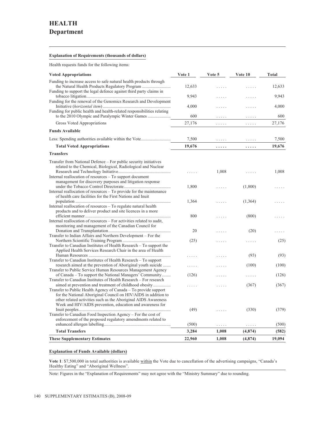### **Explanation of Requirements (thousands of dollars)**

Health requests funds for the following items:

| <b>Voted Appropriations</b>                                                                                                                                                                   | Vote 1 | Vote 5   | Vote 10              | Total  |
|-----------------------------------------------------------------------------------------------------------------------------------------------------------------------------------------------|--------|----------|----------------------|--------|
| Funding to increase access to safe natural health products through<br>the Natural Health Products Regulatory Program<br>Funding to support the legal defence against third party claims in    | 12,633 | .        |                      | 12,633 |
|                                                                                                                                                                                               | 9,943  | .        | .                    | 9,943  |
| Funding for the renewal of the Genomics Research and Development<br>Funding for public health and health-related responsibilities relating                                                    | 4,000  | .        | .                    | 4,000  |
|                                                                                                                                                                                               | 600    | .        | .                    | 600    |
| Gross Voted Appropriations                                                                                                                                                                    | 27,176 | .        | .                    | 27,176 |
| <b>Funds Available</b>                                                                                                                                                                        |        |          |                      |        |
|                                                                                                                                                                                               | 7,500  | .        | .                    | 7,500  |
| <b>Total Voted Appropriations</b>                                                                                                                                                             | 19,676 | .        | .                    | 19,676 |
| <b>Transfers</b>                                                                                                                                                                              |        |          |                      |        |
|                                                                                                                                                                                               |        |          |                      |        |
| Transfer from National Defence – For public security initiatives<br>related to the Chemical, Biological, Radiological and Nuclear                                                             |        | 1,008    |                      | 1,008  |
| Internal reallocation of resources - To support document<br>management for discovery purposes and litigation response                                                                         | 1,800  | .        | (1,800)              |        |
| Internal reallocation of resources – To provide for the maintenance<br>of health care facilities for the First Nations and Inuit                                                              |        |          |                      |        |
| Internal reallocation of resources – To regulate natural health<br>products and to deliver product and site licences in a more                                                                | 1,364  | .        | (1,364)              |        |
| Internal reallocation of resources - For activities related to audit,                                                                                                                         | 800    | .        | (800)                |        |
| monitoring and management of the Canadian Council for<br>Transfer to Indian Affairs and Northern Development - For the                                                                        | 20     |          | (20)                 |        |
| Transfer to Canadian Institutes of Health Research – To support the                                                                                                                           | (25)   | .        | .                    | (25)   |
| Applied Health Services Research Chair in the area of Health<br>Transfer to Canadian Institutes of Health Research – To support                                                               |        |          | (93)                 | (93)   |
| research aimed at the prevention of Aboriginal youth suicide<br>Transfer to Public Service Human Resources Management Agency                                                                  | .      | .        | (100)                | (100)  |
| of Canada – To support the National Managers' Community<br>Transfer to Canadian Institutes of Health Research – For research                                                                  | (126)  | .        | $\sim$ $\sim$ $\sim$ | (126)  |
| aimed at prevention and treatment of childhood obesity<br>Transfer to Public Health Agency of Canada – To provide support                                                                     | .      |          | (367)                | (367)  |
| for the National Aboriginal Council on HIV/AIDS in addition to<br>other related activities such as the Aboriginal AIDS Awareness<br>Week and HIV/AIDS prevention, education and awareness for |        |          |                      |        |
| Transfer to Canadian Food Inspection Agency – For the cost of<br>enforcement of the proposed regulatory amendments related to                                                                 | (49)   |          | (330)                | (379)  |
|                                                                                                                                                                                               | (500)  | $\cdots$ | $\cdots$             | (500)  |
| <b>Total Transfers</b>                                                                                                                                                                        | 3,284  | 1,008    | (4, 874)             | (582)  |
| <b>These Supplementary Estimates</b>                                                                                                                                                          | 22,960 | 1,008    | (4, 874)             | 19,094 |

### **Explanation of Funds Available (dollars)**

Vote 1: \$7,500,000 in total authorities is available within the Vote due to cancellation of the advertising campaigns, "Canada's Healthy Eating" and "Aboriginal Wellness".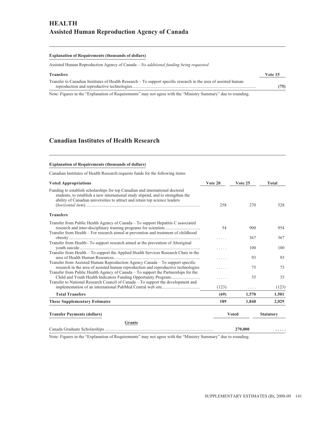### **Explanation of Requirements (thousands of dollars)**

Assisted Human Reproduction Agency of Canada – *No additional funding being requested*

**Transfers Vote 15** Transfer to Canadian Institutes of Health Research – To support specific research in the area of assisted human reproduction and reproductive technologies................................................................................................................. **(75)**

Note: Figures in the "Explanation of Requirements" may not agree with the "Ministry Summary" due to rounding.

### **Canadian Institutes of Health Research**

#### **Explanation of Requirements (thousands of dollars)**

Canadian Institutes of Health Research requests funds for the following items:

| <b>Voted Appropriations</b>                                                                                                                                                                                                                                        | Vote 20 | Vote 25      | <b>Total</b>     |
|--------------------------------------------------------------------------------------------------------------------------------------------------------------------------------------------------------------------------------------------------------------------|---------|--------------|------------------|
| Funding to establish scholarships for top Canadian and international doctoral<br>students, to establish a new international study stipend, and to strengthen the<br>ability of Canadian universities to attract and retain top science leaders<br><b>Transfers</b> | 258     | 270          | 528              |
|                                                                                                                                                                                                                                                                    |         |              |                  |
| Transfer from Public Health Agency of Canada – To support Hepatitis C associated<br>Transfer from Health - For research aimed at prevention and treatment of childhood                                                                                             | 54      | 900          | 954              |
| Transfer from Health-To support research aimed at the prevention of Aboriginal                                                                                                                                                                                     |         | 367          | 367              |
| Transfer from Health - To support the Applied Health Services Research Chair in the                                                                                                                                                                                | .       | 100          | 100              |
|                                                                                                                                                                                                                                                                    | .       | 93           | 93               |
| Transfer from Assisted Human Reproduction Agency Canada – To support specific<br>research in the area of assisted human reproduction and reproductive technologies                                                                                                 |         | 75           | 75               |
| Transfer from Public Health Agency of Canada – To support the Partnerships for the                                                                                                                                                                                 | .       | 35           | 35               |
| Transfer to National Research Council of Canada – To support the development and                                                                                                                                                                                   | (123)   | .            | (123)            |
| <b>Total Transfers</b>                                                                                                                                                                                                                                             | (69)    | 1,570        | 1,501            |
| <b>These Supplementary Estimates</b>                                                                                                                                                                                                                               | 189     | 1,840        | 2,029            |
| <b>Transfer Payments (dollars)</b>                                                                                                                                                                                                                                 |         | <b>Voted</b> | <b>Statutory</b> |
| <b>Grants</b>                                                                                                                                                                                                                                                      |         |              |                  |
|                                                                                                                                                                                                                                                                    |         | 270,000      |                  |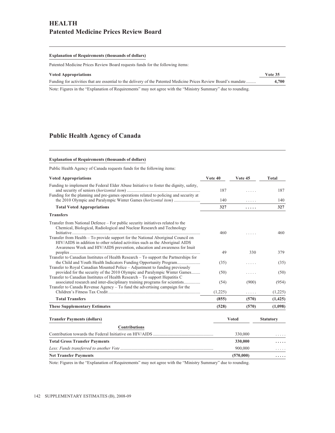## **HEALTH Patented Medicine Prices Review Board**

### **Explanation of Requirements (thousands of dollars)**

Patented Medicine Prices Review Board requests funds for the following items:

| <b>Voted Appropriations</b>                                                                                      | Vote 35 |
|------------------------------------------------------------------------------------------------------------------|---------|
| Funding for activities that are essential to the delivery of the Patented Medicine Prices Review Board's mandate | 4.700   |
| Note: Figures in the "Explanation of Requirements" may not agree with the "Ministry Summary" due to rounding.    |         |

### **Public Health Agency of Canada**

### **Explanation of Requirements (thousands of dollars)**

Public Health Agency of Canada requests funds for the following items:

| <b>Voted Appropriations</b>                                                                                                                                                                                                                                                                                                   | Vote 40 | Vote 45      | <b>Total</b>     |
|-------------------------------------------------------------------------------------------------------------------------------------------------------------------------------------------------------------------------------------------------------------------------------------------------------------------------------|---------|--------------|------------------|
| Funding to implement the Federal Elder Abuse Initiative to foster the dignity, safety,<br>Funding for the planning and pre-games operations related to policing and security at                                                                                                                                               | 187     | .            | 187              |
|                                                                                                                                                                                                                                                                                                                               | 140     | .            | 140              |
| <b>Total Voted Appropriations</b>                                                                                                                                                                                                                                                                                             | 327     | .            | 327              |
| <b>Transfers</b>                                                                                                                                                                                                                                                                                                              |         |              |                  |
| Transfer from National Defence – For public security initiatives related to the<br>Chemical, Biological, Radiological and Nuclear Research and Technology<br>Transfer from Health – To provide support for the National Aboriginal Council on<br>HIV/AIDS in addition to other related activities such as the Aboriginal AIDS | 460     |              | 460              |
| Awareness Week and HIV/AIDS prevention, education and awareness for Inuit<br>Transfer to Canadian Institutes of Health Research – To support the Partnerships for                                                                                                                                                             | 49      | 330          | 379              |
|                                                                                                                                                                                                                                                                                                                               | (35)    | .            | (35)             |
| Transfer to Royal Canadian Mounted Police – Adjustment to funding previously<br>provided for the security of the 2010 Olympic and Paralympic Winter Games<br>Transfer to Canadian Institutes of Health Research - To support Hepatitis C                                                                                      | (50)    | .            | (50)             |
| associated research and inter-disciplinary training programs for scientists<br>Transfer to Canada Revenue Agency – To fund the advertising campaign for the                                                                                                                                                                   | (54)    | (900)        | (954)            |
|                                                                                                                                                                                                                                                                                                                               | (1,225) | .            | (1,225)          |
| <b>Total Transfers</b>                                                                                                                                                                                                                                                                                                        | (855)   | (570)        | (1, 425)         |
| <b>These Supplementary Estimates</b>                                                                                                                                                                                                                                                                                          | (528)   | (570)        | (1,098)          |
| <b>Transfer Payments (dollars)</b>                                                                                                                                                                                                                                                                                            |         | <b>Voted</b> | <b>Statutory</b> |
| <b>Contributions</b>                                                                                                                                                                                                                                                                                                          |         |              |                  |
|                                                                                                                                                                                                                                                                                                                               |         | 330,000      |                  |
| <b>Total Gross Transfer Payments</b>                                                                                                                                                                                                                                                                                          |         | 330,000      |                  |
|                                                                                                                                                                                                                                                                                                                               |         | 900,000      |                  |
| <b>Net Transfer Payments</b>                                                                                                                                                                                                                                                                                                  |         | (570,000)    | .                |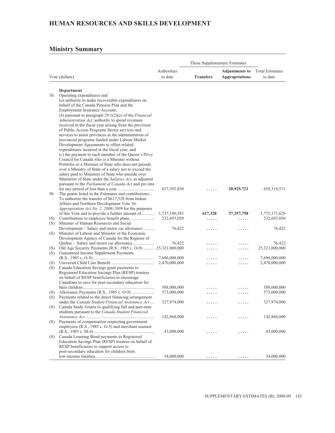## **HUMAN RESOURCES AND SKILLS DEVELOPMENT**

|     |                                                                                                              |               |                  | These Supplementary Estimates |                        |  |  |
|-----|--------------------------------------------------------------------------------------------------------------|---------------|------------------|-------------------------------|------------------------|--|--|
|     |                                                                                                              | Authorities   |                  | <b>Adjustments to</b>         | <b>Total Estimates</b> |  |  |
|     | Vote (dollars)                                                                                               | to date       | <b>Transfers</b> | <b>Appropriations</b>         | to date                |  |  |
|     |                                                                                                              |               |                  |                               |                        |  |  |
| 1b  | Department<br>Operating expenditures and                                                                     |               |                  |                               |                        |  |  |
|     |                                                                                                              |               |                  |                               |                        |  |  |
|     | $(a)$ authority to make recoverable expenditures on                                                          |               |                  |                               |                        |  |  |
|     | behalf of the Canada Pension Plan and the                                                                    |               |                  |                               |                        |  |  |
|     | Employment Insurance Account;<br>(b) pursuant to paragraph $29.1(2)(a)$ of the <i>Financial</i>              |               |                  |                               |                        |  |  |
|     | Administration Act, authority to spend revenues                                                              |               |                  |                               |                        |  |  |
|     | received in the fiscal year arising from the provision                                                       |               |                  |                               |                        |  |  |
|     | of Public Access Programs Sector services and                                                                |               |                  |                               |                        |  |  |
|     | services to assist provinces in the administration of                                                        |               |                  |                               |                        |  |  |
|     | provincial programs funded under Labour Market                                                               |               |                  |                               |                        |  |  |
|     | Development Agreements to offset related                                                                     |               |                  |                               |                        |  |  |
|     | expenditures incurred in the fiscal year; and                                                                |               |                  |                               |                        |  |  |
|     | $(c)$ the payment to each member of the Queen's Privy                                                        |               |                  |                               |                        |  |  |
|     | Council for Canada who is a Minister without                                                                 |               |                  |                               |                        |  |  |
|     | Portfolio or a Minister of State who does not preside                                                        |               |                  |                               |                        |  |  |
|     | over a Ministry of State of a salary not to exceed the                                                       |               |                  |                               |                        |  |  |
|     | salary paid to Ministers of State who preside over                                                           |               |                  |                               |                        |  |  |
|     | Ministries of State under the Salaries Act, as adjusted                                                      |               |                  |                               |                        |  |  |
|     | pursuant to the Parliament of Canada Act and pro rata                                                        |               |                  |                               |                        |  |  |
|     |                                                                                                              | 637, 393, 850 | .                | 20,925,721                    | 658,319,571            |  |  |
| 5b  | The grants listed in the Estimates and contributions -<br>To authorize the transfer of \$617,328 from Indian |               |                  |                               |                        |  |  |
|     | Affairs and Northern Development Vote 10,                                                                    |               |                  |                               |                        |  |  |
|     | Appropriation Act No. 2, 2008-2009 for the purposes                                                          |               |                  |                               |                        |  |  |
|     | of this Vote and to provide a further amount of                                                              | 1,737,196,543 | 617,328          | 37, 357, 758                  | 1,775,171,629          |  |  |
| (S) |                                                                                                              | 232,693,050   | .                | .                             | 232,693,050            |  |  |
| (S) | Minister of Human Resources and Social                                                                       |               |                  |                               |                        |  |  |
|     | Development – Salary and motor car allowance                                                                 | 76,422        | .                | .                             | 76,422                 |  |  |
| (S) | Minister of Labour and Minister of the Economic                                                              |               |                  |                               |                        |  |  |
|     | Development Agency of Canada for the Regions of                                                              |               |                  |                               |                        |  |  |
|     |                                                                                                              | 76,422        |                  |                               | 76,422                 |  |  |
| (S) | Old Age Security Payments (R.S., 1985 c. O-9)  25,321,000,000                                                |               |                  | .                             | 25,321,000,000         |  |  |
| (S) | Guaranteed Income Supplement Payments                                                                        |               |                  |                               |                        |  |  |
|     |                                                                                                              | 7,696,000,000 |                  |                               | 7,696,000,000          |  |  |
| (S) |                                                                                                              | 2,470,000,000 | .                | .                             | 2,470,000,000          |  |  |
| (S) | Canada Education Savings grant payments to<br>Registered Education Savings Plan (RESP) trustees              |               |                  |                               |                        |  |  |
|     | on behalf of RESP beneficiaries to encourage                                                                 |               |                  |                               |                        |  |  |
|     | Canadians to save for post-secondary education for                                                           |               |                  |                               |                        |  |  |
|     |                                                                                                              | 588,000,000   |                  |                               | 588,000,000            |  |  |
| (S) |                                                                                                              | 573,000,000   |                  |                               | 573,000,000            |  |  |
| (S) | Payments related to the direct financing arrangement                                                         |               |                  |                               |                        |  |  |
|     | under the Canada Student Financial Assistance Act                                                            | 327,974,000   |                  |                               | 327,974,000            |  |  |
| (S) | Canada Study Grants to qualifying full and part-time                                                         |               |                  |                               |                        |  |  |
|     | students pursuant to the Canada Student Financial                                                            |               |                  |                               |                        |  |  |
|     |                                                                                                              | 142,868,000   |                  |                               | 142,868,000            |  |  |
| (S) | Payments of compensation respecting government                                                               |               |                  |                               |                        |  |  |
|     | employees (R.S., 1985 c. G-5) and merchant seamen                                                            |               |                  |                               |                        |  |  |
|     |                                                                                                              | 43,000,000    |                  |                               | 43,000,000             |  |  |
| (S) | Canada Learning Bond payments to Registered<br>Education Savings Plan (RESP) trustees on behalf of           |               |                  |                               |                        |  |  |
|     | RESP beneficiaries to support access to                                                                      |               |                  |                               |                        |  |  |
|     | post-secondary education for children from                                                                   |               |                  |                               |                        |  |  |
|     |                                                                                                              | 34,000,000    | .                | .                             | 34,000,000             |  |  |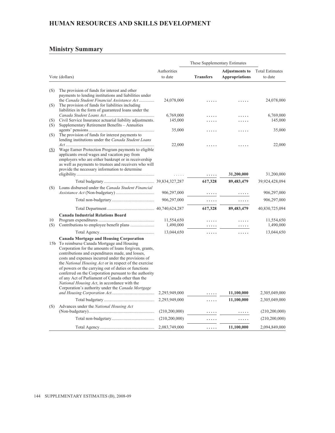### **HUMAN RESOURCES AND SKILLS DEVELOPMENT**

|                 |                                                                                                                                                                                                                                                                                                                                                                                                                                                                                                                                                                                                              |                      | These Supplementary Estimates |                       |                        |
|-----------------|--------------------------------------------------------------------------------------------------------------------------------------------------------------------------------------------------------------------------------------------------------------------------------------------------------------------------------------------------------------------------------------------------------------------------------------------------------------------------------------------------------------------------------------------------------------------------------------------------------------|----------------------|-------------------------------|-----------------------|------------------------|
|                 |                                                                                                                                                                                                                                                                                                                                                                                                                                                                                                                                                                                                              | Authorities          |                               | <b>Adjustments to</b> | <b>Total Estimates</b> |
|                 | Vote (dollars)                                                                                                                                                                                                                                                                                                                                                                                                                                                                                                                                                                                               | to date              | <b>Transfers</b>              | <b>Appropriations</b> | to date                |
|                 |                                                                                                                                                                                                                                                                                                                                                                                                                                                                                                                                                                                                              |                      |                               |                       |                        |
| (S)             | The provision of funds for interest and other<br>payments to lending institutions and liabilities under<br>the Canada Student Financial Assistance Act                                                                                                                                                                                                                                                                                                                                                                                                                                                       | 24,078,000           |                               |                       | 24,078,000             |
| (S)             | The provision of funds for liabilities including<br>liabilities in the form of guaranteed loans under the                                                                                                                                                                                                                                                                                                                                                                                                                                                                                                    |                      |                               |                       |                        |
| (S)             | Civil Service Insurance actuarial liability adjustments.                                                                                                                                                                                                                                                                                                                                                                                                                                                                                                                                                     | 6,769,000<br>145,000 |                               |                       | 6,769,000<br>145,000   |
| (S)             | Supplementary Retirement Benefits - Annuities                                                                                                                                                                                                                                                                                                                                                                                                                                                                                                                                                                |                      | .                             | .                     |                        |
| (S)             | The provision of funds for interest payments to                                                                                                                                                                                                                                                                                                                                                                                                                                                                                                                                                              | 35,000               | .                             | .                     | 35,000                 |
| (S)             | lending institutions under the Canada Student Loans<br>Wage Earner Protection Program payments to eligible                                                                                                                                                                                                                                                                                                                                                                                                                                                                                                   | 22,000               |                               |                       | 22,000                 |
|                 | applicants owed wages and vacation pay from<br>employers who are either bankrupt or in receivership<br>as well as payments to trustees and receivers who will<br>provide the necessary information to determine                                                                                                                                                                                                                                                                                                                                                                                              |                      |                               | 31,200,000            | 31,200,000             |
|                 |                                                                                                                                                                                                                                                                                                                                                                                                                                                                                                                                                                                                              |                      | .                             |                       |                        |
|                 |                                                                                                                                                                                                                                                                                                                                                                                                                                                                                                                                                                                                              |                      | 617,328                       | 89,483,479            | 39,924,428,094         |
| (S)             | Loans disbursed under the Canada Student Financial                                                                                                                                                                                                                                                                                                                                                                                                                                                                                                                                                           | 906,297,000          | .                             | .                     | 906,297,000            |
|                 |                                                                                                                                                                                                                                                                                                                                                                                                                                                                                                                                                                                                              | 906,297,000          | .                             | .                     | 906,297,000            |
|                 |                                                                                                                                                                                                                                                                                                                                                                                                                                                                                                                                                                                                              |                      | 617,328                       | 89,483,479            | 40,830,725,094         |
|                 | <b>Canada Industrial Relations Board</b>                                                                                                                                                                                                                                                                                                                                                                                                                                                                                                                                                                     |                      |                               |                       |                        |
| 10              |                                                                                                                                                                                                                                                                                                                                                                                                                                                                                                                                                                                                              | 11,554,650           | .                             |                       | 11,554,650             |
| (S)             |                                                                                                                                                                                                                                                                                                                                                                                                                                                                                                                                                                                                              | 1,490,000            | .                             | .                     | 1,490,000              |
|                 |                                                                                                                                                                                                                                                                                                                                                                                                                                                                                                                                                                                                              | 13,044,650           | .                             | .                     | 13,044,650             |
| 15 <sub>b</sub> | <b>Canada Mortgage and Housing Corporation</b><br>To reimburse Canada Mortgage and Housing<br>Corporation for the amounts of loans forgiven, grants,<br>contributions and expenditures made, and losses,<br>costs and expenses incurred under the provisions of<br>the <i>National Housing Act</i> or in respect of the exercise<br>of powers or the carrying out of duties or functions<br>conferred on the Corporation pursuant to the authority<br>of any Act of Parliament of Canada other than the<br>National Housing Act, in accordance with the<br>Corporation's authority under the Canada Mortgage |                      |                               |                       |                        |
|                 |                                                                                                                                                                                                                                                                                                                                                                                                                                                                                                                                                                                                              | 2,293,949,000        |                               | 11,100,000            | 2,305,049,000          |
|                 |                                                                                                                                                                                                                                                                                                                                                                                                                                                                                                                                                                                                              | 2,293,949,000        | .                             | 11,100,000            | 2,305,049,000          |
| (S)             | Advances under the National Housing Act                                                                                                                                                                                                                                                                                                                                                                                                                                                                                                                                                                      | (210, 200, 000)      | .                             | .                     | (210, 200, 000)        |
|                 |                                                                                                                                                                                                                                                                                                                                                                                                                                                                                                                                                                                                              | (210,200,000)        | .                             | .                     | (210,200,000)          |
|                 |                                                                                                                                                                                                                                                                                                                                                                                                                                                                                                                                                                                                              | 2,083,749,000        | .                             | 11,100,000            | 2,094,849,000          |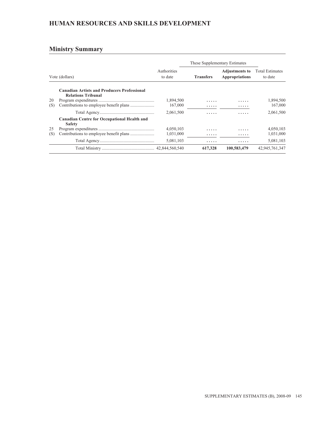# **HUMAN RESOURCES AND SKILLS DEVELOPMENT**

|     |                                                                                 |                        | These Supplementary Estimates |                                         |                                   |
|-----|---------------------------------------------------------------------------------|------------------------|-------------------------------|-----------------------------------------|-----------------------------------|
|     | Vote (dollars)                                                                  | Authorities<br>to date | <b>Transfers</b>              | <b>Adjustments to</b><br>Appropriations | <b>Total Estimates</b><br>to date |
|     | <b>Canadian Artists and Producers Professional</b><br><b>Relations Tribunal</b> |                        |                               |                                         |                                   |
| 20  |                                                                                 | 1,894,500              | .                             | .                                       | 1,894,500                         |
| (S) |                                                                                 | 167,000                | .                             | .                                       | 167,000                           |
|     |                                                                                 | 2,061,500              | .                             | .                                       | 2,061,500                         |
|     | <b>Canadian Centre for Occupational Health and</b><br><b>Safety</b>             |                        |                               |                                         |                                   |
| 25  |                                                                                 | 4,050,103              | .                             | .                                       | 4,050,103                         |
| (S) |                                                                                 | 1,031,000              | .                             | .                                       | 1,031,000                         |
|     |                                                                                 | 5,081,103              | .                             | .                                       | 5,081,103                         |
|     |                                                                                 |                        | 617,328                       | 100,583,479                             | 42,945,761,347                    |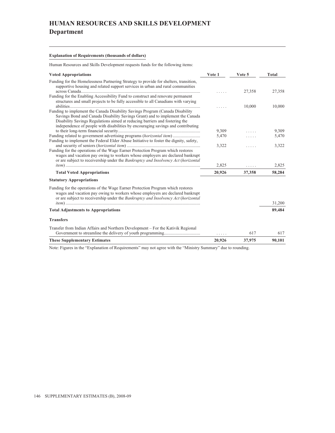# **HUMAN RESOURCES AND SKILLS DEVELOPMENT Department**

### **Explanation of Requirements (thousands of dollars)**

Human Resources and Skills Development requests funds for the following items:

| <b>Voted Appropriations</b>                                                                                                                                                                                                                                                                                                       | Vote 1   | Vote 5 | <b>Total</b> |
|-----------------------------------------------------------------------------------------------------------------------------------------------------------------------------------------------------------------------------------------------------------------------------------------------------------------------------------|----------|--------|--------------|
| Funding for the Homelessness Partnering Strategy to provide for shelters, transition,<br>supportive housing and related support services in urban and rural communities                                                                                                                                                           |          | 27,358 | 27,358       |
| Funding for the Enabling Accessibility Fund to construct and renovate permanent<br>structures and small projects to be fully accessible to all Canadians with varying                                                                                                                                                             |          | 10,000 | 10,000       |
| Funding to implement the Canada Disability Savings Program (Canada Disability<br>Savings Bond and Canada Disability Savings Grant) and to implement the Canada<br>Disability Savings Regulations aimed at reducing barriers and fostering the<br>independence of people with disabilities by encouraging savings and contributing |          |        |              |
|                                                                                                                                                                                                                                                                                                                                   | 9,309    |        | 9,309        |
| Funding related to government advertising programs (horizontal item)<br>Funding to implement the Federal Elder Abuse Initiative to foster the dignity, safety,                                                                                                                                                                    | 5,470    |        | 5,470        |
| Funding for the operations of the Wage Earner Protection Program which restores<br>wages and vacation pay owing to workers whose employers are declared bankrupt<br>or are subject to receivership under the Bankruptcy and Insolvency Act (horizontal                                                                            | 3,322    | .      | 3,322        |
|                                                                                                                                                                                                                                                                                                                                   | 2,825    | .      | 2,825        |
| <b>Total Voted Appropriations</b>                                                                                                                                                                                                                                                                                                 | 20,926   | 37,358 | 58,284       |
| <b>Statutory Appropriations</b>                                                                                                                                                                                                                                                                                                   |          |        |              |
| Funding for the operations of the Wage Earner Protection Program which restores<br>wages and vacation pay owing to workers whose employers are declared bankrupt<br>or are subject to receivership under the Bankruptcy and Insolvency Act (horizontal                                                                            |          |        |              |
|                                                                                                                                                                                                                                                                                                                                   |          |        | 31,200       |
| <b>Total Adjustments to Appropriations</b>                                                                                                                                                                                                                                                                                        |          |        | 89,484       |
| <b>Transfers</b>                                                                                                                                                                                                                                                                                                                  |          |        |              |
| Transfer from Indian Affairs and Northern Development – For the Kativik Regional                                                                                                                                                                                                                                                  | $\cdots$ | 617    | 617          |
| <b>These Supplementary Estimates</b>                                                                                                                                                                                                                                                                                              | 20,926   | 37,975 | 90,101       |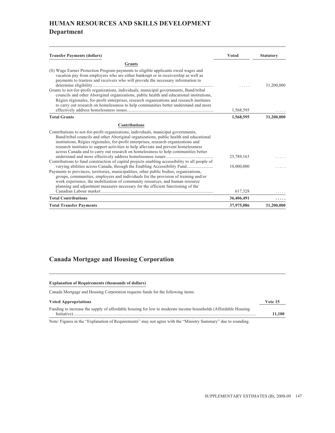# **HUMAN RESOURCES AND SKILLS DEVELOPMENT Department**

| <b>Transfer Payments (dollars)</b>                                                                                                                                                                                                                                                                                                                                                                                                                | <b>Voted</b> | <b>Statutory</b> |
|---------------------------------------------------------------------------------------------------------------------------------------------------------------------------------------------------------------------------------------------------------------------------------------------------------------------------------------------------------------------------------------------------------------------------------------------------|--------------|------------------|
| <b>Grants</b>                                                                                                                                                                                                                                                                                                                                                                                                                                     |              |                  |
| (S) Wage Earner Protection Program payments to eligible applicants owed wages and<br>vacation pay from employers who are either bankrupt or in receivership as well as<br>payments to trustees and receivers who will provide the necessary information to                                                                                                                                                                                        |              | 31,200,000       |
| Grants to not-for-profit organizations, individuals, municipal governments, Band/tribal<br>councils and other Aboriginal organizations, public health and educational institutions,<br>Régies régionales, for-profit enterprises, research organizations and research institutes<br>to carry out research on homelessness to help communities better understand and more                                                                          |              |                  |
|                                                                                                                                                                                                                                                                                                                                                                                                                                                   | 1,568,595    |                  |
| <b>Total Grants</b>                                                                                                                                                                                                                                                                                                                                                                                                                               | 1,568,595    | 31,200,000       |
| <b>Contributions</b>                                                                                                                                                                                                                                                                                                                                                                                                                              |              |                  |
| Contributions to not-for-profit organizations, individuals, municipal governments,<br>Band/tribal councils and other Aboriginal organizations, public health and educational<br>institutions, Régies régionales, for-profit enterprises, research organizations and<br>research institutes to support activities to help alleviate and prevent homelessness<br>across Canada and to carry out research on homelessness to help communities better |              |                  |
| Contributions to fund construction of capital projects enabling accessibility to all people of                                                                                                                                                                                                                                                                                                                                                    | 25,789,163   |                  |
| varying abilities across Canada, through the Enabling Accessibility Fund<br>Payments to provinces, territories, municipalities, other public bodies, organizations,<br>groups, communities, employers and individuals for the provision of training and/or<br>work experience, the mobilization of community resources, and human resource<br>planning and adjustment measures necessary for the efficient functioning of the                     | 10,000,000   |                  |
|                                                                                                                                                                                                                                                                                                                                                                                                                                                   | 617,328      |                  |
| <b>Total Contributions</b>                                                                                                                                                                                                                                                                                                                                                                                                                        | 36,406,491   |                  |
| <b>Total Transfer Payments</b>                                                                                                                                                                                                                                                                                                                                                                                                                    | 37,975,086   | 31,200,000       |

# **Canada Mortgage and Housing Corporation**

### **Explanation of Requirements (thousands of dollars)**

Canada Mortgage and Housing Corporation requests funds for the following items:

| <b>Voted Appropriations</b>                                                                                    | Vote 15 |
|----------------------------------------------------------------------------------------------------------------|---------|
| Funding to increase the supply of affordable housing for low to moderate income households (Affordable Housing |         |
| Initiative)                                                                                                    | 11.100  |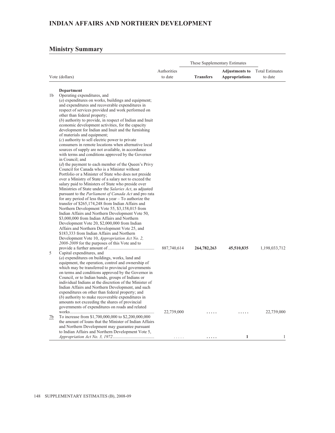# **INDIAN AFFAIRS AND NORTHERN DEVELOPMENT**

|                |                                                                                                           |             | These Supplementary Estimates |                       |                        |
|----------------|-----------------------------------------------------------------------------------------------------------|-------------|-------------------------------|-----------------------|------------------------|
|                |                                                                                                           | Authorities |                               | <b>Adjustments to</b> | <b>Total Estimates</b> |
|                | Vote (dollars)                                                                                            | to date     | <b>Transfers</b>              | <b>Appropriations</b> | to date                |
|                |                                                                                                           |             |                               |                       |                        |
|                | Department                                                                                                |             |                               |                       |                        |
| 1 <sub>b</sub> | Operating expenditures, and                                                                               |             |                               |                       |                        |
|                | $(a)$ expenditures on works, buildings and equipment;<br>and expenditures and recoverable expenditures in |             |                               |                       |                        |
|                | respect of services provided and work performed on                                                        |             |                               |                       |                        |
|                | other than federal property;                                                                              |             |                               |                       |                        |
|                | $(b)$ authority to provide, in respect of Indian and Inuit                                                |             |                               |                       |                        |
|                | economic development activities, for the capacity                                                         |             |                               |                       |                        |
|                | development for Indian and Inuit and the furnishing                                                       |             |                               |                       |                        |
|                | of materials and equipment;                                                                               |             |                               |                       |                        |
|                | $(c)$ authority to sell electric power to private                                                         |             |                               |                       |                        |
|                | consumers in remote locations when alternative local                                                      |             |                               |                       |                        |
|                | sources of supply are not available, in accordance                                                        |             |                               |                       |                        |
|                | with terms and conditions approved by the Governor                                                        |             |                               |                       |                        |
|                | in Council; and<br>(d) the payment to each member of the Queen's Privy                                    |             |                               |                       |                        |
|                | Council for Canada who is a Minister without                                                              |             |                               |                       |                        |
|                | Portfolio or a Minister of State who does not preside                                                     |             |                               |                       |                        |
|                | over a Ministry of State of a salary not to exceed the                                                    |             |                               |                       |                        |
|                | salary paid to Ministers of State who preside over                                                        |             |                               |                       |                        |
|                | Ministries of State under the <i>Salaries Act</i> , as adjusted                                           |             |                               |                       |                        |
|                | pursuant to the <i>Parliament of Canada Act</i> and pro rata                                              |             |                               |                       |                        |
|                | for any period of less than a year $-$ To authorize the                                                   |             |                               |                       |                        |
|                | transfer of \$265,174,248 from Indian Affairs and                                                         |             |                               |                       |                        |
|                | Northern Development Vote 55, \$3,158,015 from<br>Indian Affairs and Northern Development Vote 50,        |             |                               |                       |                        |
|                | \$3,000,000 from Indian Affairs and Northern                                                              |             |                               |                       |                        |
|                | Development Vote 20, \$2,000,000 from Indian                                                              |             |                               |                       |                        |
|                | Affairs and Northern Development Vote 25, and                                                             |             |                               |                       |                        |
|                | \$183,333 from Indian Affairs and Northern                                                                |             |                               |                       |                        |
|                | Development Vote 10, Appropriation Act No. 2,                                                             |             |                               |                       |                        |
|                | 2008-2009 for the purposes of this Vote and to                                                            |             |                               |                       |                        |
|                |                                                                                                           | 887,740,614 | 264,782,263                   | 45,510,835            | 1,198,033,712          |
| 5              | Capital expenditures, and                                                                                 |             |                               |                       |                        |
|                | $(a)$ expenditures on buildings, works, land and                                                          |             |                               |                       |                        |
|                | equipment, the operation, control and ownership of<br>which may be transferred to provincial governments  |             |                               |                       |                        |
|                | on terms and conditions approved by the Governor in                                                       |             |                               |                       |                        |
|                | Council, or to Indian bands, groups of Indians or                                                         |             |                               |                       |                        |
|                | individual Indians at the discretion of the Minister of                                                   |             |                               |                       |                        |
|                | Indian Affairs and Northern Development, and such                                                         |             |                               |                       |                        |
|                | expenditures on other than federal property; and                                                          |             |                               |                       |                        |
|                | $(b)$ authority to make recoverable expenditures in                                                       |             |                               |                       |                        |
|                | amounts not exceeding the shares of provincial                                                            |             |                               |                       |                        |
|                | governments of expenditures on roads and related                                                          |             |                               |                       |                        |
| 7b             | To increase from \$1,700,000,000 to \$2,200,000,000                                                       | 22,739,000  |                               |                       | 22,739,000             |
|                | the amount of loans that the Minister of Indian Affairs                                                   |             |                               |                       |                        |
|                | and Northern Development may guarantee pursuant                                                           |             |                               |                       |                        |
|                | to Indian Affairs and Northern Development Vote 5,                                                        |             |                               |                       |                        |
|                |                                                                                                           |             |                               | 1                     | 1                      |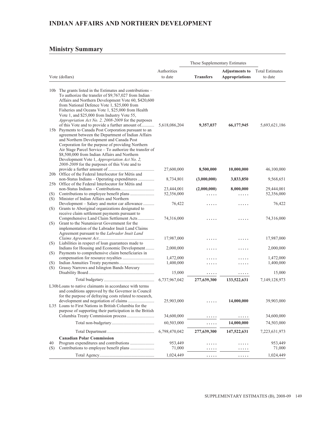# **INDIAN AFFAIRS AND NORTHERN DEVELOPMENT**

# **Ministry Summary**

|           |                                                                                                                                                                                                                                                                                                                                                                                                                                                                                           |                        | These Supplementary Estimates |                                                |                                   |
|-----------|-------------------------------------------------------------------------------------------------------------------------------------------------------------------------------------------------------------------------------------------------------------------------------------------------------------------------------------------------------------------------------------------------------------------------------------------------------------------------------------------|------------------------|-------------------------------|------------------------------------------------|-----------------------------------|
|           | Vote (dollars)                                                                                                                                                                                                                                                                                                                                                                                                                                                                            | Authorities<br>to date | <b>Transfers</b>              | <b>Adjustments to</b><br><b>Appropriations</b> | <b>Total Estimates</b><br>to date |
|           |                                                                                                                                                                                                                                                                                                                                                                                                                                                                                           |                        |                               |                                                |                                   |
|           | 10b The grants listed in the Estimates and contributions –<br>To authorize the transfer of \$9,767,027 from Indian<br>Affairs and Northern Development Vote 60, \$420,600<br>from National Defence Vote 1, \$25,000 from<br>Fisheries and Oceans Vote 1, \$25,000 from Health<br>Vote 1, and \$25,000 from Industry Vote 55,                                                                                                                                                              |                        |                               |                                                |                                   |
|           | <i>Appropriation Act No. 2, 2008-2009</i> for the purposes<br>of this Vote and to provide a further amount of<br>15b Payments to Canada Post Corporation pursuant to an<br>agreement between the Department of Indian Affairs<br>and Northern Development and Canada Post<br>Corporation for the purpose of providing Northern<br>Air Stage Parcel Service - To authorize the transfer of<br>\$8,500,000 from Indian Affairs and Northern<br>Development Vote 1, Appropriation Act No. 2, | 5,618,086,204          | 9,357,037                     | 66,177,945                                     | 5,693,621,186                     |
|           | 2008-2009 for the purposes of this Vote and to                                                                                                                                                                                                                                                                                                                                                                                                                                            | 27,600,000             | 8,500,000                     | 10,000,000                                     | 46,100,000                        |
|           | 20b Office of the Federal Interlocutor for Métis and                                                                                                                                                                                                                                                                                                                                                                                                                                      |                        |                               |                                                |                                   |
|           | non-Status Indians - Operating expenditures<br>25b Office of the Federal Interlocutor for Métis and                                                                                                                                                                                                                                                                                                                                                                                       | 8,734,801              | (3,000,000)                   | 3,833,850                                      | 9,568,651                         |
|           |                                                                                                                                                                                                                                                                                                                                                                                                                                                                                           | 23,444,001             | (2,000,000)                   | 8,000,000                                      | 29,444,001                        |
| (S)       | Contributions to employee benefit plans                                                                                                                                                                                                                                                                                                                                                                                                                                                   | 52,356,000             |                               |                                                | 52,356,000                        |
| (S)       | Minister of Indian Affairs and Northern                                                                                                                                                                                                                                                                                                                                                                                                                                                   |                        |                               |                                                |                                   |
|           | Development – Salary and motor car allowance                                                                                                                                                                                                                                                                                                                                                                                                                                              | 76,422                 | .                             | .                                              | 76,422                            |
| (S)       | Grants to Aboriginal organizations designated to                                                                                                                                                                                                                                                                                                                                                                                                                                          |                        |                               |                                                |                                   |
|           | receive claim settlement payments pursuant to                                                                                                                                                                                                                                                                                                                                                                                                                                             |                        |                               |                                                |                                   |
|           | Comprehensive Land Claim Settlement Acts                                                                                                                                                                                                                                                                                                                                                                                                                                                  | 74,316,000             |                               |                                                | 74,316,000                        |
| (S)       | Grant to the Nunatsiavut Government for the                                                                                                                                                                                                                                                                                                                                                                                                                                               |                        |                               |                                                |                                   |
|           | implementation of the Labrador Inuit Land Claims                                                                                                                                                                                                                                                                                                                                                                                                                                          |                        |                               |                                                |                                   |
|           | Agreement pursuant to the <i>Labrador Inuit Land</i>                                                                                                                                                                                                                                                                                                                                                                                                                                      |                        |                               |                                                |                                   |
|           |                                                                                                                                                                                                                                                                                                                                                                                                                                                                                           | 17,987,000             |                               |                                                | 17,987,000                        |
| (S)       | Liabilities in respect of loan guarantees made to                                                                                                                                                                                                                                                                                                                                                                                                                                         |                        |                               |                                                | 2,000,000                         |
| (S)       | Indians for Housing and Economic Development<br>Payments to comprehensive claim beneficiaries in                                                                                                                                                                                                                                                                                                                                                                                          | 2,000,000              |                               |                                                |                                   |
|           |                                                                                                                                                                                                                                                                                                                                                                                                                                                                                           | 1,472,000              |                               |                                                | 1,472,000                         |
| (S)       |                                                                                                                                                                                                                                                                                                                                                                                                                                                                                           | 1,400,000              |                               |                                                | 1,400,000                         |
| (S)       | Grassy Narrows and Islington Bands Mercury                                                                                                                                                                                                                                                                                                                                                                                                                                                |                        |                               |                                                |                                   |
|           |                                                                                                                                                                                                                                                                                                                                                                                                                                                                                           | 15,000                 | .                             | .                                              | 15,000                            |
|           |                                                                                                                                                                                                                                                                                                                                                                                                                                                                                           | 6,737,967,042          | 277,639,300                   | 133,522,631                                    | 7,149,128,973                     |
|           |                                                                                                                                                                                                                                                                                                                                                                                                                                                                                           |                        |                               |                                                |                                   |
|           | L30b Loans to native claimants in accordance with terms<br>and conditions approved by the Governor in Council<br>for the purpose of defraying costs related to research,<br>L35 Loans to First Nations in British Columbia for the                                                                                                                                                                                                                                                        | 25,903,000             |                               | 14,000,000                                     | 39,903,000                        |
|           | purpose of supporting their participation in the British                                                                                                                                                                                                                                                                                                                                                                                                                                  |                        |                               |                                                |                                   |
|           |                                                                                                                                                                                                                                                                                                                                                                                                                                                                                           | 34,600,000             |                               |                                                | 34,600,000                        |
|           |                                                                                                                                                                                                                                                                                                                                                                                                                                                                                           | 60,503,000             |                               | 14,000,000                                     | 74,503,000                        |
|           |                                                                                                                                                                                                                                                                                                                                                                                                                                                                                           |                        | .                             |                                                |                                   |
|           |                                                                                                                                                                                                                                                                                                                                                                                                                                                                                           | 6,798,470,042          | 277,639,300                   | 147,522,631                                    | 7,223,631,973                     |
|           | <b>Canadian Polar Commission</b>                                                                                                                                                                                                                                                                                                                                                                                                                                                          |                        |                               |                                                |                                   |
| 40<br>(S) |                                                                                                                                                                                                                                                                                                                                                                                                                                                                                           | 953,449<br>71,000      | .                             |                                                | 953,449<br>71,000                 |
|           |                                                                                                                                                                                                                                                                                                                                                                                                                                                                                           |                        | .                             | .                                              |                                   |
|           |                                                                                                                                                                                                                                                                                                                                                                                                                                                                                           | 1,024,449              | .                             | .                                              | 1,024,449                         |

<u> 1980 - Johann Barbara, martxa alemaniar a</u>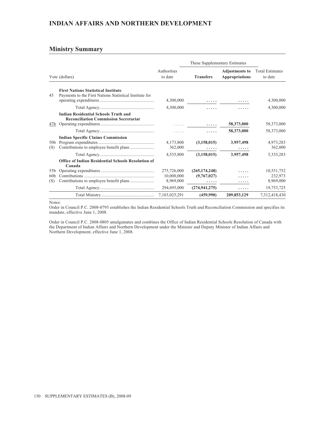### **INDIAN AFFAIRS AND NORTHERN DEVELOPMENT**

### **Ministry Summary**

|                                           |                                                                                                       |                                        | These Supplementary Estimates       |                                                |                                    |
|-------------------------------------------|-------------------------------------------------------------------------------------------------------|----------------------------------------|-------------------------------------|------------------------------------------------|------------------------------------|
|                                           | Vote (dollars)                                                                                        | Authorities<br>to date                 | <b>Transfers</b>                    | <b>Adjustments to</b><br><b>Appropriations</b> | <b>Total Estimates</b><br>to date  |
| 45                                        | <b>First Nations Statistical Institute</b><br>Payments to the First Nations Statistical Institute for | 4,300,000                              |                                     |                                                | 4,300,000                          |
|                                           |                                                                                                       | 4,300,000                              |                                     |                                                | 4,300,000                          |
| 47b                                       | <b>Indian Residential Schools Truth and</b><br><b>Reconciliation Commission Secretariat</b>           |                                        |                                     | 58,373,000                                     | 58, 373, 000                       |
|                                           |                                                                                                       | .                                      |                                     | 58,373,000                                     | 58,373,000                         |
| 50b<br>(S)                                | <b>Indian Specific Claims Commission</b>                                                              | 4,173,800<br>362,000                   | (3,158,015)                         | 3,957,498                                      | 4,973,283<br>362,000               |
|                                           |                                                                                                       | 4,535,800                              | (3,158,015)                         | 3,957,498                                      | 5,335,283                          |
|                                           | <b>Office of Indian Residential Schools Resolution of</b><br>Canada                                   |                                        |                                     |                                                |                                    |
| 55 <sub>b</sub><br>60 <sub>b</sub><br>(S) |                                                                                                       | 275,726,000<br>10,000,000<br>8,969,000 | (265, 174, 248)<br>(9,767,027)<br>. |                                                | 10,551,752<br>232,973<br>8,969,000 |
|                                           |                                                                                                       | 294,695,000                            | (274, 941, 275)                     | .                                              | 19,753,725                         |
|                                           |                                                                                                       | 7,103,025,291                          | (459.990)                           | 209,853,129                                    | 7.312.418.430                      |

Notes:

Order in Council P.C. 2008-0793 establishes the Indian Residential Schools Truth and Reconciliation Commission and specifies its mandate, effective June 1, 2008.

Order in Council P.C. 2008-0805 amalgamates and combines the Office of Indian Residential Schools Resolution of Canada with the Department of Indian Affairs and Northern Development under the Minister and Deputy Minister of Indian Affairs and Northern Development, effective June 1, 2008.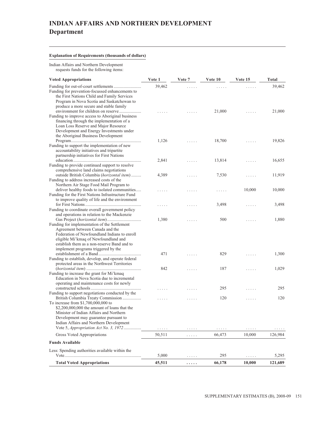### **Explanation of Requirements (thousands of dollars)**

Indian Affairs and Northern Development requests funds for the following items:

| <b>Voted Appropriations</b>                                                                                                                                                                                                                                    | Vote 1     | Vote 7   | Vote 10 | Vote 15    | <b>Total</b> |
|----------------------------------------------------------------------------------------------------------------------------------------------------------------------------------------------------------------------------------------------------------------|------------|----------|---------|------------|--------------|
| Funding for prevention-focussed enhancements to<br>the First Nations Child and Family Services<br>Program in Nova Scotia and Saskatchewan to<br>produce a more secure and stable family                                                                        | 39,462     |          |         | .          | 39,462       |
| Funding to improve access to Aboriginal business<br>financing through the implementation of a<br>Loan Loss Reserve and Major Resource<br>Development and Energy Investments under<br>the Aboriginal Business Development                                       | $\ldots$ . |          | 21,000  | .          | 21,000       |
| Funding to support the implementation of new<br>accountability initiatives and tripartite<br>partnership initiatives for First Nations                                                                                                                         | 1,126      | .        | 18,700  | .          | 19,826       |
| Funding to provide continued support to resolve                                                                                                                                                                                                                | 2,841      | .        | 13,814  | $\ldots$ . | 16,655       |
| comprehensive land claims negotiations<br>outside British Columbia ( <i>horizontal item</i> )<br>Funding to address increased costs of the<br>Northern Air Stage Food Mail Program to                                                                          | 4,389      | .        | 7,530   | .          | 11,919       |
| deliver healthy foods to isolated communities<br>Funding for the First Nations Infrastructure Fund<br>to improve quality of life and the environment                                                                                                           | $\ldots$ . | .        | .       | 10,000     | 10,000       |
| Funding to coordinate overall government policy<br>and operations in relation to the Mackenzie                                                                                                                                                                 |            | .        | 3,498   | .          | 3,498        |
| Funding for implementation of the Settlement<br>Agreement between Canada and the<br>Federation of Newfoundland Indians to enroll<br>eligible Mi'kmaq of Newfoundland and<br>establish them as a non-reserve Band and to<br>implement programs triggered by the | 1,380      | .        | 500     | .          | 1,880        |
| Funding to establish, develop, and operate federal<br>protected areas in the Northwest Territories                                                                                                                                                             | 471        | .        | 829     | .          | 1,300        |
| Funding to increase the grant for Mi'kmaq<br>Education in Nova Scotia due to incremental<br>operating and maintenance costs for newly                                                                                                                          | 842        | .        | 187     | $\cdots$   | 1,029        |
| Funding to support negotiations conducted by the                                                                                                                                                                                                               |            | .        | 295     | .          | 295          |
| British Columbia Treaty Commission<br>To increase from \$1,700,000,000 to<br>$$2,200,000,000$ the amount of loans that the<br>Minister of Indian Affairs and Northern<br>Development may guarantee pursuant to<br>Indian Affairs and Northern Development      |            | .        | 120     | $\cdots$   | 120          |
| Vote 5, Appropriation Act No. 3, 1972                                                                                                                                                                                                                          | .          | .        | .       | .          | .            |
| Gross Voted Appropriations<br><b>Funds Available</b>                                                                                                                                                                                                           | 50,511     | $\cdots$ | 66,473  | 10,000     | 126,984      |
|                                                                                                                                                                                                                                                                |            |          |         |            |              |
| Less: Spending authorities available within the                                                                                                                                                                                                                | 5,000      | .        | 295     | .          | 5,295        |
| <b>Total Voted Appropriations</b>                                                                                                                                                                                                                              | 45,511     | .        | 66,178  | 10,000     | 121,689      |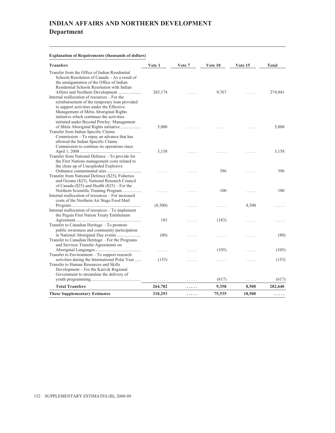**Explanation of Requirements (thousands of dollars)**

| <b>Transfers</b>                                                                                                                                                                                                                                                                                                                                                                                                    | Vote 1  | Vote 7 | Vote 10 | Vote 15  | <b>Total</b> |
|---------------------------------------------------------------------------------------------------------------------------------------------------------------------------------------------------------------------------------------------------------------------------------------------------------------------------------------------------------------------------------------------------------------------|---------|--------|---------|----------|--------------|
| Transfer from the Office of Indian Residential<br>Schools Resolution of Canada - As a result of<br>the amalgamation of the Office of Indian<br>Residential Schools Resolution with Indian<br>Affairs and Northern Development<br>Internal reallocation of resources – For the<br>reimbursement of the temporary loan provided<br>to support activities under the Effective<br>Management of Métis Aboriginal Rights | 265,174 |        | 9,767   |          | 274,941      |
| initiative which continues the activities<br>initiated under Beyond Powley: Management<br>Transfer from Indian Specific Claims                                                                                                                                                                                                                                                                                      | 5,000   |        |         |          | 5,000        |
| Commission – To repay an advance that has<br>allowed the Indian Specific Claims<br>Commission to continue its operations since                                                                                                                                                                                                                                                                                      | 3,158   |        |         | $\cdots$ | 3,158        |
| Transfer from National Defence - To provide for<br>the First Nations management costs related to<br>the clean up of Unexploded Explosive<br>Transfer from National Defence (\$25), Fisheries                                                                                                                                                                                                                        |         | .      | 396     | .        | 396          |
| and Oceans (\$25), National Research Council<br>of Canada (\$25) and Health (\$25) – For the<br>Internal reallocation of resources – For increased                                                                                                                                                                                                                                                                  |         |        | 100     | .        | 100          |
| costs of the Northern Air Stage Food Mail<br>Internal reallocation of resources - To implement                                                                                                                                                                                                                                                                                                                      | (8,500) | .      | .       | 8,500    |              |
| the Peguis First Nation Treaty Entitlement<br>Transfer to Canadian Heritage - To promote                                                                                                                                                                                                                                                                                                                            | 183     | .      | (183)   | .        |              |
| public awareness and community participation<br>in National Aboriginal Day events<br>Transfer to Canadian Heritage - For the Programs                                                                                                                                                                                                                                                                               | (80)    | .      | .       | .        | (80)         |
| and Services Transfer Agreements on                                                                                                                                                                                                                                                                                                                                                                                 | .       | .      | (105)   | .        | (105)        |
| Transfer to Environment - To support research<br>activities during the International Polar Year<br>Transfer to Human Resources and Skills                                                                                                                                                                                                                                                                           | (153)   |        | .       | .        | (153)        |
| Development – For the Kativik Regional<br>Government to streamline the delivery of                                                                                                                                                                                                                                                                                                                                  | .       | .      | (617)   | .        | (617)        |
| <b>Total Transfers</b>                                                                                                                                                                                                                                                                                                                                                                                              | 264,782 | .      | 9,358   | 8,500    | 282,640      |
| <b>These Supplementary Estimates</b>                                                                                                                                                                                                                                                                                                                                                                                | 310,293 | .      | 75,535  | 18,500   | .            |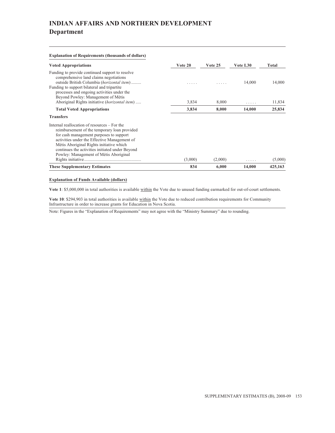| <b>Explanation of Requirements (thousands of dollars)</b>                                                                                                                                                                                                                                                                             |         |         |          |         |
|---------------------------------------------------------------------------------------------------------------------------------------------------------------------------------------------------------------------------------------------------------------------------------------------------------------------------------------|---------|---------|----------|---------|
| <b>Voted Appropriations</b>                                                                                                                                                                                                                                                                                                           | Vote 20 | Vote 25 | Vote L30 | Total   |
| Funding to provide continued support to resolve<br>comprehensive land claims negotiations<br>outside British Columbia (horizontal item)<br>Funding to support bilateral and tripartite<br>processes and ongoing activities under the<br>Beyond Powley: Management of Métis<br>Aboriginal Rights initiative ( <i>horizontal item</i> ) | 3,834   | 8,000   | 14,000   | 14,000  |
|                                                                                                                                                                                                                                                                                                                                       |         |         | .        | 11,834  |
| <b>Total Voted Appropriations</b>                                                                                                                                                                                                                                                                                                     | 3,834   | 8,000   | 14,000   | 25,834  |
| <b>Transfers</b>                                                                                                                                                                                                                                                                                                                      |         |         |          |         |
| Internal reallocation of resources – For the<br>reimbursement of the temporary loan provided<br>for cash management purposes to support<br>activities under the Effective Management of<br>Métis Aboriginal Rights initiative which<br>continues the activities initiated under Beyond<br>Powley: Management of Métis Aboriginal      | (3,000) | (2,000) | .        | (5,000) |
| <b>These Supplementary Estimates</b>                                                                                                                                                                                                                                                                                                  | 834     | 6,000   | 14,000   | 425,163 |

### **Explanation of Funds Available (dollars)**

**Vote 1**: \$5,000,000 in total authorities is available within the Vote due to unused funding earmarked for out-of-court settlements.

**Vote 10**: \$294,903 in total authorities is available within the Vote due to reduced contribution requirements for Community Infrastructure in order to increase grants for Education in Nova Scotia.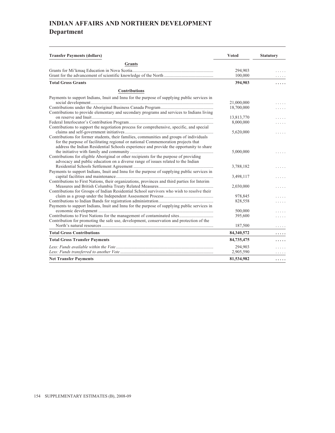| <b>Transfer Payments (dollars)</b>                                                           | <b>Voted</b> | <b>Statutory</b> |
|----------------------------------------------------------------------------------------------|--------------|------------------|
| Grants                                                                                       |              |                  |
|                                                                                              | 294,903      |                  |
|                                                                                              | 100,000      |                  |
| <b>Total Gross Grants</b>                                                                    | 394,903      |                  |
| <b>Contributions</b>                                                                         |              |                  |
| Payments to support Indians, Inuit and Innu for the purpose of supplying public services in  |              |                  |
|                                                                                              | 21,000,000   |                  |
|                                                                                              | 18,700,000   |                  |
| Contributions to provide elementary and secondary programs and services to Indians living    |              |                  |
|                                                                                              | 13,813,770   |                  |
|                                                                                              | 8,000,000    |                  |
| Contributions to support the negotiation process for comprehensive, specific, and special    |              |                  |
|                                                                                              | 5,620,000    |                  |
| Contributions for former students, their families, communities and groups of individuals     |              |                  |
| for the purpose of facilitating regional or national Commemoration projects that             |              |                  |
| address the Indian Residential Schools experience and provide the opportunity to share       |              |                  |
|                                                                                              | 5,000,000    |                  |
| Contributions for eligible Aboriginal or other recipients for the purpose of providing       |              |                  |
| advocacy and public education on a diverse range of issues related to the Indian             |              |                  |
|                                                                                              | 3,788,182    |                  |
| Payments to support Indians, Inuit and Innu for the purpose of supplying public services in  |              |                  |
|                                                                                              | 3,498,117    |                  |
| Contributions to First Nations, their organizations, provinces and third parties for Interim |              |                  |
|                                                                                              | 2,030,000    |                  |
| Contributions for Groups of Indian Residential School survivors who wish to resolve their    |              |                  |
|                                                                                              | 978,845      |                  |
|                                                                                              | 828,558      |                  |
| Payments to support Indians, Inuit and Innu for the purpose of supplying public services in  |              |                  |
|                                                                                              | 500,000      |                  |
| Contributions to First Nations for the management of contaminated sites                      | 395,600      |                  |
| Contribution for promoting the safe use, development, conservation and protection of the     |              |                  |
|                                                                                              | 187,500      |                  |
| <b>Total Gross Contributions</b>                                                             | 84,340,572   |                  |
| <b>Total Gross Transfer Payments</b>                                                         | 84,735,475   |                  |
|                                                                                              | 294,903      |                  |
|                                                                                              | 2,905,590    | .                |
| <b>Net Transfer Payments</b>                                                                 | 81,534,982   | .                |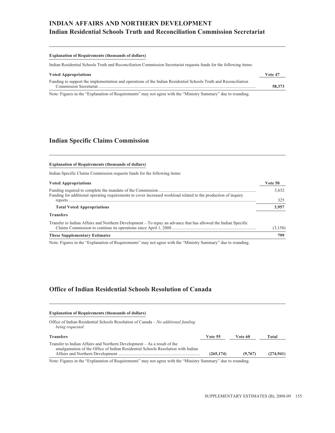# **INDIAN AFFAIRS AND NORTHERN DEVELOPMENT Indian Residential Schools Truth and Reconciliation Commission Secretariat**

#### **Explanation of Requirements (thousands of dollars)**

Indian Residential Schools Truth and Reconciliation Commission Secretariat requests funds for the following items:

| <b>Voted Appropriations</b>                                                                                     | Vote 47 |
|-----------------------------------------------------------------------------------------------------------------|---------|
| Funding to support the implementation and operations of the Indian Residential Schools Truth and Reconciliation |         |
|                                                                                                                 | 58,373  |

Note: Figures in the "Explanation of Requirements" may not agree with the "Ministry Summary" due to rounding.

### **Indian Specific Claims Commission**

#### **Explanation of Requirements (thousands of dollars)**

Indian Specific Claims Commission requests funds for the following items:

| <b>Voted Appropriations</b>                                                                                    | Vote 50  |
|----------------------------------------------------------------------------------------------------------------|----------|
| Funding for additional operating requirements to cover increased workload related to the production of inquiry | 3.632    |
|                                                                                                                | 325      |
| <b>Total Voted Appropriations</b>                                                                              | 3,957    |
| <b>Transfers</b>                                                                                               |          |
| Transfer to Indian Affairs and Northern Development – To repay an advance that has allowed the Indian Specific | (3, 158) |
| <b>These Supplementary Estimates</b>                                                                           | 799      |

Note: Figures in the "Explanation of Requirements" may not agree with the "Ministry Summary" due to rounding.

### **Office of Indian Residential Schools Resolution of Canada**

| <b>Explanation of Requirements (thousands of dollars)</b>                                                                                                   |                |         |            |
|-------------------------------------------------------------------------------------------------------------------------------------------------------------|----------------|---------|------------|
| Office of Indian Residential Schools Resolution of Canada – No additional funding<br>being requested                                                        |                |         |            |
| <b>Transfers</b>                                                                                                                                            | <b>Vote 55</b> | Vote 60 | Total      |
| Transfer to Indian Affairs and Northern Development – As a result of the<br>amalgamation of the Office of Indian Residential Schools Resolution with Indian | (265, 174)     | (9,767) | (274, 941) |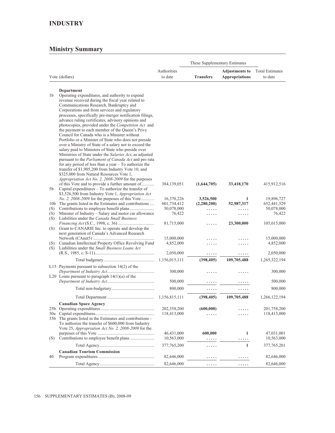|                 |                                                                                                               |                           | These Supplementary Estimates |                       |                           |  |  |  |
|-----------------|---------------------------------------------------------------------------------------------------------------|---------------------------|-------------------------------|-----------------------|---------------------------|--|--|--|
|                 |                                                                                                               | Authorities               |                               | <b>Adjustments to</b> | <b>Total Estimates</b>    |  |  |  |
|                 | Vote (dollars)                                                                                                | to date                   | <b>Transfers</b>              | <b>Appropriations</b> | to date                   |  |  |  |
|                 |                                                                                                               |                           |                               |                       |                           |  |  |  |
|                 | Department                                                                                                    |                           |                               |                       |                           |  |  |  |
| 1b              | Operating expenditures, and authority to expend<br>revenue received during the fiscal year related to         |                           |                               |                       |                           |  |  |  |
|                 | Communications Research, Bankruptcy and                                                                       |                           |                               |                       |                           |  |  |  |
|                 | Corporations and from services and regulatory                                                                 |                           |                               |                       |                           |  |  |  |
|                 | processes, specifically pre-merger notification filings,                                                      |                           |                               |                       |                           |  |  |  |
|                 | advance ruling certificates, advisory opinions and                                                            |                           |                               |                       |                           |  |  |  |
|                 | photocopies, provided under the Competition Act and                                                           |                           |                               |                       |                           |  |  |  |
|                 | the payment to each member of the Queen's Privy                                                               |                           |                               |                       |                           |  |  |  |
|                 | Council for Canada who is a Minister without                                                                  |                           |                               |                       |                           |  |  |  |
|                 | Portfolio or a Minister of State who does not preside                                                         |                           |                               |                       |                           |  |  |  |
|                 | over a Ministry of State of a salary not to exceed the                                                        |                           |                               |                       |                           |  |  |  |
|                 | salary paid to Ministers of State who preside over<br>Ministries of State under the Salaries Act, as adjusted |                           |                               |                       |                           |  |  |  |
|                 | pursuant to the Parliament of Canada Act and pro rata                                                         |                           |                               |                       |                           |  |  |  |
|                 | for any period of less than a year $-$ To authorize the                                                       |                           |                               |                       |                           |  |  |  |
|                 | transfer of \$1,905,200 from Industry Vote 10, and                                                            |                           |                               |                       |                           |  |  |  |
|                 | \$325,000 from Natural Resources Vote 1,                                                                      |                           |                               |                       |                           |  |  |  |
|                 | <i>Appropriation Act No. 2, 2008-2009</i> for the purposes                                                    |                           |                               |                       |                           |  |  |  |
|                 | of this Vote and to provide a further amount of                                                               | 384,139,051               | (1,644,705)                   | 33,418,170            | 415,912,516               |  |  |  |
| 5b              | Capital expenditures $-$ To authorize the transfer of                                                         |                           |                               |                       |                           |  |  |  |
|                 | \$3,526,500 from Industry Vote 1, Appropriation Act                                                           |                           |                               |                       |                           |  |  |  |
| 10 <sub>b</sub> | <i>No. 2, 2008-2009</i> for the purposes of this Vote<br>The grants listed in the Estimates and contributions | 16,370,226<br>601,734,412 | 3,526,500<br>(2, 280, 200)    | 1<br>52,987,317       | 19,896,727<br>652,441,529 |  |  |  |
| (S)             | Contributions to employee benefit plans                                                                       | 50,078,000                |                               |                       | 50,078,000                |  |  |  |
| (S)             | Minister of Industry - Salary and motor car allowance                                                         | 76,422                    |                               |                       | 76,422                    |  |  |  |
| (S)             | Liabilities under the Canada Small Business                                                                   |                           |                               |                       |                           |  |  |  |
|                 |                                                                                                               | 81,715,000                |                               | 23,300,000            | 105,015,000               |  |  |  |
| (S)             | Grant to CANARIE Inc. to operate and develop the                                                              |                           |                               |                       |                           |  |  |  |
|                 | next generation of Canada's Advanced Research                                                                 |                           |                               |                       |                           |  |  |  |
|                 |                                                                                                               | 15,000,000                |                               |                       | 15,000,000                |  |  |  |
| (S)             | Canadian Intellectual Property Office Revolving Fund<br>Liabilities under the Small Business Loans Act        | 4,852,000                 |                               |                       | 4,852,000                 |  |  |  |
| (S)             |                                                                                                               | 2,050,000                 | .                             | .                     | 2,050,000                 |  |  |  |
|                 |                                                                                                               |                           | (398, 405)                    | 109,705,488           | 1,265,322,194             |  |  |  |
|                 |                                                                                                               | 1,156,015,111             |                               |                       |                           |  |  |  |
|                 | L15 Payments pursuant to subsection $14(2)$ of the                                                            | 300,000                   | .                             |                       | 300,000                   |  |  |  |
|                 | L20 Loans pursuant to paragraph $14(1)(a)$ of the                                                             |                           |                               |                       |                           |  |  |  |
|                 |                                                                                                               | 500,000                   |                               |                       | 500,000                   |  |  |  |
|                 |                                                                                                               | 800,000                   | .                             | .                     | 800,000                   |  |  |  |
|                 |                                                                                                               | 1,156,815,111             | (398, 405)                    | 109,705,488           | 1,266,122,194             |  |  |  |
|                 | <b>Canadian Space Agency</b>                                                                                  |                           |                               |                       |                           |  |  |  |
| 25b             |                                                                                                               | 202,358,200               | (600, 000)                    |                       | 201,758,200               |  |  |  |
| 30a             |                                                                                                               | 118,413,000               | .                             |                       | 118,413,000               |  |  |  |
|                 | 35b The grants listed in the Estimates and contributions -                                                    |                           |                               |                       |                           |  |  |  |
|                 | To authorize the transfer of \$600,000 from Industry                                                          |                           |                               |                       |                           |  |  |  |
|                 | Vote 25, Appropriation Act No. 2, 2008-2009 for the                                                           |                           |                               |                       |                           |  |  |  |
|                 |                                                                                                               | 46, 431, 000              | 600,000                       | 1                     | 47,031,001                |  |  |  |
| (S)             |                                                                                                               | 10,563,000                | .                             |                       | 10,563,000                |  |  |  |
|                 |                                                                                                               | 377,765,200               | .                             | 1                     | 377,765,201               |  |  |  |
| 40              | <b>Canadian Tourism Commission</b>                                                                            |                           |                               |                       |                           |  |  |  |
|                 |                                                                                                               | 82,646,000                |                               |                       | 82,646,000                |  |  |  |
|                 |                                                                                                               | 82,646,000                | .                             | .                     | 82,646,000                |  |  |  |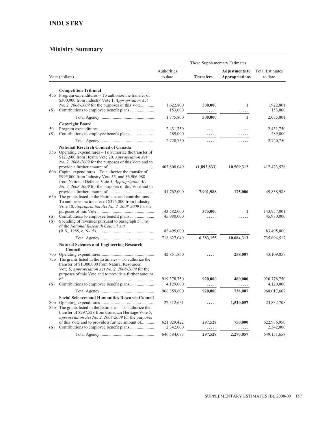|            |                                                                                                                                                                                                                            |                           | These Supplementary Estimates |                       |                           |
|------------|----------------------------------------------------------------------------------------------------------------------------------------------------------------------------------------------------------------------------|---------------------------|-------------------------------|-----------------------|---------------------------|
|            |                                                                                                                                                                                                                            | Authorities               |                               | <b>Adjustments to</b> | <b>Total Estimates</b>    |
|            | Vote (dollars)                                                                                                                                                                                                             | to date                   | <b>Transfers</b>              | <b>Appropriations</b> | to date                   |
|            | <b>Competition Tribunal</b>                                                                                                                                                                                                |                           |                               |                       |                           |
|            | 45b Program expenditures – To authorize the transfer of<br>\$300,000 from Industry Vote 1, Appropriation Act                                                                                                               |                           |                               |                       |                           |
| (S)        | <i>No. 2, 2008-2009</i> for the purposes of this Vote                                                                                                                                                                      | 1,622,800<br>153,000      | 300,000<br>.                  | $\mathbf{1}$<br>.     | 1,922,801<br>153,000      |
|            |                                                                                                                                                                                                                            | 1,775,800                 | 300,000                       | $\mathbf{1}$          | 2,075,801                 |
|            | <b>Copyright Board</b>                                                                                                                                                                                                     |                           |                               |                       |                           |
| 50         |                                                                                                                                                                                                                            | 2,431,750                 | .                             | .                     | 2,431,750                 |
| (S)        |                                                                                                                                                                                                                            | 289,000                   | .                             | .                     | 289,000                   |
|            |                                                                                                                                                                                                                            | 2,720,750                 | .                             | .                     | 2,720,750                 |
|            | <b>National Research Council of Canada</b><br>55b Operating expenditures – To authorize the transfer of<br>\$123,500 from Health Vote 20, Appropriation Act<br>No. 2, 2008-2009 for the purposes of this Vote and to       |                           |                               |                       |                           |
|            | 60b Capital expenditures - To authorize the transfer of<br>\$995,000 from Industry Vote 55, and \$6,906,988<br>from National Defence Vote 5, Appropriation Act<br>No. 2, 2008-2009 for the purposes of this Vote and to    | 403,808,049               | (1,893,833)                   | 10,509,312            | 412, 423, 528             |
|            | 65b The grants listed in the Estimates and contributions –<br>To authorize the transfer of \$375,000 from Industry<br>Vote 10, <i>Appropriation Act No. 2, 2008-2009</i> for the                                           | 41,762,000                | 7,901,988                     | 175,000               | 49,838,988                |
| (S)<br>(S) | Spending of revenues pursuant to paragraph $5(1)(e)$<br>of the National Research Council Act                                                                                                                               | 143,582,000<br>45,980,000 | 375,000<br>.                  | $\mathbf{1}$<br>.     | 143,957,001<br>45,980,000 |
|            |                                                                                                                                                                                                                            | 83,495,000                |                               |                       | 83,495,000                |
|            |                                                                                                                                                                                                                            | 718,627,049               | 6,383,155                     | 10,684,313            | 735,694,517               |
|            | <b>Natural Sciences and Engineering Research</b><br>Council                                                                                                                                                                |                           |                               |                       |                           |
|            | 75b The grants listed in the Estimates – To authorize the<br>transfer of \$1,000,000 from Natural Resources<br>Vote 5, Appropriation Act No. 2, 2008-2009 for the<br>purposes of this Vote and to provide a further amount | 42,851,850                |                               | 258,007               | 43,109,857                |
| (S)        | Contributions to employee benefit plans                                                                                                                                                                                    | 919,378,750<br>4,129,000  | 920,000<br>.                  | 480,000<br>.          | 920,778,750<br>4,129,000  |
|            |                                                                                                                                                                                                                            | 966,359,600               | 920,000                       | 738,007               | 968,017,607               |
|            | <b>Social Sciences and Humanities Research Council</b><br>85b The grants listed in the Estimates - To authorize the<br>transfer of \$297,528 from Canadian Heritage Vote 5,                                                | 22,312,651                |                               | 1,520,057             | 23,832,708                |
| (S)        | Appropriation Act No. 2, 2008-2009 for the purposes<br>of this Vote and to provide a further amount of                                                                                                                     | 621,929,422<br>2,342,000  | 297,528<br>.                  | 750,000<br>.          | 622,976,950<br>2,342,000  |
|            |                                                                                                                                                                                                                            | 646,584,073               | 297,528                       | 2,270,057             | 649,151,658               |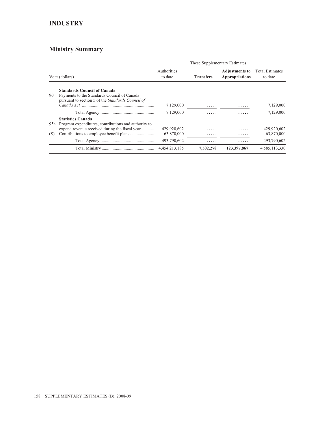# **INDUSTRY**

|            |                                                                                                                                        |                           | These Supplementary Estimates |                                                |                                   |
|------------|----------------------------------------------------------------------------------------------------------------------------------------|---------------------------|-------------------------------|------------------------------------------------|-----------------------------------|
|            | Vote (dollars)                                                                                                                         | Authorities<br>to date    | <b>Transfers</b>              | <b>Adjustments to</b><br><b>Appropriations</b> | <b>Total Estimates</b><br>to date |
| 90         | <b>Standards Council of Canada</b><br>Payments to the Standards Council of Canada<br>pursuant to section 5 of the Standards Council of | 7,129,000                 | .                             | .                                              | 7,129,000                         |
|            |                                                                                                                                        | 7,129,000                 | .                             | .                                              | 7,129,000                         |
| 95a<br>(S) | <b>Statistics Canada</b><br>Program expenditures, contributions and authority to<br>expend revenue received during the fiscal year     | 429,920,602<br>63,870,000 | .<br>.                        | .<br>.                                         | 429,920,602<br>63,870,000         |
|            |                                                                                                                                        | 493,790,602               | .                             | .                                              | 493,790,602                       |
|            |                                                                                                                                        | 4,454,213,185             | 7,502,278                     | 123,397,867                                    | 4,585,113,330                     |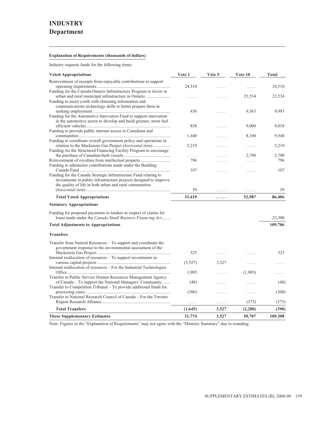### **Explanation of Requirements (thousands of dollars)**

Industry requests funds for the following items:

| <b>Voted Appropriations</b>                                                                                                             | Vote 1                                                            | Vote 5                                                            | Vote 10  | Total   |
|-----------------------------------------------------------------------------------------------------------------------------------------|-------------------------------------------------------------------|-------------------------------------------------------------------|----------|---------|
| Reinvestment of receipts from repayable contributions to support<br>Funding for the Canada-Ontario Infrastructure Program to invest in  | 24,510                                                            |                                                                   | .        | 24,510  |
| Funding to assist youth with obtaining information and                                                                                  |                                                                   | .                                                                 | 23,534   | 23,534  |
| communications technology skills to better prepare them in                                                                              | 430                                                               | .                                                                 | 9,563    | 9,993   |
| Funding for the Automotive Innovation Fund to support innovation<br>in the automotive sector to develop and build greener, more fuel    | 858                                                               | .                                                                 | 9,000    | 9,858   |
| Funding to provide public internet access to Canadians and                                                                              |                                                                   |                                                                   |          |         |
| Funding to coordinate overall government policy and operations in                                                                       | 1,440                                                             |                                                                   | 8,100    | 9,540   |
| relation to the Mackenzie Gas Project (horizontal item)<br>Funding for the Structured Financing Facility Program to encourage           | 5,219                                                             | .                                                                 | .        | 5,219   |
|                                                                                                                                         | .                                                                 |                                                                   | 2,790    | 2.790   |
| Reinvestment of royalties from intellectual property                                                                                    | 796                                                               | .                                                                 | .        | 796     |
| Funding to administer contributions made under the Building<br>Funding for the Canada Strategic Infrastructure Fund relating to         | 107                                                               | .                                                                 | .        | 107     |
| investments in public infrastructure projects designed to improve<br>the quality of life in both urban and rural communities            |                                                                   |                                                                   |          |         |
|                                                                                                                                         | 59                                                                |                                                                   |          | 59      |
| <b>Total Voted Appropriations</b>                                                                                                       | 33,419                                                            | .                                                                 | 52,987   | 86,406  |
| <b>Statutory Appropriations</b>                                                                                                         |                                                                   |                                                                   |          |         |
| Funding for proposed payments to lenders in respect of claims for<br>loans made under the Canada Small Business Financing Act           |                                                                   |                                                                   |          | 23,300  |
| <b>Total Adjustments to Appropriations</b>                                                                                              |                                                                   |                                                                   |          | 109,706 |
| <b>Transfers</b>                                                                                                                        |                                                                   |                                                                   |          |         |
| Transfer from Natural Resources – To support and coordinate the<br>government response to the environmental assessment of the           |                                                                   |                                                                   |          |         |
| Internal reallocation of resources – To support investments in                                                                          | 325                                                               | .                                                                 | .        | 325     |
| Internal reallocation of resources – For the Industrial Technologies                                                                    | (3,527)                                                           | 3,527                                                             | .        |         |
|                                                                                                                                         | 1,905                                                             | .                                                                 | (1,905)  | .       |
| Transfer to Public Service Human Resources Management Agency<br>of Canada – To support the National Managers' Community                 | (48)                                                              | .                                                                 | .        | (48)    |
| Transfer to Competition Tribunal - To provide additional funds for<br>Transfer to National Research Council of Canada – For the Toronto | (300)                                                             | .                                                                 | .        | (300)   |
|                                                                                                                                         | $\mathbb{Z}^2$ . $\mathbb{Z}^2$ , $\mathbb{Z}^2$ , $\mathbb{Z}^2$ | $\mathbb{Z}^2$ . $\mathbb{Z}^2$ , $\mathbb{Z}^2$ , $\mathbb{Z}^2$ | (375)    | (375)   |
| <b>Total Transfers</b>                                                                                                                  | (1,645)                                                           | 3,527                                                             | (2, 280) | (398)   |
| <b>These Supplementary Estimates</b>                                                                                                    | 31,774                                                            | 3,527                                                             | 50,707   | 109,308 |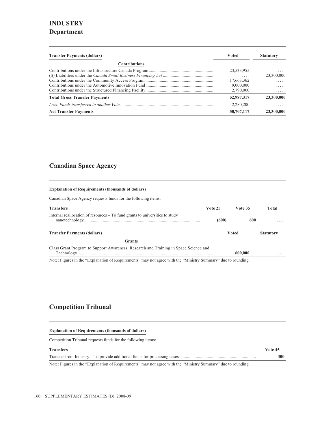# **INDUSTRY Department**

| <b>Transfer Payments (dollars)</b>   | Voted      | <b>Statutory</b> |
|--------------------------------------|------------|------------------|
| <b>Contributions</b>                 |            |                  |
|                                      | 23,533,955 | .                |
|                                      | 1.1.1.1    | 23,300,000       |
|                                      | 17,663,362 | 1.1.1.1          |
|                                      | 9,000,000  | .                |
|                                      | 2,790,000  | .                |
| <b>Total Gross Transfer Payments</b> | 52,987,317 | 23,300,000       |
|                                      | 2,280,200  | .                |
| <b>Net Transfer Payments</b>         | 50,707,117 | 23,300,000       |

### **Canadian Space Agency**

### **Explanation of Requirements (thousands of dollars)**

Canadian Space Agency requests funds for the following items:

| <b>Transfers</b>                                                                                             | Vote 25 | Vote 35 | Total            |
|--------------------------------------------------------------------------------------------------------------|---------|---------|------------------|
| Internal reallocation of resources – To fund grants to universities to study                                 | (600)   | 600     | .                |
| <b>Transfer Payments (dollars)</b>                                                                           |         | Voted   | <b>Statutory</b> |
| <b>Grants</b>                                                                                                |         |         |                  |
| Class Grant Program to Support Awareness, Research and Training in Space Science and                         |         | 600,000 | .                |
| Note: Figures in the "Evplanation of Requirements" may not garee with the "Ministry Summary" due to rounding |         |         |                  |

Note: Figures in the "Explanation of Requirements" may not agree with the "Ministry Summary" due to rounding.

### **Competition Tribunal**

### **Explanation of Requirements (thousands of dollars)**

Competition Tribunal requests funds for the following items:

#### **Transfers Vote 45**

Transfer from Industry – To provide additional funds for processing cases ...................................................................... **300** Note: Figures in the "Explanation of Requirements" may not agree with the "Ministry Summary" due to rounding.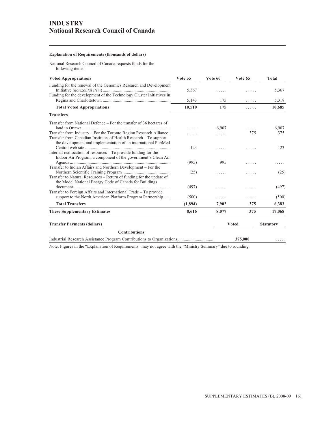#### **Explanation of Requirements (thousands of dollars)**

National Research Council of Canada requests funds for the following items:

| <b>Voted Appropriations</b>                                                                                                                                                                             | Vote 55 | Vote 60 | Vote 65      | Total            |
|---------------------------------------------------------------------------------------------------------------------------------------------------------------------------------------------------------|---------|---------|--------------|------------------|
| Funding for the renewal of the Genomics Research and Development                                                                                                                                        | 5,367   | .       |              | 5,367            |
| Funding for the development of the Technology Cluster Initiatives in                                                                                                                                    | 5,143   | 175     | .            | 5,318            |
| <b>Total Voted Appropriations</b>                                                                                                                                                                       | 10,510  | 175     | .            | 10,685           |
| <b>Transfers</b>                                                                                                                                                                                        |         |         |              |                  |
| Transfer from National Defence – For the transfer of 36 hectares of                                                                                                                                     |         | 6,907   | .            | 6.907            |
| Transfer from Industry - For the Toronto Region Research Alliance<br>Transfer from Canadian Institutes of Health Research – To support<br>the development and implementation of an international PubMed | .       | .       | 375          | 375              |
| Internal reallocation of resources – To provide funding for the<br>Indoor Air Program, a component of the government's Clean Air                                                                        | 123     | .       | .            | 123              |
| Transfer to Indian Affairs and Northern Development - For the                                                                                                                                           | (995)   | 995     |              |                  |
| Transfer to Natural Resources - Return of funding for the update of                                                                                                                                     | (25)    | .       | .            | (25)             |
| the Model National Energy Code of Canada for Buildings<br>Transfer to Foreign Affairs and International Trade – To provide                                                                              | (497)   |         | .            | (497)            |
| support to the North American Platform Program Partnership                                                                                                                                              | (500)   | .       | .            | (500)            |
| <b>Total Transfers</b>                                                                                                                                                                                  | (1,894) | 7,902   | 375          | 6,383            |
| <b>These Supplementary Estimates</b>                                                                                                                                                                    | 8,616   | 8,077   | 375          | 17,068           |
| <b>Transfer Payments (dollars)</b>                                                                                                                                                                      |         |         | <b>Voted</b> | <b>Statutory</b> |
| <b>Contributions</b>                                                                                                                                                                                    |         |         |              |                  |
| Industrial Research Assistance Program Contributions to Organizations                                                                                                                                   |         |         | 375,000      | .                |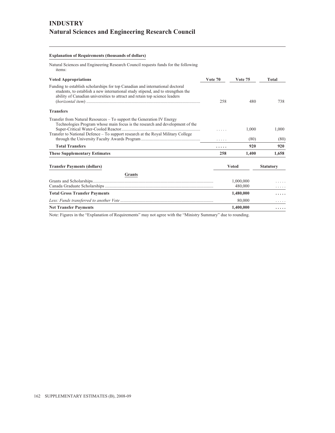# **INDUSTRY Natural Sciences and Engineering Research Council**

### **Explanation of Requirements (thousands of dollars)**

Natural Sciences and Engineering Research Council requests funds for the following items:

| <b>Voted Appropriations</b>                                                                                                                                                                                                                    | Vote 70 | Vote 75              | Total            |
|------------------------------------------------------------------------------------------------------------------------------------------------------------------------------------------------------------------------------------------------|---------|----------------------|------------------|
| Funding to establish scholarships for top Canadian and international doctoral<br>students, to establish a new international study stipend, and to strengthen the<br>ability of Canadian universities to attract and retain top science leaders | 258     | 480                  | 738              |
| <b>Transfers</b>                                                                                                                                                                                                                               |         |                      |                  |
| Transfer from Natural Resources – To support the Generation IV Energy<br>Technologies Program whose main focus is the research and development of the<br>Transfer to National Defence – To support research at the Royal Military College      |         | 1.000                | 1,000            |
|                                                                                                                                                                                                                                                |         | (80)                 | (80)             |
| <b>Total Transfers</b>                                                                                                                                                                                                                         | .       | 920                  | 920              |
| <b>These Supplementary Estimates</b>                                                                                                                                                                                                           | 258     | 1.400                | 1,658            |
| <b>Transfer Payments (dollars)</b>                                                                                                                                                                                                             |         | <b>Voted</b>         | <b>Statutory</b> |
| <b>Grants</b>                                                                                                                                                                                                                                  |         |                      |                  |
|                                                                                                                                                                                                                                                |         | 1,000,000<br>480,000 |                  |
| <b>Total Gross Transfer Payments</b>                                                                                                                                                                                                           |         | 1,480,000            |                  |
|                                                                                                                                                                                                                                                |         | 80,000               |                  |
| <b>Net Transfer Payments</b>                                                                                                                                                                                                                   |         | 1,400,000            |                  |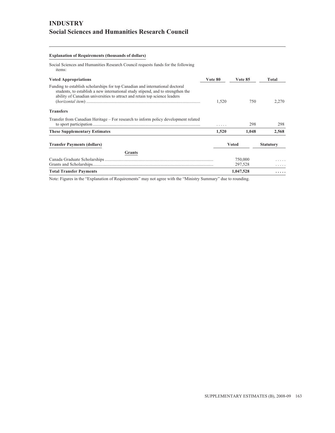# **INDUSTRY Social Sciences and Humanities Research Council**

### **Explanation of Requirements (thousands of dollars)**

Social Sciences and Humanities Research Council requests funds for the following items:

| <b>Voted Appropriations</b>                                                                                                                                                                                                                    | Vote 80 | Vote 85      | Total            |
|------------------------------------------------------------------------------------------------------------------------------------------------------------------------------------------------------------------------------------------------|---------|--------------|------------------|
| Funding to establish scholarships for top Canadian and international doctoral<br>students, to establish a new international study stipend, and to strengthen the<br>ability of Canadian universities to attract and retain top science leaders | 1,520   | 750          | 2.270            |
| <b>Transfers</b>                                                                                                                                                                                                                               |         |              |                  |
| Transfer from Canadian Heritage – For research to inform policy development related                                                                                                                                                            | .       | 298          | 298              |
| <b>These Supplementary Estimates</b>                                                                                                                                                                                                           | 1,520   | 1,048        | 2,568            |
| <b>Transfer Payments (dollars)</b>                                                                                                                                                                                                             |         | <b>Voted</b> | <b>Statutory</b> |
| Grants                                                                                                                                                                                                                                         |         |              |                  |
|                                                                                                                                                                                                                                                |         | 750,000      |                  |
|                                                                                                                                                                                                                                                |         | 297,528      |                  |
| <b>Total Transfer Payments</b>                                                                                                                                                                                                                 |         | 1,047,528    | .                |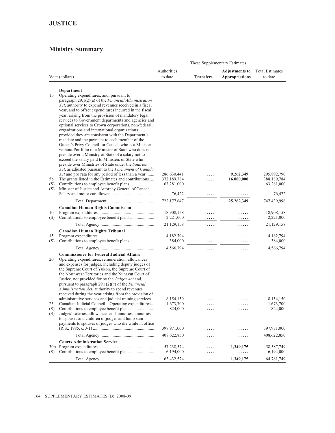|                |                                                                                                                |             | These Supplementary Estimates |                       |                        |
|----------------|----------------------------------------------------------------------------------------------------------------|-------------|-------------------------------|-----------------------|------------------------|
|                |                                                                                                                | Authorities |                               | <b>Adjustments to</b> | <b>Total Estimates</b> |
|                | Vote (dollars)                                                                                                 | to date     | <b>Transfers</b>              | <b>Appropriations</b> | to date                |
|                | Department                                                                                                     |             |                               |                       |                        |
| 1 <sub>b</sub> | Operating expenditures, and, pursuant to                                                                       |             |                               |                       |                        |
|                | paragraph $29.1(2)(a)$ of the <i>Financial Administration</i>                                                  |             |                               |                       |                        |
|                | Act, authority to expend revenues received in a fiscal                                                         |             |                               |                       |                        |
|                | year, and to offset expenditures incurred in the fiscal<br>year, arising from the provision of mandatory legal |             |                               |                       |                        |
|                | services to Government departments and agencies and                                                            |             |                               |                       |                        |
|                | optional services to Crown corporations, non-federal                                                           |             |                               |                       |                        |
|                | organizations and international organizations                                                                  |             |                               |                       |                        |
|                | provided they are consistent with the Department's                                                             |             |                               |                       |                        |
|                | mandate and the payment to each member of the<br>Queen's Privy Council for Canada who is a Minister            |             |                               |                       |                        |
|                | without Portfolio or a Minister of State who does not                                                          |             |                               |                       |                        |
|                | preside over a Ministry of State of a salary not to                                                            |             |                               |                       |                        |
|                | exceed the salary paid to Ministers of State who                                                               |             |                               |                       |                        |
|                | preside over Ministries of State under the Salaries<br>Act, as adjusted pursuant to the Parliament of Canada   |             |                               |                       |                        |
|                | <i>Act</i> and pro rata for any period of less than a year                                                     | 286,630,441 |                               | 9,262,349             | 295,892,790            |
| 5b             | The grants listed in the Estimates and contributions                                                           | 372,189,784 | .                             | 16,000,000            | 388,189,784            |
| (S)            |                                                                                                                | 63,281,000  | .                             | .                     | 63,281,000             |
| (S)            | Minister of Justice and Attorney General of Canada -                                                           | 76,422      |                               |                       | 76,422                 |
|                |                                                                                                                | 722,177,647 | .                             | .<br>25,262,349       | 747,439,996            |
|                | <b>Canadian Human Rights Commission</b>                                                                        |             | .                             |                       |                        |
| 10             |                                                                                                                | 18,908,158  |                               |                       | 18,908,158             |
| (S)            |                                                                                                                | 2,221,000   | .                             |                       | 2,221,000              |
|                |                                                                                                                | 21,129,158  | .                             | .                     | 21,129,158             |
|                | <b>Canadian Human Rights Tribunal</b>                                                                          |             |                               |                       |                        |
| 15             |                                                                                                                | 4, 182, 794 | .                             |                       | 4,182,794              |
| (S)            |                                                                                                                | 384,000     | .                             | .                     | 384,000                |
|                |                                                                                                                | 4,566,794   | .                             | .                     | 4,566,794              |
|                | <b>Commissioner for Federal Judicial Affairs</b>                                                               |             |                               |                       |                        |
| 20             | Operating expenditures, remuneration, allowances<br>and expenses for judges, including deputy judges of        |             |                               |                       |                        |
|                | the Supreme Court of Yukon, the Supreme Court of                                                               |             |                               |                       |                        |
|                | the Northwest Territories and the Nunavut Court of                                                             |             |                               |                       |                        |
|                | Justice, not provided for by the <i>Judges Act</i> and,                                                        |             |                               |                       |                        |
|                | pursuant to paragraph $29.1(2)(a)$ of the <i>Financial</i><br>Administration Act, authority to spend revenues  |             |                               |                       |                        |
|                | received during the year arising from the provision of                                                         |             |                               |                       |                        |
|                | administrative services and judicial training services                                                         | 8,154,150   | .                             | .                     | 8,154,150              |
| 25             | Canadian Judicial Council - Operating expenditures                                                             | 1,673,700   |                               |                       | 1,673,700              |
| (S)<br>(S)     | Judges' salaries, allowances and annuities, annuities                                                          | 824,000     |                               |                       | 824,000                |
|                | to spouses and children of judges and lump sum                                                                 |             |                               |                       |                        |
|                | payments to spouses of judges who die while in office                                                          |             |                               |                       |                        |
|                |                                                                                                                | 397,971,000 |                               |                       | 397,971,000            |
|                |                                                                                                                | 408,622,850 | .                             | .                     | 408,622,850            |
|                | <b>Courts Administration Service</b>                                                                           |             |                               |                       |                        |
| (S)            |                                                                                                                | 57,238,574  | .                             | 1,349,175             | 58, 587, 749           |
|                |                                                                                                                | 6,194,000   | .                             | .                     | 6,194,000              |
|                |                                                                                                                | 63,432,574  | .                             | 1,349,175             | 64,781,749             |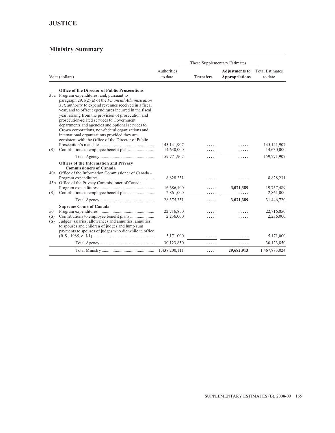# **JUSTICE**

|                  | These Supplementary Estimates                                                                                                                                                                                                                                                                                                                                                                                                                                                                                                                                                                                |                             |                  |                                                |                                   |  |
|------------------|--------------------------------------------------------------------------------------------------------------------------------------------------------------------------------------------------------------------------------------------------------------------------------------------------------------------------------------------------------------------------------------------------------------------------------------------------------------------------------------------------------------------------------------------------------------------------------------------------------------|-----------------------------|------------------|------------------------------------------------|-----------------------------------|--|
|                  | Vote (dollars)                                                                                                                                                                                                                                                                                                                                                                                                                                                                                                                                                                                               | Authorities<br>to date      | <b>Transfers</b> | <b>Adjustments to</b><br><b>Appropriations</b> | <b>Total Estimates</b><br>to date |  |
| 35a<br>(S)       | <b>Office of the Director of Public Prosecutions</b><br>Program expenditures, and, pursuant to<br>paragraph $29.1(2)(a)$ of the <i>Financial Administration</i><br>Act, authority to expend revenues received in a fiscal<br>year, and to offset expenditures incurred in the fiscal<br>year, arising from the provision of prosecution and<br>prosecution-related services to Government<br>departments and agencies and optional services to<br>Crown corporations, non-federal organizations and<br>international organizations provided they are<br>consistent with the Office of the Director of Public | 145, 141, 907<br>14,630,000 |                  |                                                | 145, 141, 907<br>14,630,000       |  |
|                  |                                                                                                                                                                                                                                                                                                                                                                                                                                                                                                                                                                                                              | 159,771,907                 |                  |                                                | 159,771,907                       |  |
| 40a<br>45b       | Offices of the Information and Privacy<br><b>Commissioners of Canada</b><br>Office of the Information Commissioner of Canada –<br>Office of the Privacy Commissioner of Canada –                                                                                                                                                                                                                                                                                                                                                                                                                             | 8,828,231                   |                  |                                                | 8,828,231                         |  |
|                  |                                                                                                                                                                                                                                                                                                                                                                                                                                                                                                                                                                                                              | 16,686,100<br>2,861,000     |                  | 3,071,389                                      | 19,757,489                        |  |
| (S)              |                                                                                                                                                                                                                                                                                                                                                                                                                                                                                                                                                                                                              | 28, 375, 331                |                  | .<br>3,071,389                                 | 2,861,000<br>31,446,720           |  |
| 50<br>(S)<br>(S) | <b>Supreme Court of Canada</b><br>Judges' salaries, allowances and annuities, annuities<br>to spouses and children of judges and lump sum<br>payments to spouses of judges who die while in office                                                                                                                                                                                                                                                                                                                                                                                                           | 22,716,850<br>2,236,000     |                  |                                                | 22,716,850<br>2,236,000           |  |
|                  |                                                                                                                                                                                                                                                                                                                                                                                                                                                                                                                                                                                                              | 5,171,000                   | .                |                                                | 5,171,000                         |  |
|                  |                                                                                                                                                                                                                                                                                                                                                                                                                                                                                                                                                                                                              | 30,123,850                  | .                | .                                              | 30,123,850                        |  |
|                  |                                                                                                                                                                                                                                                                                                                                                                                                                                                                                                                                                                                                              | 1,438,200,111               | .                | 29,682,913                                     | 1,467,883,024                     |  |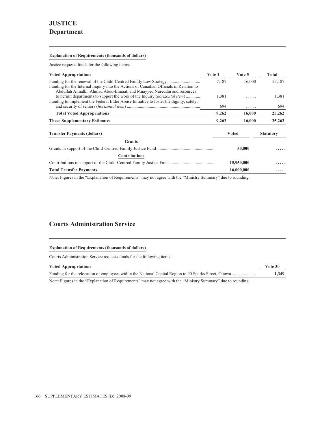### **Explanation of Requirements (thousands of dollars)**

Justice requests funds for the following items:

| <b>Voted Appropriations</b>                                                                                                                                                 | Vote 1 | Vote 5       | Total            |
|-----------------------------------------------------------------------------------------------------------------------------------------------------------------------------|--------|--------------|------------------|
| Funding for the Internal Inquiry into the Actions of Canadian Officials in Relation to<br>Abdullah Almalki, Ahmad Abou-Elmaati and Muayyed Nureddin and resources           | 7,187  | 16,000       | 23,187           |
| to permit departments to support the work of the Inquiry <i>(horizontal item)</i><br>Funding to implement the Federal Elder Abuse Initiative to foster the dignity, safety, | 1,381  | .            | 1,381            |
|                                                                                                                                                                             | 694    | .            | 694              |
| <b>Total Voted Appropriations</b>                                                                                                                                           | 9,262  | 16,000       | 25,262           |
| <b>These Supplementary Estimates</b>                                                                                                                                        | 9,262  | 16,000       | 25,262           |
| <b>Transfer Payments (dollars)</b>                                                                                                                                          |        | <b>Voted</b> | <b>Statutory</b> |
| Grants                                                                                                                                                                      |        |              |                  |
|                                                                                                                                                                             |        | 50,000       | .                |
| <b>Contributions</b>                                                                                                                                                        |        |              |                  |
|                                                                                                                                                                             |        | 15,950,000   |                  |
| <b>Total Transfer Payments</b>                                                                                                                                              |        | 16,000,000   | .                |

Note: Figures in the "Explanation of Requirements" may not agree with the "Ministry Summary" due to rounding.

### **Courts Administration Service**

### **Explanation of Requirements (thousands of dollars)**

Courts Administration Service requests funds for the following items:

| <b>Voted Appropriations</b>                                                                                   | Vote 30 |
|---------------------------------------------------------------------------------------------------------------|---------|
|                                                                                                               | 1.349   |
| Note: Figures in the "Explanation of Requirements" may not agree with the "Ministry Summary" due to rounding. |         |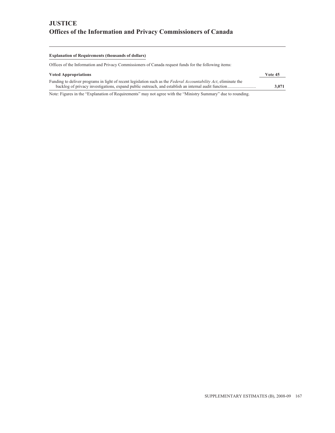### **Explanation of Requirements (thousands of dollars)**

Offices of the Information and Privacy Commissioners of Canada request funds for the following items:

| <b>Voted Appropriations</b>                                                                                      | Vote 45 |
|------------------------------------------------------------------------------------------------------------------|---------|
| Funding to deliver programs in light of recent legislation such as the Federal Accountability Act, eliminate the |         |
|                                                                                                                  | 3.071   |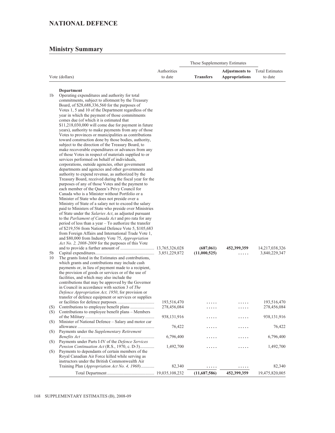# **NATIONAL DEFENCE**

|                |                                                                                                               |                        | These Supplementary Estimates |                                                |                                   |  |  |
|----------------|---------------------------------------------------------------------------------------------------------------|------------------------|-------------------------------|------------------------------------------------|-----------------------------------|--|--|
|                | Vote (dollars)                                                                                                | Authorities<br>to date | <b>Transfers</b>              | <b>Adjustments to</b><br><b>Appropriations</b> | <b>Total Estimates</b><br>to date |  |  |
|                |                                                                                                               |                        |                               |                                                |                                   |  |  |
|                | Department                                                                                                    |                        |                               |                                                |                                   |  |  |
| 1 <sub>b</sub> | Operating expenditures and authority for total                                                                |                        |                               |                                                |                                   |  |  |
|                | commitments, subject to allotment by the Treasury                                                             |                        |                               |                                                |                                   |  |  |
|                | Board, of \$28,688,336,560 for the purposes of                                                                |                        |                               |                                                |                                   |  |  |
|                | Votes 1, 5 and 10 of the Department regardless of the                                                         |                        |                               |                                                |                                   |  |  |
|                | year in which the payment of those commitments<br>comes due (of which it is estimated that                    |                        |                               |                                                |                                   |  |  |
|                | \$11,218,030,000 will come due for payment in future                                                          |                        |                               |                                                |                                   |  |  |
|                | years), authority to make payments from any of those                                                          |                        |                               |                                                |                                   |  |  |
|                | Votes to provinces or municipalities as contributions                                                         |                        |                               |                                                |                                   |  |  |
|                | toward construction done by those bodies, authority,                                                          |                        |                               |                                                |                                   |  |  |
|                | subject to the direction of the Treasury Board, to                                                            |                        |                               |                                                |                                   |  |  |
|                | make recoverable expenditures or advances from any<br>of those Votes in respect of materials supplied to or   |                        |                               |                                                |                                   |  |  |
|                | services performed on behalf of individuals,                                                                  |                        |                               |                                                |                                   |  |  |
|                | corporations, outside agencies, other government                                                              |                        |                               |                                                |                                   |  |  |
|                | departments and agencies and other governments and                                                            |                        |                               |                                                |                                   |  |  |
|                | authority to expend revenue, as authorized by the                                                             |                        |                               |                                                |                                   |  |  |
|                | Treasury Board, received during the fiscal year for the<br>purposes of any of those Votes and the payment to  |                        |                               |                                                |                                   |  |  |
|                | each member of the Queen's Privy Council for                                                                  |                        |                               |                                                |                                   |  |  |
|                | Canada who is a Minister without Portfolio or a                                                               |                        |                               |                                                |                                   |  |  |
|                | Minister of State who does not preside over a                                                                 |                        |                               |                                                |                                   |  |  |
|                | Ministry of State of a salary not to exceed the salary                                                        |                        |                               |                                                |                                   |  |  |
|                | paid to Ministers of State who preside over Ministries                                                        |                        |                               |                                                |                                   |  |  |
|                | of State under the Salaries Act, as adjusted pursuant<br>to the Parliament of Canada Act and pro rata for any |                        |                               |                                                |                                   |  |  |
|                | period of less than a year – To authorize the transfer                                                        |                        |                               |                                                |                                   |  |  |
|                | of \$219,556 from National Defence Vote 5, \$105,683                                                          |                        |                               |                                                |                                   |  |  |
|                | from Foreign Affairs and International Trade Vote 1,                                                          |                        |                               |                                                |                                   |  |  |
|                | and \$80,000 from Industry Vote 75, Appropriation                                                             |                        |                               |                                                |                                   |  |  |
|                | Act No. 2, 2008-2009 for the purposes of this Vote                                                            |                        |                               |                                                |                                   |  |  |
| 5b             |                                                                                                               | 3,851,229,872          | (687, 061)<br>(11,000,525)    | 452,399,359<br>.                               | 14,217,038,326<br>3,840,229,347   |  |  |
| 10             | The grants listed in the Estimates and contributions,                                                         |                        |                               |                                                |                                   |  |  |
|                | which grants and contributions may include cash                                                               |                        |                               |                                                |                                   |  |  |
|                | payments or, in lieu of payment made to a recipient,                                                          |                        |                               |                                                |                                   |  |  |
|                | the provision of goods or services or of the use of                                                           |                        |                               |                                                |                                   |  |  |
|                | facilities, and which may also include the<br>contributions that may be approved by the Governor              |                        |                               |                                                |                                   |  |  |
|                | in Council in accordance with section 3 of The                                                                |                        |                               |                                                |                                   |  |  |
|                | Defence Appropriation Act, 1950, for provision or                                                             |                        |                               |                                                |                                   |  |  |
|                | transfer of defence equipment or services or supplies                                                         |                        |                               |                                                |                                   |  |  |
|                |                                                                                                               | 193,516,470            |                               |                                                | 193,516,470                       |  |  |
| (S)<br>(S)     | Contributions to employee benefit plans - Members                                                             | 278,456,084            |                               |                                                | 278,456,084                       |  |  |
|                |                                                                                                               | 938, 131, 916          | .                             | .                                              | 938,131,916                       |  |  |
| (S)            | Minister of National Defence - Salary and motor car                                                           |                        |                               |                                                |                                   |  |  |
|                |                                                                                                               | 76,422                 | .                             |                                                | 76,422                            |  |  |
| (S)            | Payments under the Supplementary Retirement                                                                   |                        |                               |                                                |                                   |  |  |
|                |                                                                                                               | 6,796,400              | .                             | .                                              | 6,796,400                         |  |  |
| (S)            | Payments under Parts I-IV of the Defence Services<br>Pension Continuation Act (R.S., 1970, c. D-3)            | 1,492,700              |                               |                                                | 1,492,700                         |  |  |
| (S)            | Payments to dependants of certain members of the                                                              |                        |                               |                                                |                                   |  |  |
|                | Royal Canadian Air Force killed while serving as                                                              |                        |                               |                                                |                                   |  |  |
|                | instructors under the British Commonwealth Air                                                                |                        |                               |                                                |                                   |  |  |
|                | Training Plan (Appropriation Act No. 4, 1968)                                                                 | 82,340                 |                               | .                                              | 82,340                            |  |  |
|                |                                                                                                               |                        | (11,687,586)                  | 452,399,359                                    | 19,475,820,005                    |  |  |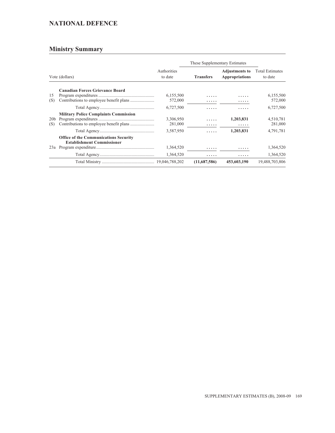# **NATIONAL DEFENCE**

| Vote (dollars)         |                                                                                   | Authorities<br>to date | <b>Transfers</b> | <b>Adjustments to</b><br>Appropriations | <b>Total Estimates</b><br>to date |
|------------------------|-----------------------------------------------------------------------------------|------------------------|------------------|-----------------------------------------|-----------------------------------|
| 15<br>(S)              | <b>Canadian Forces Grievance Board</b>                                            | 6,155,500<br>572,000   | .                | .                                       | 6,155,500<br>572,000              |
|                        |                                                                                   | 6,727,500              |                  |                                         | 6,727,500                         |
| 20 <sub>b</sub><br>(S) | <b>Military Police Complaints Commission</b>                                      | 3,306,950<br>281,000   | .                | 1,203,831<br>.                          | 4,510,781<br>281,000              |
|                        |                                                                                   | 3,587,950              | .                | 1,203,831                               | 4,791,781                         |
| 23a                    | <b>Office of the Communications Security</b><br><b>Establishment Commissioner</b> | 1,364,520              | .                |                                         | 1,364,520                         |
|                        |                                                                                   | 1,364,520              | .                | .                                       | 1,364,520                         |
|                        |                                                                                   | 19,046,788,202         | (11,687,586)     | 453,603,190                             | 19,488,703,806                    |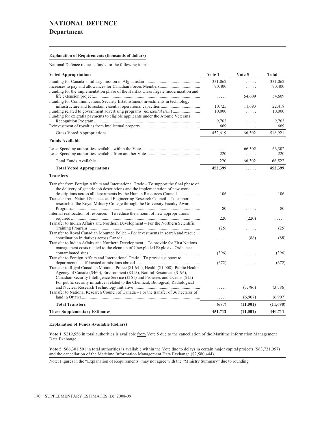# **NATIONAL DEFENCE**

### **Department**

### **Explanation of Requirements (thousands of dollars)**

National Defence requests funds for the following items:

| <b>Voted Appropriations</b>                                                           | Vote 1   | Vote 5                                           | Total    |
|---------------------------------------------------------------------------------------|----------|--------------------------------------------------|----------|
|                                                                                       | 331,062  | .                                                | 331,062  |
|                                                                                       | 90,400   | $\mathbb{Z}^n$ . In the $\mathbb{Z}^n$           | 90,400   |
| Funding for the implementation phase of the Halifax Class frigate modernization and   |          |                                                  |          |
|                                                                                       | .        | 54,609                                           | 54,609   |
| Funding for Communications Security Establishment investments in technology           |          |                                                  |          |
|                                                                                       | 10.725   | 11,693                                           | 22,418   |
| Funding related to government advertising programs (horizontal item)                  | 10,000   | $\ldots$                                         | 10,000   |
| Funding for ex gratia payments to eligible applicants under the Atomic Veterans       |          |                                                  |          |
|                                                                                       | 9,763    | 1.1.1.1                                          | 9,763    |
|                                                                                       | 669      | .                                                | 669      |
| Gross Voted Appropriations                                                            | 452,619  | 66,302                                           | 518,921  |
| <b>Funds Available</b>                                                                |          |                                                  |          |
|                                                                                       | $\ldots$ | 66,302                                           | 66,302   |
|                                                                                       | 220      | $\mathbb{R}^2$ . $\mathbb{R}^2$ , $\mathbb{R}^2$ | 220      |
| Total Funds Available                                                                 | 220      | 66,302                                           | 66,522   |
| <b>Total Voted Appropriations</b>                                                     | 452,399  | .                                                | 452,399  |
| <b>Transfers</b>                                                                      |          |                                                  |          |
|                                                                                       |          |                                                  |          |
| Transfer from Foreign Affairs and International Trade – To support the final phase of |          |                                                  |          |
| the delivery of generic job descriptions and the implementation of new work           |          |                                                  |          |
| descriptions across all departments by the Human Resources Council                    | 106      |                                                  | 106      |
| Transfer from Natural Sciences and Engineering Research Council – To support          |          |                                                  |          |
| research at the Royal Military College through the University Faculty Awards          |          |                                                  |          |
| Internal reallocation of resources - To reduce the amount of new appropriations       | 80       | .                                                | 80       |
|                                                                                       | 220      | (220)                                            |          |
| Transfer to Indian Affairs and Northern Development - For the Northern Scientific     |          |                                                  |          |
|                                                                                       | (25)     | .                                                | (25)     |
| Transfer to Royal Canadian Mounted Police - For investments in search and rescue      |          |                                                  |          |
|                                                                                       | .        | (88)                                             | (88)     |
| Transfer to Indian Affairs and Northern Development – To provide for First Nations    |          |                                                  |          |
| management costs related to the clean up of Unexploded Explosive Ordnance             |          |                                                  |          |
|                                                                                       | (396)    |                                                  | (396)    |
| Transfer to Foreign Affairs and International Trade – To provide support to           |          |                                                  |          |
|                                                                                       | (672)    | .                                                | (672)    |
| Transfer to Royal Canadian Mounted Police (\$1,641), Health (\$1,008), Public Health  |          |                                                  |          |
| Agency of Canada (\$460), Environment (\$315), Natural Resources (\$196),             |          |                                                  |          |
| Canadian Security Intelligence Service (\$151) and Fisheries and Oceans $(\$15)$ –    |          |                                                  |          |
| For public security initiatives related to the Chemical, Biological, Radiological     |          |                                                  | (3,786)  |
| Transfer to National Research Council of Canada – For the transfer of 36 hectares of  |          | (3,786)                                          |          |
|                                                                                       | .        | (6,907)                                          | (6,907)  |
| <b>Total Transfers</b>                                                                | (687)    | (11,001)                                         | (11,688) |
| <b>These Supplementary Estimates</b>                                                  | 451,712  | (11,001)                                         | 440,711  |
|                                                                                       |          |                                                  |          |

### **Explanation of Funds Available (dollars)**

**Vote 1**: \$219,556 in total authorities is available from Vote 5 due to the cancellation of the Maritime Information Management Data Exchange.

**Vote 5**: \$66,301,501 in total authorities is available within the Vote due to delays in certain major capital projects (\$63,721,057) and the cancellation of the Maritime Information Management Data Exchange (\$2,580,444).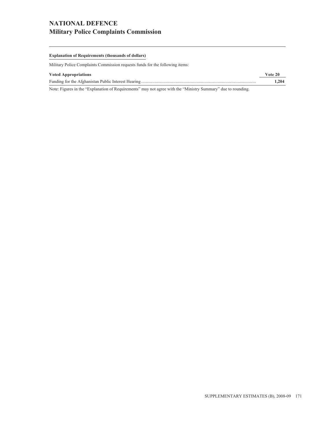# **NATIONAL DEFENCE Military Police Complaints Commission**

### **Explanation of Requirements (thousands of dollars)**

Military Police Complaints Commission requests funds for the following items:

### **Voted Appropriations Vote 20**

Funding for the Afghanistan Public Interest Hearing......................................................................................................... **1,204**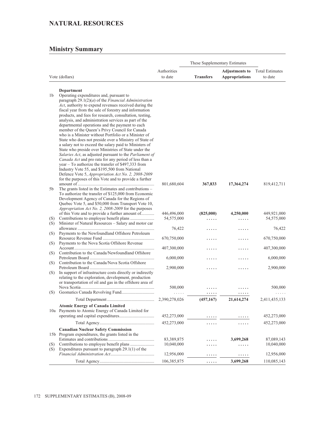# **NATURAL RESOURCES**

|                |                                                                                                                                                                                                                                                                                                                                                                                                                                                                                                                                                                                                                                                                                                                                                                                                                          |                           | These Supplementary Estimates |                       |                           |
|----------------|--------------------------------------------------------------------------------------------------------------------------------------------------------------------------------------------------------------------------------------------------------------------------------------------------------------------------------------------------------------------------------------------------------------------------------------------------------------------------------------------------------------------------------------------------------------------------------------------------------------------------------------------------------------------------------------------------------------------------------------------------------------------------------------------------------------------------|---------------------------|-------------------------------|-----------------------|---------------------------|
|                |                                                                                                                                                                                                                                                                                                                                                                                                                                                                                                                                                                                                                                                                                                                                                                                                                          | Authorities               |                               | <b>Adjustments to</b> | <b>Total Estimates</b>    |
|                | Vote (dollars)                                                                                                                                                                                                                                                                                                                                                                                                                                                                                                                                                                                                                                                                                                                                                                                                           | to date                   | <b>Transfers</b>              | <b>Appropriations</b> | to date                   |
| 1 <sub>b</sub> | Department<br>Operating expenditures and, pursuant to<br>paragraph $29.1(2)(a)$ of the <i>Financial Administration</i><br>Act, authority to expend revenues received during the<br>fiscal year from the sale of forestry and information<br>products, and fees for research, consultation, testing,<br>analysis, and administration services as part of the<br>departmental operations and the payment to each<br>member of the Queen's Privy Council for Canada<br>who is a Minister without Portfolio or a Minister of<br>State who does not preside over a Ministry of State of<br>a salary not to exceed the salary paid to Ministers of<br>State who preside over Ministries of State under the<br>Salaries Act, as adjusted pursuant to the Parliament of<br>Canada Act and pro rata for any period of less than a |                           |                               |                       |                           |
|                | year – To authorize the transfer of \$497,333 from<br>Industry Vote 55, and \$195,500 from National<br>Defence Vote 5, Appropriation Act No. 2, 2008-2009<br>for the purposes of this Vote and to provide a further                                                                                                                                                                                                                                                                                                                                                                                                                                                                                                                                                                                                      | 801,680,604               | 367,833                       | 17,364,274            | 819,412,711               |
| 5b             | The grants listed in the Estimates and contributions –<br>To authorize the transfer of \$125,000 from Economic<br>Development Agency of Canada for the Regions of<br>Quebec Vote 5, and \$50,000 from Transport Vote 10,<br>Appropriation Act No. 2, 2008-2009 for the purposes                                                                                                                                                                                                                                                                                                                                                                                                                                                                                                                                          |                           |                               |                       |                           |
| (S)<br>(S)     | of this Vote and to provide a further amount of<br>Minister of Natural Resources - Salary and motor car                                                                                                                                                                                                                                                                                                                                                                                                                                                                                                                                                                                                                                                                                                                  | 446,496,000<br>54,575,000 | (825,000)<br>.                | 4,250,000<br>.        | 449,921,000<br>54,575,000 |
| (S)            | Payments to the Newfoundland Offshore Petroleum                                                                                                                                                                                                                                                                                                                                                                                                                                                                                                                                                                                                                                                                                                                                                                          | 76,422                    |                               |                       | 76,422                    |
| (S)            | Payments to the Nova Scotia Offshore Revenue                                                                                                                                                                                                                                                                                                                                                                                                                                                                                                                                                                                                                                                                                                                                                                             | 670,750,000               |                               |                       | 670,750,000               |
| (S)            | Contribution to the Canada/Newfoundland Offshore                                                                                                                                                                                                                                                                                                                                                                                                                                                                                                                                                                                                                                                                                                                                                                         | 407,300,000               | .                             |                       | 407,300,000               |
| (S)            | Contribution to the Canada/Nova Scotia Offshore                                                                                                                                                                                                                                                                                                                                                                                                                                                                                                                                                                                                                                                                                                                                                                          | 6,000,000                 |                               |                       | 6,000,000                 |
| (S)            | In support of infrastructure costs directly or indirectly<br>relating to the exploration, development, production<br>or transportation of oil and gas in the offshore area of                                                                                                                                                                                                                                                                                                                                                                                                                                                                                                                                                                                                                                            | 2,900,000                 | .                             | .                     | 2,900,000                 |
| (S)            |                                                                                                                                                                                                                                                                                                                                                                                                                                                                                                                                                                                                                                                                                                                                                                                                                          | 500,000                   |                               |                       | 500,000                   |
|                |                                                                                                                                                                                                                                                                                                                                                                                                                                                                                                                                                                                                                                                                                                                                                                                                                          | 2,390,278,026             | (457, 167)                    | 21,614,274            | 2,411,435,133             |
|                | <b>Atomic Energy of Canada Limited</b><br>10a Payments to Atomic Energy of Canada Limited for                                                                                                                                                                                                                                                                                                                                                                                                                                                                                                                                                                                                                                                                                                                            | 452,273,000               |                               |                       | 452,273,000               |
|                |                                                                                                                                                                                                                                                                                                                                                                                                                                                                                                                                                                                                                                                                                                                                                                                                                          | 452,273,000               | .                             | .                     | 452,273,000               |
| (S)<br>(S)     | <b>Canadian Nuclear Safety Commission</b><br>15b Program expenditures, the grants listed in the<br>Expenditures pursuant to paragraph $29.1(1)$ of the                                                                                                                                                                                                                                                                                                                                                                                                                                                                                                                                                                                                                                                                   | 83,389,875<br>10,040,000  |                               | 3,699,268<br>.        | 87,089,143<br>10,040,000  |
|                |                                                                                                                                                                                                                                                                                                                                                                                                                                                                                                                                                                                                                                                                                                                                                                                                                          | 12,956,000<br>106,385,875 | .<br>.                        | .<br>3,699,268        | 12,956,000<br>110,085,143 |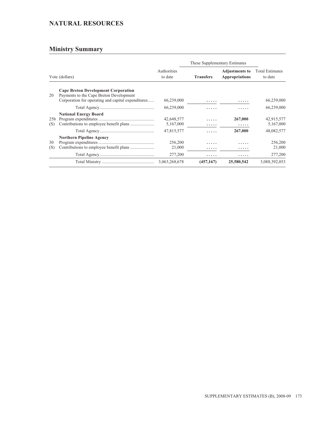# **NATURAL RESOURCES**

|                        |                                                                                                                                             |                              | These Supplementary Estimates |                                         |                              |  |
|------------------------|---------------------------------------------------------------------------------------------------------------------------------------------|------------------------------|-------------------------------|-----------------------------------------|------------------------------|--|
| Vote (dollars)         |                                                                                                                                             | Authorities<br>to date       | <b>Transfers</b>              | <b>Adjustments to</b><br>Appropriations | Total Estimates<br>to date   |  |
| 20                     | <b>Cape Breton Development Corporation</b><br>Payments to the Cape Breton Development<br>Corporation for operating and capital expenditures | 66,239,000                   | .                             |                                         | 66,239,000                   |  |
|                        |                                                                                                                                             | 66,239,000                   | .                             |                                         | 66,239,000                   |  |
| 25 <sub>b</sub><br>(S) | <b>National Energy Board</b>                                                                                                                | 42,648,577<br>5,167,000      | .<br>.                        | 267,000                                 | 42,915,577<br>5,167,000      |  |
|                        |                                                                                                                                             | 47,815,577                   | .                             | 267,000                                 | 48,082,577                   |  |
| 30<br>(S)              | <b>Northern Pipeline Agency</b>                                                                                                             | 256,200<br>21,000<br>277,200 | .<br>.                        | .                                       | 256,200<br>21,000<br>277,200 |  |
|                        |                                                                                                                                             | 3,063,268,678                | (457, 167)                    | 25,580,542                              | 3,088,392,053                |  |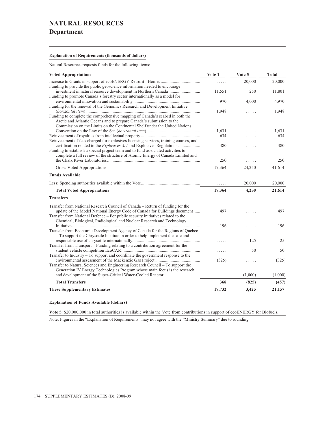# **NATURAL RESOURCES Department**

### **Explanation of Requirements (thousands of dollars)**

Natural Resources requests funds for the following items:

| 20,000<br>20,000<br>.<br>Funding to provide the public geoscience information needed to encourage<br>11,551<br>250<br>11,801<br>Funding to promote Canada's forestry sector internationally as a model for<br>970<br>4,000<br>4,970<br>Funding for the renewal of the Genomics Research and Development Initiative<br>1,948<br>1,948<br>.<br>Funding to complete the comprehensive mapping of Canada's seabed in both the<br>Arctic and Atlantic Oceans and to prepare Canada's submission to the<br>Commission on the Limits on the Continental Shelf under the United Nations<br>1,631<br>1,631<br>$\cdots$<br>634<br>634<br>Reinvestment of fees charged for explosives licensing services, training courses, and<br>certification related to the <i>Explosives Act</i> and Explosives Regulations<br>380<br>380<br>.<br>Funding to establish a special project team and to fund associated activities to<br>complete a full review of the structure of Atomic Energy of Canada Limited and<br>250<br>250<br>.<br>17,364<br>41,614<br>Gross Voted Appropriations<br>24,250<br><b>Funds Available</b><br>20,000<br>20,000<br>.<br>17,364<br>4,250<br>21,614<br><b>Total Voted Appropriations</b><br><b>Transfers</b><br>Transfer from National Research Council of Canada – Return of funding for the<br>update of the Model National Energy Code of Canada for Buildings document<br>497<br>497<br>Transfer from National Defence – For public security initiatives related to the<br>Chemical, Biological, Radiological and Nuclear Research and Technology<br>196<br>196<br>.<br>Transfer from Economic Development Agency of Canada for the Regions of Quebec<br>- To support the Chrysotile Institute in order to help implement the safe and<br>125<br>125<br>Transfer from Transport – Funding relating to a contribution agreement for the<br>50<br>50<br>.<br>Transfer to Industry $-$ To support and coordinate the government response to the<br>(325)<br>(325)<br>Transfer to Natural Sciences and Engineering Research Council – To support the<br>Generation IV Energy Technologies Program whose main focus is the research<br>(1,000)<br>.<br><b>Total Transfers</b><br>368<br>(825)<br><b>These Supplementary Estimates</b><br>17,732<br>3,425<br>21,157 | <b>Voted Appropriations</b> | Vote 1 | Vote 5 | Total   |
|-----------------------------------------------------------------------------------------------------------------------------------------------------------------------------------------------------------------------------------------------------------------------------------------------------------------------------------------------------------------------------------------------------------------------------------------------------------------------------------------------------------------------------------------------------------------------------------------------------------------------------------------------------------------------------------------------------------------------------------------------------------------------------------------------------------------------------------------------------------------------------------------------------------------------------------------------------------------------------------------------------------------------------------------------------------------------------------------------------------------------------------------------------------------------------------------------------------------------------------------------------------------------------------------------------------------------------------------------------------------------------------------------------------------------------------------------------------------------------------------------------------------------------------------------------------------------------------------------------------------------------------------------------------------------------------------------------------------------------------------------------------------------------------------------------------------------------------------------------------------------------------------------------------------------------------------------------------------------------------------------------------------------------------------------------------------------------------------------------------------------------------------------------------------------------------------------------------------------------------------------------------------------------|-----------------------------|--------|--------|---------|
|                                                                                                                                                                                                                                                                                                                                                                                                                                                                                                                                                                                                                                                                                                                                                                                                                                                                                                                                                                                                                                                                                                                                                                                                                                                                                                                                                                                                                                                                                                                                                                                                                                                                                                                                                                                                                                                                                                                                                                                                                                                                                                                                                                                                                                                                             |                             |        |        |         |
|                                                                                                                                                                                                                                                                                                                                                                                                                                                                                                                                                                                                                                                                                                                                                                                                                                                                                                                                                                                                                                                                                                                                                                                                                                                                                                                                                                                                                                                                                                                                                                                                                                                                                                                                                                                                                                                                                                                                                                                                                                                                                                                                                                                                                                                                             |                             |        |        |         |
|                                                                                                                                                                                                                                                                                                                                                                                                                                                                                                                                                                                                                                                                                                                                                                                                                                                                                                                                                                                                                                                                                                                                                                                                                                                                                                                                                                                                                                                                                                                                                                                                                                                                                                                                                                                                                                                                                                                                                                                                                                                                                                                                                                                                                                                                             |                             |        |        |         |
|                                                                                                                                                                                                                                                                                                                                                                                                                                                                                                                                                                                                                                                                                                                                                                                                                                                                                                                                                                                                                                                                                                                                                                                                                                                                                                                                                                                                                                                                                                                                                                                                                                                                                                                                                                                                                                                                                                                                                                                                                                                                                                                                                                                                                                                                             |                             |        |        |         |
|                                                                                                                                                                                                                                                                                                                                                                                                                                                                                                                                                                                                                                                                                                                                                                                                                                                                                                                                                                                                                                                                                                                                                                                                                                                                                                                                                                                                                                                                                                                                                                                                                                                                                                                                                                                                                                                                                                                                                                                                                                                                                                                                                                                                                                                                             |                             |        |        |         |
|                                                                                                                                                                                                                                                                                                                                                                                                                                                                                                                                                                                                                                                                                                                                                                                                                                                                                                                                                                                                                                                                                                                                                                                                                                                                                                                                                                                                                                                                                                                                                                                                                                                                                                                                                                                                                                                                                                                                                                                                                                                                                                                                                                                                                                                                             |                             |        |        |         |
|                                                                                                                                                                                                                                                                                                                                                                                                                                                                                                                                                                                                                                                                                                                                                                                                                                                                                                                                                                                                                                                                                                                                                                                                                                                                                                                                                                                                                                                                                                                                                                                                                                                                                                                                                                                                                                                                                                                                                                                                                                                                                                                                                                                                                                                                             |                             |        |        |         |
|                                                                                                                                                                                                                                                                                                                                                                                                                                                                                                                                                                                                                                                                                                                                                                                                                                                                                                                                                                                                                                                                                                                                                                                                                                                                                                                                                                                                                                                                                                                                                                                                                                                                                                                                                                                                                                                                                                                                                                                                                                                                                                                                                                                                                                                                             |                             |        |        |         |
|                                                                                                                                                                                                                                                                                                                                                                                                                                                                                                                                                                                                                                                                                                                                                                                                                                                                                                                                                                                                                                                                                                                                                                                                                                                                                                                                                                                                                                                                                                                                                                                                                                                                                                                                                                                                                                                                                                                                                                                                                                                                                                                                                                                                                                                                             |                             |        |        |         |
|                                                                                                                                                                                                                                                                                                                                                                                                                                                                                                                                                                                                                                                                                                                                                                                                                                                                                                                                                                                                                                                                                                                                                                                                                                                                                                                                                                                                                                                                                                                                                                                                                                                                                                                                                                                                                                                                                                                                                                                                                                                                                                                                                                                                                                                                             |                             |        |        |         |
|                                                                                                                                                                                                                                                                                                                                                                                                                                                                                                                                                                                                                                                                                                                                                                                                                                                                                                                                                                                                                                                                                                                                                                                                                                                                                                                                                                                                                                                                                                                                                                                                                                                                                                                                                                                                                                                                                                                                                                                                                                                                                                                                                                                                                                                                             |                             |        |        |         |
|                                                                                                                                                                                                                                                                                                                                                                                                                                                                                                                                                                                                                                                                                                                                                                                                                                                                                                                                                                                                                                                                                                                                                                                                                                                                                                                                                                                                                                                                                                                                                                                                                                                                                                                                                                                                                                                                                                                                                                                                                                                                                                                                                                                                                                                                             |                             |        |        |         |
|                                                                                                                                                                                                                                                                                                                                                                                                                                                                                                                                                                                                                                                                                                                                                                                                                                                                                                                                                                                                                                                                                                                                                                                                                                                                                                                                                                                                                                                                                                                                                                                                                                                                                                                                                                                                                                                                                                                                                                                                                                                                                                                                                                                                                                                                             |                             |        |        |         |
|                                                                                                                                                                                                                                                                                                                                                                                                                                                                                                                                                                                                                                                                                                                                                                                                                                                                                                                                                                                                                                                                                                                                                                                                                                                                                                                                                                                                                                                                                                                                                                                                                                                                                                                                                                                                                                                                                                                                                                                                                                                                                                                                                                                                                                                                             |                             |        |        |         |
|                                                                                                                                                                                                                                                                                                                                                                                                                                                                                                                                                                                                                                                                                                                                                                                                                                                                                                                                                                                                                                                                                                                                                                                                                                                                                                                                                                                                                                                                                                                                                                                                                                                                                                                                                                                                                                                                                                                                                                                                                                                                                                                                                                                                                                                                             |                             |        |        |         |
|                                                                                                                                                                                                                                                                                                                                                                                                                                                                                                                                                                                                                                                                                                                                                                                                                                                                                                                                                                                                                                                                                                                                                                                                                                                                                                                                                                                                                                                                                                                                                                                                                                                                                                                                                                                                                                                                                                                                                                                                                                                                                                                                                                                                                                                                             |                             |        |        |         |
|                                                                                                                                                                                                                                                                                                                                                                                                                                                                                                                                                                                                                                                                                                                                                                                                                                                                                                                                                                                                                                                                                                                                                                                                                                                                                                                                                                                                                                                                                                                                                                                                                                                                                                                                                                                                                                                                                                                                                                                                                                                                                                                                                                                                                                                                             |                             |        |        |         |
|                                                                                                                                                                                                                                                                                                                                                                                                                                                                                                                                                                                                                                                                                                                                                                                                                                                                                                                                                                                                                                                                                                                                                                                                                                                                                                                                                                                                                                                                                                                                                                                                                                                                                                                                                                                                                                                                                                                                                                                                                                                                                                                                                                                                                                                                             |                             |        |        |         |
|                                                                                                                                                                                                                                                                                                                                                                                                                                                                                                                                                                                                                                                                                                                                                                                                                                                                                                                                                                                                                                                                                                                                                                                                                                                                                                                                                                                                                                                                                                                                                                                                                                                                                                                                                                                                                                                                                                                                                                                                                                                                                                                                                                                                                                                                             |                             |        |        |         |
|                                                                                                                                                                                                                                                                                                                                                                                                                                                                                                                                                                                                                                                                                                                                                                                                                                                                                                                                                                                                                                                                                                                                                                                                                                                                                                                                                                                                                                                                                                                                                                                                                                                                                                                                                                                                                                                                                                                                                                                                                                                                                                                                                                                                                                                                             |                             |        |        | (1,000) |
|                                                                                                                                                                                                                                                                                                                                                                                                                                                                                                                                                                                                                                                                                                                                                                                                                                                                                                                                                                                                                                                                                                                                                                                                                                                                                                                                                                                                                                                                                                                                                                                                                                                                                                                                                                                                                                                                                                                                                                                                                                                                                                                                                                                                                                                                             |                             |        |        | (457)   |
|                                                                                                                                                                                                                                                                                                                                                                                                                                                                                                                                                                                                                                                                                                                                                                                                                                                                                                                                                                                                                                                                                                                                                                                                                                                                                                                                                                                                                                                                                                                                                                                                                                                                                                                                                                                                                                                                                                                                                                                                                                                                                                                                                                                                                                                                             |                             |        |        |         |

### **Explanation of Funds Available (dollars)**

**Vote 5**: \$20,000,000 in total authorities is available within the Vote from contributions in support of ecoENERGY for Biofuels.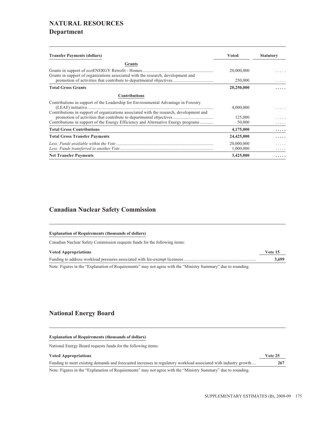# **NATURAL RESOURCES Department**

| <b>Transfer Payments (dollars)</b>                                                      | <b>Voted</b> | <b>Statutory</b> |
|-----------------------------------------------------------------------------------------|--------------|------------------|
| <b>Grants</b>                                                                           |              |                  |
| Grants in support of organizations associated with the research, development and        | 20,000,000   |                  |
|                                                                                         | 250,000      |                  |
| <b>Total Gross Grants</b>                                                               | 20,250,000   |                  |
| <b>Contributions</b>                                                                    |              |                  |
| Contributions in support of the Leadership for Environmental Advantage in Forestry      |              |                  |
|                                                                                         | 4,000,000    |                  |
| Contributions in support of organizations associated with the research, development and |              |                  |
|                                                                                         | 125,000      |                  |
| Contributions in support of the Energy Efficiency and Alternative Energy programs       | 50,000       |                  |
| <b>Total Gross Contributions</b>                                                        | 4,175,000    |                  |
| <b>Total Gross Transfer Payments</b>                                                    | 24,425,000   |                  |
|                                                                                         | 20,000,000   |                  |
|                                                                                         | 1,000,000    |                  |
| <b>Net Transfer Payments</b>                                                            | 3,425,000    | .                |

### **Canadian Nuclear Safety Commission**

#### **Explanation of Requirements (thousands of dollars)**

Canadian Nuclear Safety Commission requests funds for the following items:

# **Voted Appropriations Vote 15**

Funding to address workload pressures associated with fee-exempt licensees .................................................................. **3,699** Note: Figures in the "Explanation of Requirements" may not agree with the "Ministry Summary" due to rounding.

### **National Energy Board**

# **Explanation of Requirements (thousands of dollars)** National Energy Board requests funds for the following items: **Voted Appropriations Vote 25** Funding to meet existing demands and forecasted increases in regulatory workload associated with industry growth.... **267** Note: Figures in the "Explanation of Requirements" may not agree with the "Ministry Summary" due to rounding.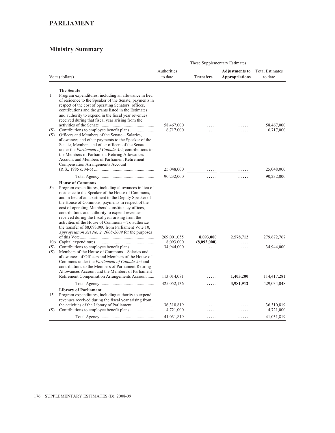# **PARLIAMENT**

|                            |                                                                                                                                                                                                                                                                                                                                                                                                                                                                                                                                                                                                                                                                                              | These Supplementary Estimates |                  |                                                |                                   |  |
|----------------------------|----------------------------------------------------------------------------------------------------------------------------------------------------------------------------------------------------------------------------------------------------------------------------------------------------------------------------------------------------------------------------------------------------------------------------------------------------------------------------------------------------------------------------------------------------------------------------------------------------------------------------------------------------------------------------------------------|-------------------------------|------------------|------------------------------------------------|-----------------------------------|--|
|                            | Vote (dollars)                                                                                                                                                                                                                                                                                                                                                                                                                                                                                                                                                                                                                                                                               | Authorities<br>to date        | <b>Transfers</b> | <b>Adjustments to</b><br><b>Appropriations</b> | <b>Total Estimates</b><br>to date |  |
|                            |                                                                                                                                                                                                                                                                                                                                                                                                                                                                                                                                                                                                                                                                                              |                               |                  |                                                |                                   |  |
| $\mathbf{1}$<br>(S)<br>(S) | <b>The Senate</b><br>Program expenditures, including an allowance in lieu<br>of residence to the Speaker of the Senate, payments in<br>respect of the cost of operating Senators' offices,<br>contributions and the grants listed in the Estimates<br>and authority to expend in the fiscal year revenues<br>received during that fiscal year arising from the<br>Officers and Members of the Senate – Salaries,<br>allowances and other payments to the Speaker of the<br>Senate, Members and other officers of the Senate<br>under the <i>Parliament of Canada Act</i> ; contributions to<br>the Members of Parliament Retiring Allowances<br>Account and Members of Parliament Retirement | 58,467,000<br>6,717,000       |                  |                                                | 58,467,000<br>6,717,000           |  |
|                            | <b>Compensation Arrangements Account</b>                                                                                                                                                                                                                                                                                                                                                                                                                                                                                                                                                                                                                                                     |                               |                  |                                                |                                   |  |
|                            |                                                                                                                                                                                                                                                                                                                                                                                                                                                                                                                                                                                                                                                                                              | 25,048,000                    |                  |                                                | 25,048,000                        |  |
|                            |                                                                                                                                                                                                                                                                                                                                                                                                                                                                                                                                                                                                                                                                                              | 90,232,000                    | .                | .                                              | 90,232,000                        |  |
| 5b                         | <b>House of Commons</b><br>Program expenditures, including allowances in lieu of<br>residence to the Speaker of the House of Commons,<br>and in lieu of an apartment to the Deputy Speaker of<br>the House of Commons, payments in respect of the<br>cost of operating Members' constituency offices,<br>contributions and authority to expend revenues<br>received during the fiscal year arising from the<br>activities of the House of Commons - To authorize<br>the transfer of \$8,093,000 from Parliament Vote 10,<br>Appropriation Act No. 2, 2008-2009 for the purposes                                                                                                              |                               |                  |                                                |                                   |  |
|                            |                                                                                                                                                                                                                                                                                                                                                                                                                                                                                                                                                                                                                                                                                              | 269,001,055                   | 8,093,000        | 2,578,712                                      | 279,672,767                       |  |
| (S)<br>(S)                 | Members of the House of Commons – Salaries and<br>allowances of Officers and Members of the House of<br>Commons under the Parliament of Canada Act and<br>contributions to the Members of Parliament Retiring                                                                                                                                                                                                                                                                                                                                                                                                                                                                                | 8,093,000<br>34,944,000       | (8,093,000)<br>. | .<br>.                                         | 34,944,000                        |  |
|                            | Allowances Account and the Members of Parliament                                                                                                                                                                                                                                                                                                                                                                                                                                                                                                                                                                                                                                             |                               |                  |                                                |                                   |  |
|                            | Retirement Compensation Arrangements Account                                                                                                                                                                                                                                                                                                                                                                                                                                                                                                                                                                                                                                                 | 113,014,081                   | .                | 1,403,200                                      | 114,417,281                       |  |
|                            |                                                                                                                                                                                                                                                                                                                                                                                                                                                                                                                                                                                                                                                                                              | 425,052,136                   | .                | 3,981,912                                      | 429,034,048                       |  |
| 15                         | <b>Library of Parliament</b><br>Program expenditures, including authority to expend<br>revenues received during the fiscal year arising from                                                                                                                                                                                                                                                                                                                                                                                                                                                                                                                                                 | 36,310,819                    |                  |                                                | 36,310,819                        |  |
| (S)                        |                                                                                                                                                                                                                                                                                                                                                                                                                                                                                                                                                                                                                                                                                              | 4,721,000                     | .                | .                                              | 4,721,000                         |  |
|                            |                                                                                                                                                                                                                                                                                                                                                                                                                                                                                                                                                                                                                                                                                              | 41,031,819                    | .                | .                                              | 41,031,819                        |  |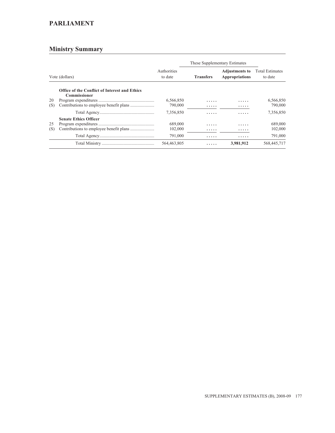# **PARLIAMENT**

|                |                                                                             |                        | These Supplementary Estimates |                                         |                                   |  |
|----------------|-----------------------------------------------------------------------------|------------------------|-------------------------------|-----------------------------------------|-----------------------------------|--|
| Vote (dollars) |                                                                             | Authorities<br>to date | <b>Transfers</b>              | <b>Adjustments to</b><br>Appropriations | <b>Total Estimates</b><br>to date |  |
|                | <b>Office of the Conflict of Interest and Ethics</b><br><b>Commissioner</b> |                        |                               |                                         |                                   |  |
| 20<br>(S)      |                                                                             | 6,566,850<br>790,000   | .<br>.                        | .<br>.                                  | 6,566,850<br>790,000              |  |
|                |                                                                             | 7,356,850              | .                             | .                                       | 7,356,850                         |  |
| 25<br>(S)      | <b>Senate Ethics Officer</b>                                                | 689,000<br>102,000     | .<br>.                        | .<br>.                                  | 689,000<br>102,000                |  |
|                |                                                                             | 791,000                | .                             | .                                       | 791,000                           |  |
|                |                                                                             | 564,463,805            | .                             | 3,981,912                               | 568,445,717                       |  |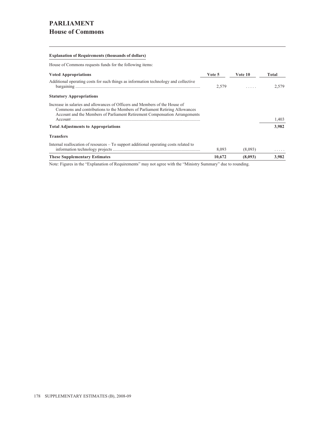# **PARLIAMENT House of Commons**

### **Explanation of Requirements (thousands of dollars)**

House of Commons requests funds for the following items:

| <b>Voted Appropriations</b>                                                                                                                                                                                                             | Vote 5 | Vote 10 | Total |
|-----------------------------------------------------------------------------------------------------------------------------------------------------------------------------------------------------------------------------------------|--------|---------|-------|
| Additional operating costs for such things as information technology and collective                                                                                                                                                     | 2.579  |         | 2.579 |
| <b>Statutory Appropriations</b>                                                                                                                                                                                                         |        |         |       |
| Increase in salaries and allowances of Officers and Members of the House of<br>Commons and contributions to the Members of Parliament Retiring Allowances<br>Account and the Members of Parliament Retirement Compensation Arrangements |        |         |       |
|                                                                                                                                                                                                                                         |        |         | 1,403 |
| <b>Total Adjustments to Appropriations</b>                                                                                                                                                                                              |        |         | 3.982 |
| <b>Transfers</b>                                                                                                                                                                                                                        |        |         |       |
| Internal reallocation of resources – To support additional operating costs related to                                                                                                                                                   | 8.093  | (8,093) |       |
| <b>These Supplementary Estimates</b>                                                                                                                                                                                                    | 10.672 | (8.093) | 3.982 |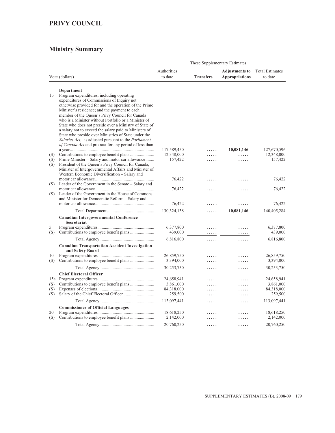# **PRIVY COUNCIL**

|                |                                                                                                                                                                                                                                                                                                                                                                                                                                               | These Supplementary Estimates |                  |                                                |                                   |  |
|----------------|-----------------------------------------------------------------------------------------------------------------------------------------------------------------------------------------------------------------------------------------------------------------------------------------------------------------------------------------------------------------------------------------------------------------------------------------------|-------------------------------|------------------|------------------------------------------------|-----------------------------------|--|
|                | Vote (dollars)                                                                                                                                                                                                                                                                                                                                                                                                                                | Authorities<br>to date        | <b>Transfers</b> | <b>Adjustments to</b><br><b>Appropriations</b> | <b>Total Estimates</b><br>to date |  |
|                |                                                                                                                                                                                                                                                                                                                                                                                                                                               |                               |                  |                                                |                                   |  |
| 1 <sub>b</sub> | Department<br>Program expenditures, including operating<br>expenditures of Commissions of Inquiry not<br>otherwise provided for and the operation of the Prime<br>Minister's residence; and the payment to each<br>member of the Queen's Privy Council for Canada<br>who is a Minister without Portfolio or a Minister of<br>State who does not preside over a Ministry of State of<br>a salary not to exceed the salary paid to Ministers of |                               |                  |                                                |                                   |  |
|                | State who preside over Ministries of State under the<br>Salaries Act, as adjusted pursuant to the Parliament                                                                                                                                                                                                                                                                                                                                  |                               |                  |                                                |                                   |  |
|                | of Canada Act and pro rata for any period of less than                                                                                                                                                                                                                                                                                                                                                                                        |                               |                  |                                                |                                   |  |
|                |                                                                                                                                                                                                                                                                                                                                                                                                                                               | 117,589,450                   |                  | 10,081,146                                     | 127,670,596                       |  |
| (S)            |                                                                                                                                                                                                                                                                                                                                                                                                                                               | 12,348,000                    | .                | .                                              | 12,348,000                        |  |
| (S)<br>(S)     | Prime Minister – Salary and motor car allowance<br>President of the Queen's Privy Council for Canada,<br>Minister of Intergovernmental Affairs and Minister of<br>Western Economic Diversification - Salary and                                                                                                                                                                                                                               | 157,422                       | .                | .                                              | 157,422                           |  |
| (S)            | Leader of the Government in the Senate – Salary and                                                                                                                                                                                                                                                                                                                                                                                           | 76,422                        | .                | .                                              | 76,422                            |  |
| (S)            | Leader of the Government in the House of Commons<br>and Minister for Democratic Reform - Salary and                                                                                                                                                                                                                                                                                                                                           | 76,422                        | .                | .                                              | 76,422                            |  |
|                |                                                                                                                                                                                                                                                                                                                                                                                                                                               | 76,422                        |                  |                                                | 76,422                            |  |
|                |                                                                                                                                                                                                                                                                                                                                                                                                                                               | 130,324,138                   | .                | 10,081,146                                     | 140,405,284                       |  |
|                | Canadian Intergovernmental Conference<br>Secretariat                                                                                                                                                                                                                                                                                                                                                                                          |                               |                  |                                                |                                   |  |
| 5              |                                                                                                                                                                                                                                                                                                                                                                                                                                               | 6,377,800                     | .                |                                                | 6,377,800                         |  |
| (S)            |                                                                                                                                                                                                                                                                                                                                                                                                                                               | 439,000                       | .                | .                                              | 439,000                           |  |
|                |                                                                                                                                                                                                                                                                                                                                                                                                                                               | 6,816,800                     | .                | .                                              | 6,816,800                         |  |
|                | <b>Canadian Transportation Accident Investigation</b><br>and Safety Board                                                                                                                                                                                                                                                                                                                                                                     |                               |                  |                                                |                                   |  |
| 10             |                                                                                                                                                                                                                                                                                                                                                                                                                                               | 26,859,750                    | .                | .                                              | 26,859,750                        |  |
| (S)            |                                                                                                                                                                                                                                                                                                                                                                                                                                               | 3,394,000                     | .                | .                                              | 3,394,000                         |  |
|                |                                                                                                                                                                                                                                                                                                                                                                                                                                               | 30,253,750                    | .                | .                                              | 30,253,750                        |  |
|                | <b>Chief Electoral Officer</b>                                                                                                                                                                                                                                                                                                                                                                                                                |                               |                  |                                                |                                   |  |
|                |                                                                                                                                                                                                                                                                                                                                                                                                                                               | 24,658,941                    | .                | .                                              | 24,658,941                        |  |
| (S)            |                                                                                                                                                                                                                                                                                                                                                                                                                                               | 3,861,000                     | .                | .                                              | 3,861,000                         |  |
| (S)<br>(S)     |                                                                                                                                                                                                                                                                                                                                                                                                                                               | 84,318,000<br>259,500         | .<br>.           | .<br>.                                         | 84,318,000<br>259,500             |  |
|                |                                                                                                                                                                                                                                                                                                                                                                                                                                               | 113,097,441                   |                  |                                                | 113,097,441                       |  |
|                |                                                                                                                                                                                                                                                                                                                                                                                                                                               |                               | .                | .                                              |                                   |  |
| 20             | <b>Commissioner of Official Languages</b>                                                                                                                                                                                                                                                                                                                                                                                                     | 18,618,250                    | .                | .                                              | 18,618,250                        |  |
| (S)            |                                                                                                                                                                                                                                                                                                                                                                                                                                               | 2,142,000                     | .                | .                                              | 2,142,000                         |  |
|                |                                                                                                                                                                                                                                                                                                                                                                                                                                               | 20,760,250                    | .                | .                                              | 20,760,250                        |  |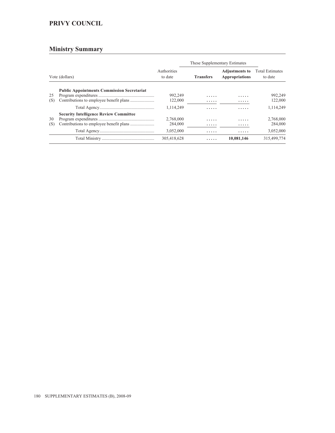# **PRIVY COUNCIL**

|                |                                                   |                        | These Supplementary Estimates |                                         |                                   |
|----------------|---------------------------------------------------|------------------------|-------------------------------|-----------------------------------------|-----------------------------------|
| Vote (dollars) |                                                   | Authorities<br>to date | <b>Transfers</b>              | <b>Adjustments to</b><br>Appropriations | <b>Total Estimates</b><br>to date |
|                | <b>Public Appointments Commission Secretariat</b> |                        |                               |                                         |                                   |
| 25             |                                                   | 992,249                | .                             | .                                       | 992,249                           |
| (S)            |                                                   | 122,000                | .                             | .                                       | 122,000                           |
|                |                                                   | 1.114.249              | .                             | .                                       | 1.114.249                         |
|                | <b>Security Intelligence Review Committee</b>     |                        |                               |                                         |                                   |
| 30             |                                                   | 2,768,000              | .                             | .                                       | 2,768,000                         |
| (S)            |                                                   | 284,000                | .                             | .                                       | 284,000                           |
|                |                                                   | 3,052,000              | .                             | .                                       | 3,052,000                         |
|                |                                                   | 305,418,628            | .                             | 10,081,146                              | 315,499,774                       |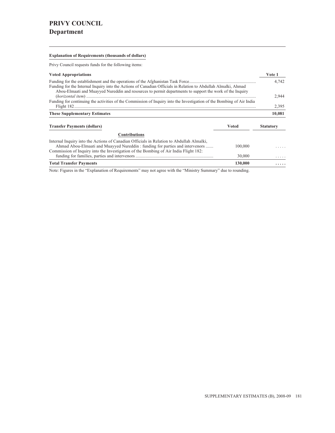### **Explanation of Requirements (thousands of dollars)**

Privy Council requests funds for the following items:

| <b>Voted Appropriations</b><br>Funding for the Internal Inquiry into the Actions of Canadian Officials in Relation to Abdullah Almalki, Ahmad<br>Abou-Elmaati and Muayyed Nureddin and resources to permit departments to support the work of the Inquiry<br>Funding for continuing the activities of the Commission of Inquiry into the Investigation of the Bombing of Air India<br><b>These Supplementary Estimates</b> |         |   |  |  |  |                                                                                                                                                                                                                                                                   |              |                  |
|----------------------------------------------------------------------------------------------------------------------------------------------------------------------------------------------------------------------------------------------------------------------------------------------------------------------------------------------------------------------------------------------------------------------------|---------|---|--|--|--|-------------------------------------------------------------------------------------------------------------------------------------------------------------------------------------------------------------------------------------------------------------------|--------------|------------------|
|                                                                                                                                                                                                                                                                                                                                                                                                                            |         |   |  |  |  | <b>Transfer Payments (dollars)</b>                                                                                                                                                                                                                                | <b>Voted</b> | <b>Statutory</b> |
|                                                                                                                                                                                                                                                                                                                                                                                                                            |         |   |  |  |  | <b>Contributions</b>                                                                                                                                                                                                                                              |              |                  |
|                                                                                                                                                                                                                                                                                                                                                                                                                            |         |   |  |  |  | Internal Inquiry into the Actions of Canadian Officials in Relation to Abdullah Almalki,<br>Ahmad Abou-Elmaati and Muayyed Nureddin : funding for parties and intervenors<br>Commission of Inquiry into the Investigation of the Bombing of Air India Flight 182: | 100,000      |                  |
|                                                                                                                                                                                                                                                                                                                                                                                                                            |         |   |  |  |  |                                                                                                                                                                                                                                                                   | 30,000       | .                |
| <b>Total Transfer Payments</b>                                                                                                                                                                                                                                                                                                                                                                                             | 130,000 | . |  |  |  |                                                                                                                                                                                                                                                                   |              |                  |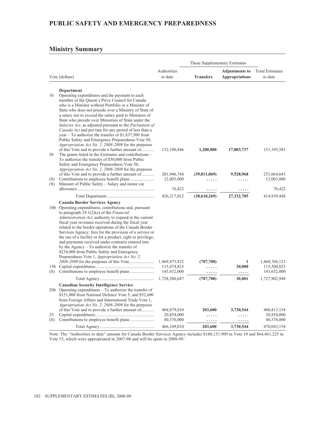### **PUBLIC SAFETY AND EMERGENCY PREPAREDNESS**

### **Ministry Summary**

|                |                                                                                                                                                                                                                                                                                                                                                                                                                                                                                                                                                                                                                                                                | These Supplementary Estimates               |                     |                       |                                             |
|----------------|----------------------------------------------------------------------------------------------------------------------------------------------------------------------------------------------------------------------------------------------------------------------------------------------------------------------------------------------------------------------------------------------------------------------------------------------------------------------------------------------------------------------------------------------------------------------------------------------------------------------------------------------------------------|---------------------------------------------|---------------------|-----------------------|---------------------------------------------|
|                |                                                                                                                                                                                                                                                                                                                                                                                                                                                                                                                                                                                                                                                                | Authorities                                 |                     | <b>Adjustments to</b> | <b>Total Estimates</b>                      |
|                | Vote (dollars)                                                                                                                                                                                                                                                                                                                                                                                                                                                                                                                                                                                                                                                 | to date                                     | <b>Transfers</b>    | <b>Appropriations</b> | to date                                     |
| 1 <sub>b</sub> | Department<br>Operating expenditures and the payment to each<br>member of the Queen's Privy Council for Canada<br>who is a Minister without Portfolio or a Minister of<br>State who does not preside over a Ministry of State of<br>a salary not to exceed the salary paid to Ministers of<br>State who preside over Ministries of State under the<br><i>Salaries Act</i> , as adjusted pursuant to the <i>Parliament of</i><br>Canada Act and pro rata for any period of less than a<br>year – To authorize the transfer of $$1,837,500$ from                                                                                                                 |                                             |                     |                       |                                             |
| 5b             | Public Safety and Emergency Preparedness Vote 50,<br>Appropriation Act No. 2, 2008-2009 for the purposes<br>of this Vote and to provide a further amount of<br>The grants listed in the Estimates and contributions –<br>To authorize the transfer of \$50,000 from Public<br>Safety and Emergency Preparedness Vote 50,<br>Appropriation Act No. 2, 2008-2009 for the purposes                                                                                                                                                                                                                                                                                | 132,190,846                                 | 1,200,800           | 17,803,737            | 151, 195, 383                               |
| (S)            | of this Vote and to provide a further amount of<br>Contributions to employee benefit plans                                                                                                                                                                                                                                                                                                                                                                                                                                                                                                                                                                     | 281,946,744<br>12,003,000                   | (39,811,069)<br>.   | 9,528,968<br>.        | 251,664,643<br>12,003,000                   |
| (S)            | Minister of Public Safety – Salary and motor car                                                                                                                                                                                                                                                                                                                                                                                                                                                                                                                                                                                                               | 76,422                                      | .                   | .                     | 76,422                                      |
|                |                                                                                                                                                                                                                                                                                                                                                                                                                                                                                                                                                                                                                                                                | 426,217,012                                 | (38,610,269)        | 27,332,705            | 414,939,448                                 |
| (S)            | <b>Canada Border Services Agency</b><br>10b Operating expenditures, contributions and, pursuant<br>to paragraph $29.1(2)(a)$ of the <i>Financial</i><br>Administration Act, authority to expend in the current<br>fiscal year revenues received during the fiscal year<br>related to the border operations of the Canada Border<br>Services Agency: fees for the provision of a service or<br>the use of a facility or for a product, right or privilege;<br>and payments received under contracts entered into<br>by the Agency – To authorize the transfer of<br>\$234,000 from Public Safety and Emergency<br>Preparedness Vote 1, Appropriation Act No. 2, | 1,469,473,822<br>115,474,825<br>143,632,000 | (707,700)<br>.<br>. | 1<br>30,000<br>.      | 1,468,766,123<br>115,504,825<br>143,632,000 |
|                |                                                                                                                                                                                                                                                                                                                                                                                                                                                                                                                                                                                                                                                                | 1,728,580,647                               | (707, 700)          | 30,001                | 1,727,902,948                               |
|                | <b>Canadian Security Intelligence Service</b><br>20b Operating expenditures – To authorize the transfer of<br>\$151,000 from National Defence Vote 5, and \$52,600<br>from Foreign Affairs and International Trade Vote 1,<br><i>Appropriation Act No. 2, 2008-2009</i> for the purposes                                                                                                                                                                                                                                                                                                                                                                       |                                             |                     |                       |                                             |
| 25<br>(S)      | of this Vote and to provide a further amount of                                                                                                                                                                                                                                                                                                                                                                                                                                                                                                                                                                                                                | 404,879,010<br>20,854,000<br>40,376,000     | 203,600<br>.<br>.   | 3,730,544<br>.<br>.   | 408,813,154<br>20,854,000<br>40,376,000     |
|                |                                                                                                                                                                                                                                                                                                                                                                                                                                                                                                                                                                                                                                                                | 466,109,010                                 | 203,600             | 3,730,544             | 470,043,154                                 |

Note: The "Authorities to date" amount for Canada Border Services Agency includes \$160,131,909 in Vote 10 and \$64,461,225 in Vote 15, which were appropriated in 2007-08 and will be spent in 2008-09.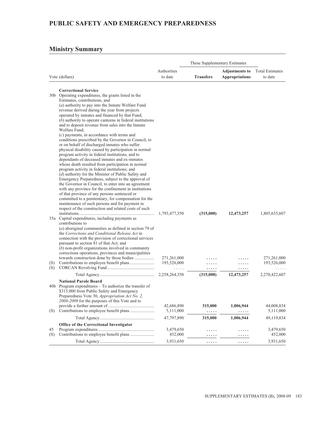# **PUBLIC SAFETY AND EMERGENCY PREPAREDNESS**

# **Ministry Summary**

|           |                                                                                                                                                                                                                                                                                                                                                                                                                                                                                  | Authorities                |                  | <b>Adjustments to</b> | <b>Total Estimates</b>     |
|-----------|----------------------------------------------------------------------------------------------------------------------------------------------------------------------------------------------------------------------------------------------------------------------------------------------------------------------------------------------------------------------------------------------------------------------------------------------------------------------------------|----------------------------|------------------|-----------------------|----------------------------|
|           | Vote (dollars)                                                                                                                                                                                                                                                                                                                                                                                                                                                                   | to date                    | <b>Transfers</b> | <b>Appropriations</b> | to date                    |
|           |                                                                                                                                                                                                                                                                                                                                                                                                                                                                                  |                            |                  |                       |                            |
|           | <b>Correctional Service</b><br>30b Operating expenditures, the grants listed in the<br>Estimates, contributions, and<br>(a) authority to pay into the Inmate Welfare Fund<br>revenue derived during the year from projects<br>operated by inmates and financed by that Fund;<br>$(b)$ authority to operate canteens in federal institutions<br>and to deposit revenue from sales into the Inmate<br>Welfare Fund:                                                                |                            |                  |                       |                            |
|           | $(c)$ payments, in accordance with terms and<br>conditions prescribed by the Governor in Council, to<br>or on behalf of discharged inmates who suffer<br>physical disability caused by participation in normal<br>program activity in federal institutions, and to<br>dependants of deceased inmates and ex-inmates<br>whose death resulted from participation in normal<br>program activity in federal institutions; and<br>(d) authority for the Minister of Public Safety and |                            |                  |                       |                            |
|           | Emergency Preparedness, subject to the approval of<br>the Governor in Council, to enter into an agreement<br>with any province for the confinement in institutions<br>of that province of any persons sentenced or<br>committed to a penitentiary, for compensation for the<br>maintenance of such persons and for payment in<br>respect of the construction and related costs of such<br>35a Capital expenditures, including payments as                                        | 1,793,477,350              | (315,000)        | 12,473,257            | 1,805,635,607              |
| (S)       | contributions to<br>$(a)$ aboriginal communities as defined in section 79 of<br>the Corrections and Conditional Release Act in<br>connection with the provision of correctional services<br>pursuant to section 81 of that Act; and<br>$(b)$ non-profit organizations involved in community<br>corrections operations, provinces and municipalities<br>towards construction done by those bodies                                                                                 | 271,261,000<br>193,526,000 |                  |                       | 271,261,000<br>193,526,000 |
| (S)       |                                                                                                                                                                                                                                                                                                                                                                                                                                                                                  | .                          | .                | .                     |                            |
|           |                                                                                                                                                                                                                                                                                                                                                                                                                                                                                  | 2,258,264,350              | (315,000)        | 12,473,257            | 2,270,422,607              |
|           | <b>National Parole Board</b><br>40b Program expenditures – To authorize the transfer of<br>\$315,000 from Public Safety and Emergency<br>Preparedness Vote 30, <i>Appropriation Act No. 2</i> ,<br>2008-2009 for the purposes of this Vote and to                                                                                                                                                                                                                                |                            |                  |                       |                            |
| (S)       |                                                                                                                                                                                                                                                                                                                                                                                                                                                                                  | 42,686,890<br>5,111,000    | 315,000<br>.     | 1,006,944<br>.        | 44,008,834<br>5,111,000    |
|           |                                                                                                                                                                                                                                                                                                                                                                                                                                                                                  | 47,797,890                 | 315,000          | 1,006,944             | 49,119,834                 |
|           | Office of the Correctional Investigator                                                                                                                                                                                                                                                                                                                                                                                                                                          |                            |                  |                       |                            |
| 45<br>(S) | Contributions to employee benefit plans                                                                                                                                                                                                                                                                                                                                                                                                                                          | 3,479,650<br>452,000       | .<br>.           | .<br>.                | 3,479,650<br>452,000       |
|           |                                                                                                                                                                                                                                                                                                                                                                                                                                                                                  | 3,931,650                  | .                | .                     | 3,931,650                  |

<u> 1989 - Johann Barbara, martxa alemaniar a</u>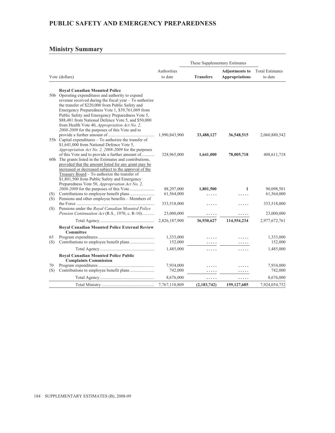# **PUBLIC SAFETY AND EMERGENCY PREPAREDNESS**

## **Ministry Summary**

|            |                                                                                                                                                                                                                                                                                                                                                                                                                                         |                        |                  | These Supplementary Estimates                  |                                   |  |
|------------|-----------------------------------------------------------------------------------------------------------------------------------------------------------------------------------------------------------------------------------------------------------------------------------------------------------------------------------------------------------------------------------------------------------------------------------------|------------------------|------------------|------------------------------------------------|-----------------------------------|--|
|            | Vote (dollars)                                                                                                                                                                                                                                                                                                                                                                                                                          | Authorities<br>to date | <b>Transfers</b> | <b>Adjustments to</b><br><b>Appropriations</b> | <b>Total Estimates</b><br>to date |  |
|            | <b>Royal Canadian Mounted Police</b>                                                                                                                                                                                                                                                                                                                                                                                                    |                        |                  |                                                |                                   |  |
|            | 50b Operating expenditures and authority to expend<br>revenue received during the fiscal year – To authorize<br>the transfer of \$220,000 from Public Safety and<br>Emergency Preparedness Vote 1, \$39,761,069 from<br>Public Safety and Emergency Preparedness Vote 5,<br>\$88,481 from National Defence Vote 5, and \$50,000<br>from Health Vote 40, Appropriation Act No. 2,<br>2008-2009 for the purposes of this Vote and to      |                        |                  |                                                |                                   |  |
| 55b        | Capital expenditures $-$ To authorize the transfer of<br>\$1,641,000 from National Defence Vote 5,                                                                                                                                                                                                                                                                                                                                      | 1,990,843,900          | 33,488,127       | 36,548,515                                     | 2,060,880,542                     |  |
|            | Appropriation Act No. 2, 2008-2009 for the purposes<br>of this Vote and to provide a further amount of<br>60b The grants listed in the Estimates and contributions,<br>provided that the amount listed for any grant may be<br>increased or decreased subject to the approval of the<br>Treasury Board – To authorize the transfer of<br>\$1,801,500 from Public Safety and Emergency<br>Preparedness Vote 50, Appropriation Act No. 2, | 328,965,000            | 1,641,000        | 78,005,718                                     | 408,611,718                       |  |
|            |                                                                                                                                                                                                                                                                                                                                                                                                                                         | 88,297,000             | 1,801,500        | $\mathbf{1}$                                   | 90,098,501                        |  |
| (S)<br>(S) | Pensions and other employee benefits - Members of                                                                                                                                                                                                                                                                                                                                                                                       | 61,564,000             | .                |                                                | 61,564,000                        |  |
| (S)        | Pensions under the Royal Canadian Mounted Police                                                                                                                                                                                                                                                                                                                                                                                        | 333,518,000            | .                |                                                | 333,518,000                       |  |
|            | Pension Continuation Act (R.S., 1970, c. R-10)                                                                                                                                                                                                                                                                                                                                                                                          | 23,000,000             |                  |                                                | 23,000,000                        |  |
|            |                                                                                                                                                                                                                                                                                                                                                                                                                                         | 2,826,187,900          | 36,930,627       | 114,554,234                                    | 2,977,672,761                     |  |
|            | <b>Royal Canadian Mounted Police External Review</b><br>Committee                                                                                                                                                                                                                                                                                                                                                                       |                        |                  |                                                |                                   |  |
| 65         |                                                                                                                                                                                                                                                                                                                                                                                                                                         | 1,333,000              |                  |                                                | 1,333,000                         |  |
| (S)        |                                                                                                                                                                                                                                                                                                                                                                                                                                         | 152,000                |                  |                                                | 152,000                           |  |
|            |                                                                                                                                                                                                                                                                                                                                                                                                                                         | 1,485,000              | .                | .                                              | 1,485,000                         |  |
|            | <b>Royal Canadian Mounted Police Public</b><br><b>Complaints Commission</b>                                                                                                                                                                                                                                                                                                                                                             |                        |                  |                                                |                                   |  |
| 70         |                                                                                                                                                                                                                                                                                                                                                                                                                                         | 7,934,000              |                  |                                                | 7,934,000                         |  |
| (S)        |                                                                                                                                                                                                                                                                                                                                                                                                                                         | 742,000                | .                | .                                              | 742,000                           |  |
|            |                                                                                                                                                                                                                                                                                                                                                                                                                                         | 8,676,000              | .                | .                                              | 8,676,000                         |  |
|            |                                                                                                                                                                                                                                                                                                                                                                                                                                         | 7,767,110,809          | (2, 183, 742)    | 159, 127, 685                                  | 7,924,054,752                     |  |

<u> 1989 - Johann Barn, mars eta bainar eta baina eta baina eta baina eta baina eta baina eta baina eta baina e</u>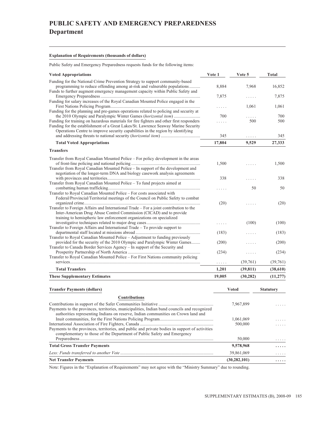# **PUBLIC SAFETY AND EMERGENCY PREPAREDNESS Department**

#### **Explanation of Requirements (thousands of dollars)**

Public Safety and Emergency Preparedness requests funds for the following items:

| <b>Voted Appropriations</b>                                                                                                                                                                                                                                       | Vote 1 | Vote 5       | <b>Total</b>     |
|-------------------------------------------------------------------------------------------------------------------------------------------------------------------------------------------------------------------------------------------------------------------|--------|--------------|------------------|
| Funding for the National Crime Prevention Strategy to support community-based<br>programming to reduce offending among at-risk and vulnerable populations                                                                                                         | 8,884  | 7,968        | 16,852           |
| Funds to further augment emergency management capacity within Public Safety and                                                                                                                                                                                   |        |              |                  |
|                                                                                                                                                                                                                                                                   | 7,875  | .            | 7,875            |
| Funding for salary increases of the Royal Canadian Mounted Police engaged in the                                                                                                                                                                                  |        | 1,061        | 1,061            |
| Funding for the planning and pre-games operations related to policing and security at                                                                                                                                                                             | .      |              |                  |
|                                                                                                                                                                                                                                                                   | 700    | .            | 700              |
| Funding for training on hazardous materials for fire fighters and other first responders<br>Funding for the establishment of a Great Lakes/St. Lawrence Seaway Marine Security<br>Operations Centre to improve security capabilities in the region by identifying | .      | 500          | 500              |
|                                                                                                                                                                                                                                                                   | 345    | .            | 345              |
| <b>Total Voted Appropriations</b>                                                                                                                                                                                                                                 | 17,804 | 9,529        | 27,333           |
| <b>Transfers</b>                                                                                                                                                                                                                                                  |        |              |                  |
| Transfer from Royal Canadian Mounted Police – For policy development in the areas                                                                                                                                                                                 |        |              |                  |
|                                                                                                                                                                                                                                                                   | 1,500  | .            | 1,500            |
| Transfer from Royal Canadian Mounted Police – In support of the development and<br>negotiation of the longer-term DNA and biology casework analysis agreements                                                                                                    |        |              |                  |
|                                                                                                                                                                                                                                                                   | 338    |              | 338              |
| Transfer from Royal Canadian Mounted Police - To fund projects aimed at                                                                                                                                                                                           |        |              |                  |
|                                                                                                                                                                                                                                                                   | .      | 50           | 50               |
| Transfer to Royal Canadian Mounted Police – For costs associated with<br>Federal/Provincial/Territorial meetings of the Council on Public Safety to combat                                                                                                        |        |              |                  |
|                                                                                                                                                                                                                                                                   | (20)   |              | (20)             |
| Transfer to Foreign Affairs and International Trade – For a joint contribution to the                                                                                                                                                                             |        |              |                  |
| Inter-American Drug Abuse Control Commission (CICAD) and to provide                                                                                                                                                                                               |        |              |                  |
| training to hemispheric law enforcement organizations on specialized                                                                                                                                                                                              |        |              |                  |
| Transfer to Foreign Affairs and International Trade – To provide support to                                                                                                                                                                                       |        | (100)        | (100)            |
|                                                                                                                                                                                                                                                                   | (183)  | .            | (183)            |
| Transfer to Royal Canadian Mounted Police – Adjustment to funding previously                                                                                                                                                                                      |        |              |                  |
| provided for the security of the 2010 Olympic and Paralympic Winter Games                                                                                                                                                                                         | (200)  |              | (200)            |
| Transfer to Canada Border Services Agency – In support of the Security and                                                                                                                                                                                        |        |              |                  |
|                                                                                                                                                                                                                                                                   | (234)  | .            | (234)            |
| Transfer to Royal Canadian Mounted Police – For First Nations community policing                                                                                                                                                                                  |        |              |                  |
|                                                                                                                                                                                                                                                                   | .      | (39,761)     | (39,761)         |
| <b>Total Transfers</b>                                                                                                                                                                                                                                            | 1,201  | (39, 811)    | (38, 610)        |
| <b>These Supplementary Estimates</b>                                                                                                                                                                                                                              | 19,005 | (30, 282)    | (11, 277)        |
| <b>Transfer Payments (dollars)</b>                                                                                                                                                                                                                                |        | <b>Voted</b> | <b>Statutory</b> |
| <b>Contributions</b>                                                                                                                                                                                                                                              |        |              |                  |
|                                                                                                                                                                                                                                                                   |        | 7,967,899    |                  |
| Payments to the provinces, territories, municipalities, Indian band councils and recognized                                                                                                                                                                       |        |              |                  |
| authorities representing Indians on reserve, Indian communities on Crown land and                                                                                                                                                                                 |        |              |                  |
|                                                                                                                                                                                                                                                                   |        | 1,061,069    |                  |
|                                                                                                                                                                                                                                                                   |        | 500,000      |                  |
| Payments to the provinces, territories, and public and private bodies in support of activities                                                                                                                                                                    |        |              |                  |
| complementary to those of the Department of Public Safety and Emergency                                                                                                                                                                                           |        |              |                  |
|                                                                                                                                                                                                                                                                   |        | 50,000       |                  |

Note: Figures in the "Explanation of Requirements" may not agree with the "Ministry Summary" due to rounding.

**Total Gross Transfer Payments 9,578,968 .....** *Less: Funds transferred to another Vote* ..................................................................................... 39,861,069 ..... **Net Transfer Payments (30,282,101) .....**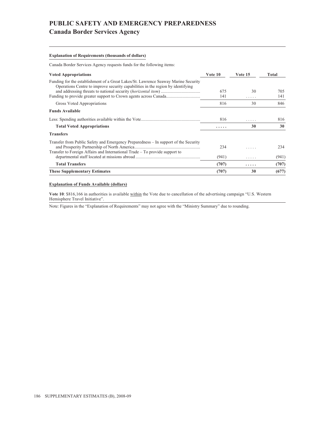# **PUBLIC SAFETY AND EMERGENCY PREPAREDNESS**

# **Canada Border Services Agency**

#### **Explanation of Requirements (thousands of dollars)**

Canada Border Services Agency requests funds for the following items:

| <b>Voted Appropriations</b>                                                                                                                                           | Vote 10 | Vote 15 | Total |
|-----------------------------------------------------------------------------------------------------------------------------------------------------------------------|---------|---------|-------|
| Funding for the establishment of a Great Lakes/St. Lawrence Seaway Marine Security<br>Operations Centre to improve security capabilities in the region by identifying |         |         |       |
|                                                                                                                                                                       | 675     | 30      | 705   |
|                                                                                                                                                                       | 141     | .       | 141   |
| Gross Voted Appropriations                                                                                                                                            | 816     | 30      | 846   |
| <b>Funds Available</b>                                                                                                                                                |         |         |       |
|                                                                                                                                                                       | 816     | .       | 816   |
| <b>Total Voted Appropriations</b>                                                                                                                                     | .       | 30      | 30    |
| <b>Transfers</b>                                                                                                                                                      |         |         |       |
| Transfer from Public Safety and Emergency Preparedness – In support of the Security                                                                                   |         |         |       |
|                                                                                                                                                                       | 234     |         | 234   |
| Transfer to Foreign Affairs and International Trade – To provide support to                                                                                           |         |         |       |
|                                                                                                                                                                       | (941)   | .       | (941) |
| <b>Total Transfers</b>                                                                                                                                                | (707)   | .       | (707) |
| <b>These Supplementary Estimates</b>                                                                                                                                  | (707)   | 30      | (677) |

#### **Explanation of Funds Available (dollars)**

**Vote 10**: \$816,166 in authorities is available within the Vote due to cancellation of the advertising campaign "U.S. Western Hemisphere Travel Initiative".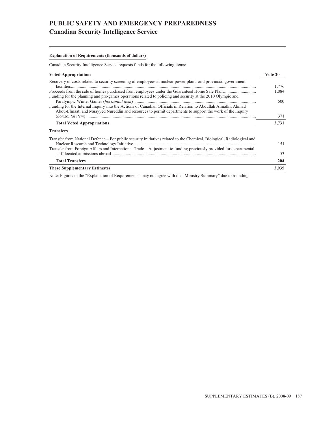# **PUBLIC SAFETY AND EMERGENCY PREPAREDNESS Canadian Security Intelligence Service**

#### **Explanation of Requirements (thousands of dollars)**

Canadian Security Intelligence Service requests funds for the following items:

| <b>Voted Appropriations</b>                                                                                                                                                                                                | Vote 20 |
|----------------------------------------------------------------------------------------------------------------------------------------------------------------------------------------------------------------------------|---------|
| Recovery of costs related to security screening of employees at nuclear power plants and provincial government                                                                                                             | 1.776   |
| Funding for the planning and pre-games operations related to policing and security at the 2010 Olympic and                                                                                                                 | 1.084   |
|                                                                                                                                                                                                                            | 500     |
| Funding for the Internal Inquiry into the Actions of Canadian Officials in Relation to Abdullah Almalki, Ahmad<br>Abou-Elmaati and Muayyed Nureddin and resources to permit departments to support the work of the Inquiry |         |
|                                                                                                                                                                                                                            | 371     |
| <b>Total Voted Appropriations</b>                                                                                                                                                                                          | 3,731   |
| <b>Transfers</b>                                                                                                                                                                                                           |         |
| Transfer from National Defence – For public security initiatives related to the Chemical, Biological, Radiological and                                                                                                     | 151     |
| Transfer from Foreign Affairs and International Trade – Adjustment to funding previously provided for departmental                                                                                                         | 53      |
| <b>Total Transfers</b>                                                                                                                                                                                                     | 204     |
| <b>These Supplementary Estimates</b>                                                                                                                                                                                       | 3.935   |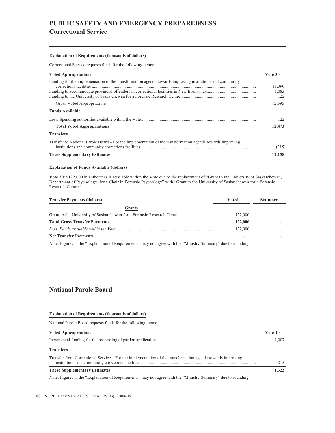# **PUBLIC SAFETY AND EMERGENCY PREPAREDNESS Correctional Service**

#### **Explanation of Requirements (thousands of dollars)**

Correctional Service requests funds for the following items:

| <b>Voted Appropriations</b>                                                                               | Vote 30      |
|-----------------------------------------------------------------------------------------------------------|--------------|
| Funding for the implementation of the transformation agenda towards improving institutions and community  | 11,390       |
|                                                                                                           | 1.083<br>122 |
| Gross Voted Appropriations                                                                                | 12,595       |
| <b>Funds Available</b>                                                                                    |              |
|                                                                                                           | 122          |
| <b>Total Voted Appropriations</b>                                                                         | 12,473       |
| <b>Transfers</b>                                                                                          |              |
| Transfer to National Parole Board – For the implementation of the transformation agenda towards improving | (315)        |
| <b>These Supplementary Estimates</b>                                                                      | 12.158       |

#### **Explanation of Funds Available (dollars)**

**Vote 30**: \$122,000 in authorities is available within the Vote due to the replacement of "Grant to the University of Saskatchewan, Department of Psychology, for a Chair in Forensic Psychology" with "Grant to the University of Saskatchewan for a Forensic Research Centre".

| <b>Transfer Payments (dollars)</b>   | Voted   | <b>Statutory</b> |
|--------------------------------------|---------|------------------|
| <b>Grants</b>                        |         |                  |
|                                      | 122.000 | .                |
| <b>Total Gross Transfer Payments</b> | 122,000 | .                |
|                                      | 122.000 | .                |
| <b>Net Transfer Payments</b>         | .       | .                |

Note: Figures in the "Explanation of Requirements" may not agree with the "Ministry Summary" due to rounding.

### **National Parole Board**

| <b>Explanation of Requirements (thousands of dollars)</b>                                                  |         |
|------------------------------------------------------------------------------------------------------------|---------|
| National Parole Board requests funds for the following items:                                              |         |
| <b>Voted Appropriations</b>                                                                                | Vote 40 |
|                                                                                                            | 1.007   |
| <b>Transfers</b>                                                                                           |         |
| Transfer from Correctional Service – For the implementation of the transformation agenda towards improving | 315     |
| <b>These Supplementary Estimates</b>                                                                       | 1.322   |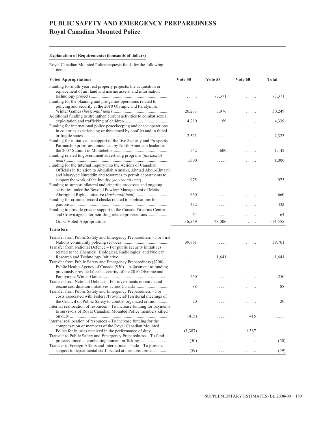# **PUBLIC SAFETY AND EMERGENCY PREPAREDNESS Royal Canadian Mounted Police**

#### **Explanation of Requirements (thousands of dollars)**

Royal Canadian Mounted Police requests funds for the following items:

| <b>Voted Appropriations</b>                                                                                                      | Vote 50 | Vote 55 | Vote 60                     | <b>Total</b> |
|----------------------------------------------------------------------------------------------------------------------------------|---------|---------|-----------------------------|--------------|
| Funding for multi-year real property projects; the acquisition or                                                                |         |         |                             |              |
| replacement of air, land and marine assets; and information                                                                      |         |         |                             |              |
|                                                                                                                                  |         | 73,371  |                             | 73,371       |
| Funding for the planning and pre-games operations related to                                                                     |         |         |                             |              |
| policing and security at the 2010 Olympic and Paralympic                                                                         |         |         |                             |              |
|                                                                                                                                  | 26,273  | 3,976   | .                           | 30,249       |
| Additional funding to strengthen current activities to combat sexual                                                             |         |         |                             |              |
|                                                                                                                                  | 4,280   | 59      | $\sim$ $\sim$ $\sim$        | 4,339        |
| Funding for international police peacekeeping and peace operations                                                               |         |         |                             |              |
| in countries experiencing or threatened by conflict and in failed                                                                |         |         |                             |              |
|                                                                                                                                  | 2,323   |         |                             | 2,323        |
| Funding for initiatives in support of the five Security and Prosperity                                                           |         |         |                             |              |
| Partnership priorities announced by North American leaders at                                                                    | 542     | 600     |                             | 1,142        |
| Funding related to government advertising programs (horizontal                                                                   |         |         | $\cdots$                    |              |
|                                                                                                                                  | 1,000   |         |                             | 1,000        |
| Funding for the Internal Inquiry into the Actions of Canadian                                                                    |         | .       | $\cdots$                    |              |
| Officials in Relation to Abdullah Almalki, Ahmad Abou-Elmaati                                                                    |         |         |                             |              |
| and Muayyed Nureddin and resources to permit departments to                                                                      |         |         |                             |              |
|                                                                                                                                  | 975     | .       | $\cdots$                    | 975          |
| Funding to support bilateral and tripartite processes and ongoing                                                                |         |         |                             |              |
| activities under the Beyond Powley: Management of Métis                                                                          |         |         |                             |              |
|                                                                                                                                  | 660     | .       | $\sim$ $\sim$ $\sim$ $\sim$ | 660          |
| Funding for criminal record checks related to applications for                                                                   |         |         |                             |              |
|                                                                                                                                  | 432     | .       | .                           | 432          |
| Funding to provide greater support to the Canada Firearms Centre                                                                 |         |         |                             |              |
|                                                                                                                                  | 64      | .       | .                           | 64           |
| Gross Voted Appropriations                                                                                                       | 36,549  | 78,006  | .                           | 114,555      |
| <b>Transfers</b>                                                                                                                 |         |         |                             |              |
|                                                                                                                                  |         |         |                             |              |
| Transfer from Public Safety and Emergency Preparedness – For First                                                               |         |         |                             |              |
|                                                                                                                                  | 39,761  | .       | .                           | 39,761       |
| Transfer from National Defence – For public security initiatives                                                                 |         |         |                             |              |
| related to the Chemical, Biological, Radiological and Nuclear                                                                    |         |         |                             |              |
|                                                                                                                                  |         | 1,641   | $\cdots$                    | 1,641        |
| Transfer from Public Safety and Emergency Preparedness (\$200),                                                                  |         |         |                             |              |
| Public Health Agency of Canada (\$50) – Adjustment to funding                                                                    |         |         |                             |              |
| previously provided for the security of the 2010 Olympic and                                                                     |         |         |                             |              |
|                                                                                                                                  | 250     | .       | 1.1.1                       | 250          |
| Transfer from National Defence – For investments in search and                                                                   |         |         |                             |              |
|                                                                                                                                  | 88      |         | $\cdots$                    | 88           |
| Transfer from Public Safety and Emergency Preparedness – For<br>costs associated with Federal/Provincial/Territorial meetings of |         |         |                             |              |
|                                                                                                                                  | 20      |         |                             | 20           |
| Internal reallocation of resources – To increase funding for payments                                                            |         |         |                             |              |
| to survivors of Royal Canadian Mounted Police members killed                                                                     |         |         |                             |              |
|                                                                                                                                  | (415)   |         | 415                         |              |
| Internal reallocation of resources - To increase funding for the                                                                 |         |         |                             |              |
| compensation of members of the Royal Canadian Mounted                                                                            |         |         |                             |              |
| Police for injuries received in the performance of duty                                                                          | (1,387) |         | 1,387                       |              |
| Transfer to Public Safety and Emergency Preparedness - To fund                                                                   |         |         |                             |              |
| projects aimed at combatting human trafficking                                                                                   | (50)    | .       | .                           | (50)         |
| Transfer to Foreign Affairs and International Trade – To provide                                                                 |         |         |                             |              |
| support to departmental staff located at missions abroad                                                                         | (59)    |         |                             | (59)         |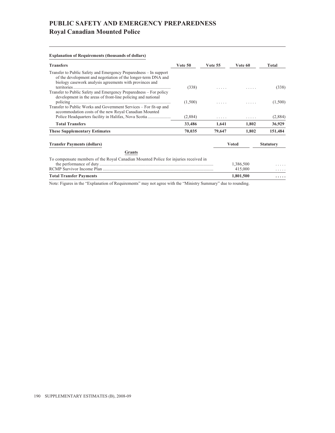# **PUBLIC SAFETY AND EMERGENCY PREPAREDNESS Royal Canadian Mounted Police**

#### **Explanation of Requirements (thousands of dollars)**

| <b>Transfers</b>                                                                                                                                                                              | Vote 50 | <b>Vote 55</b> | Vote 60      | Total            |
|-----------------------------------------------------------------------------------------------------------------------------------------------------------------------------------------------|---------|----------------|--------------|------------------|
|                                                                                                                                                                                               |         |                |              |                  |
| Transfer to Public Safety and Emergency Preparedness – In support<br>of the development and negotiation of the longer-term DNA and<br>biology casework analysis agreements with provinces and |         |                |              |                  |
|                                                                                                                                                                                               | (338)   |                |              | (338)            |
| Transfer to Public Safety and Emergency Preparedness – For policy<br>development in the areas of front-line policing and national                                                             |         |                |              |                  |
| Transfer to Public Works and Government Services – For fit-up and<br>accommodation costs of the new Royal Canadian Mounted                                                                    | (1,500) |                |              | (1,500)          |
|                                                                                                                                                                                               | (2,884) | .              | .            | (2,884)          |
| <b>Total Transfers</b>                                                                                                                                                                        | 33,486  | 1,641          | 1,802        | 36,929           |
| <b>These Supplementary Estimates</b>                                                                                                                                                          | 70,035  | 79,647         | 1,802        | 151,484          |
| <b>Transfer Payments (dollars)</b>                                                                                                                                                            |         |                | <b>Voted</b> | <b>Statutory</b> |
| <b>Grants</b>                                                                                                                                                                                 |         |                |              |                  |
| To compensate members of the Royal Canadian Mounted Police for injuries received in                                                                                                           |         |                |              |                  |
|                                                                                                                                                                                               |         |                | 1,386,500    |                  |
|                                                                                                                                                                                               |         |                | 415,000      |                  |
| <b>Total Transfer Payments</b>                                                                                                                                                                |         |                | 1,801,500    | .                |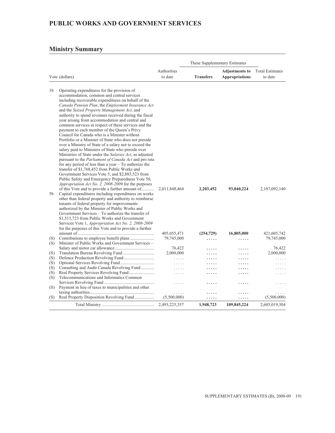# **PUBLIC WORKS AND GOVERNMENT SERVICES**

# **Ministry Summary**

|            |                                                                                                                                                                                                                                                                                                                                                                                                                                                                                                                                                                                                                                                                                                                                                                                                                                                                                                                                                                                              | These Supplementary Estimates |                  |                       |                        |  |  |
|------------|----------------------------------------------------------------------------------------------------------------------------------------------------------------------------------------------------------------------------------------------------------------------------------------------------------------------------------------------------------------------------------------------------------------------------------------------------------------------------------------------------------------------------------------------------------------------------------------------------------------------------------------------------------------------------------------------------------------------------------------------------------------------------------------------------------------------------------------------------------------------------------------------------------------------------------------------------------------------------------------------|-------------------------------|------------------|-----------------------|------------------------|--|--|
|            |                                                                                                                                                                                                                                                                                                                                                                                                                                                                                                                                                                                                                                                                                                                                                                                                                                                                                                                                                                                              | Authorities                   |                  | <b>Adjustments to</b> | <b>Total Estimates</b> |  |  |
|            | Vote (dollars)                                                                                                                                                                                                                                                                                                                                                                                                                                                                                                                                                                                                                                                                                                                                                                                                                                                                                                                                                                               | to date                       | <b>Transfers</b> | <b>Appropriations</b> | to date                |  |  |
| 1b         | Operating expenditures for the provision of<br>accommodation, common and central services<br>including recoverable expenditures on behalf of the<br>Canada Pension Plan, the Employment Insurance Act<br>and the Seized Property Management Act, and<br>authority to spend revenues received during the fiscal<br>year arising from accommodation and central and<br>common services in respect of these services and the<br>payment to each member of the Queen's Privy<br>Council for Canada who is a Minister without<br>Portfolio or a Minister of State who does not preside<br>over a Ministry of State of a salary not to exceed the<br>salary paid to Ministers of State who preside over<br>Ministries of State under the Salaries Act, as adjusted<br>pursuant to the <i>Parliament of Canada Act</i> and pro rata<br>for any period of less than a year $-$ To authorize the<br>transfer of \$1,768,452 from Public Works and<br>Government Services Vote 5, and \$2,883,523 from |                               |                  |                       |                        |  |  |
| 5b         | Public Safety and Emergency Preparedness Vote 50,<br><i>Appropriation Act No. 2, 2008-2009</i> for the purposes<br>of this Vote and to provide a further amount of<br>Capital expenditures including expenditures on works<br>other than federal property and authority to reimburse<br>tenants of federal property for improvements<br>authorized by the Minister of Public Works and<br>Government Services – To authorize the transfer of<br>\$1,513,723 from Public Works and Government<br>Services Vote 1, Appropriation Act No. 2, 2008-2009                                                                                                                                                                                                                                                                                                                                                                                                                                          | 2,011,848,464                 | 2,203,452        | 93,040,224            | 2,107,092,140          |  |  |
|            | for the purposes of this Vote and to provide a further                                                                                                                                                                                                                                                                                                                                                                                                                                                                                                                                                                                                                                                                                                                                                                                                                                                                                                                                       |                               |                  |                       |                        |  |  |
|            |                                                                                                                                                                                                                                                                                                                                                                                                                                                                                                                                                                                                                                                                                                                                                                                                                                                                                                                                                                                              | 405,055,471<br>79,745,000     | (254, 729)       | 16,805,000            | 421,605,742            |  |  |
| (S)<br>(S) | Minister of Public Works and Government Services -                                                                                                                                                                                                                                                                                                                                                                                                                                                                                                                                                                                                                                                                                                                                                                                                                                                                                                                                           |                               | .                | .                     | 79,745,000             |  |  |
|            |                                                                                                                                                                                                                                                                                                                                                                                                                                                                                                                                                                                                                                                                                                                                                                                                                                                                                                                                                                                              | 76,422                        |                  |                       | 76,422                 |  |  |
| (S)        |                                                                                                                                                                                                                                                                                                                                                                                                                                                                                                                                                                                                                                                                                                                                                                                                                                                                                                                                                                                              | 2,000,000                     |                  |                       | 2,000,000              |  |  |
| (S)        |                                                                                                                                                                                                                                                                                                                                                                                                                                                                                                                                                                                                                                                                                                                                                                                                                                                                                                                                                                                              | .                             |                  |                       | .                      |  |  |
| (S)        |                                                                                                                                                                                                                                                                                                                                                                                                                                                                                                                                                                                                                                                                                                                                                                                                                                                                                                                                                                                              | .                             |                  |                       |                        |  |  |
| (S)        | Consulting and Audit Canada Revolving Fund                                                                                                                                                                                                                                                                                                                                                                                                                                                                                                                                                                                                                                                                                                                                                                                                                                                                                                                                                   | .                             |                  |                       |                        |  |  |
| (S)        |                                                                                                                                                                                                                                                                                                                                                                                                                                                                                                                                                                                                                                                                                                                                                                                                                                                                                                                                                                                              | .                             | .                | .                     |                        |  |  |
| (S)        | Telecommunications and Informatics Common                                                                                                                                                                                                                                                                                                                                                                                                                                                                                                                                                                                                                                                                                                                                                                                                                                                                                                                                                    |                               |                  |                       |                        |  |  |
|            |                                                                                                                                                                                                                                                                                                                                                                                                                                                                                                                                                                                                                                                                                                                                                                                                                                                                                                                                                                                              | .                             | .                | .                     | .                      |  |  |
| (S)        | Payment in lieu of taxes to municipalities and other                                                                                                                                                                                                                                                                                                                                                                                                                                                                                                                                                                                                                                                                                                                                                                                                                                                                                                                                         |                               |                  |                       |                        |  |  |
|            |                                                                                                                                                                                                                                                                                                                                                                                                                                                                                                                                                                                                                                                                                                                                                                                                                                                                                                                                                                                              | .                             | .                | .                     | .                      |  |  |
| (S)        |                                                                                                                                                                                                                                                                                                                                                                                                                                                                                                                                                                                                                                                                                                                                                                                                                                                                                                                                                                                              | (5,500,000)                   | .                | .                     | (5,500,000)            |  |  |
|            |                                                                                                                                                                                                                                                                                                                                                                                                                                                                                                                                                                                                                                                                                                                                                                                                                                                                                                                                                                                              | 2,493,225,357                 | 1,948,723        | 109,845,224           | 2,605,019,304          |  |  |

<u> 1989 - Johann Barn, mars eta bainar eta baina eta baina eta baina eta baina eta baina eta baina eta baina e</u>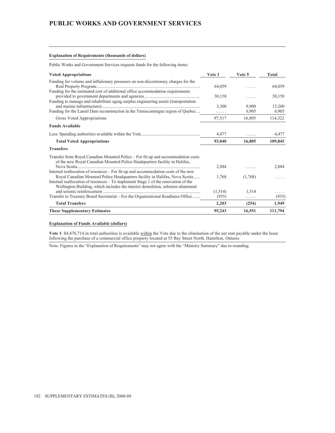### **PUBLIC WORKS AND GOVERNMENT SERVICES**

#### **Explanation of Requirements (thousands of dollars)**

Public Works and Government Services requests funds for the following items:

| <b>Voted Appropriations</b>                                                                                                                                            | Vote 1           | Vote 5         | Total           |
|------------------------------------------------------------------------------------------------------------------------------------------------------------------------|------------------|----------------|-----------------|
| Funding for volume and inflationary pressures on non-discretionary charges for the<br>Funding for the estimated cost of additional office accommodation requirements   | 64,059           | .              | 64,059          |
|                                                                                                                                                                        | 30,158           | .              | 30,158          |
| Funding to manage and rehabilitate aging surplus engineering assets (transportation<br>Funding for the Laniel Dam reconstruction in the Temiscamingue region of Quebec | 3,300<br>.       | 9.900<br>6,905 | 13,200<br>6,905 |
| Gross Voted Appropriations                                                                                                                                             | 97,517           | 16,805         | 114,322         |
| <b>Funds Available</b>                                                                                                                                                 |                  |                |                 |
|                                                                                                                                                                        | 4,477            | .              | 4,477           |
| <b>Total Voted Appropriations</b>                                                                                                                                      | 93,040           | 16,805         | 109,845         |
| <b>Transfers</b>                                                                                                                                                       |                  |                |                 |
| Transfer from Royal Canadian Mounted Police – For fit-up and accommodation costs<br>of the new Royal Canadian Mounted Police Headquarters facility in Halifax,         | 2,884            |                | 2,884           |
| Internal reallocation of resources – For fit-up and accommodation costs of the new<br>Royal Canadian Mounted Police Headquarters facility in Halifax, Nova Scotia      | 1,768            | .<br>(1,768)   |                 |
| Internal reallocation of resources – To implement Stage 1 of the renovation of the<br>Wellington Building, which includes the interior demolition, asbestos abatement  |                  |                |                 |
| Transfer to Treasury Board Secretariat - For the Organizational Readiness Office                                                                                       | (1,514)<br>(935) | 1,514<br>.     | (935)           |
| <b>Total Transfers</b>                                                                                                                                                 | 2,203            | (254)          | 1,949           |
| <b>These Supplementary Estimates</b>                                                                                                                                   | 95,243           | 16,551         | 111,794         |

#### **Explanation of Funds Available (dollars)**

**Vote 1**: \$4,476,714 in total authorities is available within the Vote due to the elimination of the net rent payable under the lease following the purchase of a commercial office property located at 55 Bay Street North, Hamilton, Ontario.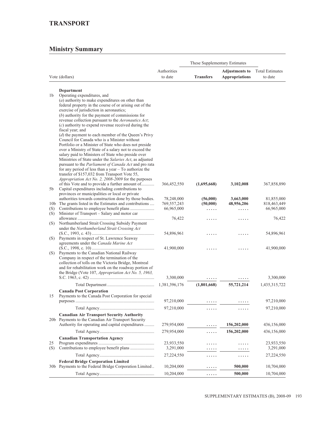|                 |                                                                                                       | These Supplementary Estimates |                  |                                                |                                   |  |
|-----------------|-------------------------------------------------------------------------------------------------------|-------------------------------|------------------|------------------------------------------------|-----------------------------------|--|
|                 | Vote (dollars)                                                                                        | Authorities<br>to date        | <b>Transfers</b> | <b>Adjustments to</b><br><b>Appropriations</b> | <b>Total Estimates</b><br>to date |  |
|                 | Department                                                                                            |                               |                  |                                                |                                   |  |
| 1b              | Operating expenditures, and                                                                           |                               |                  |                                                |                                   |  |
|                 | $(a)$ authority to make expenditures on other than                                                    |                               |                  |                                                |                                   |  |
|                 | federal property in the course of or arising out of the                                               |                               |                  |                                                |                                   |  |
|                 | exercise of jurisdiction in aeronautics;                                                              |                               |                  |                                                |                                   |  |
|                 | $(b)$ authority for the payment of commissions for                                                    |                               |                  |                                                |                                   |  |
|                 | revenue collection pursuant to the Aeronautics Act;                                                   |                               |                  |                                                |                                   |  |
|                 | $(c)$ authority to expend revenue received during the                                                 |                               |                  |                                                |                                   |  |
|                 | fiscal year; and                                                                                      |                               |                  |                                                |                                   |  |
|                 | $(d)$ the payment to each member of the Queen's Privy<br>Council for Canada who is a Minister without |                               |                  |                                                |                                   |  |
|                 | Portfolio or a Minister of State who does not preside                                                 |                               |                  |                                                |                                   |  |
|                 | over a Ministry of State of a salary not to exceed the                                                |                               |                  |                                                |                                   |  |
|                 | salary paid to Ministers of State who preside over                                                    |                               |                  |                                                |                                   |  |
|                 | Ministries of State under the Salaries Act, as adjusted                                               |                               |                  |                                                |                                   |  |
|                 | pursuant to the Parliament of Canada Act and pro rata                                                 |                               |                  |                                                |                                   |  |
|                 | for any period of less than a year $-$ To authorize the                                               |                               |                  |                                                |                                   |  |
|                 | transfer of \$157,032 from Transport Vote 55,                                                         |                               |                  |                                                |                                   |  |
|                 | Appropriation Act No. 2, 2008-2009 for the purposes                                                   |                               |                  |                                                |                                   |  |
| 5b              | of this Vote and to provide a further amount of<br>Capital expenditures including contributions to    | 366, 452, 550                 | (1,695,668)      | 3,102,008                                      | 367,858,890                       |  |
|                 | provinces or municipalities or local or private                                                       |                               |                  |                                                |                                   |  |
|                 | authorities towards construction done by those bodies.                                                | 78,248,000                    | (56,000)         | 3,663,000                                      | 81,855,000                        |  |
| 10 <sub>b</sub> | The grants listed in the Estimates and contributions                                                  | 769,557,243                   | (50,000)         | 48,956,206                                     | 818,463,449                       |  |
| (S)             |                                                                                                       | 66,965,000                    | .                | .                                              | 66,965,000                        |  |
| (S)             | Minister of Transport - Salary and motor car                                                          |                               |                  |                                                |                                   |  |
|                 |                                                                                                       | 76,422                        |                  |                                                | 76,422                            |  |
| (S)             | Northumberland Strait Crossing Subsidy Payment                                                        |                               |                  |                                                |                                   |  |
|                 | under the Northumberland Strait Crossing Act                                                          | 54,896,961                    |                  |                                                | 54,896,961                        |  |
| (S)             | Payments in respect of St. Lawrence Seaway                                                            |                               |                  |                                                |                                   |  |
|                 | agreements under the Canada Marine Act                                                                |                               |                  |                                                |                                   |  |
|                 |                                                                                                       | 41,900,000                    |                  |                                                | 41,900,000                        |  |
| (S)             | Payments to the Canadian National Railway                                                             |                               |                  |                                                |                                   |  |
|                 | Company in respect of the termination of the                                                          |                               |                  |                                                |                                   |  |
|                 | collection of tolls on the Victoria Bridge, Montreal                                                  |                               |                  |                                                |                                   |  |
|                 | and for rehabilitation work on the roadway portion of                                                 |                               |                  |                                                |                                   |  |
|                 | the Bridge (Vote 107, Appropriation Act No. 5, 1963,                                                  |                               |                  |                                                | 3,300,000                         |  |
|                 |                                                                                                       | 3,300,000                     |                  |                                                |                                   |  |
|                 |                                                                                                       | 1,381,396,176                 | (1,801,668)      | 55,721,214                                     | 1,435,315,722                     |  |
|                 | <b>Canada Post Corporation</b>                                                                        |                               |                  |                                                |                                   |  |
| 15              | Payments to the Canada Post Corporation for special                                                   |                               |                  |                                                |                                   |  |
|                 |                                                                                                       | 97,210,000                    |                  |                                                | 97,210,000                        |  |
|                 |                                                                                                       | 97,210,000                    | .                | .                                              | 97,210,000                        |  |
|                 | <b>Canadian Air Transport Security Authority</b>                                                      |                               |                  |                                                |                                   |  |
|                 | 20b Payments to the Canadian Air Transport Security                                                   |                               |                  |                                                |                                   |  |
|                 | Authority for operating and capital expenditures                                                      | 279,954,000                   | .                | 156,202,000                                    | 436,156,000                       |  |
|                 |                                                                                                       | 279,954,000                   | .                | 156,202,000                                    | 436,156,000                       |  |
|                 | <b>Canadian Transportation Agency</b>                                                                 |                               |                  |                                                |                                   |  |
| 25              |                                                                                                       | 23,933,550                    |                  |                                                | 23,933,550                        |  |
| (S)             |                                                                                                       | 3,291,000                     |                  |                                                | 3,291,000                         |  |
|                 |                                                                                                       | 27,224,550                    | .                | .                                              | 27,224,550                        |  |
|                 | <b>Federal Bridge Corporation Limited</b>                                                             |                               |                  |                                                |                                   |  |
|                 | 30b Payments to the Federal Bridge Corporation Limited                                                | 10,204,000                    | .                | 500,000                                        | 10,704,000                        |  |
|                 |                                                                                                       | 10,204,000                    | .                | 500,000                                        | 10,704,000                        |  |
|                 |                                                                                                       |                               |                  |                                                |                                   |  |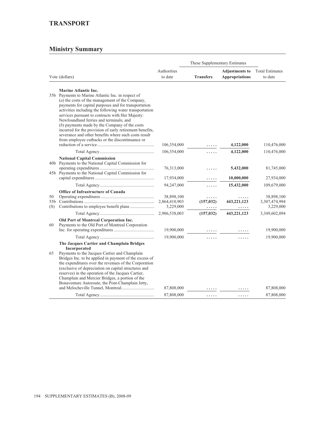|                  |                                                                                                                                                                                                                                                                                                                                                                                                                                                                                                                                                                                  |                                          | These Supplementary Estimates |                                                |                                          |
|------------------|----------------------------------------------------------------------------------------------------------------------------------------------------------------------------------------------------------------------------------------------------------------------------------------------------------------------------------------------------------------------------------------------------------------------------------------------------------------------------------------------------------------------------------------------------------------------------------|------------------------------------------|-------------------------------|------------------------------------------------|------------------------------------------|
| Vote (dollars)   |                                                                                                                                                                                                                                                                                                                                                                                                                                                                                                                                                                                  | Authorities<br>to date                   | <b>Transfers</b>              | <b>Adjustments to</b><br><b>Appropriations</b> | <b>Total Estimates</b><br>to date        |
|                  | <b>Marine Atlantic Inc.</b><br>35b Payments to Marine Atlantic Inc. in respect of<br>(a) the costs of the management of the Company,<br>payments for capital purposes and for transportation<br>activities including the following water transportation<br>services pursuant to contracts with Her Majesty:<br>Newfoundland ferries and terminals; and<br>$(b)$ payments made by the Company of the costs<br>incurred for the provision of early retirement benefits,<br>severance and other benefits where such costs result<br>from employee cutbacks or the discontinuance or | 106,354,000                              |                               | 4,122,000                                      | 110,476,000                              |
|                  |                                                                                                                                                                                                                                                                                                                                                                                                                                                                                                                                                                                  | 106,354,000                              | .                             | 4,122,000                                      | 110,476,000                              |
|                  | <b>National Capital Commission</b><br>40b Payments to the National Capital Commission for<br>45b Payments to the National Capital Commission for                                                                                                                                                                                                                                                                                                                                                                                                                                 | 76,313,000<br>17,934,000                 | .                             | 5,432,000<br>10,000,000                        | 81,745,000<br>27,934,000                 |
|                  |                                                                                                                                                                                                                                                                                                                                                                                                                                                                                                                                                                                  | 94,247,000                               | .                             | 15,432,000                                     | 109,679,000                              |
| 50<br>55b<br>(S) | <b>Office of Infrastructure of Canada</b><br>Contributions to employee benefit plans                                                                                                                                                                                                                                                                                                                                                                                                                                                                                             | 38,898,100<br>2,864,410,903<br>3,229,000 | .<br>(157, 032)<br>.          | 443,221,123<br>.                               | 38,898,100<br>3,307,474,994<br>3,229,000 |
|                  |                                                                                                                                                                                                                                                                                                                                                                                                                                                                                                                                                                                  | 2,906,538,003                            | (157, 032)                    | 443,221,123                                    | 3,349,602,094                            |
| 60               | Old Port of Montreal Corporation Inc.<br>Payments to the Old Port of Montreal Corporation                                                                                                                                                                                                                                                                                                                                                                                                                                                                                        | 19,900,000                               | .                             |                                                | 19,900,000                               |
|                  |                                                                                                                                                                                                                                                                                                                                                                                                                                                                                                                                                                                  | 19,900,000                               | .                             | .                                              | 19,900,000                               |
| 65               | The Jacques Cartier and Champlain Bridges<br>Incorporated<br>Payments to the Jacques Cartier and Champlain<br>Bridges Inc. to be applied in payment of the excess of<br>the expenditures over the revenues of the Corporation<br>(exclusive of depreciation on capital structures and<br>reserves) in the operation of the Jacques Cartier,<br>Champlain and Mercier Bridges, a portion of the<br>Bonaventure Autoroute, the Pont-Champlain Jetty,                                                                                                                               |                                          |                               |                                                |                                          |
|                  |                                                                                                                                                                                                                                                                                                                                                                                                                                                                                                                                                                                  | 87,808,000                               |                               |                                                | 87,808,000                               |
|                  |                                                                                                                                                                                                                                                                                                                                                                                                                                                                                                                                                                                  | 87,808,000                               | .                             | .                                              | 87,808,000                               |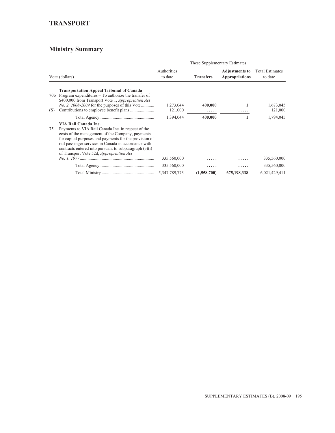### **TRANSPORT**

|                |                                                                                                                                                                                                                                                                                                                                                                 |                        | These Supplementary Estimates |                                                |                                   |
|----------------|-----------------------------------------------------------------------------------------------------------------------------------------------------------------------------------------------------------------------------------------------------------------------------------------------------------------------------------------------------------------|------------------------|-------------------------------|------------------------------------------------|-----------------------------------|
| Vote (dollars) |                                                                                                                                                                                                                                                                                                                                                                 | Authorities<br>to date | <b>Transfers</b>              | <b>Adjustments to</b><br><b>Appropriations</b> | <b>Total Estimates</b><br>to date |
| (S)            | <b>Transportation Appeal Tribunal of Canada</b><br>70b Program expenditures – To authorize the transfer of<br>\$400,000 from Transport Vote 1, Appropriation Act<br><i>No. 2, 2008-2009</i> for the purposes of this Vote                                                                                                                                       | 1,273,044<br>121,000   | 400,000<br>.                  | 1                                              | 1,673,045<br>121,000              |
|                |                                                                                                                                                                                                                                                                                                                                                                 | 1,394,044              | 400,000                       | 1                                              | 1,794,045                         |
| 75             | VIA Rail Canada Inc.<br>Payments to VIA Rail Canada Inc. in respect of the<br>costs of the management of the Company, payments<br>for capital purposes and payments for the provision of<br>rail passenger services in Canada in accordance with<br>contracts entered into pursuant to subparagraph $(c)(i)$<br>of Transport Vote 52d, <i>Appropriation Act</i> | 335,560,000            |                               |                                                | 335,560,000                       |
|                |                                                                                                                                                                                                                                                                                                                                                                 |                        |                               |                                                |                                   |
|                |                                                                                                                                                                                                                                                                                                                                                                 | 335,560,000            | .                             | .                                              | 335,560,000                       |
|                |                                                                                                                                                                                                                                                                                                                                                                 | 5.347.789.773          | (1,558,700)                   | 675,198,338                                    | 6,021,429,411                     |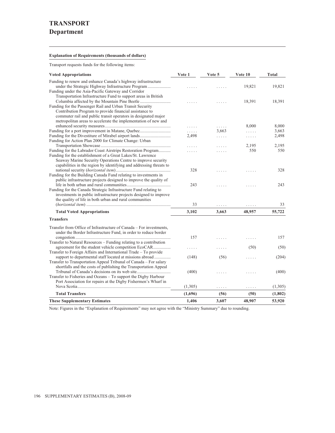### **Explanation of Requirements (thousands of dollars)**

Transport requests funds for the following items:

| <b>Voted Appropriations</b>                                                                                                                                                                                                                              | Vote 1  | Vote 5 | Vote 10 | <b>Total</b> |
|----------------------------------------------------------------------------------------------------------------------------------------------------------------------------------------------------------------------------------------------------------|---------|--------|---------|--------------|
| Funding to renew and enhance Canada's highway infrastructure<br>Funding under the Asia-Pacific Gateway and Corridor                                                                                                                                      |         |        | 19,821  | 19,821       |
| Transportation Infrastructure Fund to support areas in British<br>Funding for the Passenger Rail and Urban Transit Security<br>Contribution Program to provide financial assistance to<br>commuter rail and public transit operators in designated major |         | .      | 18,391  | 18,391       |
| metropolitan areas to accelerate the implementation of new and                                                                                                                                                                                           |         |        |         |              |
|                                                                                                                                                                                                                                                          | .       | .      | 8,000   | 8,000        |
| Funding for a port improvement in Matane, Quebec                                                                                                                                                                                                         | .       | 3,663  | .       | 3,663        |
|                                                                                                                                                                                                                                                          | 2,498   | .      | .       | 2,498        |
| Funding for Action Plan 2000 for Climate Change: Urban                                                                                                                                                                                                   |         |        |         |              |
|                                                                                                                                                                                                                                                          | .       | .      | 2,195   | 2,195        |
| Funding for the Labrador Coast Airstrips Restoration Program                                                                                                                                                                                             | .       | .      | 550     | 550          |
| Funding for the establishment of a Great Lakes/St. Lawrence<br>Seaway Marine Security Operations Centre to improve security<br>capabilities in the region by identifying and addressing threats to                                                       |         |        |         |              |
| Funding for the Building Canada Fund relating to investments in<br>public infrastructure projects designed to improve the quality of                                                                                                                     | 328     |        |         | 328          |
| Funding for the Canada Strategic Infrastructure Fund relating to                                                                                                                                                                                         | 243     | .      | 1.111   | 243          |
| investments in public infrastructure projects designed to improve<br>the quality of life in both urban and rural communities                                                                                                                             |         |        |         |              |
|                                                                                                                                                                                                                                                          | 33      | .      | .       | 33           |
| <b>Total Voted Appropriations</b>                                                                                                                                                                                                                        | 3,102   | 3,663  | 48,957  | 55,722       |
| <b>Transfers</b>                                                                                                                                                                                                                                         |         |        |         |              |
| Transfer from Office of Infrastructure of Canada – For investments,                                                                                                                                                                                      |         |        |         |              |
| under the Border Infrastructure Fund, in order to reduce border<br>Transfer to Natural Resources – Funding relating to a contribution                                                                                                                    | 157     |        |         | 157          |
| agreement for the student vehicle competition EcoCAR                                                                                                                                                                                                     | .       |        | (50)    | (50)         |
| Transfer to Foreign Affairs and International Trade – To provide                                                                                                                                                                                         |         |        |         |              |
| support to departmental staff located at missions abroad                                                                                                                                                                                                 | (148)   | (56)   | 1.111   | (204)        |
| Transfer to Transportation Appeal Tribunal of Canada - For salary                                                                                                                                                                                        |         |        |         |              |
| shortfalls and the costs of publishing the Transportation Appeal                                                                                                                                                                                         |         |        |         |              |
|                                                                                                                                                                                                                                                          | (400)   | .      | .       | (400)        |
| Transfer to Fisheries and Oceans – To support the Digby Harbour                                                                                                                                                                                          |         |        |         |              |
| Port Association for repairs at the Digby Fishermen's Wharf in                                                                                                                                                                                           |         |        |         |              |
|                                                                                                                                                                                                                                                          | (1,305) | .      | .       | (1,305)      |
| <b>Total Transfers</b>                                                                                                                                                                                                                                   | (1,696) | (56)   | (50)    | (1,802)      |
| <b>These Supplementary Estimates</b>                                                                                                                                                                                                                     | 1,406   | 3,607  | 48,907  | 53,920       |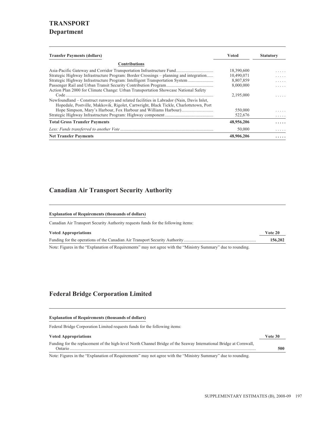# **TRANSPORT Department**

| <b>Transfer Payments (dollars)</b>                                                                                                                                               | <b>Voted</b> | <b>Statutory</b> |
|----------------------------------------------------------------------------------------------------------------------------------------------------------------------------------|--------------|------------------|
| <b>Contributions</b>                                                                                                                                                             |              |                  |
|                                                                                                                                                                                  | 18,390,600   |                  |
| Strategic Highway Infrastructure Program: Border Crossings – planning and integration                                                                                            | 10,490,071   | $\cdots$         |
| Strategic Highway Infrastructure Program: Intelligent Transportation System                                                                                                      | 8,807,859    | . <b>.</b>       |
| Action Plan 2000 for Climate Change: Urban Transportation Showcase National Safety                                                                                               | 8,000,000    | .                |
|                                                                                                                                                                                  | 2,195,000    | .                |
| Newfoundland – Construct runways and related facilities in Labrador (Nain, Davis Inlet,<br>Hopedale, Postville, Makkovik, Rigolet, Cartwright, Black Tickle, Charlottetown, Port |              |                  |
|                                                                                                                                                                                  | 550,000      | .                |
|                                                                                                                                                                                  | 522,676      | .                |
| <b>Total Gross Transfer Payments</b>                                                                                                                                             | 48,956,206   | .                |
|                                                                                                                                                                                  | 50,000       | .                |
| <b>Net Transfer Payments</b>                                                                                                                                                     | 48,906,206   | .                |

## **Canadian Air Transport Security Authority**

#### **Explanation of Requirements (thousands of dollars)**

Canadian Air Transport Security Authority requests funds for the following items:

| <b>Voted Appropriations</b> | Vote 20 |
|-----------------------------|---------|
|                             | 156,202 |

Note: Figures in the "Explanation of Requirements" may not agree with the "Ministry Summary" due to rounding.

### **Federal Bridge Corporation Limited**

#### **Explanation of Requirements (thousands of dollars)**

Federal Bridge Corporation Limited requests funds for the following items:

### **Voted Appropriations Vote 30** Funding for the replacement of the high-level North Channel Bridge of the Seaway International Bridge at Cornwall, Ontario .......................................................................................................................................................................... **500**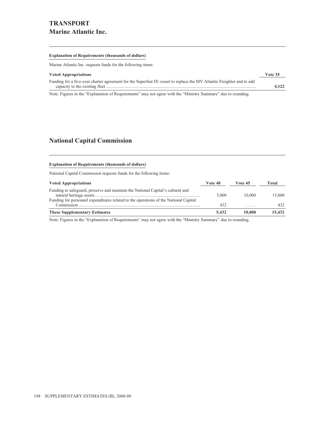#### **Explanation of Requirements (thousands of dollars)**

Marine Atlantic Inc. requests funds for the following items:

| Vote 35 |
|---------|
|         |
| 4.122   |
|         |

Note: Figures in the "Explanation of Requirements" may not agree with the "Ministry Summary" due to rounding.

### **National Capital Commission**

#### **Explanation of Requirements (thousands of dollars)**

National Capital Commission requests funds for the following items:

| <b>Voted Appropriations</b>                                                          | Vote 40 | Vote 45 | Total  |
|--------------------------------------------------------------------------------------|---------|---------|--------|
| Funding to safeguard, preserve and maintain the National Capital's cultural and      | 5.000   | 10.000  | 15.000 |
| Funding for personnel expenditures related to the operations of the National Capital | 432     | .       | 432    |
| <b>These Supplementary Estimates</b>                                                 | 5.432   | 10.000  | 15.432 |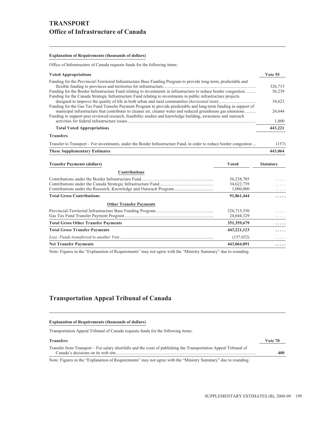# **TRANSPORT Office of Infrastructure of Canada**

#### **Explanation of Requirements (thousands of dollars)**

Office of Infrastructure of Canada requests funds for the following items:

| Vote 55 |
|---------|
|         |
| 326,715 |
| 56,239  |
|         |
| 34.623  |
|         |
| 24,644  |
|         |
| 1,000   |
| 443,221 |
|         |

#### **Transfers**

| Transfer to Transport – For investments, under the Border Infrastructure Fund, in order to reduce border congestion | (157)   |
|---------------------------------------------------------------------------------------------------------------------|---------|
| <b>These Supplementary Estimates</b>                                                                                | 443,064 |

| <b>Transfer Payments (dollars)</b>         | <b>Voted</b> | <b>Statutory</b> |
|--------------------------------------------|--------------|------------------|
| <b>Contributions</b>                       |              |                  |
|                                            | 56,238,705   | .                |
|                                            | 34,622,739   | .                |
|                                            | 1,000,000    | .                |
| <b>Total Gross Contributions</b>           | 91,861,444   |                  |
| <b>Other Transfer Payments</b>             |              |                  |
|                                            | 326,715,350  |                  |
|                                            | 24,644,329   | .                |
| <b>Total Gross Other Transfer Payments</b> | 351,359,679  | .                |
| <b>Total Gross Transfer Payments</b>       | 443,221,123  | .                |
|                                            | (157, 032)   | .                |
| <b>Net Transfer Payments</b>               | 443,064,091  | .                |

Note: Figures in the "Explanation of Requirements" may not agree with the "Ministry Summary" due to rounding.

### **Transportation Appeal Tribunal of Canada**

| <b>Explanation of Requirements (thousands of dollars)</b>                                                         |         |
|-------------------------------------------------------------------------------------------------------------------|---------|
| Transportation Appeal Tribunal of Canada requests funds for the following items:                                  |         |
| <b>Transfers</b>                                                                                                  | Vote 70 |
| Transfer from Transport – For salary shortfalls and the costs of publishing the Transportation Appeal Tribunal of | 400     |
| Note: Eigenschu the "Evalenction of Deguinements" more not gones with the "Minister Cummon"" due to nounding      |         |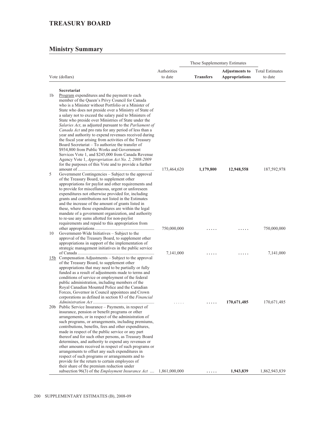## **TREASURY BOARD**

|    |                                                                                                                                                                                                                                                                                                                                                                                                                                                                                                                                                                                                                                                                                                                       |                        | These Supplementary Estimates |                                                |                                   |
|----|-----------------------------------------------------------------------------------------------------------------------------------------------------------------------------------------------------------------------------------------------------------------------------------------------------------------------------------------------------------------------------------------------------------------------------------------------------------------------------------------------------------------------------------------------------------------------------------------------------------------------------------------------------------------------------------------------------------------------|------------------------|-------------------------------|------------------------------------------------|-----------------------------------|
|    | Vote (dollars)                                                                                                                                                                                                                                                                                                                                                                                                                                                                                                                                                                                                                                                                                                        | Authorities<br>to date | <b>Transfers</b>              | <b>Adjustments to</b><br><b>Appropriations</b> | <b>Total Estimates</b><br>to date |
| 1b | Secretariat<br>Program expenditures and the payment to each<br>member of the Queen's Privy Council for Canada<br>who is a Minister without Portfolio or a Minister of<br>State who does not preside over a Ministry of State of<br>a salary not to exceed the salary paid to Ministers of<br>State who preside over Ministries of State under the<br>Salaries Act, as adjusted pursuant to the Parliament of<br>Canada Act and pro rata for any period of less than a<br>year and authority to expend revenues received during<br>the fiscal year arising from activities of the Treasury<br>Board Secretariat – To authorize the transfer of<br>\$934,800 from Public Works and Government                           |                        |                               |                                                |                                   |
| 5  | Services Vote 1, and \$245,000 from Canada Revenue<br>Agency Vote 1, Appropriation Act No. 2, 2008-2009<br>for the purposes of this Vote and to provide a further<br>Government Contingencies – Subject to the approval<br>of the Treasury Board, to supplement other<br>appropriations for paylist and other requirements and<br>to provide for miscellaneous, urgent or unforeseen<br>expenditures not otherwise provided for, including<br>grants and contributions not listed in the Estimates                                                                                                                                                                                                                    | 173,464,620            | 1,179,800                     | 12,948,558                                     | 187,592,978                       |
|    | and the increase of the amount of grants listed in<br>these, where those expenditures are within the legal<br>mandate of a government organization, and authority<br>to re-use any sums allotted for non-paylist<br>requirements and repaid to this appropriation from                                                                                                                                                                                                                                                                                                                                                                                                                                                | 750,000,000            |                               |                                                | 750,000,000                       |
| 10 | Government-Wide Initiatives – Subject to the<br>approval of the Treasury Board, to supplement other<br>appropriations in support of the implementation of<br>strategic management initiatives in the public service                                                                                                                                                                                                                                                                                                                                                                                                                                                                                                   |                        |                               |                                                |                                   |
|    | 15b Compensation Adjustments – Subject to the approval<br>of the Treasury Board, to supplement other<br>appropriations that may need to be partially or fully<br>funded as a result of adjustments made to terms and<br>conditions of service or employment of the federal<br>public administration, including members of the<br>Royal Canadian Mounted Police and the Canadian<br>Forces, Governor in Council appointees and Crown<br>corporations as defined in section 83 of the Financial                                                                                                                                                                                                                         | 7,141,000              |                               |                                                | 7,141,000                         |
|    | 20b Public Service Insurance – Payments, in respect of<br>insurance, pension or benefit programs or other<br>arrangements, or in respect of the administration of<br>such programs, or arrangements, including premiums,<br>contributions, benefits, fees and other expenditures,<br>made in respect of the public service or any part<br>thereof and for such other persons, as Treasury Board<br>determines, and authority to expend any revenues or<br>other amounts received in respect of such programs or<br>arrangements to offset any such expenditures in<br>respect of such programs or arrangements and to<br>provide for the return to certain employees of<br>their share of the premium reduction under | .                      |                               | 170,671,485                                    | 170,671,485                       |
|    | subsection 96(3) of the <i>Employment Insurance Act</i> 1,861,000,000                                                                                                                                                                                                                                                                                                                                                                                                                                                                                                                                                                                                                                                 |                        | .                             | 1,943,839                                      | 1,862,943,839                     |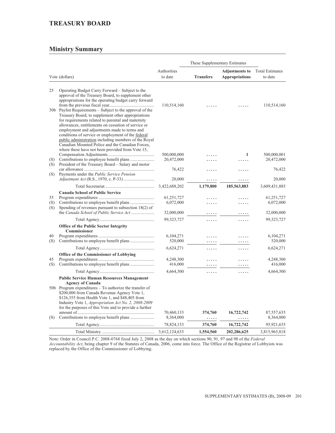### **TREASURY BOARD**

### **Ministry Summary**

|            |                                                                                                            | These Supplementary Estimates |                  |                       |                         |  |
|------------|------------------------------------------------------------------------------------------------------------|-------------------------------|------------------|-----------------------|-------------------------|--|
|            |                                                                                                            | Authorities                   |                  | <b>Adjustments to</b> | <b>Total Estimates</b>  |  |
|            | Vote (dollars)                                                                                             | to date                       | <b>Transfers</b> | <b>Appropriations</b> | to date                 |  |
|            |                                                                                                            |                               |                  |                       |                         |  |
| 25         | Operating Budget Carry Forward – Subject to the<br>approval of the Treasury Board, to supplement other     |                               |                  |                       |                         |  |
|            | appropriations for the operating budget carry forward                                                      |                               |                  |                       |                         |  |
|            |                                                                                                            | 110,514,160                   |                  |                       | 110,514,160             |  |
|            | 30b Paylist Requirements – Subject to the approval of the                                                  |                               |                  |                       |                         |  |
|            | Treasury Board, to supplement other appropriations                                                         |                               |                  |                       |                         |  |
|            | for requirements related to parental and maternity                                                         |                               |                  |                       |                         |  |
|            | allowances, entitlements on cessation of service or                                                        |                               |                  |                       |                         |  |
|            | employment and adjustments made to terms and                                                               |                               |                  |                       |                         |  |
|            | conditions of service or employment of the federal<br>public administration including members of the Royal |                               |                  |                       |                         |  |
|            | Canadian Mounted Police and the Canadian Forces,                                                           |                               |                  |                       |                         |  |
|            | where these have not been provided from Vote 15,                                                           |                               |                  |                       |                         |  |
|            |                                                                                                            | 500,000,000                   |                  | 1                     | 500,000,001             |  |
| (S)        |                                                                                                            | 20,472,000                    | .                |                       | 20,472,000              |  |
| (S)        | President of the Treasury Board - Salary and motor                                                         |                               |                  |                       |                         |  |
|            |                                                                                                            | 76,422                        | .                | .                     | 76,422                  |  |
| (S)        | Payments under the Public Service Pension                                                                  | 20,000                        | .                | .                     | 20,000                  |  |
|            |                                                                                                            |                               |                  |                       |                         |  |
|            |                                                                                                            | 3,422,688,202                 | 1,179,800        | 185,563,883           | 3,609,431,885           |  |
|            | <b>Canada School of Public Service</b>                                                                     |                               |                  |                       |                         |  |
| 35         |                                                                                                            | 61,251,727                    | .                | .                     | 61,251,727<br>6,072,000 |  |
| (S)<br>(S) | Spending of revenues pursuant to subsection $18(2)$ of                                                     | 6,072,000                     | .                | .                     |                         |  |
|            | the Canada School of Public Service Act                                                                    | 32,000,000                    | .                | .                     | 32,000,000              |  |
|            |                                                                                                            | 99,323,727                    | .                | .                     | 99,323,727              |  |
|            | <b>Office of the Public Sector Integrity</b>                                                               |                               |                  |                       |                         |  |
|            | Commissioner                                                                                               |                               |                  |                       |                         |  |
| 40         |                                                                                                            | 6,104,271                     | .                | .                     | 6,104,271               |  |
| (S)        |                                                                                                            | 520,000                       | .                | .                     | 520,000                 |  |
|            |                                                                                                            | 6,624,271                     | .                | .                     | 6,624,271               |  |
|            | Office of the Commissioner of Lobbying                                                                     |                               |                  |                       |                         |  |
| 45         |                                                                                                            | 4,248,300                     | .                |                       | 4,248,300               |  |
| (S)        |                                                                                                            | 416,000                       | .                | .                     | 416,000                 |  |
|            |                                                                                                            | 4,664,300                     | .                | .                     | 4,664,300               |  |
|            | <b>Public Service Human Resources Management</b>                                                           |                               |                  |                       |                         |  |
|            | <b>Agency of Canada</b>                                                                                    |                               |                  |                       |                         |  |
|            | 50b Program expenditures – To authorize the transfer of                                                    |                               |                  |                       |                         |  |
|            | \$200,000 from Canada Revenue Agency Vote 1,                                                               |                               |                  |                       |                         |  |
|            | \$126,355 from Health Vote 1, and \$48,405 from<br>Industry Vote 1, Appropriation Act No. 2, 2008-2009     |                               |                  |                       |                         |  |
|            | for the purposes of this Vote and to provide a further                                                     |                               |                  |                       |                         |  |
|            |                                                                                                            | 70,460,133                    | 374,760          | 16,722,742            | 87,557,635              |  |
| (S)        |                                                                                                            | 8,364,000                     | .                | .                     | 8,364,000               |  |
|            |                                                                                                            | 78,824,133                    | 374,760          | 16,722,742            | 95,921,635              |  |
|            |                                                                                                            | 3,612,124,633                 | 1,554,560        | 202,286,625           | 3,815,965,818           |  |

Note: Order in Council P.C. 2008-0768 fixed July 2, 2008 as the day on which sections 90, 91, 97 and 98 of the *Federal Accountability Act*, being chapter 9 of the Statutes of Canada, 2006, come into force. The Office of the Registrar of Lobbyists was replaced by the Office of the Commissioner of Lobbying.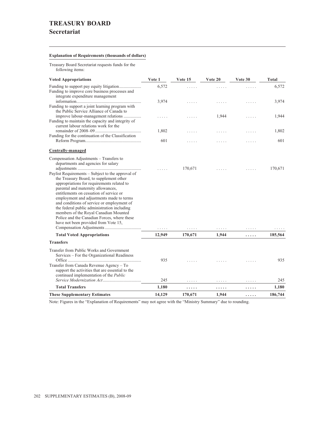### **TREASURY BOARD**

### **Secretariat**

### **Explanation of Requirements (thousands of dollars)**

Treasury Board Secretariat requests funds for the following items:

| 6,572    |                        |                         |            |                  |
|----------|------------------------|-------------------------|------------|------------------|
|          | .                      | .                       | .          | 6,572            |
| 3,974    | .                      | .                       | .          | 3,974            |
|          |                        | 1,944                   | .          | 1,944            |
| 1,802    |                        |                         | .          | 1,802            |
| 601      | .                      |                         | .          | 601              |
|          |                        |                         |            |                  |
|          |                        |                         |            | 170,671          |
| $\cdots$ | .                      | .                       | .          |                  |
| 12,949   | 170,671                | 1,944                   | .          | 185,564          |
|          |                        |                         |            |                  |
| 935      |                        |                         |            | 935              |
|          |                        |                         |            |                  |
|          | .                      | .                       | .          | 245              |
|          |                        |                         |            | 1,180<br>186,744 |
|          | 245<br>1,180<br>14,129 | 170,671<br>.<br>170,671 | .<br>1,944 | .<br>.           |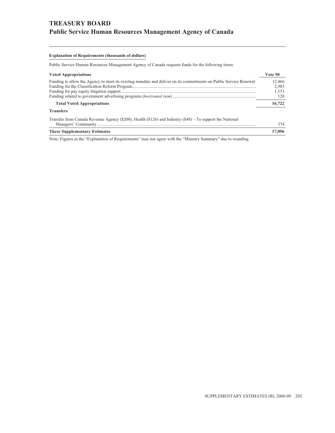# **TREASURY BOARD Public Service Human Resources Management Agency of Canada**

#### **Explanation of Requirements (thousands of dollars)**

Public Service Human Resources Management Agency of Canada requests funds for the following items:

| <b>Voted Appropriations</b>                                                                                       | Vote 50                         |
|-------------------------------------------------------------------------------------------------------------------|---------------------------------|
| Funding to allow the Agency to meet its existing mandate and deliver on its commitments on Public Service Renewal | 12.466<br>2.983<br>1.153<br>120 |
| <b>Total Voted Appropriations</b>                                                                                 | 16.722                          |
| <b>Transfers</b>                                                                                                  |                                 |

| <b>These Supplementary Estimates</b>                                                                      | 17.096 |
|-----------------------------------------------------------------------------------------------------------|--------|
|                                                                                                           | 374    |
| Transfer from Canada Revenue Agency (\$200), Health (\$126) and Industry (\$48) – To support the National |        |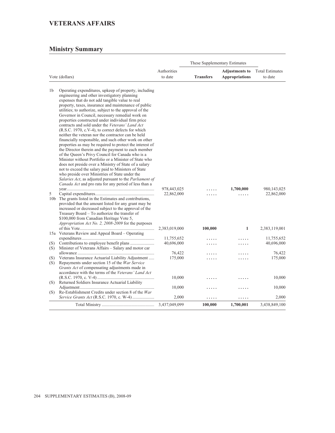# **VETERANS AFFAIRS**

|                |                                                                                                                                                                                                                                                                                                                                                                                                                                                                                                                                                                                                                                                                                                                                                                                                                                                                                                                                                                                                                                                                                          | These Supplementary Estimates |                  |                       |                           |  |
|----------------|------------------------------------------------------------------------------------------------------------------------------------------------------------------------------------------------------------------------------------------------------------------------------------------------------------------------------------------------------------------------------------------------------------------------------------------------------------------------------------------------------------------------------------------------------------------------------------------------------------------------------------------------------------------------------------------------------------------------------------------------------------------------------------------------------------------------------------------------------------------------------------------------------------------------------------------------------------------------------------------------------------------------------------------------------------------------------------------|-------------------------------|------------------|-----------------------|---------------------------|--|
|                |                                                                                                                                                                                                                                                                                                                                                                                                                                                                                                                                                                                                                                                                                                                                                                                                                                                                                                                                                                                                                                                                                          | Authorities                   |                  | <b>Adjustments to</b> | <b>Total Estimates</b>    |  |
| Vote (dollars) |                                                                                                                                                                                                                                                                                                                                                                                                                                                                                                                                                                                                                                                                                                                                                                                                                                                                                                                                                                                                                                                                                          | to date                       | <b>Transfers</b> | <b>Appropriations</b> | to date                   |  |
| 1 <sub>b</sub> | Operating expenditures, upkeep of property, including<br>engineering and other investigatory planning<br>expenses that do not add tangible value to real<br>property, taxes, insurance and maintenance of public<br>utilities; to authorize, subject to the approval of the<br>Governor in Council, necessary remedial work on<br>properties constructed under individual firm price<br>contracts and sold under the Veterans' Land Act<br>(R.S.C. 1970, c.V-4), to correct defects for which<br>neither the veteran nor the contractor can be held<br>financially responsible, and such other work on other<br>properties as may be required to protect the interest of<br>the Director therein and the payment to each member<br>of the Queen's Privy Council for Canada who is a<br>Minister without Portfolio or a Minister of State who<br>does not preside over a Ministry of State of a salary<br>not to exceed the salary paid to Ministers of State<br>who preside over Ministries of State under the<br><i>Salaries Act</i> , as adjusted pursuant to the <i>Parliament of</i> |                               |                  |                       |                           |  |
| 5              | Canada Act and pro rata for any period of less than a<br>10b The grants listed in the Estimates and contributions,<br>provided that the amount listed for any grant may be<br>increased or decreased subject to the approval of the<br>Treasury Board – To authorize the transfer of<br>\$100,000 from Canadian Heritage Vote 5,                                                                                                                                                                                                                                                                                                                                                                                                                                                                                                                                                                                                                                                                                                                                                         | 978,443,025<br>22,862,000     |                  | 1,700,000<br>.        | 980,143,025<br>22,862,000 |  |
|                | Appropriation Act No. 2, 2008-2009 for the purposes                                                                                                                                                                                                                                                                                                                                                                                                                                                                                                                                                                                                                                                                                                                                                                                                                                                                                                                                                                                                                                      | 2,383,019,000                 | 100,000          | 1                     | 2,383,119,001             |  |
|                | 15a Veterans Review and Appeal Board – Operating                                                                                                                                                                                                                                                                                                                                                                                                                                                                                                                                                                                                                                                                                                                                                                                                                                                                                                                                                                                                                                         | 11,755,652                    |                  |                       | 11,755,652                |  |
| (S)<br>(S)     | Minister of Veterans Affairs – Salary and motor car                                                                                                                                                                                                                                                                                                                                                                                                                                                                                                                                                                                                                                                                                                                                                                                                                                                                                                                                                                                                                                      | 40,696,000                    | .                | .                     | 40,696,000                |  |
| (S)<br>(S)     | Veterans Insurance Actuarial Liability Adjustment<br>Repayments under section 15 of the War Service<br><i>Grants Act</i> of compensating adjustments made in                                                                                                                                                                                                                                                                                                                                                                                                                                                                                                                                                                                                                                                                                                                                                                                                                                                                                                                             | 76,422<br>175,000             |                  |                       | 76,422<br>175,000         |  |
|                | accordance with the terms of the Veterans' Land Act                                                                                                                                                                                                                                                                                                                                                                                                                                                                                                                                                                                                                                                                                                                                                                                                                                                                                                                                                                                                                                      | 10,000                        |                  |                       | 10,000                    |  |
| (S)            | Returned Soldiers Insurance Actuarial Liability                                                                                                                                                                                                                                                                                                                                                                                                                                                                                                                                                                                                                                                                                                                                                                                                                                                                                                                                                                                                                                          | 10,000                        |                  | .                     | 10,000                    |  |
| (S)            | Re-Establishment Credits under section 8 of the War                                                                                                                                                                                                                                                                                                                                                                                                                                                                                                                                                                                                                                                                                                                                                                                                                                                                                                                                                                                                                                      | 2,000                         | .                | .                     | 2,000                     |  |
|                |                                                                                                                                                                                                                                                                                                                                                                                                                                                                                                                                                                                                                                                                                                                                                                                                                                                                                                                                                                                                                                                                                          | 3,437,049,099                 | 100,000          | 1,700,001             | 3,438,849,100             |  |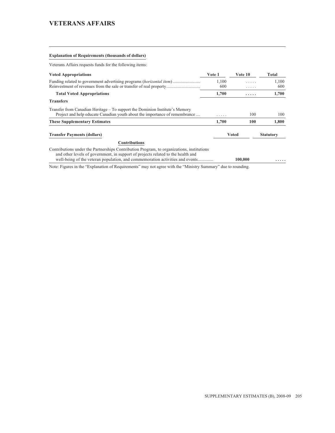### **VETERANS AFFAIRS**

#### **Explanation of Requirements (thousands of dollars)**

Veterans Affairs requests funds for the following items:

| <b>Voted Appropriations</b>                                                                                                                                                                                                                                    | Vote 1       | Vote 10      | Total            |
|----------------------------------------------------------------------------------------------------------------------------------------------------------------------------------------------------------------------------------------------------------------|--------------|--------------|------------------|
| Funding related to government advertising programs ( <i>horizontal item</i> )<br>Reinvestment of revenues from the sale or transfer of real property                                                                                                           | 1,100<br>600 | .<br>.       | 1,100<br>600     |
| <b>Total Voted Appropriations</b>                                                                                                                                                                                                                              | 1,700        | .            | 1,700            |
| <b>Transfers</b>                                                                                                                                                                                                                                               |              |              |                  |
| Transfer from Canadian Heritage – To support the Dominion Institute's Memory<br>Project and help educate Canadian youth about the importance of remembrance                                                                                                    | .            | 100          | 100              |
| <b>These Supplementary Estimates</b>                                                                                                                                                                                                                           | 1,700        | 100          | 1,800            |
| <b>Transfer Payments (dollars)</b>                                                                                                                                                                                                                             |              | <b>Voted</b> | <b>Statutory</b> |
| <b>Contributions</b>                                                                                                                                                                                                                                           |              |              |                  |
| Contributions under the Partnerships Contribution Program, to organizations, institutions<br>and other levels of government, in support of projects related to the health and<br>well-being of the veteran population, and commemoration activities and events |              | 100,000      |                  |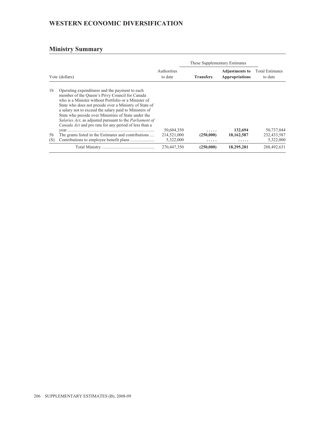## **WESTERN ECONOMIC DIVERSIFICATION**

|                             |                                                                                                                                                                                                                                                                                                                                                                                                                                                                                                                  |                                        | These Supplementary Estimates | <b>Total Estimates</b><br>to date |                                                |
|-----------------------------|------------------------------------------------------------------------------------------------------------------------------------------------------------------------------------------------------------------------------------------------------------------------------------------------------------------------------------------------------------------------------------------------------------------------------------------------------------------------------------------------------------------|----------------------------------------|-------------------------------|-----------------------------------|------------------------------------------------|
| Vote (dollars)              |                                                                                                                                                                                                                                                                                                                                                                                                                                                                                                                  | Authorities<br>to date                 | <b>Transfers</b>              |                                   | <b>Adjustments to</b><br><b>Appropriations</b> |
| 1 <sub>b</sub><br>5b<br>(S) | Operating expenditures and the payment to each<br>member of the Queen's Privy Council for Canada<br>who is a Minister without Portfolio or a Minister of<br>State who does not preside over a Ministry of State of<br>a salary not to exceed the salary paid to Ministers of<br>State who preside over Ministries of State under the<br>Salaries Act, as adjusted pursuant to the Parliament of<br>Canada Act and pro rata for any period of less than a<br>The grants listed in the Estimates and contributions | 50,604,350<br>214,521,000<br>5,322,000 | .<br>(250,000)<br>.           | 132,694<br>18, 162, 587<br>.      | 50,737,044<br>232,433,587<br>5,322,000         |
|                             |                                                                                                                                                                                                                                                                                                                                                                                                                                                                                                                  | 270,447,350                            | (250,000)                     | 18,295,281                        | 288,492,631                                    |